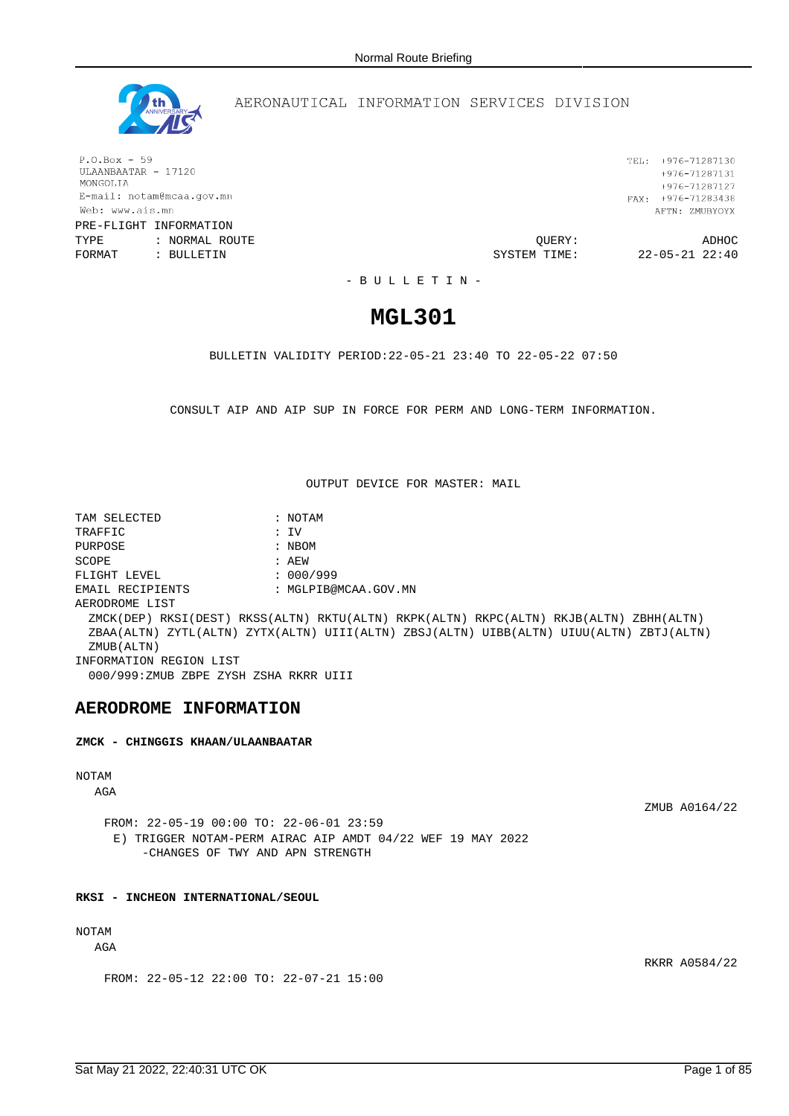

# AERONAUTICAL INFORMATION SERVICES DIVISION

 $P.O.Box - 59$ ULAANBAATAR - 17120 MONGOLIA E-mail: notam@mcaa.gov.mn Web: www.ais.mn PRE-FLIGHT INFORMATION

TYPE : NORMAL ROUTE QUERY: ADHOC FORMAT : BULLETIN SYSTEM TIME: 22-05-21 22:40

TEL: +976-71287130  $+976 - 71287131$ +976-71287127 FAX:  $+976-71283438$ AFTN: ZMUBYOYX

- B U L L E T I N -

# **MGL301**

BULLETIN VALIDITY PERIOD:22-05-21 23:40 TO 22-05-22 07:50

CONSULT AIP AND AIP SUP IN FORCE FOR PERM AND LONG-TERM INFORMATION.

OUTPUT DEVICE FOR MASTER: MAIL

TAM SELECTED : NOTAM TRAFFIC : IV PURPOSE : NBOM SCOPE : AEW FLIGHT LEVEL : 000/999 EMAIL RECIPIENTS : MGLPIB@MCAA.GOV.MN AERODROME LIST ZMCK(DEP) RKSI(DEST) RKSS(ALTN) RKTU(ALTN) RKPK(ALTN) RKPC(ALTN) RKJB(ALTN) ZBHH(ALTN) ZBAA(ALTN) ZYTL(ALTN) ZYTX(ALTN) UIII(ALTN) ZBSJ(ALTN) UIBB(ALTN) UIUU(ALTN) ZBTJ(ALTN) ZMUB(ALTN) INFORMATION REGION LIST 000/999:ZMUB ZBPE ZYSH ZSHA RKRR UIII

# **AERODROME INFORMATION**

**ZMCK - CHINGGIS KHAAN/ULAANBAATAR**

# NOTAM

AGA

ZMUB A0164/22

RKRR A0584/22

FROM: 22-05-19 00:00 TO: 22-06-01 23:59 E) TRIGGER NOTAM-PERM AIRAC AIP AMDT 04/22 WEF 19 MAY 2022 -CHANGES OF TWY AND APN STRENGTH

## **RKSI - INCHEON INTERNATIONAL/SEOUL**

# NOTAM

AGA

FROM: 22-05-12 22:00 TO: 22-07-21 15:00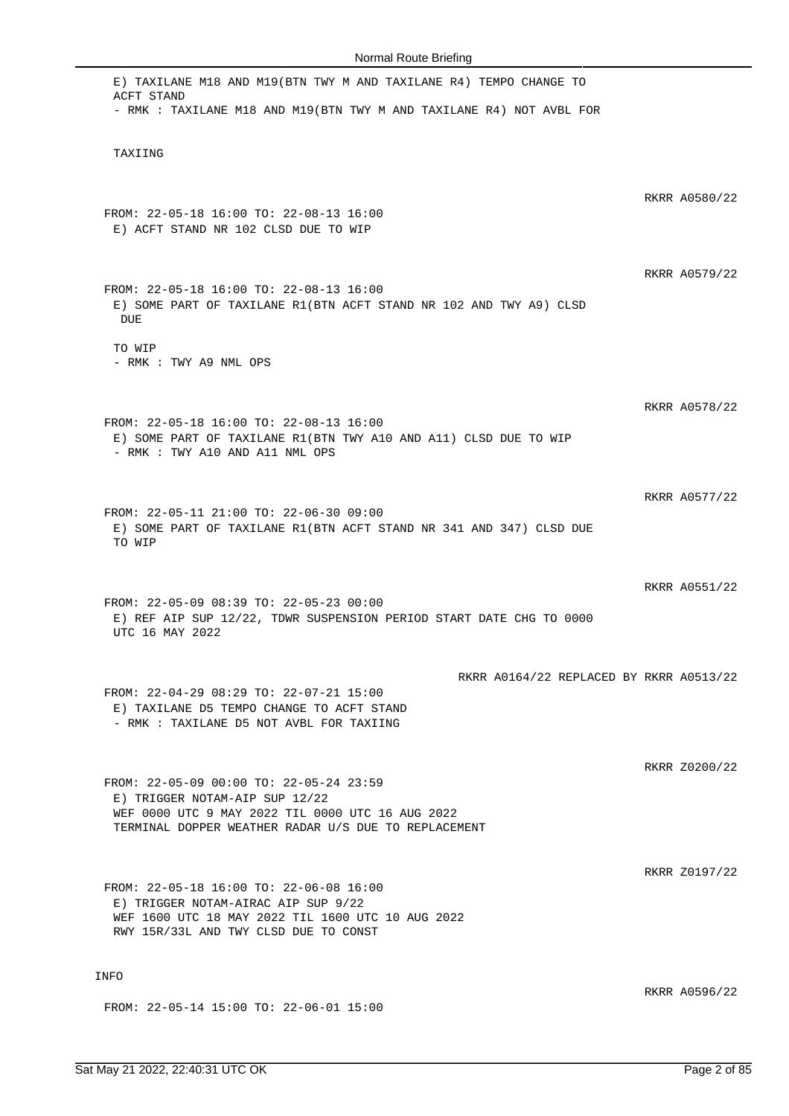| E) TAXILANE M18 AND M19(BTN TWY M AND TAXILANE R4) TEMPO CHANGE TO<br>ACFT STAND<br>- RMK : TAXILANE M18 AND M19(BTN TWY M AND TAXILANE R4) NOT AVBL FOR                              |               |
|---------------------------------------------------------------------------------------------------------------------------------------------------------------------------------------|---------------|
| TAXIING                                                                                                                                                                               |               |
| FROM: 22-05-18 16:00 TO: 22-08-13 16:00<br>E) ACFT STAND NR 102 CLSD DUE TO WIP                                                                                                       | RKRR A0580/22 |
| FROM: 22-05-18 16:00 TO: 22-08-13 16:00<br>E) SOME PART OF TAXILANE R1(BTN ACFT STAND NR 102 AND TWY A9) CLSD<br>DUE                                                                  | RKRR A0579/22 |
| TO WIP<br>- RMK : TWY A9 NML OPS                                                                                                                                                      |               |
| FROM: 22-05-18 16:00 TO: 22-08-13 16:00<br>E) SOME PART OF TAXILANE R1(BTN TWY A10 AND A11) CLSD DUE TO WIP<br>- RMK : TWY A10 AND A11 NML OPS                                        | RKRR A0578/22 |
| FROM: 22-05-11 21:00 TO: 22-06-30 09:00<br>E) SOME PART OF TAXILANE R1(BTN ACFT STAND NR 341 AND 347) CLSD DUE<br>TO WIP                                                              | RKRR A0577/22 |
| FROM: 22-05-09 08:39 TO: 22-05-23 00:00<br>E) REF AIP SUP 12/22, TDWR SUSPENSION PERIOD START DATE CHG TO 0000<br>UTC 16 MAY 2022                                                     | RKRR A0551/22 |
| RKRR A0164/22 REPLACED BY RKRR A0513/22<br>FROM: 22-04-29 08:29 TO: 22-07-21 15:00<br>E) TAXILANE D5 TEMPO CHANGE TO ACFT STAND<br>- RMK : TAXILANE D5 NOT AVBL FOR TAXIING           |               |
| FROM: 22-05-09 00:00 TO: 22-05-24 23:59<br>E) TRIGGER NOTAM-AIP SUP 12/22<br>WEF 0000 UTC 9 MAY 2022 TIL 0000 UTC 16 AUG 2022<br>TERMINAL DOPPER WEATHER RADAR U/S DUE TO REPLACEMENT | RKRR Z0200/22 |
| FROM: 22-05-18 16:00 TO: 22-06-08 16:00<br>E) TRIGGER NOTAM-AIRAC AIP SUP 9/22<br>WEF 1600 UTC 18 MAY 2022 TIL 1600 UTC 10 AUG 2022<br>RWY 15R/33L AND TWY CLSD DUE TO CONST          | RKRR Z0197/22 |
| <b>INFO</b><br>FROM: 22-05-14 15:00 TO: 22-06-01 15:00                                                                                                                                | RKRR A0596/22 |
|                                                                                                                                                                                       |               |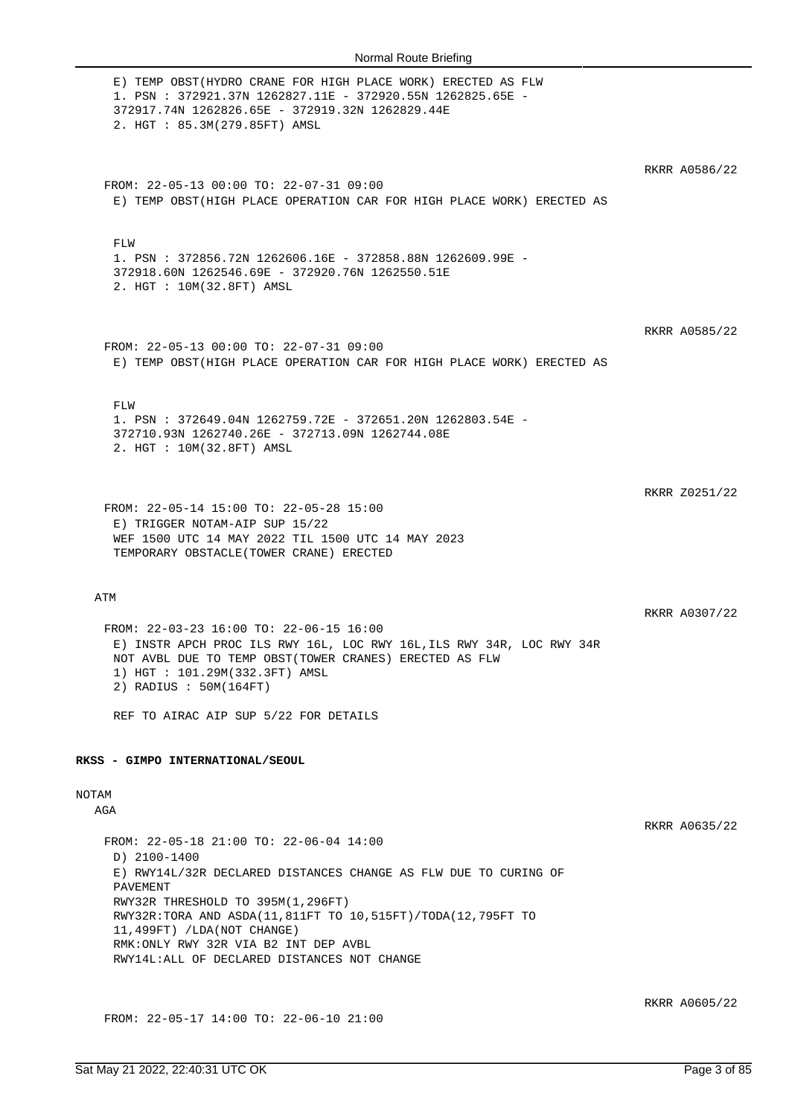| E) TEMP OBST (HYDRO CRANE FOR HIGH PLACE WORK) ERECTED AS FLW<br>1. PSN: 372921.37N 1262827.11E - 372920.55N 1262825.65E -<br>372917.74N 1262826.65E - 372919.32N 1262829.44E<br>2. HGT : 85.3M(279.85FT) AMSL                                                                                                                                                   |               |
|------------------------------------------------------------------------------------------------------------------------------------------------------------------------------------------------------------------------------------------------------------------------------------------------------------------------------------------------------------------|---------------|
| FROM: 22-05-13 00:00 TO: 22-07-31 09:00<br>E) TEMP OBST(HIGH PLACE OPERATION CAR FOR HIGH PLACE WORK) ERECTED AS                                                                                                                                                                                                                                                 | RKRR A0586/22 |
| FLW<br>1. PSN : 372856.72N 1262606.16E - 372858.88N 1262609.99E -<br>372918.60N 1262546.69E - 372920.76N 1262550.51E<br>2. HGT : 10M(32.8FT) AMSL                                                                                                                                                                                                                |               |
| FROM: 22-05-13 00:00 TO: 22-07-31 09:00<br>E) TEMP OBST(HIGH PLACE OPERATION CAR FOR HIGH PLACE WORK) ERECTED AS                                                                                                                                                                                                                                                 | RKRR A0585/22 |
| FLW<br>1. PSN: 372649.04N 1262759.72E - 372651.20N 1262803.54E -<br>372710.93N 1262740.26E - 372713.09N 1262744.08E<br>2. HGT : 10M(32.8FT) AMSL                                                                                                                                                                                                                 |               |
| FROM: 22-05-14 15:00 TO: 22-05-28 15:00<br>E) TRIGGER NOTAM-AIP SUP 15/22<br>WEF 1500 UTC 14 MAY 2022 TIL 1500 UTC 14 MAY 2023<br>TEMPORARY OBSTACLE (TOWER CRANE) ERECTED                                                                                                                                                                                       | RKRR Z0251/22 |
| ATM<br>FROM: 22-03-23 16:00 TO: 22-06-15 16:00<br>E) INSTR APCH PROC ILS RWY 16L, LOC RWY 16L, ILS RWY 34R, LOC RWY 34R<br>NOT AVBL DUE TO TEMP OBST(TOWER CRANES) ERECTED AS FLW<br>1) HGT : 101.29M(332.3FT) AMSL<br>2) RADIUS : 50M(164FT)<br>REF TO AIRAC AIP SUP 5/22 FOR DETAILS                                                                           | RKRR A0307/22 |
| RKSS - GIMPO INTERNATIONAL/SEOUL<br>NOTAM<br>AGA                                                                                                                                                                                                                                                                                                                 |               |
| FROM: 22-05-18 21:00 TO: 22-06-04 14:00<br>D) 2100-1400<br>E) RWY14L/32R DECLARED DISTANCES CHANGE AS FLW DUE TO CURING OF<br>PAVEMENT<br>RWY32R THRESHOLD TO 395M(1,296FT)<br>RWY32R:TORA AND ASDA(11,811FT TO 10,515FT)/TODA(12,795FT TO<br>11,499FT) /LDA(NOT CHANGE)<br>RMK: ONLY RWY 32R VIA B2 INT DEP AVBL<br>RWY14L:ALL OF DECLARED DISTANCES NOT CHANGE | RKRR A0635/22 |

FROM: 22-05-17 14:00 TO: 22-06-10 21:00

RKRR A0605/22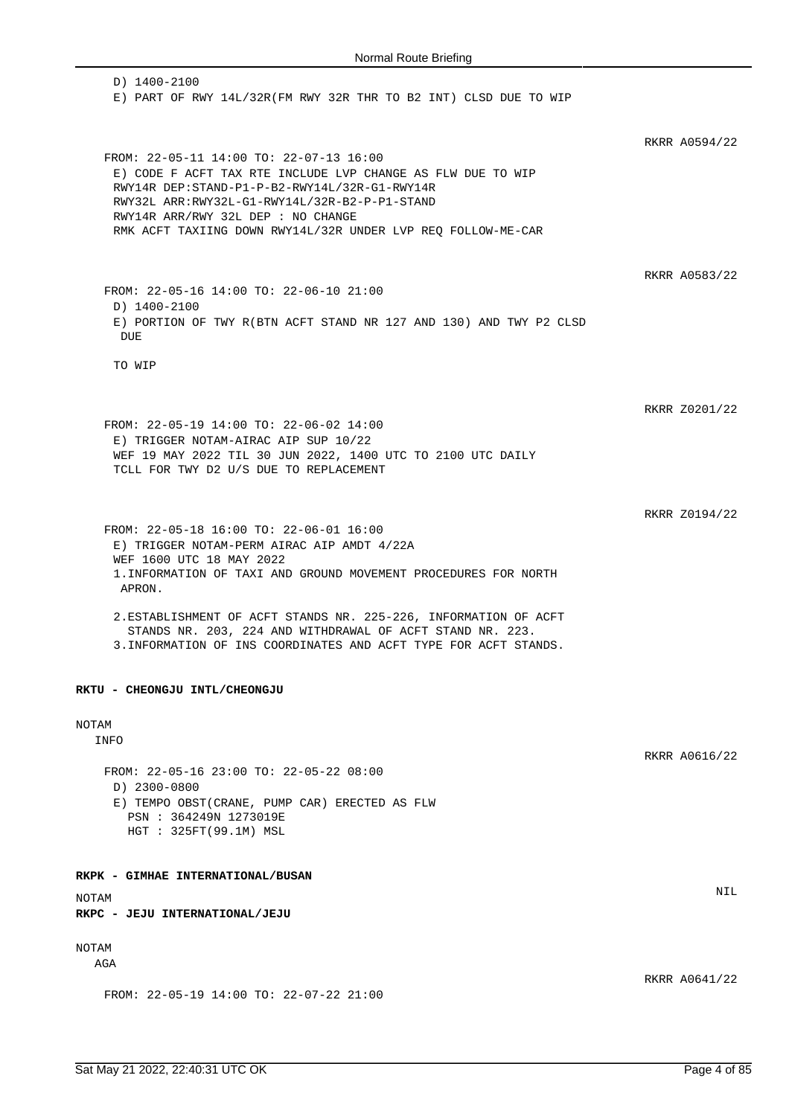D) 1400-2100 E) PART OF RWY 14L/32R(FM RWY 32R THR TO B2 INT) CLSD DUE TO WIP RKRR A0594/22 FROM: 22-05-11 14:00 TO: 22-07-13 16:00 E) CODE F ACFT TAX RTE INCLUDE LVP CHANGE AS FLW DUE TO WIP RWY14R DEP:STAND-P1-P-B2-RWY14L/32R-G1-RWY14R RWY32L ARR:RWY32L-G1-RWY14L/32R-B2-P-P1-STAND RWY14R ARR/RWY 32L DEP : NO CHANGE RMK ACFT TAXIING DOWN RWY14L/32R UNDER LVP REQ FOLLOW-ME-CAR RKRR A0583/22 FROM: 22-05-16 14:00 TO: 22-06-10 21:00 D) 1400-2100 E) PORTION OF TWY R(BTN ACFT STAND NR 127 AND 130) AND TWY P2 CLSD DUE TO WIP RKRR Z0201/22 FROM: 22-05-19 14:00 TO: 22-06-02 14:00 E) TRIGGER NOTAM-AIRAC AIP SUP 10/22 WEF 19 MAY 2022 TIL 30 JUN 2022, 1400 UTC TO 2100 UTC DAILY TCLL FOR TWY D2 U/S DUE TO REPLACEMENT RKRR Z0194/22 FROM: 22-05-18 16:00 TO: 22-06-01 16:00 E) TRIGGER NOTAM-PERM AIRAC AIP AMDT 4/22A WEF 1600 UTC 18 MAY 2022 1.INFORMATION OF TAXI AND GROUND MOVEMENT PROCEDURES FOR NORTH APRON. 2.ESTABLISHMENT OF ACFT STANDS NR. 225-226, INFORMATION OF ACFT STANDS NR. 203, 224 AND WITHDRAWAL OF ACFT STAND NR. 223. 3.INFORMATION OF INS COORDINATES AND ACFT TYPE FOR ACFT STANDS. **RKTU - CHEONGJU INTL/CHEONGJU** NOTAM INFO RKRR A0616/22 FROM: 22-05-16 23:00 TO: 22-05-22 08:00 D) 2300-0800 E) TEMPO OBST(CRANE, PUMP CAR) ERECTED AS FLW PSN : 364249N 1273019E HGT : 325FT(99.1M) MSL **RKPK - GIMHAE INTERNATIONAL/BUSAN** NOTAM NIL **RKPC - JEJU INTERNATIONAL/JEJU** NOTAM AGA RKRR A0641/22 FROM: 22-05-19 14:00 TO: 22-07-22 21:00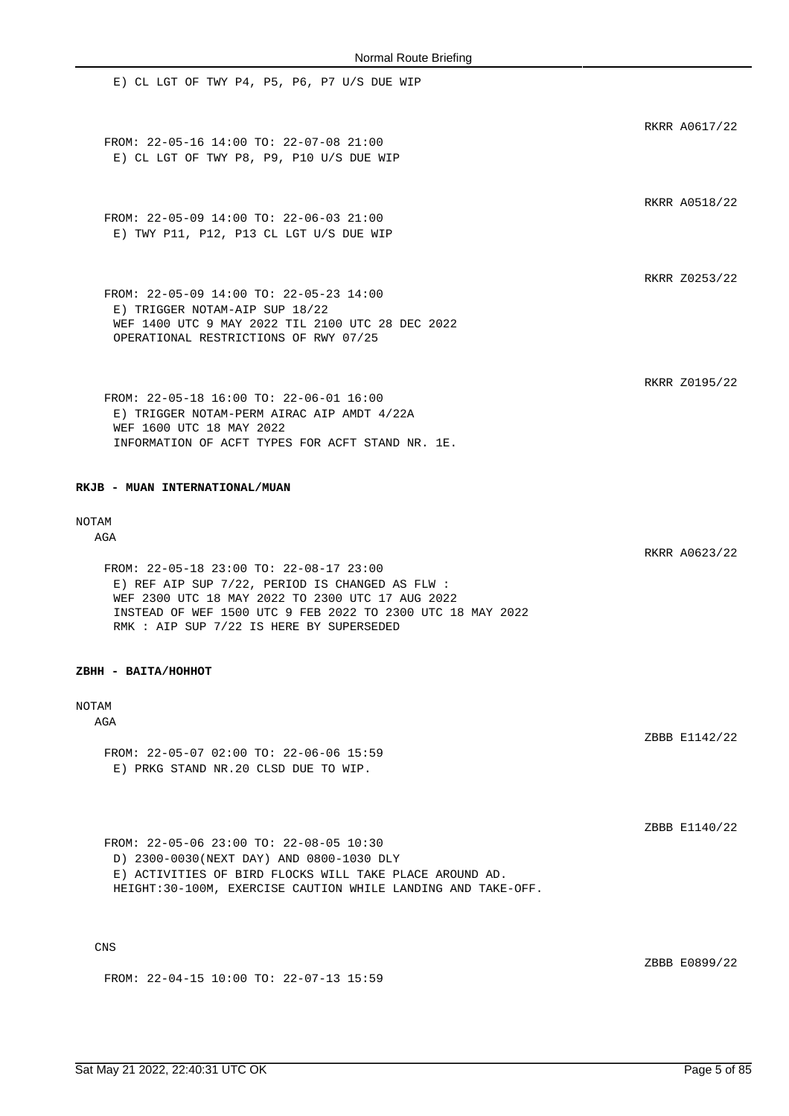E) CL LGT OF TWY P4, P5, P6, P7 U/S DUE WIP RKRR A0617/22 FROM: 22-05-16 14:00 TO: 22-07-08 21:00 E) CL LGT OF TWY P8, P9, P10 U/S DUE WIP RKRR A0518/22 FROM: 22-05-09 14:00 TO: 22-06-03 21:00 E) TWY P11, P12, P13 CL LGT U/S DUE WIP RKRR Z0253/22 FROM: 22-05-09 14:00 TO: 22-05-23 14:00 E) TRIGGER NOTAM-AIP SUP 18/22 WEF 1400 UTC 9 MAY 2022 TIL 2100 UTC 28 DEC 2022 OPERATIONAL RESTRICTIONS OF RWY 07/25 RKRR Z0195/22 FROM: 22-05-18 16:00 TO: 22-06-01 16:00 E) TRIGGER NOTAM-PERM AIRAC AIP AMDT 4/22A WEF 1600 UTC 18 MAY 2022 INFORMATION OF ACFT TYPES FOR ACFT STAND NR. 1E.

**RKJB - MUAN INTERNATIONAL/MUAN**

# NOTAM

AGA

FROM: 22-05-18 23:00 TO: 22-08-17 23:00 E) REF AIP SUP 7/22, PERIOD IS CHANGED AS FLW : WEF 2300 UTC 18 MAY 2022 TO 2300 UTC 17 AUG 2022 INSTEAD OF WEF 1500 UTC 9 FEB 2022 TO 2300 UTC 18 MAY 2022 RMK : AIP SUP 7/22 IS HERE BY SUPERSEDED

#### **ZBHH - BAITA/HOHHOT**

### NOTAM

**AGA** 

FROM: 22-05-07 02:00 TO: 22-06-06 15:59 E) PRKG STAND NR.20 CLSD DUE TO WIP.

FROM: 22-05-06 23:00 TO: 22-08-05 10:30 D) 2300-0030(NEXT DAY) AND 0800-1030 DLY E) ACTIVITIES OF BIRD FLOCKS WILL TAKE PLACE AROUND AD. HEIGHT:30-100M, EXERCISE CAUTION WHILE LANDING AND TAKE-OFF.

CNS

ZBBB E0899/22

RKRR A0623/22

ZBBB E1142/22

ZBBB E1140/22

FROM: 22-04-15 10:00 TO: 22-07-13 15:59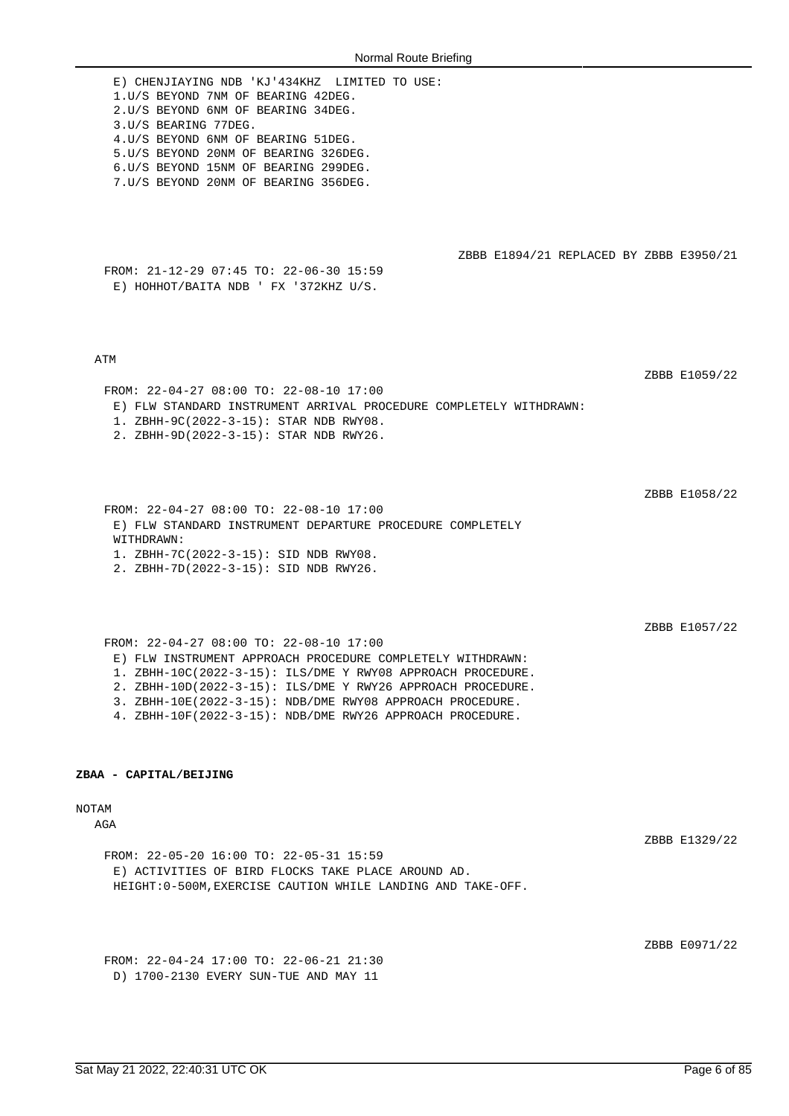| Normal Route Drieling                                                                                                                                                                                                                                                                                                                                         |               |
|---------------------------------------------------------------------------------------------------------------------------------------------------------------------------------------------------------------------------------------------------------------------------------------------------------------------------------------------------------------|---------------|
| E) CHENJIAYING NDB 'KJ'434KHZ LIMITED TO USE:<br>1.U/S BEYOND 7NM OF BEARING 42DEG.<br>2.U/S BEYOND 6NM OF BEARING 34DEG.<br>3.U/S BEARING 77DEG.<br>4. U/S BEYOND 6NM OF BEARING 51DEG.<br>5.U/S BEYOND 20NM OF BEARING 326DEG.<br>6.U/S BEYOND 15NM OF BEARING 299DEG.<br>7.U/S BEYOND 20NM OF BEARING 356DEG.                                              |               |
| ZBBB E1894/21 REPLACED BY ZBBB E3950/21<br>FROM: 21-12-29 07:45 TO: 22-06-30 15:59<br>E) HOHHOT/BAITA NDB ' FX '372KHZ U/S.                                                                                                                                                                                                                                   |               |
| ATM<br>FROM: 22-04-27 08:00 TO: 22-08-10 17:00<br>E) FLW STANDARD INSTRUMENT ARRIVAL PROCEDURE COMPLETELY WITHDRAWN:<br>1. ZBHH-9C(2022-3-15): STAR NDB RWY08.<br>2. ZBHH-9D(2022-3-15): STAR NDB RWY26.                                                                                                                                                      | ZBBB E1059/22 |
| FROM: 22-04-27 08:00 TO: 22-08-10 17:00<br>E) FLW STANDARD INSTRUMENT DEPARTURE PROCEDURE COMPLETELY<br>WITHDRAWN:<br>1. ZBHH-7C(2022-3-15): SID NDB RWY08.<br>2. ZBHH-7D(2022-3-15): SID NDB RWY26.                                                                                                                                                          | ZBBB E1058/22 |
| FROM: 22-04-27 08:00 TO: 22-08-10 17:00<br>E) FLW INSTRUMENT APPROACH PROCEDURE COMPLETELY WITHDRAWN:<br>1. ZBHH-10C(2022-3-15): ILS/DME Y RWY08 APPROACH PROCEDURE.<br>2. ZBHH-10D(2022-3-15): ILS/DME Y RWY26 APPROACH PROCEDURE.<br>3. ZBHH-10E(2022-3-15): NDB/DME RWY08 APPROACH PROCEDURE.<br>4. ZBHH-10F(2022-3-15): NDB/DME RWY26 APPROACH PROCEDURE. | ZBBB E1057/22 |
| ZBAA - CAPITAL/BEIJING                                                                                                                                                                                                                                                                                                                                        |               |
| NOTAM<br>AGA                                                                                                                                                                                                                                                                                                                                                  | ZBBB E1329/22 |
| FROM: 22-05-20 16:00 TO: 22-05-31 15:59<br>E) ACTIVITIES OF BIRD FLOCKS TAKE PLACE AROUND AD.                                                                                                                                                                                                                                                                 |               |

ZBBB E0971/22

FROM: 22-04-24 17:00 TO: 22-06-21 21:30 D) 1700-2130 EVERY SUN-TUE AND MAY 11

HEIGHT:0-500M,EXERCISE CAUTION WHILE LANDING AND TAKE-OFF.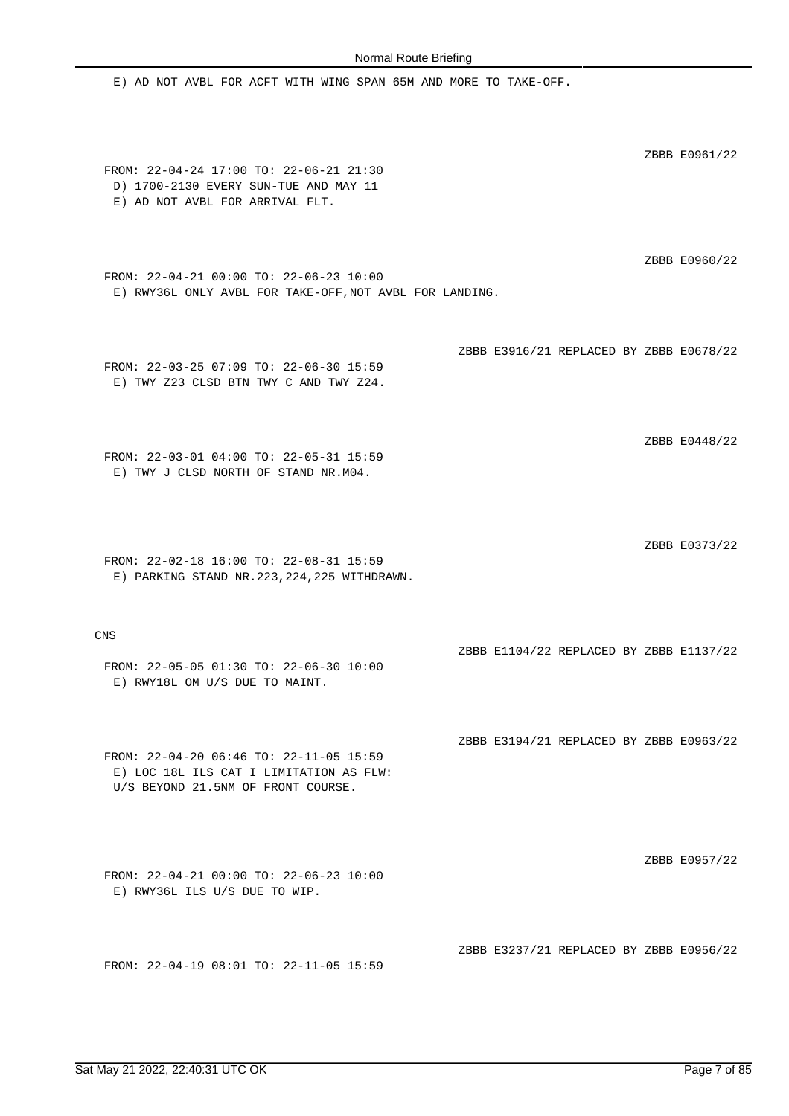E) AD NOT AVBL FOR ACFT WITH WING SPAN 65M AND MORE TO TAKE-OFF. ZBBB E0961/22 FROM: 22-04-24 17:00 TO: 22-06-21 21:30 D) 1700-2130 EVERY SUN-TUE AND MAY 11 E) AD NOT AVBL FOR ARRIVAL FLT. ZBBB E0960/22 FROM: 22-04-21 00:00 TO: 22-06-23 10:00 E) RWY36L ONLY AVBL FOR TAKE-OFF,NOT AVBL FOR LANDING. ZBBB E3916/21 REPLACED BY ZBBB E0678/22 FROM: 22-03-25 07:09 TO: 22-06-30 15:59 E) TWY Z23 CLSD BTN TWY C AND TWY Z24. ZBBB E0448/22 FROM: 22-03-01 04:00 TO: 22-05-31 15:59 E) TWY J CLSD NORTH OF STAND NR.M04. ZBBB E0373/22 FROM: 22-02-18 16:00 TO: 22-08-31 15:59 E) PARKING STAND NR.223,224,225 WITHDRAWN. CNS ZBBB E1104/22 REPLACED BY ZBBB E1137/22 FROM: 22-05-05 01:30 TO: 22-06-30 10:00 E) RWY18L OM U/S DUE TO MAINT. ZBBB E3194/21 REPLACED BY ZBBB E0963/22 FROM: 22-04-20 06:46 TO: 22-11-05 15:59 E) LOC 18L ILS CAT I LIMITATION AS FLW: U/S BEYOND 21.5NM OF FRONT COURSE. ZBBB E0957/22 FROM: 22-04-21 00:00 TO: 22-06-23 10:00 E) RWY36L ILS U/S DUE TO WIP. ZBBB E3237/21 REPLACED BY ZBBB E0956/22 FROM: 22-04-19 08:01 TO: 22-11-05 15:59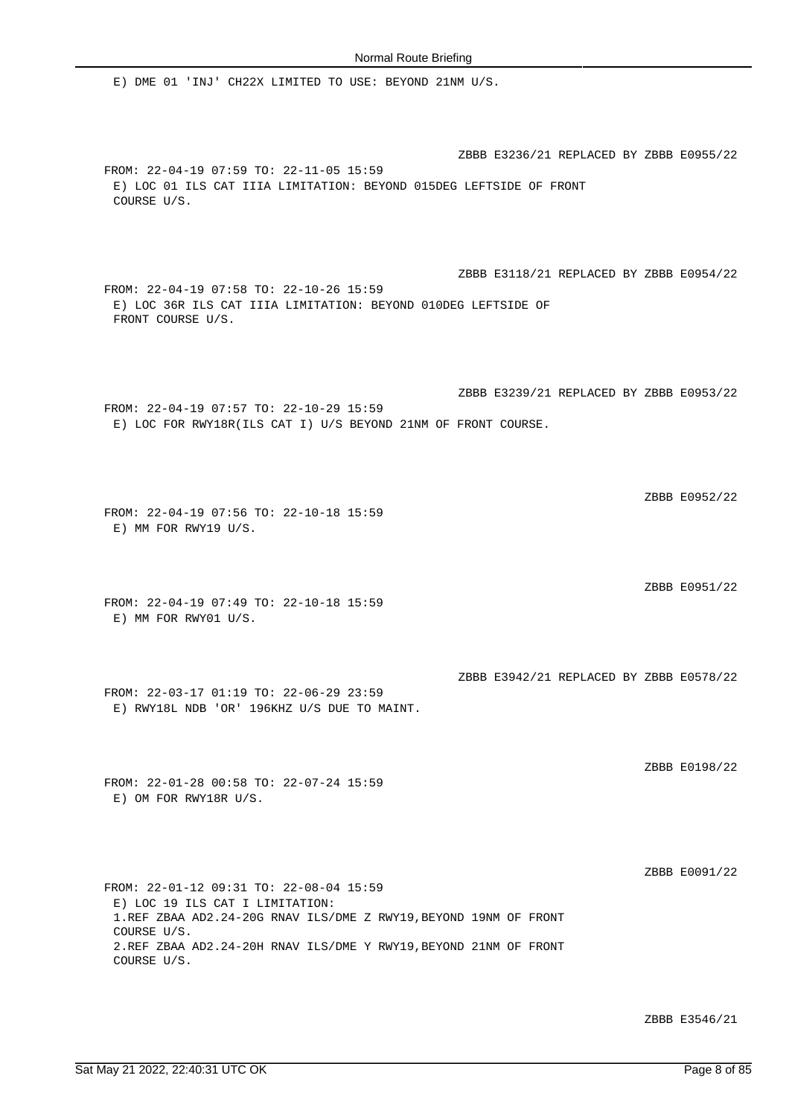E) DME 01 'INJ' CH22X LIMITED TO USE: BEYOND 21NM U/S.

ZBBB E3236/21 REPLACED BY ZBBB E0955/22 FROM: 22-04-19 07:59 TO: 22-11-05 15:59 E) LOC 01 ILS CAT IIIA LIMITATION: BEYOND 015DEG LEFTSIDE OF FRONT COURSE U/S. ZBBB E3118/21 REPLACED BY ZBBB E0954/22 FROM: 22-04-19 07:58 TO: 22-10-26 15:59 E) LOC 36R ILS CAT IIIA LIMITATION: BEYOND 010DEG LEFTSIDE OF FRONT COURSE U/S. ZBBB E3239/21 REPLACED BY ZBBB E0953/22 FROM: 22-04-19 07:57 TO: 22-10-29 15:59 E) LOC FOR RWY18R(ILS CAT I) U/S BEYOND 21NM OF FRONT COURSE. ZBBB E0952/22 FROM: 22-04-19 07:56 TO: 22-10-18 15:59 E) MM FOR RWY19 U/S. ZBBB E0951/22 FROM: 22-04-19 07:49 TO: 22-10-18 15:59 E) MM FOR RWY01 U/S. ZBBB E3942/21 REPLACED BY ZBBB E0578/22 FROM: 22-03-17 01:19 TO: 22-06-29 23:59 E) RWY18L NDB 'OR' 196KHZ U/S DUE TO MAINT. ZBBB E0198/22 FROM: 22-01-28 00:58 TO: 22-07-24 15:59 E) OM FOR RWY18R U/S.

ZBBB E0091/22

FROM: 22-01-12 09:31 TO: 22-08-04 15:59 E) LOC 19 ILS CAT I LIMITATION: 1.REF ZBAA AD2.24-20G RNAV ILS/DME Z RWY19,BEYOND 19NM OF FRONT COURSE U/S. 2.REF ZBAA AD2.24-20H RNAV ILS/DME Y RWY19,BEYOND 21NM OF FRONT COURSE U/S.

ZBBB E3546/21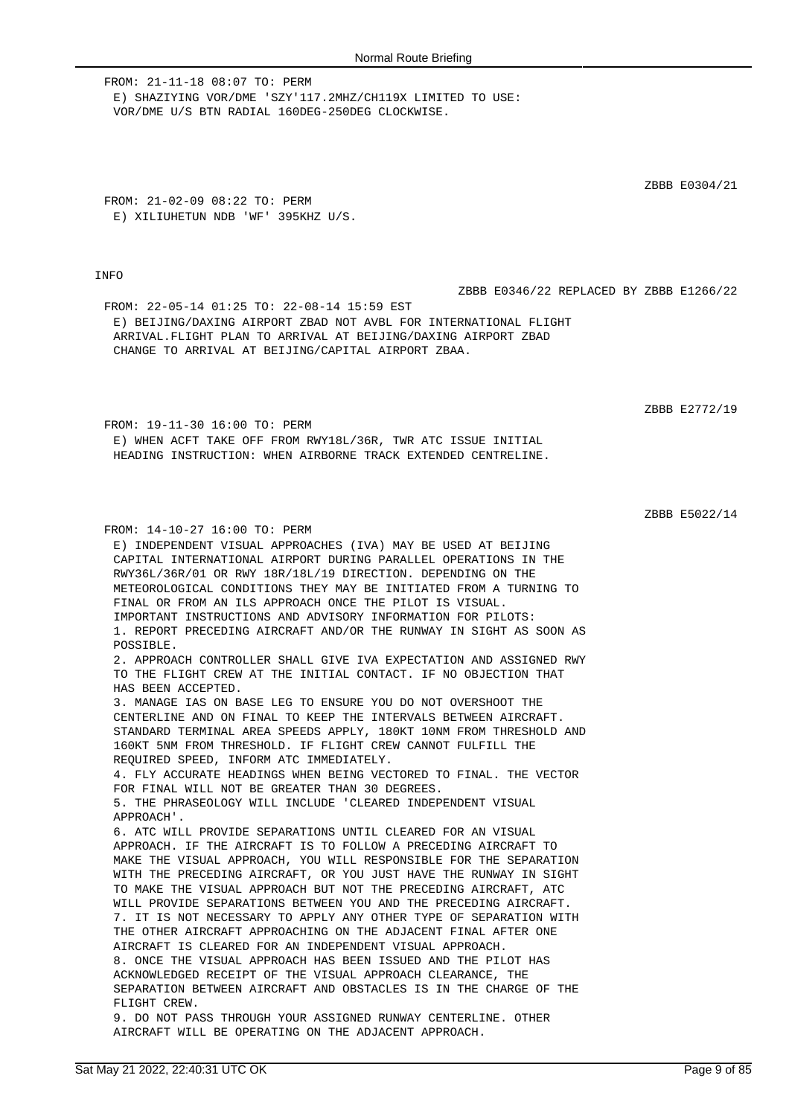FROM: 21-11-18 08:07 TO: PERM E) SHAZIYING VOR/DME 'SZY'117.2MHZ/CH119X LIMITED TO USE: VOR/DME U/S BTN RADIAL 160DEG-250DEG CLOCKWISE.

FROM: 21-02-09 08:22 TO: PERM E) XILIUHETUN NDB 'WF' 395KHZ U/S.

FROM: 14-10-27 16:00 TO: PERM

## **TNFO**

ZBBB E0304/21

ZBBB E0346/22 REPLACED BY ZBBB E1266/22

FROM: 22-05-14 01:25 TO: 22-08-14 15:59 EST E) BEIJING/DAXING AIRPORT ZBAD NOT AVBL FOR INTERNATIONAL FLIGHT ARRIVAL.FLIGHT PLAN TO ARRIVAL AT BEIJING/DAXING AIRPORT ZBAD CHANGE TO ARRIVAL AT BEIJING/CAPITAL AIRPORT ZBAA.

ZBBB E2772/19

FROM: 19-11-30 16:00 TO: PERM E) WHEN ACFT TAKE OFF FROM RWY18L/36R, TWR ATC ISSUE INITIAL HEADING INSTRUCTION: WHEN AIRBORNE TRACK EXTENDED CENTRELINE.

E) INDEPENDENT VISUAL APPROACHES (IVA) MAY BE USED AT BEIJING

ZBBB E5022/14

CAPITAL INTERNATIONAL AIRPORT DURING PARALLEL OPERATIONS IN THE RWY36L/36R/01 OR RWY 18R/18L/19 DIRECTION. DEPENDING ON THE METEOROLOGICAL CONDITIONS THEY MAY BE INITIATED FROM A TURNING TO FINAL OR FROM AN ILS APPROACH ONCE THE PILOT IS VISUAL. IMPORTANT INSTRUCTIONS AND ADVISORY INFORMATION FOR PILOTS: 1. REPORT PRECEDING AIRCRAFT AND/OR THE RUNWAY IN SIGHT AS SOON AS POSSIBLE. 2. APPROACH CONTROLLER SHALL GIVE IVA EXPECTATION AND ASSIGNED RWY TO THE FLIGHT CREW AT THE INITIAL CONTACT. IF NO OBJECTION THAT HAS BEEN ACCEPTED. 3. MANAGE IAS ON BASE LEG TO ENSURE YOU DO NOT OVERSHOOT THE CENTERLINE AND ON FINAL TO KEEP THE INTERVALS BETWEEN AIRCRAFT. STANDARD TERMINAL AREA SPEEDS APPLY, 180KT 10NM FROM THRESHOLD AND 160KT 5NM FROM THRESHOLD. IF FLIGHT CREW CANNOT FULFILL THE REQUIRED SPEED, INFORM ATC IMMEDIATELY. 4. FLY ACCURATE HEADINGS WHEN BEING VECTORED TO FINAL. THE VECTOR FOR FINAL WILL NOT BE GREATER THAN 30 DEGREES. 5. THE PHRASEOLOGY WILL INCLUDE 'CLEARED INDEPENDENT VISUAL APPROACH'. 6. ATC WILL PROVIDE SEPARATIONS UNTIL CLEARED FOR AN VISUAL APPROACH. IF THE AIRCRAFT IS TO FOLLOW A PRECEDING AIRCRAFT TO MAKE THE VISUAL APPROACH, YOU WILL RESPONSIBLE FOR THE SEPARATION WITH THE PRECEDING AIRCRAFT, OR YOU JUST HAVE THE RUNWAY IN SIGHT TO MAKE THE VISUAL APPROACH BUT NOT THE PRECEDING AIRCRAFT, ATC WILL PROVIDE SEPARATIONS BETWEEN YOU AND THE PRECEDING AIRCRAFT. 7. IT IS NOT NECESSARY TO APPLY ANY OTHER TYPE OF SEPARATION WITH THE OTHER AIRCRAFT APPROACHING ON THE ADJACENT FINAL AFTER ONE AIRCRAFT IS CLEARED FOR AN INDEPENDENT VISUAL APPROACH. 8. ONCE THE VISUAL APPROACH HAS BEEN ISSUED AND THE PILOT HAS ACKNOWLEDGED RECEIPT OF THE VISUAL APPROACH CLEARANCE, THE SEPARATION BETWEEN AIRCRAFT AND OBSTACLES IS IN THE CHARGE OF THE FLIGHT CREW. 9. DO NOT PASS THROUGH YOUR ASSIGNED RUNWAY CENTERLINE. OTHER AIRCRAFT WILL BE OPERATING ON THE ADJACENT APPROACH.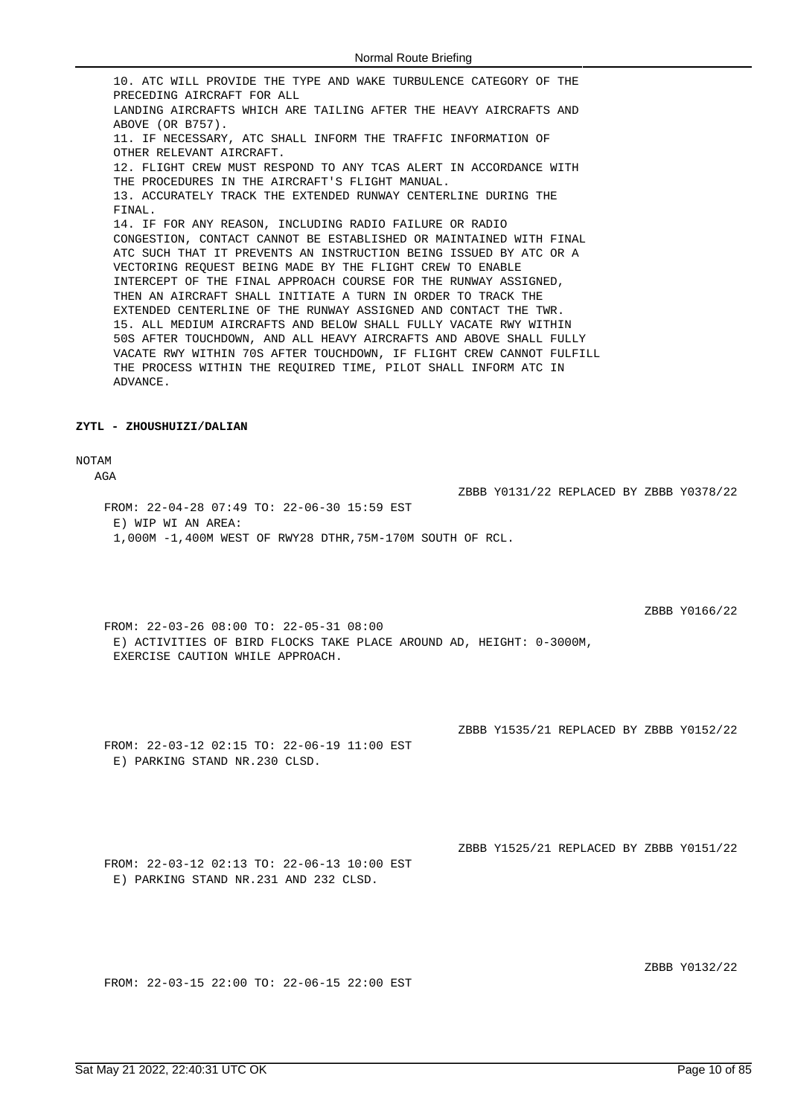10. ATC WILL PROVIDE THE TYPE AND WAKE TURBULENCE CATEGORY OF THE PRECEDING AIRCRAFT FOR ALL LANDING AIRCRAFTS WHICH ARE TAILING AFTER THE HEAVY AIRCRAFTS AND ABOVE (OR B757). 11. IF NECESSARY, ATC SHALL INFORM THE TRAFFIC INFORMATION OF OTHER RELEVANT AIRCRAFT. 12. FLIGHT CREW MUST RESPOND TO ANY TCAS ALERT IN ACCORDANCE WITH THE PROCEDURES IN THE AIRCRAFT'S FLIGHT MANUAL. 13. ACCURATELY TRACK THE EXTENDED RUNWAY CENTERLINE DURING THE FINAL. 14. IF FOR ANY REASON, INCLUDING RADIO FAILURE OR RADIO CONGESTION, CONTACT CANNOT BE ESTABLISHED OR MAINTAINED WITH FINAL ATC SUCH THAT IT PREVENTS AN INSTRUCTION BEING ISSUED BY ATC OR A VECTORING REQUEST BEING MADE BY THE FLIGHT CREW TO ENABLE INTERCEPT OF THE FINAL APPROACH COURSE FOR THE RUNWAY ASSIGNED, THEN AN AIRCRAFT SHALL INITIATE A TURN IN ORDER TO TRACK THE EXTENDED CENTERLINE OF THE RUNWAY ASSIGNED AND CONTACT THE TWR. 15. ALL MEDIUM AIRCRAFTS AND BELOW SHALL FULLY VACATE RWY WITHIN 50S AFTER TOUCHDOWN, AND ALL HEAVY AIRCRAFTS AND ABOVE SHALL FULLY VACATE RWY WITHIN 70S AFTER TOUCHDOWN, IF FLIGHT CREW CANNOT FULFILL THE PROCESS WITHIN THE REQUIRED TIME, PILOT SHALL INFORM ATC IN ADVANCE.

#### **ZYTL - ZHOUSHUIZI/DALIAN**

## NOTAM

 $\Delta G \Delta$ 

FROM: 22-04-28 07:49 TO: 22-06-30 15:59 EST E) WIP WI AN AREA: 1,000M -1,400M WEST OF RWY28 DTHR,75M-170M SOUTH OF RCL.

ZBBB Y0166/22

FROM: 22-03-26 08:00 TO: 22-05-31 08:00 E) ACTIVITIES OF BIRD FLOCKS TAKE PLACE AROUND AD, HEIGHT: 0-3000M, EXERCISE CAUTION WHILE APPROACH.

ZBBB Y1535/21 REPLACED BY ZBBB Y0152/22

ZBBB Y0131/22 REPLACED BY ZBBB Y0378/22

FROM: 22-03-12 02:15 TO: 22-06-19 11:00 EST E) PARKING STAND NR.230 CLSD.

ZBBB Y1525/21 REPLACED BY ZBBB Y0151/22

FROM: 22-03-12 02:13 TO: 22-06-13 10:00 EST E) PARKING STAND NR.231 AND 232 CLSD.

ZBBB Y0132/22

FROM: 22-03-15 22:00 TO: 22-06-15 22:00 EST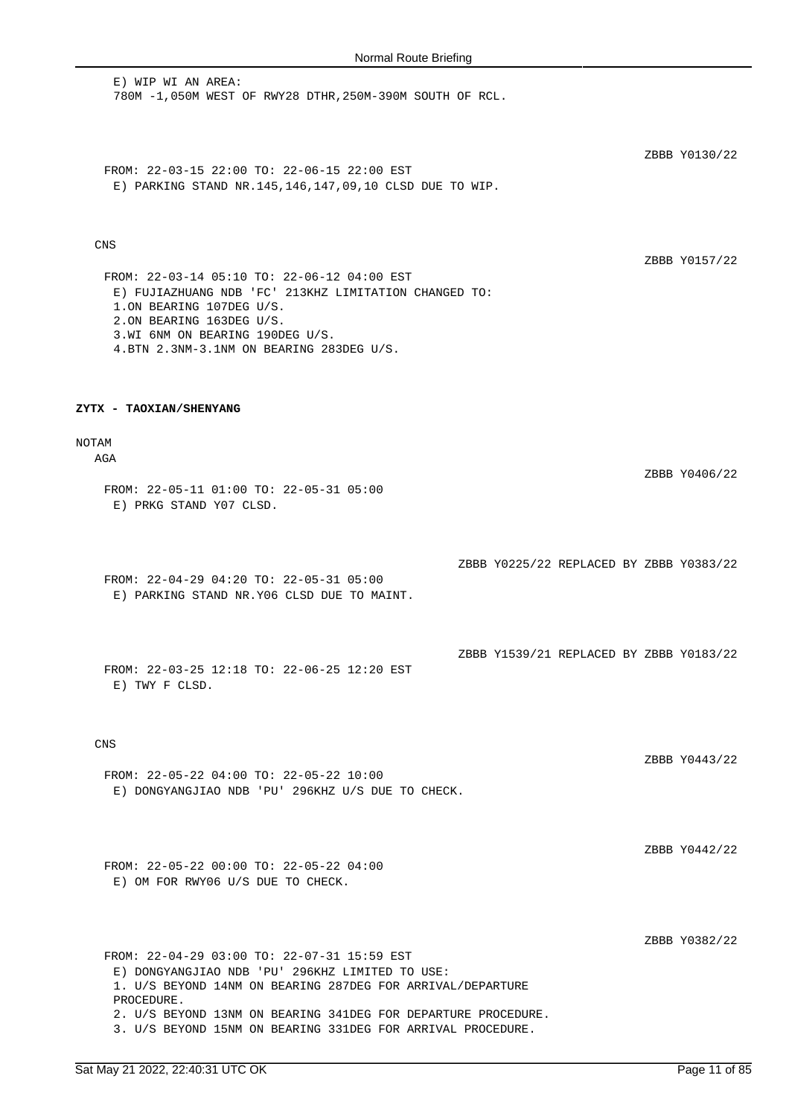E) WIP WI AN AREA: 780M -1,050M WEST OF RWY28 DTHR,250M-390M SOUTH OF RCL.

ZBBB Y0130/22

FROM: 22-03-15 22:00 TO: 22-06-15 22:00 EST E) PARKING STAND NR.145,146,147,09,10 CLSD DUE TO WIP.

## CNS

ZBBB Y0157/22

ZBBB Y0406/22

FROM: 22-03-14 05:10 TO: 22-06-12 04:00 EST E) FUJIAZHUANG NDB 'FC' 213KHZ LIMITATION CHANGED TO: 1.ON BEARING 107DEG U/S. 2.ON BEARING 163DEG U/S. 3.WI 6NM ON BEARING 190DEG U/S. 4.BTN 2.3NM-3.1NM ON BEARING 283DEG U/S.

### **ZYTX - TAOXIAN/SHENYANG**

# NOTAM

AGA

FROM: 22-05-11 01:00 TO: 22-05-31 05:00 E) PRKG STAND Y07 CLSD.

ZBBB Y0225/22 REPLACED BY ZBBB Y0383/22

ZBBB Y1539/21 REPLACED BY ZBBB Y0183/22

FROM: 22-04-29 04:20 TO: 22-05-31 05:00 E) PARKING STAND NR.Y06 CLSD DUE TO MAINT.

FROM: 22-03-25 12:18 TO: 22-06-25 12:20 EST E) TWY F CLSD.

## CNS

FROM: 22-05-22 04:00 TO: 22-05-22 10:00 E) DONGYANGJIAO NDB 'PU' 296KHZ U/S DUE TO CHECK. ZBBB Y0443/22

ZBBB Y0442/22

FROM: 22-05-22 00:00 TO: 22-05-22 04:00 E) OM FOR RWY06 U/S DUE TO CHECK.

ZBBB Y0382/22

FROM: 22-04-29 03:00 TO: 22-07-31 15:59 EST E) DONGYANGJIAO NDB 'PU' 296KHZ LIMITED TO USE: 1. U/S BEYOND 14NM ON BEARING 287DEG FOR ARRIVAL/DEPARTURE PROCEDURE. 2. U/S BEYOND 13NM ON BEARING 341DEG FOR DEPARTURE PROCEDURE. 3. U/S BEYOND 15NM ON BEARING 331DEG FOR ARRIVAL PROCEDURE.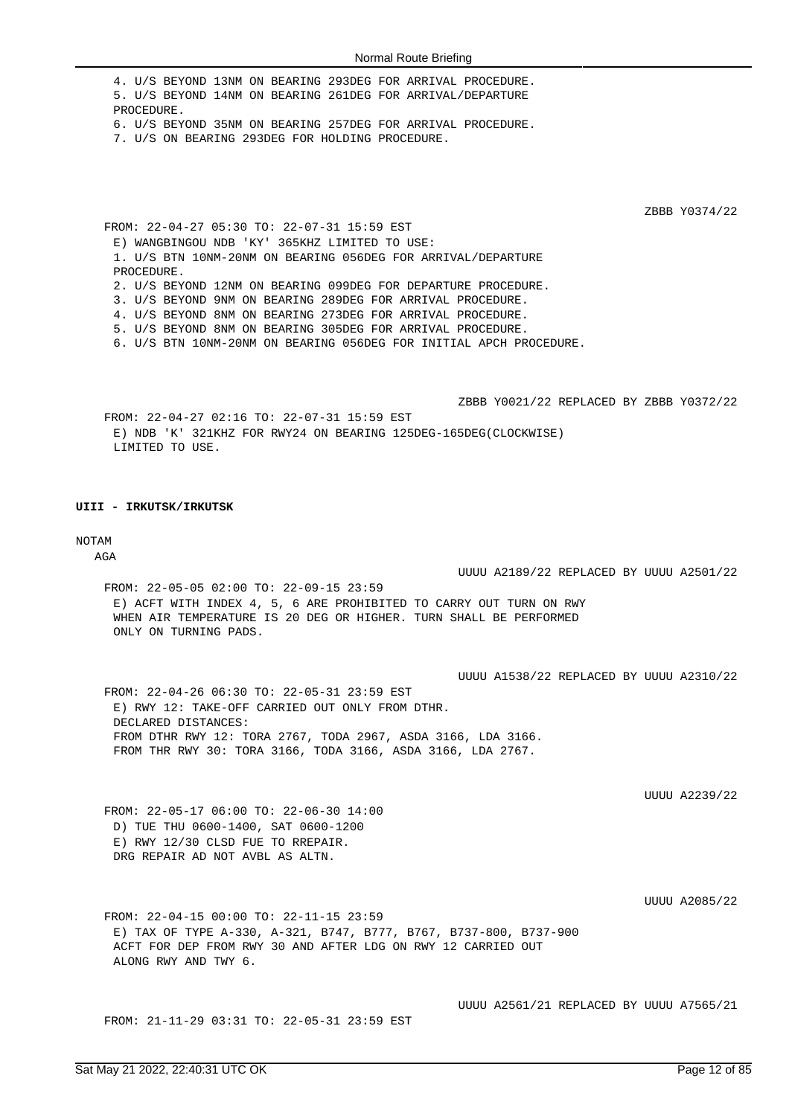4. U/S BEYOND 13NM ON BEARING 293DEG FOR ARRIVAL PROCEDURE. 5. U/S BEYOND 14NM ON BEARING 261DEG FOR ARRIVAL/DEPARTURE PROCEDURE. 6. U/S BEYOND 35NM ON BEARING 257DEG FOR ARRIVAL PROCEDURE. 7. U/S ON BEARING 293DEG FOR HOLDING PROCEDURE.

ZBBB Y0374/22

FROM: 22-04-27 05:30 TO: 22-07-31 15:59 EST E) WANGBINGOU NDB 'KY' 365KHZ LIMITED TO USE: 1. U/S BTN 10NM-20NM ON BEARING 056DEG FOR ARRIVAL/DEPARTURE PROCEDURE. 2. U/S BEYOND 12NM ON BEARING 099DEG FOR DEPARTURE PROCEDURE. 3. U/S BEYOND 9NM ON BEARING 289DEG FOR ARRIVAL PROCEDURE. 4. U/S BEYOND 8NM ON BEARING 273DEG FOR ARRIVAL PROCEDURE. 5. U/S BEYOND 8NM ON BEARING 305DEG FOR ARRIVAL PROCEDURE. 6. U/S BTN 10NM-20NM ON BEARING 056DEG FOR INITIAL APCH PROCEDURE.

ZBBB Y0021/22 REPLACED BY ZBBB Y0372/22 FROM: 22-04-27 02:16 TO: 22-07-31 15:59 EST E) NDB 'K' 321KHZ FOR RWY24 ON BEARING 125DEG-165DEG(CLOCKWISE) LIMITED TO USE.

### **UIII - IRKUTSK/IRKUTSK**

### NOTAM

AGA

UUUU A2189/22 REPLACED BY UUUU A2501/22

FROM: 22-05-05 02:00 TO: 22-09-15 23:59 E) ACFT WITH INDEX 4, 5, 6 ARE PROHIBITED TO CARRY OUT TURN ON RWY WHEN AIR TEMPERATURE IS 20 DEG OR HIGHER. TURN SHALL BE PERFORMED ONLY ON TURNING PADS.

UUUU A1538/22 REPLACED BY UUUU A2310/22

FROM: 22-04-26 06:30 TO: 22-05-31 23:59 EST E) RWY 12: TAKE-OFF CARRIED OUT ONLY FROM DTHR. DECLARED DISTANCES: FROM DTHR RWY 12: TORA 2767, TODA 2967, ASDA 3166, LDA 3166. FROM THR RWY 30: TORA 3166, TODA 3166, ASDA 3166, LDA 2767.

UUUU A2239/22

FROM: 22-05-17 06:00 TO: 22-06-30 14:00 D) TUE THU 0600-1400, SAT 0600-1200 E) RWY 12/30 CLSD FUE TO RREPAIR. DRG REPAIR AD NOT AVBL AS ALTN.

UUUU A2085/22

FROM: 22-04-15 00:00 TO: 22-11-15 23:59 E) TAX OF TYPE A-330, A-321, B747, B777, B767, B737-800, B737-900 ACFT FOR DEP FROM RWY 30 AND AFTER LDG ON RWY 12 CARRIED OUT ALONG RWY AND TWY 6.

FROM: 21-11-29 03:31 TO: 22-05-31 23:59 EST

UUUU A2561/21 REPLACED BY UUUU A7565/21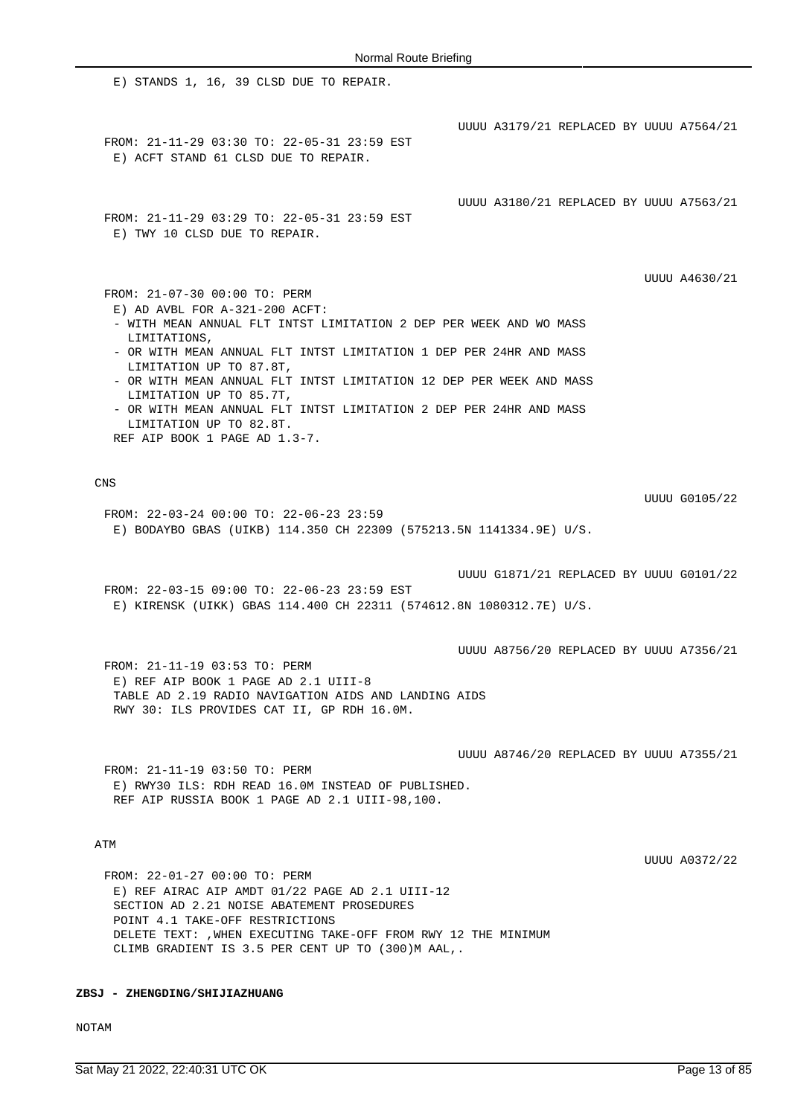E) STANDS 1, 16, 39 CLSD DUE TO REPAIR. UUUU A3179/21 REPLACED BY UUUU A7564/21 FROM: 21-11-29 03:30 TO: 22-05-31 23:59 EST E) ACFT STAND 61 CLSD DUE TO REPAIR. UUUU A3180/21 REPLACED BY UUUU A7563/21 FROM: 21-11-29 03:29 TO: 22-05-31 23:59 EST E) TWY 10 CLSD DUE TO REPAIR. UUUU A4630/21 FROM: 21-07-30 00:00 TO: PERM E) AD AVBL FOR A-321-200 ACFT: - WITH MEAN ANNUAL FLT INTST LIMITATION 2 DEP PER WEEK AND WO MASS LIMITATIONS, - OR WITH MEAN ANNUAL FLT INTST LIMITATION 1 DEP PER 24HR AND MASS LIMITATION UP TO 87.8T, - OR WITH MEAN ANNUAL FLT INTST LIMITATION 12 DEP PER WEEK AND MASS LIMITATION UP TO 85.7T, - OR WITH MEAN ANNUAL FLT INTST LIMITATION 2 DEP PER 24HR AND MASS LIMITATION UP TO 82.8T. REF AIP BOOK 1 PAGE AD 1.3-7. CNS UUUU G0105/22 FROM: 22-03-24 00:00 TO: 22-06-23 23:59 E) BODAYBO GBAS (UIKB) 114.350 CH 22309 (575213.5N 1141334.9E) U/S. UUUU G1871/21 REPLACED BY UUUU G0101/22 FROM: 22-03-15 09:00 TO: 22-06-23 23:59 EST E) KIRENSK (UIKK) GBAS 114.400 CH 22311 (574612.8N 1080312.7E) U/S. UUUU A8756/20 REPLACED BY UUUU A7356/21 FROM: 21-11-19 03:53 TO: PERM E) REF AIP BOOK 1 PAGE AD 2.1 UIII-8 TABLE AD 2.19 RADIO NAVIGATION AIDS AND LANDING AIDS RWY 30: ILS PROVIDES CAT II, GP RDH 16.0M. UUUU A8746/20 REPLACED BY UUUU A7355/21 FROM: 21-11-19 03:50 TO: PERM E) RWY30 ILS: RDH READ 16.0M INSTEAD OF PUBLISHED. REF AIP RUSSIA BOOK 1 PAGE AD 2.1 UIII-98,100. ATM UUUU A0372/22

FROM: 22-01-27 00:00 TO: PERM E) REF AIRAC AIP AMDT 01/22 PAGE AD 2.1 UIII-12 SECTION AD 2.21 NOISE ABATEMENT PROSEDURES POINT 4.1 TAKE-OFF RESTRICTIONS DELETE TEXT: ,WHEN EXECUTING TAKE-OFF FROM RWY 12 THE MINIMUM CLIMB GRADIENT IS 3.5 PER CENT UP TO (300)M AAL,.

**ZBSJ - ZHENGDING/SHIJIAZHUANG**

NOTAM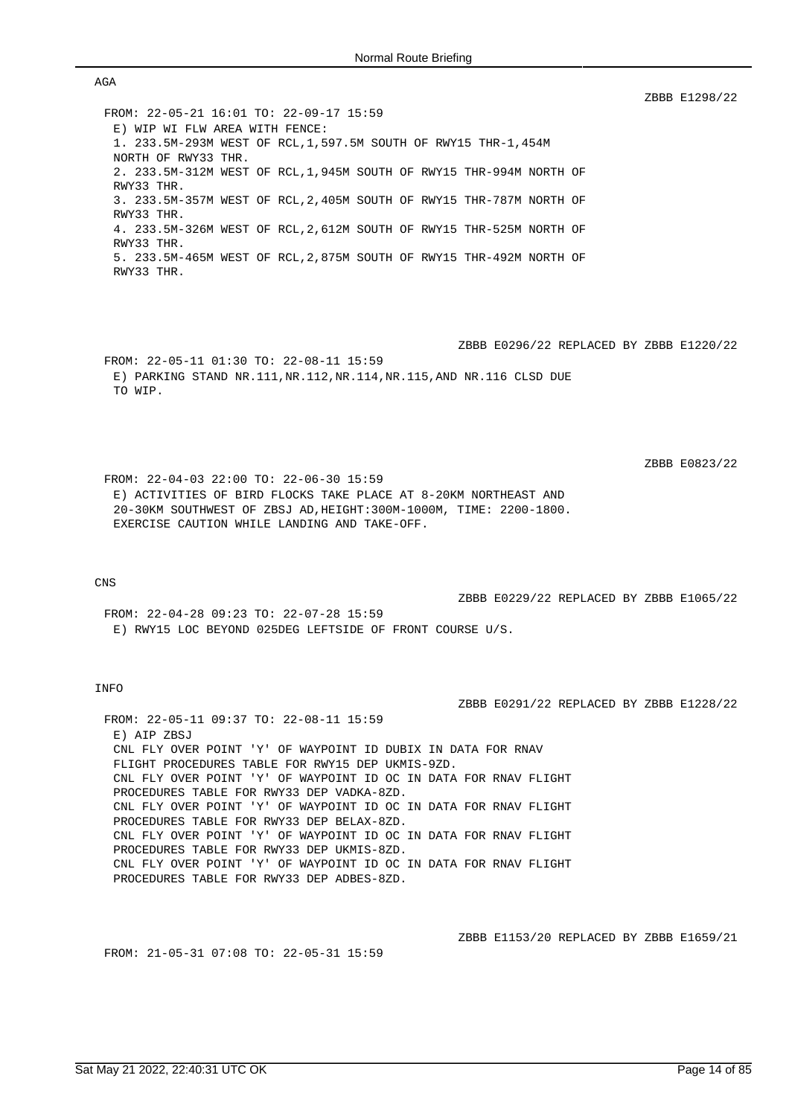FROM: 22-05-21 16:01 TO: 22-09-17 15:59 E) WIP WI FLW AREA WITH FENCE: 1. 233.5M-293M WEST OF RCL,1,597.5M SOUTH OF RWY15 THR-1,454M NORTH OF RWY33 THR. 2. 233.5M-312M WEST OF RCL,1,945M SOUTH OF RWY15 THR-994M NORTH OF RWY33 THR. 3. 233.5M-357M WEST OF RCL,2,405M SOUTH OF RWY15 THR-787M NORTH OF RWY33 THR. 4. 233.5M-326M WEST OF RCL,2,612M SOUTH OF RWY15 THR-525M NORTH OF RWY33 THR. 5. 233.5M-465M WEST OF RCL,2,875M SOUTH OF RWY15 THR-492M NORTH OF RWY33 THR.

ZBBB E0296/22 REPLACED BY ZBBB E1220/22 FROM: 22-05-11 01:30 TO: 22-08-11 15:59 E) PARKING STAND NR.111,NR.112,NR.114,NR.115,AND NR.116 CLSD DUE TO WIP.

ZBBB E0823/22

ZBBB E1298/22

FROM: 22-04-03 22:00 TO: 22-06-30 15:59 E) ACTIVITIES OF BIRD FLOCKS TAKE PLACE AT 8-20KM NORTHEAST AND 20-30KM SOUTHWEST OF ZBSJ AD,HEIGHT:300M-1000M, TIME: 2200-1800. EXERCISE CAUTION WHILE LANDING AND TAKE-OFF.

#### CNS

ZBBB E0229/22 REPLACED BY ZBBB E1065/22

ZBBB E0291/22 REPLACED BY ZBBB E1228/22

FROM: 22-04-28 09:23 TO: 22-07-28 15:59 E) RWY15 LOC BEYOND 025DEG LEFTSIDE OF FRONT COURSE U/S.

# INFO

FROM: 22-05-11 09:37 TO: 22-08-11 15:59 E) ATP ZBSJ CNL FLY OVER POINT 'Y' OF WAYPOINT ID DUBIX IN DATA FOR RNAV FLIGHT PROCEDURES TABLE FOR RWY15 DEP UKMIS-9ZD. CNL FLY OVER POINT 'Y' OF WAYPOINT ID OC IN DATA FOR RNAV FLIGHT PROCEDURES TABLE FOR RWY33 DEP VADKA-8ZD. CNL FLY OVER POINT 'Y' OF WAYPOINT ID OC IN DATA FOR RNAV FLIGHT PROCEDURES TABLE FOR RWY33 DEP BELAX-8ZD. CNL FLY OVER POINT 'Y' OF WAYPOINT ID OC IN DATA FOR RNAV FLIGHT PROCEDURES TABLE FOR RWY33 DEP UKMIS-8ZD. CNL FLY OVER POINT 'Y' OF WAYPOINT ID OC IN DATA FOR RNAV FLIGHT PROCEDURES TABLE FOR RWY33 DEP ADBES-8ZD.

FROM: 21-05-31 07:08 TO: 22-05-31 15:59

ZBBB E1153/20 REPLACED BY ZBBB E1659/21

#### AGA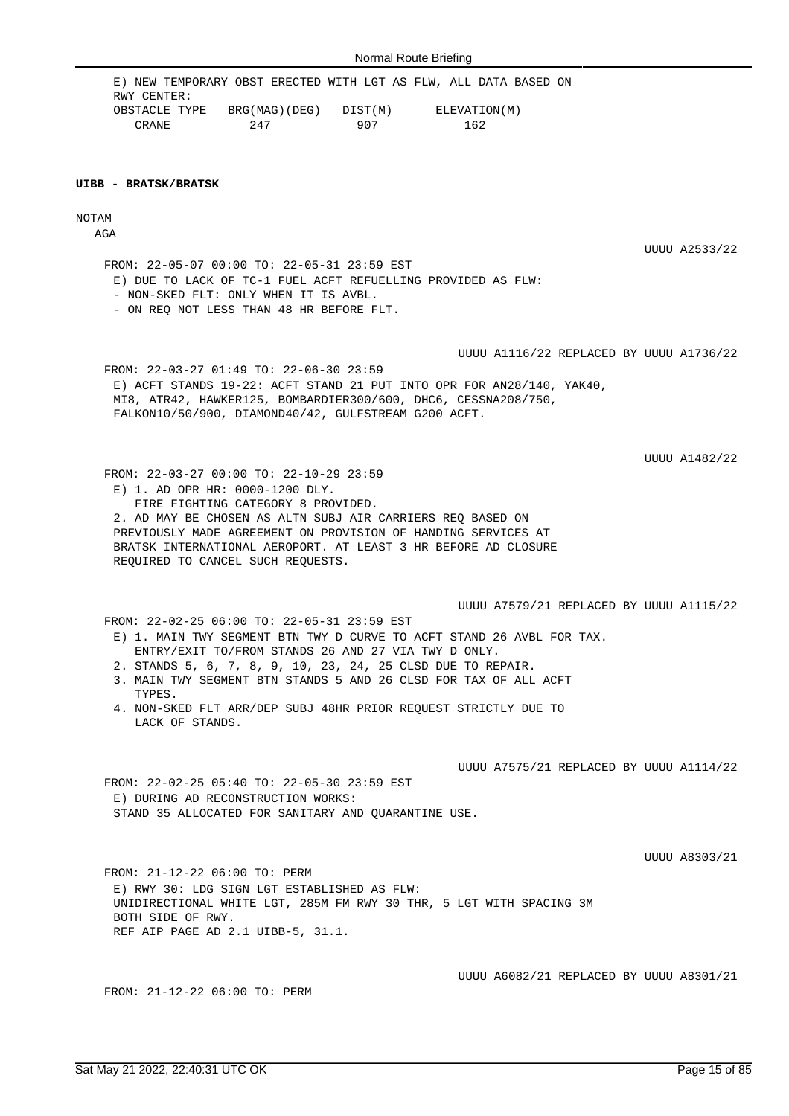FROM: 22-05-07 00:00 TO: 22-05-31 23:59 EST

- NON-SKED FLT: ONLY WHEN IT IS AVBL. - ON REQ NOT LESS THAN 48 HR BEFORE FLT.

FROM: 22-03-27 01:49 TO: 22-06-30 23:59

RWY CENTER:

**UIBB - BRATSK/BRATSK**

NOTAM AGA

> FROM: 22-03-27 00:00 TO: 22-10-29 23:59 E) 1. AD OPR HR: 0000-1200 DLY. FIRE FIGHTING CATEGORY 8 PROVIDED. 2. AD MAY BE CHOSEN AS ALTN SUBJ AIR CARRIERS REQ BASED ON PREVIOUSLY MADE AGREEMENT ON PROVISION OF HANDING SERVICES AT BRATSK INTERNATIONAL AEROPORT. AT LEAST 3 HR BEFORE AD CLOSURE REQUIRED TO CANCEL SUCH REQUESTS.

MI8, ATR42, HAWKER125, BOMBARDIER300/600, DHC6, CESSNA208/750,

FALKON10/50/900, DIAMOND40/42, GULFSTREAM G200 ACFT.

UUUU A7579/21 REPLACED BY UUUU A1115/22 FROM: 22-02-25 06:00 TO: 22-05-31 23:59 EST

E) 1. MAIN TWY SEGMENT BTN TWY D CURVE TO ACFT STAND 26 AVBL FOR TAX. ENTRY/EXIT TO/FROM STANDS 26 AND 27 VIA TWY D ONLY.

- 2. STANDS 5, 6, 7, 8, 9, 10, 23, 24, 25 CLSD DUE TO REPAIR.
- 3. MAIN TWY SEGMENT BTN STANDS 5 AND 26 CLSD FOR TAX OF ALL ACFT TYPES.
- 4. NON-SKED FLT ARR/DEP SUBJ 48HR PRIOR REQUEST STRICTLY DUE TO LACK OF STANDS.

UUUU A7575/21 REPLACED BY UUUU A1114/22

FROM: 22-02-25 05:40 TO: 22-05-30 23:59 EST E) DURING AD RECONSTRUCTION WORKS: STAND 35 ALLOCATED FOR SANITARY AND QUARANTINE USE.

UUUU A8303/21

FROM: 21-12-22 06:00 TO: PERM E) RWY 30: LDG SIGN LGT ESTABLISHED AS FLW: UNIDIRECTIONAL WHITE LGT, 285M FM RWY 30 THR, 5 LGT WITH SPACING 3M BOTH SIDE OF RWY. REF AIP PAGE AD 2.1 UIBB-5, 31.1.

FROM: 21-12-22 06:00 TO: PERM

UUUU A6082/21 REPLACED BY UUUU A8301/21

E) ACFT STANDS 19-22: ACFT STAND 21 PUT INTO OPR FOR AN28/140, YAK40,

UUUU A1482/22

UUUU A2533/22

UUUU A1116/22 REPLACED BY UUUU A1736/22

E) NEW TEMPORARY OBST ERECTED WITH LGT AS FLW, ALL DATA BASED ON

OBSTACLE TYPE BRG(MAG)(DEG) DIST(M) ELEVATION(M) CRANE 247 907 162

E) DUE TO LACK OF TC-1 FUEL ACFT REFUELLING PROVIDED AS FLW: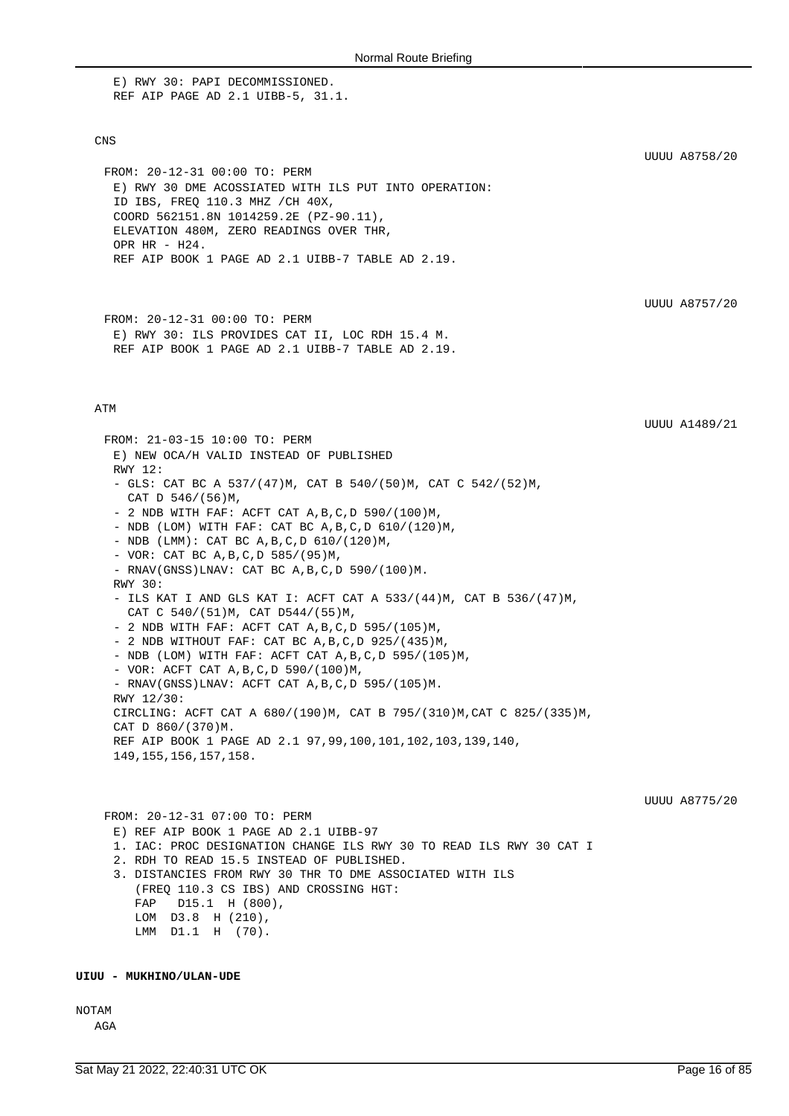E) RWY 30: PAPI DECOMMISSIONED. REF AIP PAGE AD 2.1 UIBB-5, 31.1.

## CNS

FROM: 20-12-31 00:00 TO: PERM E) RWY 30 DME ACOSSIATED WITH ILS PUT INTO OPERATION: ID IBS, FREQ 110.3 MHZ /CH 40X, COORD 562151.8N 1014259.2E (PZ-90.11), ELEVATION 480M, ZERO READINGS OVER THR, OPR HR - H24. REF AIP BOOK 1 PAGE AD 2.1 UIBB-7 TABLE AD 2.19.

UUUU A8757/20

UUUU A1489/21

UUUU A8758/20

FROM: 20-12-31 00:00 TO: PERM E) RWY 30: ILS PROVIDES CAT II, LOC RDH 15.4 M. REF AIP BOOK 1 PAGE AD 2.1 UIBB-7 TABLE AD 2.19.

### ATM

FROM: 21-03-15 10:00 TO: PERM E) NEW OCA/H VALID INSTEAD OF PUBLISHED RWY 12: - GLS: CAT BC A 537/(47)M, CAT B 540/(50)M, CAT C 542/(52)M, CAT D 546/(56)M, - 2 NDB WITH FAF: ACFT CAT A,B,C,D 590/(100)M, - NDB (LOM) WITH FAF: CAT BC A,B,C,D 610/(120)M, - NDB (LMM): CAT BC A, B, C, D 610/(120)M, - VOR: CAT BC A,B,C,D 585/(95)M, - RNAV(GNSS)LNAV: CAT BC A,B,C,D 590/(100)M. RWY 30: - ILS KAT I AND GLS KAT I: ACFT CAT A 533/(44)M, CAT B 536/(47)M, CAT C 540/(51)M, CAT D544/(55)M, - 2 NDB WITH FAF: ACFT CAT A,B,C,D 595/(105)M, - 2 NDB WITHOUT FAF: CAT BC  $A, B, C, D$  925/(435)M, - NDB (LOM) WITH FAF: ACFT CAT A,B,C,D 595/(105)M, - VOR: ACFT CAT A,B,C,D 590/(100)M, - RNAV(GNSS)LNAV: ACFT CAT A,B,C,D 595/(105)M. RWY 12/30: CIRCLING: ACFT CAT A 680/(190)M, CAT B 795/(310)M,CAT C 825/(335)M, CAT D 860/(370)M. REF AIP BOOK 1 PAGE AD 2.1 97,99,100,101,102,103,139,140, 149,155,156,157,158. UUUU A8775/20 FROM: 20-12-31 07:00 TO: PERM E) REF AIP BOOK 1 PAGE AD 2.1 UIBB-97 1. IAC: PROC DESIGNATION CHANGE ILS RWY 30 TO READ ILS RWY 30 CAT I 2. RDH TO READ 15.5 INSTEAD OF PUBLISHED. 3. DISTANCIES FROM RWY 30 THR TO DME ASSOCIATED WITH ILS (FREQ 110.3 CS IBS) AND CROSSING HGT:

 FAP D15.1 H (800), LOM D3.8 H (210), LMM D1.1 H (70).

#### **UIUU - MUKHINO/ULAN-UDE**

NOTAM

AGA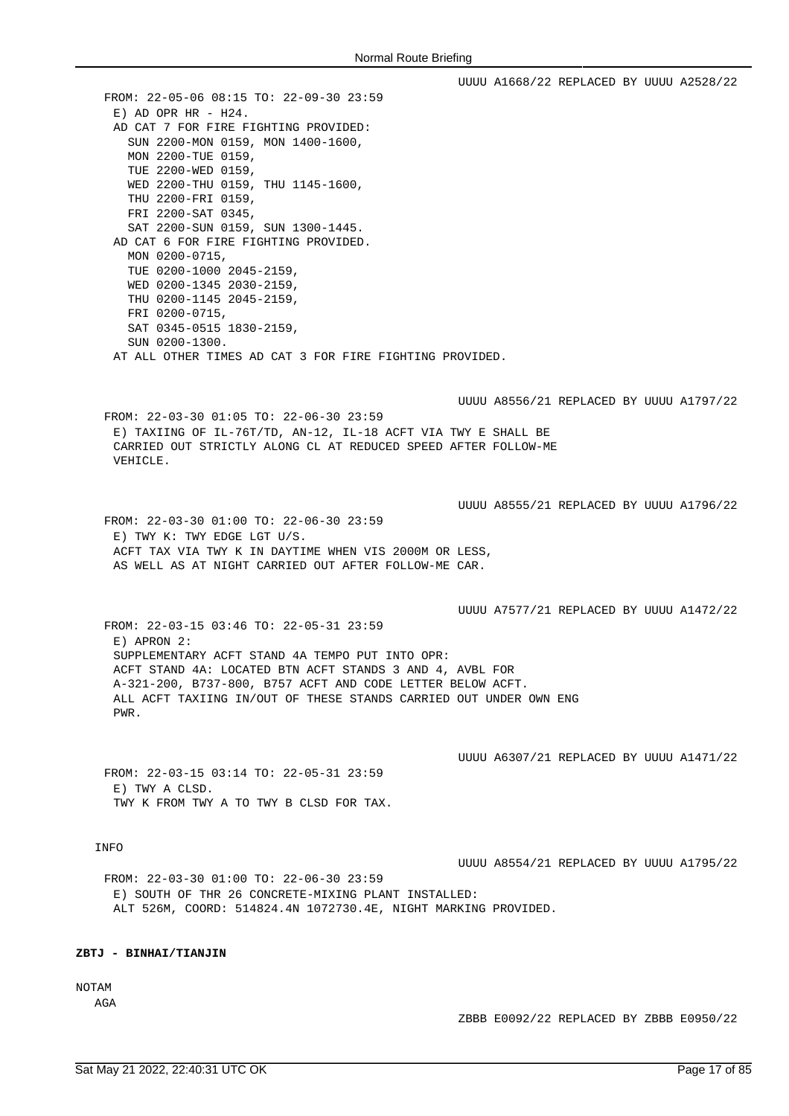UUUU A1668/22 REPLACED BY UUUU A2528/22 FROM: 22-05-06 08:15 TO: 22-09-30 23:59  $E)$  AD OPR HR - H24. AD CAT 7 FOR FIRE FIGHTING PROVIDED: SUN 2200-MON 0159, MON 1400-1600, MON 2200-TUE 0159, TUE 2200-WED 0159, WED 2200-THU 0159, THU 1145-1600, THU 2200-FRI 0159, FRI 2200-SAT 0345, SAT 2200-SUN 0159, SUN 1300-1445. AD CAT 6 FOR FIRE FIGHTING PROVIDED. MON 0200-0715, TUE 0200-1000 2045-2159, WED 0200-1345 2030-2159, THU 0200-1145 2045-2159, FRI 0200-0715, SAT 0345-0515 1830-2159, SUN 0200-1300. AT ALL OTHER TIMES AD CAT 3 FOR FIRE FIGHTING PROVIDED. UUUU A8556/21 REPLACED BY UUUU A1797/22 FROM: 22-03-30 01:05 TO: 22-06-30 23:59 E) TAXIING OF IL-76T/TD, AN-12, IL-18 ACFT VIA TWY E SHALL BE CARRIED OUT STRICTLY ALONG CL AT REDUCED SPEED AFTER FOLLOW-ME VEHICLE. UUUU A8555/21 REPLACED BY UUUU A1796/22 FROM: 22-03-30 01:00 TO: 22-06-30 23:59 E) TWY K: TWY EDGE LGT U/S. ACFT TAX VIA TWY K IN DAYTIME WHEN VIS 2000M OR LESS, AS WELL AS AT NIGHT CARRIED OUT AFTER FOLLOW-ME CAR. UUUU A7577/21 REPLACED BY UUUU A1472/22 FROM: 22-03-15 03:46 TO: 22-05-31 23:59 E) APRON 2: SUPPLEMENTARY ACFT STAND 4A TEMPO PUT INTO OPR: ACFT STAND 4A: LOCATED BTN ACFT STANDS 3 AND 4, AVBL FOR A-321-200, B737-800, B757 ACFT AND CODE LETTER BELOW ACFT. ALL ACFT TAXIING IN/OUT OF THESE STANDS CARRIED OUT UNDER OWN ENG PWR. UUUU A6307/21 REPLACED BY UUUU A1471/22 FROM: 22-03-15 03:14 TO: 22-05-31 23:59 E) TWY A CLSD. TWY K FROM TWY A TO TWY B CLSD FOR TAX. INFO UUUU A8554/21 REPLACED BY UUUU A1795/22 FROM: 22-03-30 01:00 TO: 22-06-30 23:59 E) SOUTH OF THR 26 CONCRETE-MIXING PLANT INSTALLED: ALT 526M, COORD: 514824.4N 1072730.4E, NIGHT MARKING PROVIDED.

# **ZBTJ - BINHAI/TIANJIN**

NOTAM

AGA

ZBBB E0092/22 REPLACED BY ZBBB E0950/22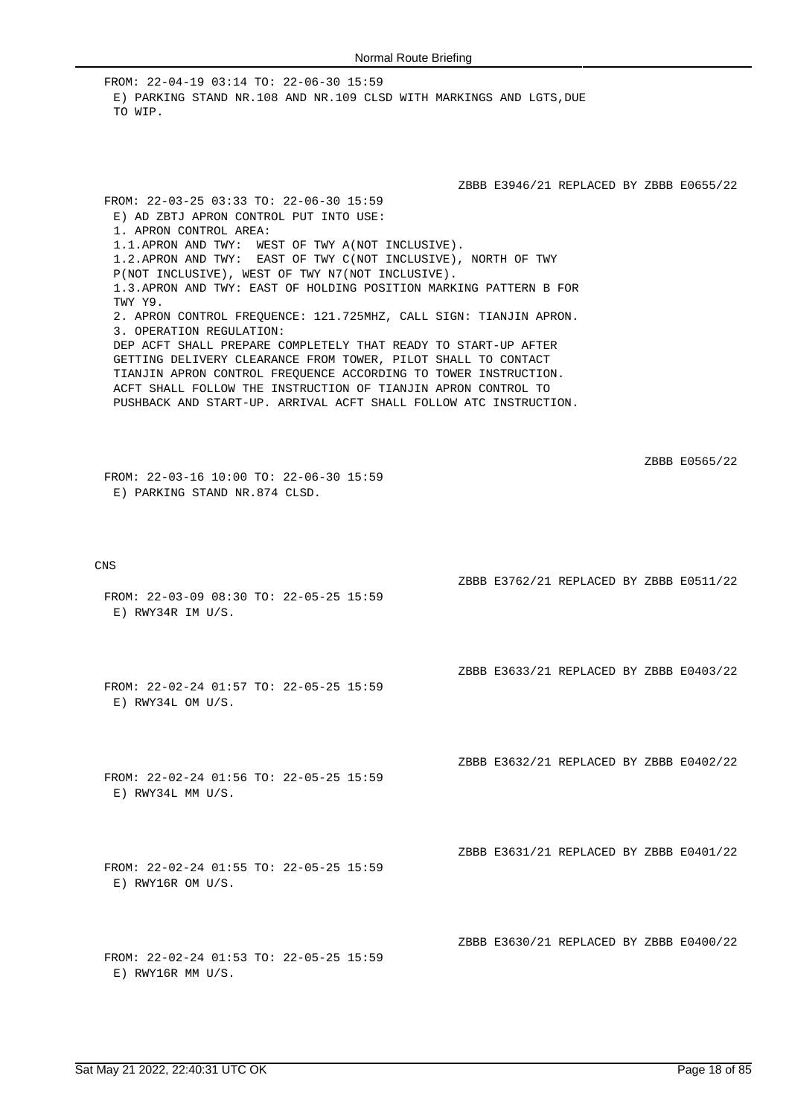FROM: 22-04-19 03:14 TO: 22-06-30 15:59 E) PARKING STAND NR.108 AND NR.109 CLSD WITH MARKINGS AND LGTS.DUE TO WIP.

ZBBB E3946/21 REPLACED BY ZBBB E0655/22

ZBBB E3762/21 REPLACED BY ZBBB E0511/22

ZBBB E3633/21 REPLACED BY ZBBB E0403/22

ZBBB E3632/21 REPLACED BY ZBBB E0402/22

ZBBB E3631/21 REPLACED BY ZBBB E0401/22

ZBBB E3630/21 REPLACED BY ZBBB E0400/22

E) AD ZBTJ APRON CONTROL PUT INTO USE: 1. APRON CONTROL AREA: 1.1.APRON AND TWY: WEST OF TWY A(NOT INCLUSIVE). 1.2.APRON AND TWY: EAST OF TWY C(NOT INCLUSIVE), NORTH OF TWY P(NOT INCLUSIVE), WEST OF TWY N7(NOT INCLUSIVE). 1.3.APRON AND TWY: EAST OF HOLDING POSITION MARKING PATTERN B FOR TWY Y9. 2. APRON CONTROL FREQUENCE: 121.725MHZ, CALL SIGN: TIANJIN APRON. 3. OPERATION REGULATION: DEP ACFT SHALL PREPARE COMPLETELY THAT READY TO START-UP AFTER GETTING DELIVERY CLEARANCE FROM TOWER, PILOT SHALL TO CONTACT TIANJIN APRON CONTROL FREQUENCE ACCORDING TO TOWER INSTRUCTION. ACFT SHALL FOLLOW THE INSTRUCTION OF TIANJIN APRON CONTROL TO PUSHBACK AND START-UP. ARRIVAL ACFT SHALL FOLLOW ATC INSTRUCTION.

ZBBB E0565/22

FROM: 22-03-16 10:00 TO: 22-06-30 15:59 E) PARKING STAND NR.874 CLSD.

FROM: 22-03-25 03:33 TO: 22-06-30 15:59

CNS

- FROM: 22-03-09 08:30 TO: 22-05-25 15:59 E) RWY34R IM U/S.
- FROM: 22-02-24 01:57 TO: 22-05-25 15:59 E) RWY34L OM U/S.
- FROM: 22-02-24 01:56 TO: 22-05-25 15:59 E) RWY34L MM U/S.
- FROM: 22-02-24 01:55 TO: 22-05-25 15:59 E) RWY16R OM U/S.
- FROM: 22-02-24 01:53 TO: 22-05-25 15:59 E) RWY16R MM U/S.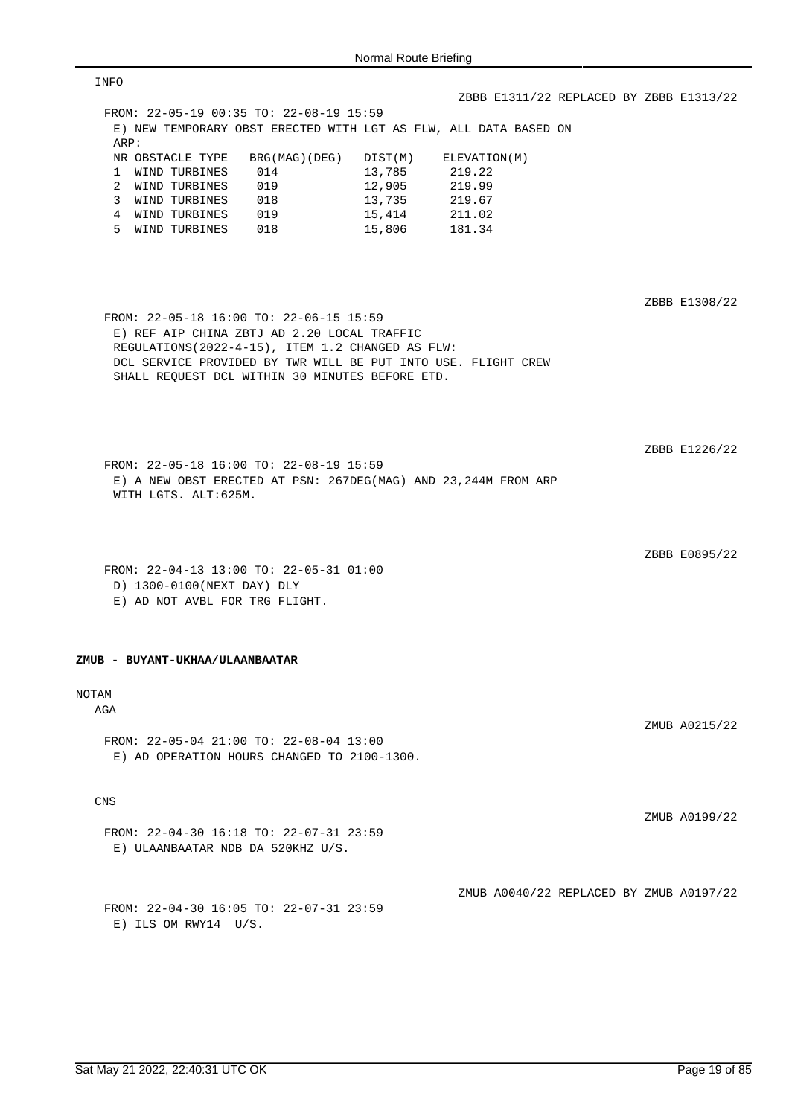| INFO                                                                                                                                                                                                                                                            |                                         |
|-----------------------------------------------------------------------------------------------------------------------------------------------------------------------------------------------------------------------------------------------------------------|-----------------------------------------|
|                                                                                                                                                                                                                                                                 | ZBBB E1311/22 REPLACED BY ZBBB E1313/22 |
| FROM: 22-05-19 00:35 TO: 22-08-19 15:59                                                                                                                                                                                                                         |                                         |
| E) NEW TEMPORARY OBST ERECTED WITH LGT AS FLW, ALL DATA BASED ON<br>ARP:                                                                                                                                                                                        |                                         |
| NR OBSTACLE TYPE<br>BRG(MAG)(DEG)<br>DIST(M)                                                                                                                                                                                                                    | ELEVATION(M)                            |
| 13,785<br>1 WIND TURBINES<br>014                                                                                                                                                                                                                                | 219.22                                  |
| 12,905<br>2 WIND TURBINES<br>019                                                                                                                                                                                                                                | 219.99                                  |
| 3 WIND TURBINES<br>018<br>13,735                                                                                                                                                                                                                                | 219.67                                  |
| 4 WIND TURBINES<br>019<br>15,414                                                                                                                                                                                                                                | 211.02                                  |
| 5 WIND TURBINES 018<br>15,806                                                                                                                                                                                                                                   | 181.34                                  |
| FROM: 22-05-18 16:00 TO: 22-06-15 15:59<br>E) REF AIP CHINA ZBTJ AD 2.20 LOCAL TRAFFIC<br>REGULATIONS (2022-4-15), ITEM 1.2 CHANGED AS FLW:<br>DCL SERVICE PROVIDED BY TWR WILL BE PUT INTO USE. FLIGHT CREW<br>SHALL REQUEST DCL WITHIN 30 MINUTES BEFORE ETD. | ZBBB E1308/22<br>ZBBB E1226/22          |
| FROM: 22-05-18 16:00 TO: 22-08-19 15:59<br>E) A NEW OBST ERECTED AT PSN: 267DEG(MAG) AND 23,244M FROM ARP<br>WITH LGTS. ALT:625M.                                                                                                                               | ZBBB E0895/22                           |
| FROM: 22-04-13 13:00 TO: 22-05-31 01:00                                                                                                                                                                                                                         |                                         |
| D) 1300-0100(NEXT DAY) DLY                                                                                                                                                                                                                                      |                                         |
| E) AD NOT AVBL FOR TRG FLIGHT.                                                                                                                                                                                                                                  |                                         |
| ZMUB - BUYANT-UKHAA/ULAANBAATAR                                                                                                                                                                                                                                 |                                         |
| <b>NOTAM</b>                                                                                                                                                                                                                                                    |                                         |
| AGA                                                                                                                                                                                                                                                             |                                         |
| FROM: 22-05-04 21:00 TO: 22-08-04 13:00<br>E) AD OPERATION HOURS CHANGED TO 2100-1300.                                                                                                                                                                          | ZMUB A0215/22                           |
| <b>CNS</b>                                                                                                                                                                                                                                                      |                                         |
| FROM: 22-04-30 16:18 TO: 22-07-31 23:59<br>E) ULAANBAATAR NDB DA 520KHZ U/S.                                                                                                                                                                                    | ZMUB A0199/22                           |
| FROM: 22-04-30 16:05 TO: 22-07-31 23:59                                                                                                                                                                                                                         | ZMUB A0040/22 REPLACED BY ZMUB A0197/22 |
| $E)$ ILS OM RWY14 U/S.                                                                                                                                                                                                                                          |                                         |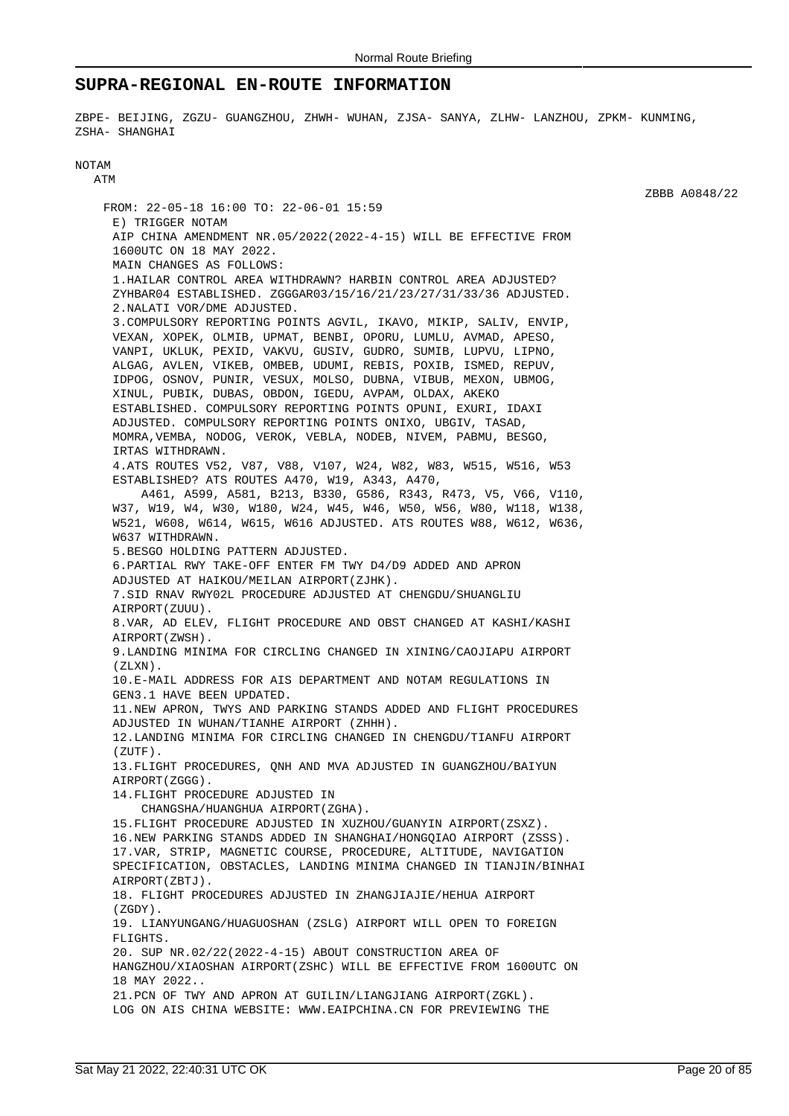## **SUPRA-REGIONAL EN-ROUTE INFORMATION**

ZBPE- BEIJING, ZGZU- GUANGZHOU, ZHWH- WUHAN, ZJSA- SANYA, ZLHW- LANZHOU, ZPKM- KUNMING, ZSHA- SHANGHAI

### NOTAM ATM

FROM: 22-05-18 16:00 TO: 22-06-01 15:59 E) TRIGGER NOTAM AIP CHINA AMENDMENT NR.05/2022(2022-4-15) WILL BE EFFECTIVE FROM 1600UTC ON 18 MAY 2022. MAIN CHANGES AS FOLLOWS: 1.HAILAR CONTROL AREA WITHDRAWN? HARBIN CONTROL AREA ADJUSTED? ZYHBAR04 ESTABLISHED. ZGGGAR03/15/16/21/23/27/31/33/36 ADJUSTED. 2.NALATI VOR/DME ADJUSTED. 3.COMPULSORY REPORTING POINTS AGVIL, IKAVO, MIKIP, SALIV, ENVIP, VEXAN, XOPEK, OLMIB, UPMAT, BENBI, OPORU, LUMLU, AVMAD, APESO, VANPI, UKLUK, PEXID, VAKVU, GUSIV, GUDRO, SUMIB, LUPVU, LIPNO, ALGAG, AVLEN, VIKEB, OMBEB, UDUMI, REBIS, POXIB, ISMED, REPUV, IDPOG, OSNOV, PUNIR, VESUX, MOLSO, DUBNA, VIBUB, MEXON, UBMOG, XINUL, PUBIK, DUBAS, OBDON, IGEDU, AVPAM, OLDAX, AKEKO ESTABLISHED. COMPULSORY REPORTING POINTS OPUNI, EXURI, IDAXI ADJUSTED. COMPULSORY REPORTING POINTS ONIXO, UBGIV, TASAD, MOMRA,VEMBA, NODOG, VEROK, VEBLA, NODEB, NIVEM, PABMU, BESGO, IRTAS WITHDRAWN. 4.ATS ROUTES V52, V87, V88, V107, W24, W82, W83, W515, W516, W53 ESTABLISHED? ATS ROUTES A470, W19, A343, A470, A461, A599, A581, B213, B330, G586, R343, R473, V5, V66, V110, W37, W19, W4, W30, W180, W24, W45, W46, W50, W56, W80, W118, W138, W521, W608, W614, W615, W616 ADJUSTED. ATS ROUTES W88, W612, W636, W637 WITHDRAWN. 5.BESGO HOLDING PATTERN ADJUSTED. 6.PARTIAL RWY TAKE-OFF ENTER FM TWY D4/D9 ADDED AND APRON ADJUSTED AT HAIKOU/MEILAN AIRPORT(ZJHK). 7.SID RNAV RWY02L PROCEDURE ADJUSTED AT CHENGDU/SHUANGLIU AIRPORT(ZUUU). 8.VAR, AD ELEV, FLIGHT PROCEDURE AND OBST CHANGED AT KASHI/KASHI AIRPORT(ZWSH). 9.LANDING MINIMA FOR CIRCLING CHANGED IN XINING/CAOJIAPU AIRPORT  $(7.7 \times N)$ 10.E-MAIL ADDRESS FOR AIS DEPARTMENT AND NOTAM REGULATIONS IN GEN3.1 HAVE BEEN UPDATED. 11.NEW APRON, TWYS AND PARKING STANDS ADDED AND FLIGHT PROCEDURES ADJUSTED IN WUHAN/TIANHE AIRPORT (ZHHH). 12.LANDING MINIMA FOR CIRCLING CHANGED IN CHENGDU/TIANFU AIRPORT  $(ZIITF)$ . 13.FLIGHT PROCEDURES, QNH AND MVA ADJUSTED IN GUANGZHOU/BAIYUN AIRPORT(ZGGG). 14.FLIGHT PROCEDURE ADJUSTED IN CHANGSHA/HUANGHUA AIRPORT(ZGHA). 15.FLIGHT PROCEDURE ADJUSTED IN XUZHOU/GUANYIN AIRPORT(ZSXZ). 16.NEW PARKING STANDS ADDED IN SHANGHAI/HONGQIAO AIRPORT (ZSSS). 17.VAR, STRIP, MAGNETIC COURSE, PROCEDURE, ALTITUDE, NAVIGATION SPECIFICATION, OBSTACLES, LANDING MINIMA CHANGED IN TIANJIN/BINHAI AIRPORT(ZBTJ). 18. FLIGHT PROCEDURES ADJUSTED IN ZHANGJIAJIE/HEHUA AIRPORT  $(7GDY)$ 19. LIANYUNGANG/HUAGUOSHAN (ZSLG) AIRPORT WILL OPEN TO FOREIGN FLIGHTS. 20. SUP NR.02/22(2022-4-15) ABOUT CONSTRUCTION AREA OF HANGZHOU/XIAOSHAN AIRPORT(ZSHC) WILL BE EFFECTIVE FROM 1600UTC ON 18 MAY 2022.. 21.PCN OF TWY AND APRON AT GUILIN/LIANGJIANG AIRPORT(ZGKL). LOG ON AIS CHINA WEBSITE: WWW.EAIPCHINA.CN FOR PREVIEWING THE

ZBBB A0848/22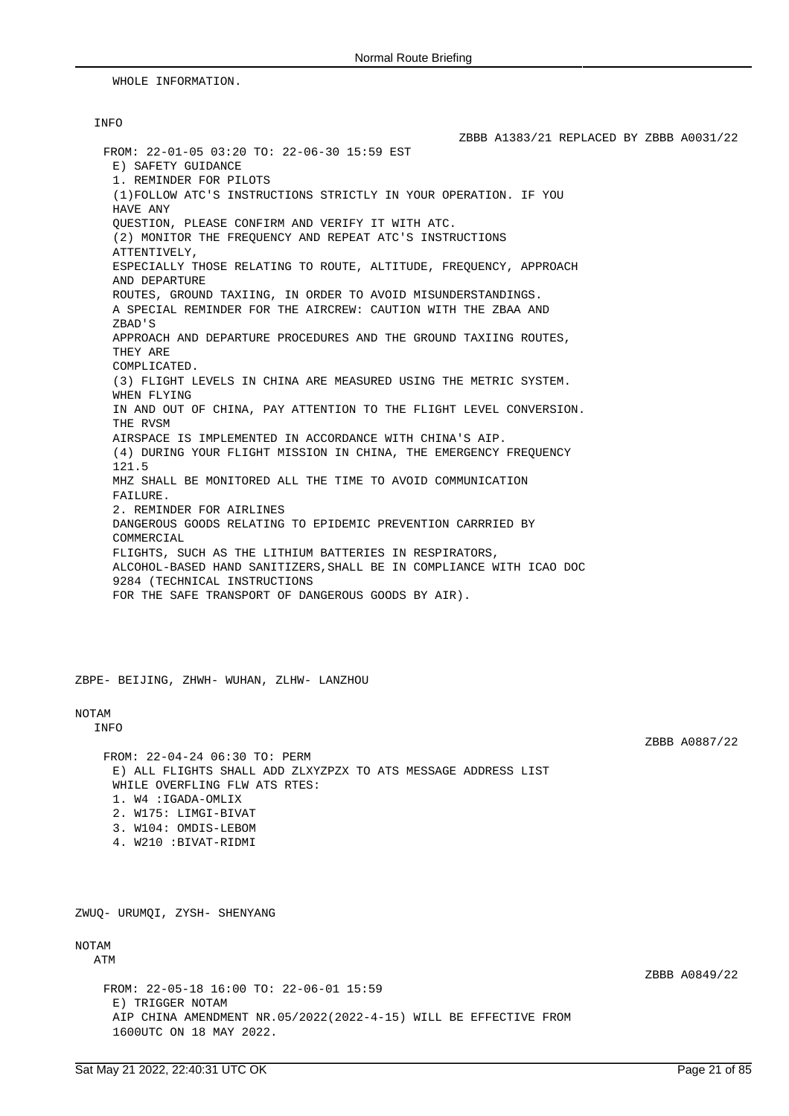WHOLE INFORMATION.

## INFO

ZBBB A1383/21 REPLACED BY ZBBB A0031/22 FROM: 22-01-05 03:20 TO: 22-06-30 15:59 EST E) SAFETY GUIDANCE 1. REMINDER FOR PILOTS (1)FOLLOW ATC'S INSTRUCTIONS STRICTLY IN YOUR OPERATION. IF YOU HAVE ANY QUESTION, PLEASE CONFIRM AND VERIFY IT WITH ATC. (2) MONITOR THE FREQUENCY AND REPEAT ATC'S INSTRUCTIONS ATTENTIVELY, ESPECIALLY THOSE RELATING TO ROUTE, ALTITUDE, FREQUENCY, APPROACH AND DEPARTURE ROUTES, GROUND TAXIING, IN ORDER TO AVOID MISUNDERSTANDINGS. A SPECIAL REMINDER FOR THE AIRCREW: CAUTION WITH THE ZBAA AND ZBAD'S APPROACH AND DEPARTURE PROCEDURES AND THE GROUND TAXIING ROUTES, THEY ARE COMPLICATED. (3) FLIGHT LEVELS IN CHINA ARE MEASURED USING THE METRIC SYSTEM. WHEN FLYING IN AND OUT OF CHINA, PAY ATTENTION TO THE FLIGHT LEVEL CONVERSION. THE RVSM AIRSPACE IS IMPLEMENTED IN ACCORDANCE WITH CHINA'S AIP. (4) DURING YOUR FLIGHT MISSION IN CHINA, THE EMERGENCY FREQUENCY 121.5 MHZ SHALL BE MONITORED ALL THE TIME TO AVOID COMMUNICATION FAILURE. 2. REMINDER FOR AIRLINES DANGEROUS GOODS RELATING TO EPIDEMIC PREVENTION CARRRIED BY COMMERCIAL FLIGHTS, SUCH AS THE LITHIUM BATTERIES IN RESPIRATORS, ALCOHOL-BASED HAND SANITIZERS,SHALL BE IN COMPLIANCE WITH ICAO DOC 9284 (TECHNICAL INSTRUCTIONS FOR THE SAFE TRANSPORT OF DANGEROUS GOODS BY AIR).

ZBPE- BEIJING, ZHWH- WUHAN, ZLHW- LANZHOU

# NOTAM

INFO

ZBBB A0887/22

FROM: 22-04-24 06:30 TO: PERM E) ALL FLIGHTS SHALL ADD ZLXYZPZX TO ATS MESSAGE ADDRESS LIST WHILE OVERFLING FLW ATS RTES: 1. W4 :IGADA-OMLIX 2. W175: LIMGI-BIVAT 3. W104: OMDIS-LEBOM 4. W210 :BIVAT-RIDMI

ZWUQ- URUMQI, ZYSH- SHENYANG

# NOTAM

ATM

FROM: 22-05-18 16:00 TO: 22-06-01 15:59 E) TRIGGER NOTAM AIP CHINA AMENDMENT NR.05/2022(2022-4-15) WILL BE EFFECTIVE FROM 1600UTC ON 18 MAY 2022.

ZBBB A0849/22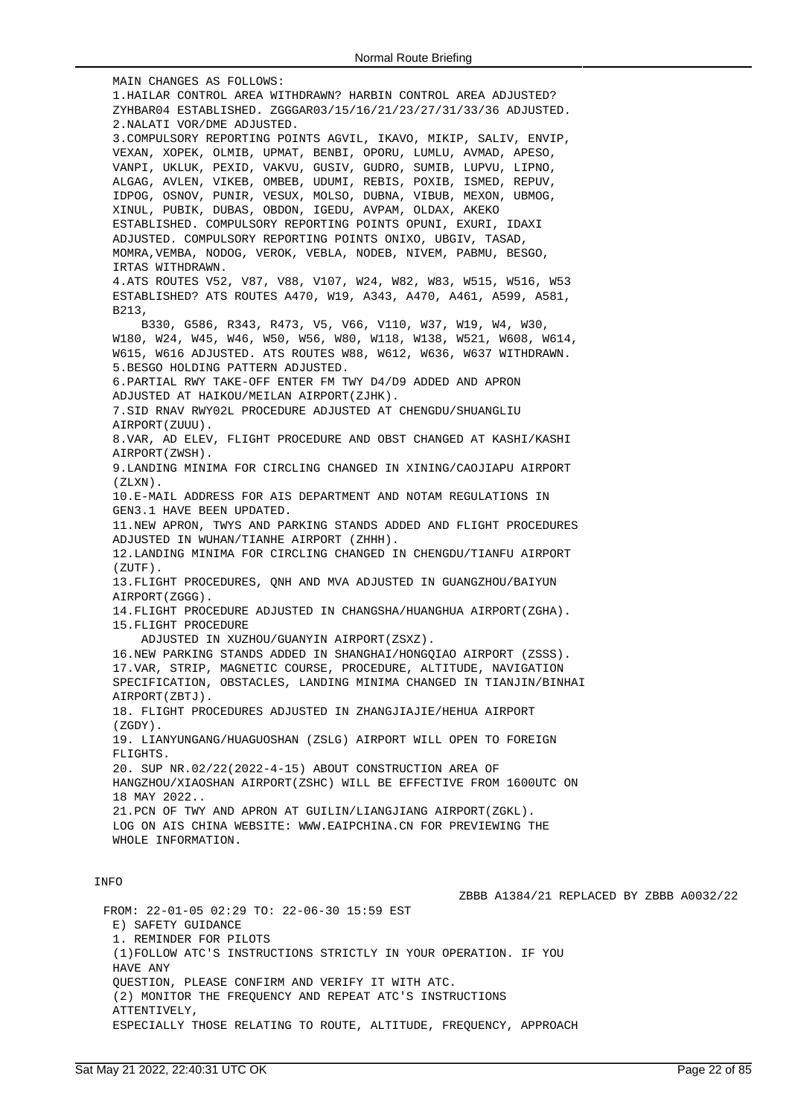MAIN CHANGES AS FOLLOWS: 1.HAILAR CONTROL AREA WITHDRAWN? HARBIN CONTROL AREA ADJUSTED? ZYHBAR04 ESTABLISHED. ZGGGAR03/15/16/21/23/27/31/33/36 ADJUSTED. 2.NALATI VOR/DME ADJUSTED. 3.COMPULSORY REPORTING POINTS AGVIL, IKAVO, MIKIP, SALIV, ENVIP, VEXAN, XOPEK, OLMIB, UPMAT, BENBI, OPORU, LUMLU, AVMAD, APESO, VANPI, UKLUK, PEXID, VAKVU, GUSIV, GUDRO, SUMIB, LUPVU, LIPNO, ALGAG, AVLEN, VIKEB, OMBEB, UDUMI, REBIS, POXIB, ISMED, REPUV, IDPOG, OSNOV, PUNIR, VESUX, MOLSO, DUBNA, VIBUB, MEXON, UBMOG, XINUL, PUBIK, DUBAS, OBDON, IGEDU, AVPAM, OLDAX, AKEKO ESTABLISHED. COMPULSORY REPORTING POINTS OPUNI, EXURI, IDAXI ADJUSTED. COMPULSORY REPORTING POINTS ONIXO, UBGIV, TASAD, MOMRA,VEMBA, NODOG, VEROK, VEBLA, NODEB, NIVEM, PABMU, BESGO, IRTAS WITHDRAWN. 4.ATS ROUTES V52, V87, V88, V107, W24, W82, W83, W515, W516, W53 ESTABLISHED? ATS ROUTES A470, W19, A343, A470, A461, A599, A581, B213, B330, G586, R343, R473, V5, V66, V110, W37, W19, W4, W30, W180, W24, W45, W46, W50, W56, W80, W118, W138, W521, W608, W614, W615, W616 ADJUSTED. ATS ROUTES W88, W612, W636, W637 WITHDRAWN. 5.BESGO HOLDING PATTERN ADJUSTED. 6.PARTIAL RWY TAKE-OFF ENTER FM TWY D4/D9 ADDED AND APRON ADJUSTED AT HAIKOU/MEILAN AIRPORT(ZJHK). 7.SID RNAV RWY02L PROCEDURE ADJUSTED AT CHENGDU/SHUANGLIU AIRPORT(ZUUU). 8.VAR, AD ELEV, FLIGHT PROCEDURE AND OBST CHANGED AT KASHI/KASHI AIRPORT(ZWSH). 9.LANDING MINIMA FOR CIRCLING CHANGED IN XINING/CAOJIAPU AIRPORT (ZLXN). 10.E-MAIL ADDRESS FOR AIS DEPARTMENT AND NOTAM REGULATIONS IN GEN3.1 HAVE BEEN UPDATED. 11.NEW APRON, TWYS AND PARKING STANDS ADDED AND FLIGHT PROCEDURES ADJUSTED IN WUHAN/TIANHE AIRPORT (ZHHH). 12.LANDING MINIMA FOR CIRCLING CHANGED IN CHENGDU/TIANFU AIRPORT (ZUTF). 13.FLIGHT PROCEDURES, QNH AND MVA ADJUSTED IN GUANGZHOU/BAIYUN AIRPORT(ZGGG). 14.FLIGHT PROCEDURE ADJUSTED IN CHANGSHA/HUANGHUA AIRPORT(ZGHA). 15.FLIGHT PROCEDURE ADJUSTED IN XUZHOU/GUANYIN AIRPORT(ZSXZ). 16.NEW PARKING STANDS ADDED IN SHANGHAI/HONGQIAO AIRPORT (ZSSS). 17.VAR, STRIP, MAGNETIC COURSE, PROCEDURE, ALTITUDE, NAVIGATION SPECIFICATION, OBSTACLES, LANDING MINIMA CHANGED IN TIANJIN/BINHAI AIRPORT(ZBTJ). 18. FLIGHT PROCEDURES ADJUSTED IN ZHANGJIAJIE/HEHUA AIRPORT  $(7GDY)$ 19. LIANYUNGANG/HUAGUOSHAN (ZSLG) AIRPORT WILL OPEN TO FOREIGN FLIGHTS. 20. SUP NR.02/22(2022-4-15) ABOUT CONSTRUCTION AREA OF HANGZHOU/XIAOSHAN AIRPORT(ZSHC) WILL BE EFFECTIVE FROM 1600UTC ON 18 MAY 2022.. 21.PCN OF TWY AND APRON AT GUILIN/LIANGJIANG AIRPORT(ZGKL). LOG ON AIS CHINA WEBSITE: WWW.EAIPCHINA.CN FOR PREVIEWING THE WHOLE INFORMATION. INFO ZBBB A1384/21 REPLACED BY ZBBB A0032/22 FROM: 22-01-05 02:29 TO: 22-06-30 15:59 EST E) SAFETY GUIDANCE 1. REMINDER FOR PILOTS (1)FOLLOW ATC'S INSTRUCTIONS STRICTLY IN YOUR OPERATION. IF YOU

QUESTION, PLEASE CONFIRM AND VERIFY IT WITH ATC.

(2) MONITOR THE FREQUENCY AND REPEAT ATC'S INSTRUCTIONS ATTENTIVELY,

ESPECIALLY THOSE RELATING TO ROUTE, ALTITUDE, FREQUENCY, APPROACH

HAVE ANY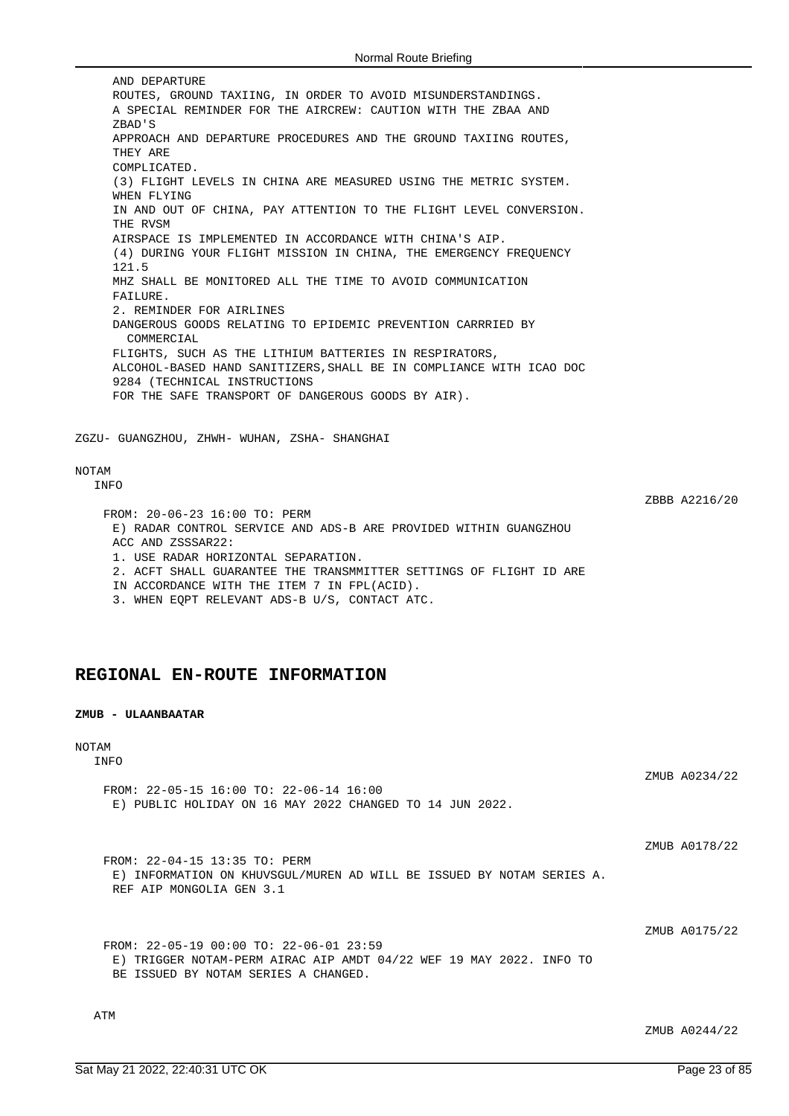AND DEPARTURE ROUTES, GROUND TAXIING, IN ORDER TO AVOID MISUNDERSTANDINGS. A SPECIAL REMINDER FOR THE AIRCREW: CAUTION WITH THE ZBAA AND ZBAD'S APPROACH AND DEPARTURE PROCEDURES AND THE GROUND TAXIING ROUTES, THEY ARE COMPLICATED. (3) FLIGHT LEVELS IN CHINA ARE MEASURED USING THE METRIC SYSTEM. WHEN FLYING IN AND OUT OF CHINA, PAY ATTENTION TO THE FLIGHT LEVEL CONVERSION. THE RVSM AIRSPACE IS IMPLEMENTED IN ACCORDANCE WITH CHINA'S AIP. (4) DURING YOUR FLIGHT MISSION IN CHINA, THE EMERGENCY FREQUENCY 121.5 MHZ SHALL BE MONITORED ALL THE TIME TO AVOID COMMUNICATION FAILURE. 2. REMINDER FOR AIRLINES DANGEROUS GOODS RELATING TO EPIDEMIC PREVENTION CARRRIED BY COMMERCIAL FLIGHTS, SUCH AS THE LITHIUM BATTERIES IN RESPIRATORS, ALCOHOL-BASED HAND SANITIZERS,SHALL BE IN COMPLIANCE WITH ICAO DOC 9284 (TECHNICAL INSTRUCTIONS FOR THE SAFE TRANSPORT OF DANGEROUS GOODS BY AIR). ZGZU- GUANGZHOU, ZHWH- WUHAN, ZSHA- SHANGHAI

## NOTAM

INFO

ZBBB A2216/20

FROM: 20-06-23 16:00 TO: PERM E) RADAR CONTROL SERVICE AND ADS-B ARE PROVIDED WITHIN GUANGZHOU ACC AND ZSSSAR22: 1. USE RADAR HORIZONTAL SEPARATION. 2. ACFT SHALL GUARANTEE THE TRANSMMITTER SETTINGS OF FLIGHT ID ARE IN ACCORDANCE WITH THE ITEM 7 IN FPL(ACID). 3. WHEN EQPT RELEVANT ADS-B U/S, CONTACT ATC.

# **REGIONAL EN-ROUTE INFORMATION**

### **ZMUB - ULAANBAATAR**

### NOTAM INFO

ZMUB A0234/22 FROM: 22-05-15 16:00 TO: 22-06-14 16:00 E) PUBLIC HOLIDAY ON 16 MAY 2022 CHANGED TO 14 JUN 2022.

ZMUB A0178/22

FROM: 22-04-15 13:35 TO: PERM E) INFORMATION ON KHUVSGUL/MUREN AD WILL BE ISSUED BY NOTAM SERIES A. REF AIP MONGOLIA GEN 3.1

ZMIJR A0175/22

FROM: 22-05-19 00:00 TO: 22-06-01 23:59 E) TRIGGER NOTAM-PERM AIRAC AIP AMDT 04/22 WEF 19 MAY 2022. INFO TO BE ISSUED BY NOTAM SERIES A CHANGED.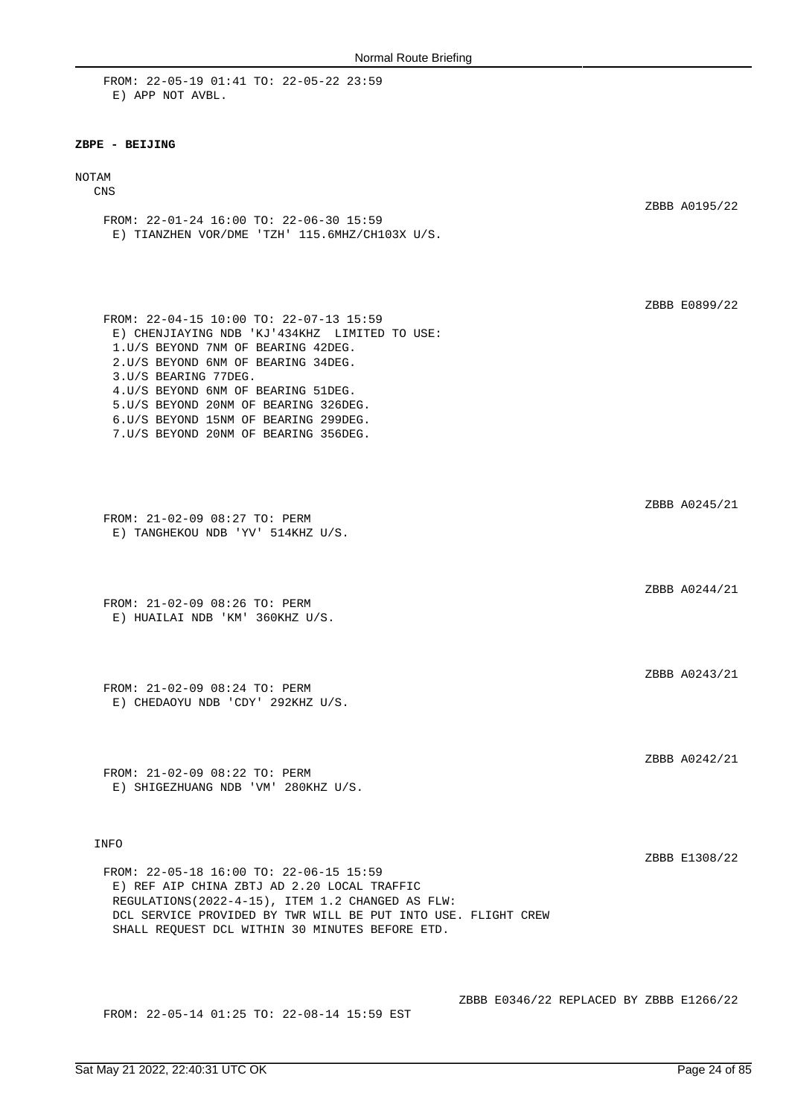FROM: 22-05-19 01:41 TO: 22-05-22 23:59 E) APP NOT AVBL.

#### **ZBPE - BEIJING**

#### NOTAM

CNS

ZBBB A0195/22 FROM: 22-01-24 16:00 TO: 22-06-30 15:59 E) TIANZHEN VOR/DME 'TZH' 115.6MHZ/CH103X U/S.

FROM: 22-04-15 10:00 TO: 22-07-13 15:59 E) CHENJIAYING NDB 'KJ'434KHZ LIMITED TO USE: 1.U/S BEYOND 7NM OF BEARING 42DEG. 2.U/S BEYOND 6NM OF BEARING 34DEG. 3.U/S BEARING 77DEG. 4.U/S BEYOND 6NM OF BEARING 51DEG. 5.U/S BEYOND 20NM OF BEARING 326DEG. 6.U/S BEYOND 15NM OF BEARING 299DEG. 7.U/S BEYOND 20NM OF BEARING 356DEG.

FROM: 21-02-09 08:27 TO: PERM E) TANGHEKOU NDB 'YV' 514KHZ U/S.

FROM: 21-02-09 08:26 TO: PERM E) HUAILAI NDB 'KM' 360KHZ U/S.

FROM: 21-02-09 08:24 TO: PERM E) CHEDAOYU NDB 'CDY' 292KHZ U/S.

FROM: 21-02-09 08:22 TO: PERM E) SHIGEZHUANG NDB 'VM' 280KHZ U/S.

#### INFO

ZBBB E1308/22

ZBBB E0899/22

ZBBB A0245/21

ZBBB A0244/21

ZBBB A0243/21

ZBBB A0242/21

FROM: 22-05-18 16:00 TO: 22-06-15 15:59 E) REF AIP CHINA ZBTJ AD 2.20 LOCAL TRAFFIC REGULATIONS(2022-4-15), ITEM 1.2 CHANGED AS FLW: DCL SERVICE PROVIDED BY TWR WILL BE PUT INTO USE. FLIGHT CREW SHALL REQUEST DCL WITHIN 30 MINUTES BEFORE ETD.

FROM: 22-05-14 01:25 TO: 22-08-14 15:59 EST

ZBBB E0346/22 REPLACED BY ZBBB E1266/22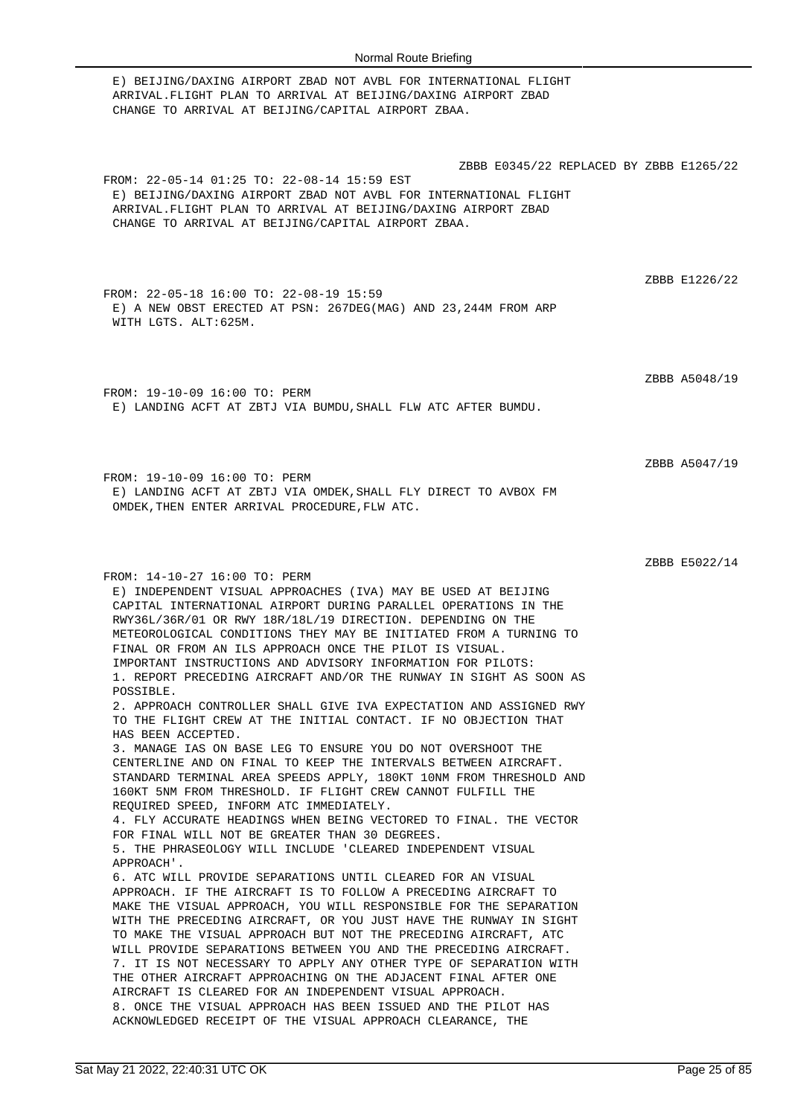E) BEIJING/DAXING AIRPORT ZBAD NOT AVBL FOR INTERNATIONAL FLIGHT ARRIVAL.FLIGHT PLAN TO ARRIVAL AT BEIJING/DAXING AIRPORT ZBAD CHANGE TO ARRIVAL AT BEIJING/CAPITAL AIRPORT ZBAA. ZBBB E0345/22 REPLACED BY ZBBB E1265/22 FROM: 22-05-14 01:25 TO: 22-08-14 15:59 EST E) BEIJING/DAXING AIRPORT ZBAD NOT AVBL FOR INTERNATIONAL FLIGHT ARRIVAL.FLIGHT PLAN TO ARRIVAL AT BEIJING/DAXING AIRPORT ZBAD CHANGE TO ARRIVAL AT BEIJING/CAPITAL AIRPORT ZBAA. ZBBB E1226/22 FROM: 22-05-18 16:00 TO: 22-08-19 15:59 E) A NEW OBST ERECTED AT PSN: 267DEG(MAG) AND 23,244M FROM ARP WITH LGTS. ALT:625M. ZBBB A5048/19 FROM: 19-10-09 16:00 TO: PERM E) LANDING ACFT AT ZBTJ VIA BUMDU,SHALL FLW ATC AFTER BUMDU. ZBBB A5047/19 FROM: 19-10-09 16:00 TO: PERM E) LANDING ACFT AT ZBTJ VIA OMDEK,SHALL FLY DIRECT TO AVBOX FM OMDEK,THEN ENTER ARRIVAL PROCEDURE,FLW ATC. ZBBB E5022/14 FROM: 14-10-27 16:00 TO: PERM E) INDEPENDENT VISUAL APPROACHES (IVA) MAY BE USED AT BEIJING CAPITAL INTERNATIONAL AIRPORT DURING PARALLEL OPERATIONS IN THE RWY36L/36R/01 OR RWY 18R/18L/19 DIRECTION. DEPENDING ON THE METEOROLOGICAL CONDITIONS THEY MAY BE INITIATED FROM A TURNING TO FINAL OR FROM AN ILS APPROACH ONCE THE PILOT IS VISUAL. IMPORTANT INSTRUCTIONS AND ADVISORY INFORMATION FOR PILOTS: 1. REPORT PRECEDING AIRCRAFT AND/OR THE RUNWAY IN SIGHT AS SOON AS POSSIBLE. 2. APPROACH CONTROLLER SHALL GIVE IVA EXPECTATION AND ASSIGNED RWY TO THE FLIGHT CREW AT THE INITIAL CONTACT. IF NO OBJECTION THAT HAS BEEN ACCEPTED. 3. MANAGE IAS ON BASE LEG TO ENSURE YOU DO NOT OVERSHOOT THE CENTERLINE AND ON FINAL TO KEEP THE INTERVALS BETWEEN AIRCRAFT. STANDARD TERMINAL AREA SPEEDS APPLY, 180KT 10NM FROM THRESHOLD AND 160KT 5NM FROM THRESHOLD. IF FLIGHT CREW CANNOT FULFILL THE REQUIRED SPEED, INFORM ATC IMMEDIATELY. 4. FLY ACCURATE HEADINGS WHEN BEING VECTORED TO FINAL. THE VECTOR FOR FINAL WILL NOT BE GREATER THAN 30 DEGREES. 5. THE PHRASEOLOGY WILL INCLUDE 'CLEARED INDEPENDENT VISUAL APPROACH'. 6. ATC WILL PROVIDE SEPARATIONS UNTIL CLEARED FOR AN VISUAL APPROACH. IF THE AIRCRAFT IS TO FOLLOW A PRECEDING AIRCRAFT TO MAKE THE VISUAL APPROACH, YOU WILL RESPONSIBLE FOR THE SEPARATION WITH THE PRECEDING AIRCRAFT, OR YOU JUST HAVE THE RUNWAY IN SIGHT TO MAKE THE VISUAL APPROACH BUT NOT THE PRECEDING AIRCRAFT, ATC WILL PROVIDE SEPARATIONS BETWEEN YOU AND THE PRECEDING AIRCRAFT. 7. IT IS NOT NECESSARY TO APPLY ANY OTHER TYPE OF SEPARATION WITH THE OTHER AIRCRAFT APPROACHING ON THE ADJACENT FINAL AFTER ONE AIRCRAFT IS CLEARED FOR AN INDEPENDENT VISUAL APPROACH. 8. ONCE THE VISUAL APPROACH HAS BEEN ISSUED AND THE PILOT HAS ACKNOWLEDGED RECEIPT OF THE VISUAL APPROACH CLEARANCE, THE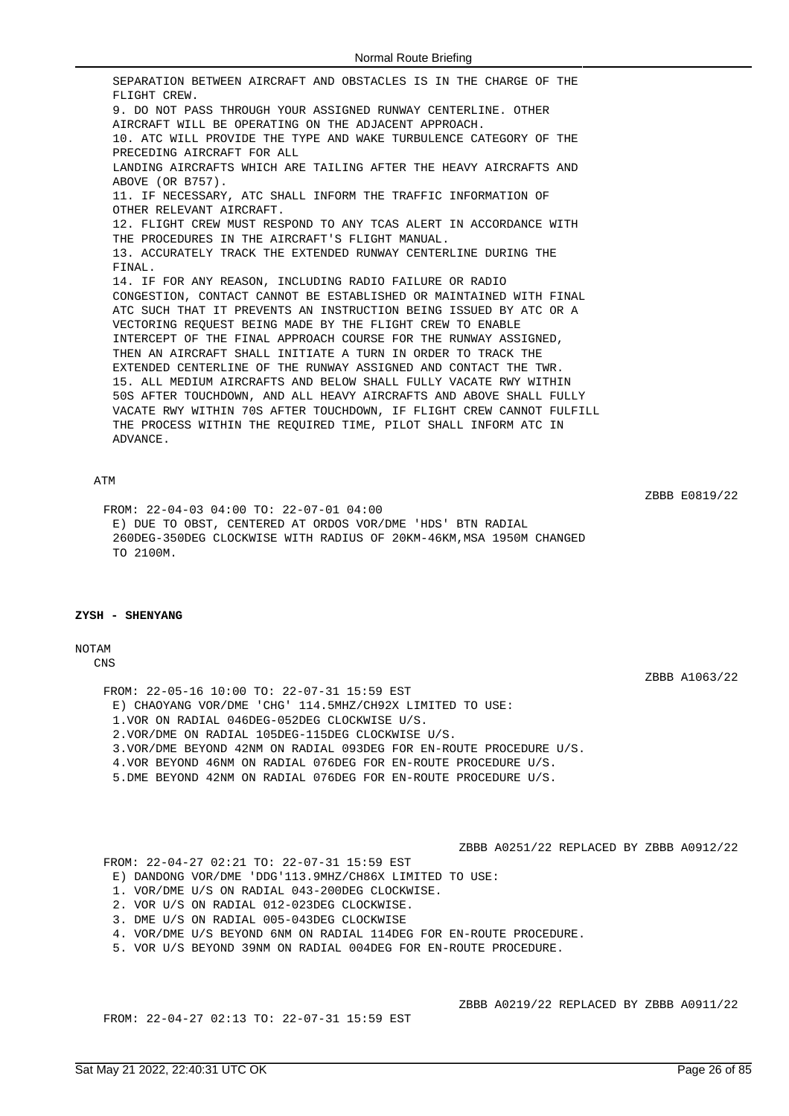SEPARATION BETWEEN AIRCRAFT AND OBSTACLES IS IN THE CHARGE OF THE FLIGHT CREW. 9. DO NOT PASS THROUGH YOUR ASSIGNED RUNWAY CENTERLINE. OTHER AIRCRAFT WILL BE OPERATING ON THE ADJACENT APPROACH. 10. ATC WILL PROVIDE THE TYPE AND WAKE TURBULENCE CATEGORY OF THE PRECEDING AIRCRAFT FOR ALL LANDING AIRCRAFTS WHICH ARE TAILING AFTER THE HEAVY AIRCRAFTS AND ABOVE (OR B757). 11. IF NECESSARY, ATC SHALL INFORM THE TRAFFIC INFORMATION OF OTHER RELEVANT AIRCRAFT. 12. FLIGHT CREW MUST RESPOND TO ANY TCAS ALERT IN ACCORDANCE WITH THE PROCEDURES IN THE AIRCRAFT'S FLIGHT MANUAL. 13. ACCURATELY TRACK THE EXTENDED RUNWAY CENTERLINE DURING THE FINAL. 14. IF FOR ANY REASON, INCLUDING RADIO FAILURE OR RADIO CONGESTION, CONTACT CANNOT BE ESTABLISHED OR MAINTAINED WITH FINAL ATC SUCH THAT IT PREVENTS AN INSTRUCTION BEING ISSUED BY ATC OR A VECTORING REQUEST BEING MADE BY THE FLIGHT CREW TO ENABLE INTERCEPT OF THE FINAL APPROACH COURSE FOR THE RUNWAY ASSIGNED, THEN AN AIRCRAFT SHALL INITIATE A TURN IN ORDER TO TRACK THE EXTENDED CENTERLINE OF THE RUNWAY ASSIGNED AND CONTACT THE TWR. 15. ALL MEDIUM AIRCRAFTS AND BELOW SHALL FULLY VACATE RWY WITHIN 50S AFTER TOUCHDOWN, AND ALL HEAVY AIRCRAFTS AND ABOVE SHALL FULLY VACATE RWY WITHIN 70S AFTER TOUCHDOWN, IF FLIGHT CREW CANNOT FULFILL THE PROCESS WITHIN THE REQUIRED TIME, PILOT SHALL INFORM ATC IN ADVANCE.

### ATM

ZBBB E0819/22

FROM: 22-04-03 04:00 TO: 22-07-01 04:00 E) DUE TO OBST, CENTERED AT ORDOS VOR/DME 'HDS' BTN RADIAL 260DEG-350DEG CLOCKWISE WITH RADIUS OF 20KM-46KM,MSA 1950M CHANGED TO 2100M.

# **ZYSH - SHENYANG**

#### NOTAM

CNS

ZBBB A1063/22

FROM: 22-05-16 10:00 TO: 22-07-31 15:59 EST E) CHAOYANG VOR/DME 'CHG' 114.5MHZ/CH92X LIMITED TO USE: 1.VOR ON RADIAL 046DEG-052DEG CLOCKWISE U/S. 2.VOR/DME ON RADIAL 105DEG-115DEG CLOCKWISE U/S. 3.VOR/DME BEYOND 42NM ON RADIAL 093DEG FOR EN-ROUTE PROCEDURE U/S. 4.VOR BEYOND 46NM ON RADIAL 076DEG FOR EN-ROUTE PROCEDURE U/S. 5.DME BEYOND 42NM ON RADIAL 076DEG FOR EN-ROUTE PROCEDURE U/S.

ZBBB A0251/22 REPLACED BY ZBBB A0912/22

FROM: 22-04-27 02:21 TO: 22-07-31 15:59 EST

- E) DANDONG VOR/DME 'DDG'113.9MHZ/CH86X LIMITED TO USE:
- 1. VOR/DME U/S ON RADIAL 043-200DEG CLOCKWISE.
- 2. VOR U/S ON RADIAL 012-023DEG CLOCKWISE.
- 3. DME U/S ON RADIAL 005-043DEG CLOCKWISE
- 4. VOR/DME U/S BEYOND 6NM ON RADIAL 114DEG FOR EN-ROUTE PROCEDURE.
- 5. VOR U/S BEYOND 39NM ON RADIAL 004DEG FOR EN-ROUTE PROCEDURE.

FROM: 22-04-27 02:13 TO: 22-07-31 15:59 EST

ZBBB A0219/22 REPLACED BY ZBBB A0911/22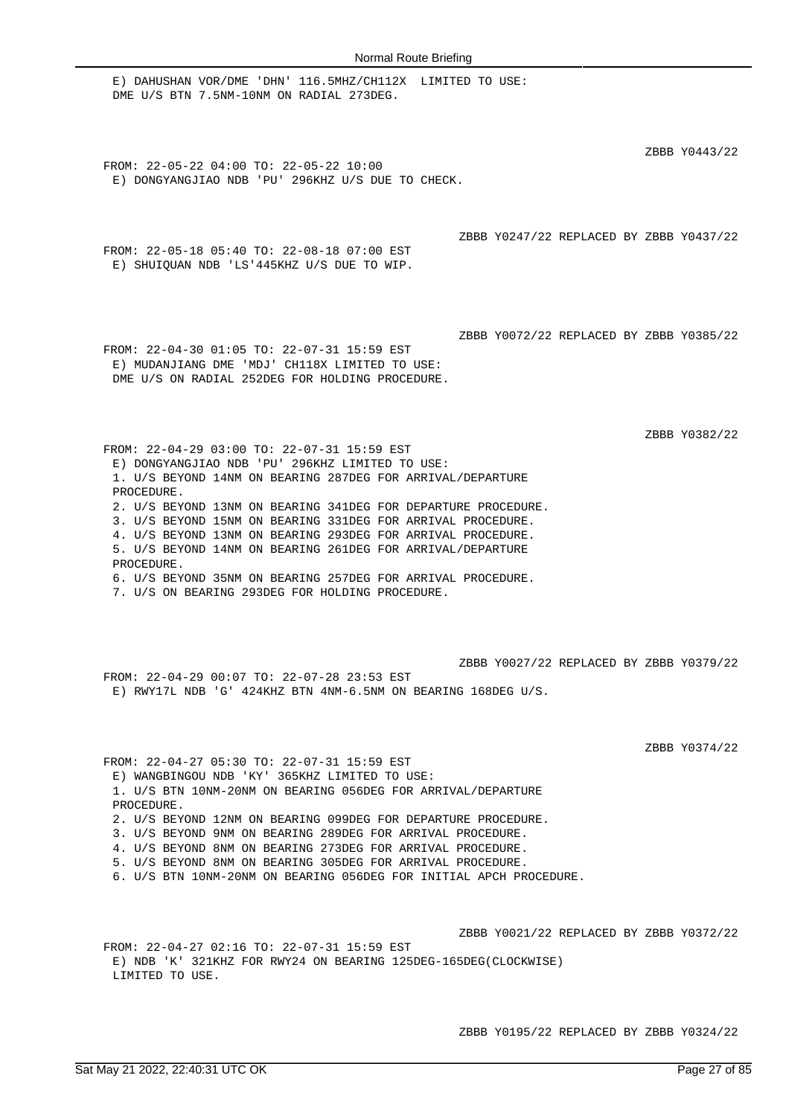E) DAHUSHAN VOR/DME 'DHN' 116.5MHZ/CH112X LIMITED TO USE: DME U/S BTN 7.5NM-10NM ON RADIAL 273DEG. ZBBB Y0443/22 FROM: 22-05-22 04:00 TO: 22-05-22 10:00 E) DONGYANGJIAO NDB 'PU' 296KHZ U/S DUE TO CHECK. ZBBB Y0247/22 REPLACED BY ZBBB Y0437/22 FROM: 22-05-18 05:40 TO: 22-08-18 07:00 EST E) SHUIQUAN NDB 'LS'445KHZ U/S DUE TO WIP. ZBBB Y0072/22 REPLACED BY ZBBB Y0385/22 FROM: 22-04-30 01:05 TO: 22-07-31 15:59 EST E) MUDANJIANG DME 'MDJ' CH118X LIMITED TO USE: DME U/S ON RADIAL 252DEG FOR HOLDING PROCEDURE. ZBBB Y0382/22 FROM: 22-04-29 03:00 TO: 22-07-31 15:59 EST E) DONGYANGJIAO NDB 'PU' 296KHZ LIMITED TO USE: 1. U/S BEYOND 14NM ON BEARING 287DEG FOR ARRIVAL/DEPARTURE PROCEDURE. 2. U/S BEYOND 13NM ON BEARING 341DEG FOR DEPARTURE PROCEDURE. 3. U/S BEYOND 15NM ON BEARING 331DEG FOR ARRIVAL PROCEDURE. 4. U/S BEYOND 13NM ON BEARING 293DEG FOR ARRIVAL PROCEDURE. 5. U/S BEYOND 14NM ON BEARING 261DEG FOR ARRIVAL/DEPARTURE PROCEDURE. 6. U/S BEYOND 35NM ON BEARING 257DEG FOR ARRIVAL PROCEDURE. 7. U/S ON BEARING 293DEG FOR HOLDING PROCEDURE. ZBBB Y0027/22 REPLACED BY ZBBB Y0379/22 FROM: 22-04-29 00:07 TO: 22-07-28 23:53 EST E) RWY17L NDB 'G' 424KHZ BTN 4NM-6.5NM ON BEARING 168DEG U/S. ZBBB Y0374/22 FROM: 22-04-27 05:30 TO: 22-07-31 15:59 EST E) WANGBINGOU NDB 'KY' 365KHZ LIMITED TO USE: 1. U/S BTN 10NM-20NM ON BEARING 056DEG FOR ARRIVAL/DEPARTURE PROCEDURE. 2. U/S BEYOND 12NM ON BEARING 099DEG FOR DEPARTURE PROCEDURE. 3. U/S BEYOND 9NM ON BEARING 289DEG FOR ARRIVAL PROCEDURE. 4. U/S BEYOND 8NM ON BEARING 273DEG FOR ARRIVAL PROCEDURE. 5. U/S BEYOND 8NM ON BEARING 305DEG FOR ARRIVAL PROCEDURE. 6. U/S BTN 10NM-20NM ON BEARING 056DEG FOR INITIAL APCH PROCEDURE. ZBBB Y0021/22 REPLACED BY ZBBB Y0372/22 FROM: 22-04-27 02:16 TO: 22-07-31 15:59 EST

E) NDB 'K' 321KHZ FOR RWY24 ON BEARING 125DEG-165DEG(CLOCKWISE) LIMITED TO USE.

ZBBB Y0195/22 REPLACED BY ZBBB Y0324/22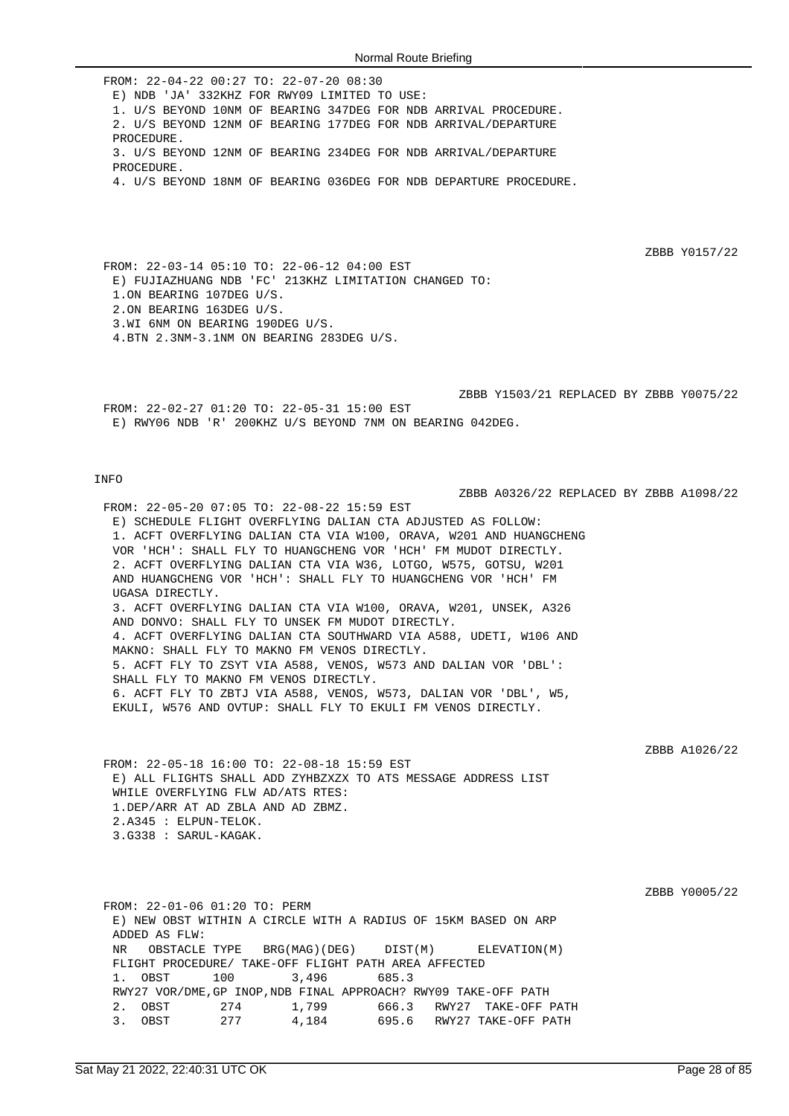FROM: 22-04-22 00:27 TO: 22-07-20 08:30 E) NDB 'JA' 332KHZ FOR RWY09 LIMITED TO USE: 1. U/S BEYOND 10NM OF BEARING 347DEG FOR NDB ARRIVAL PROCEDURE. 2. U/S BEYOND 12NM OF BEARING 177DEG FOR NDB ARRIVAL/DEPARTURE PROCEDURE. 3. U/S BEYOND 12NM OF BEARING 234DEG FOR NDB ARRIVAL/DEPARTURE PROCEDURE. 4. U/S BEYOND 18NM OF BEARING 036DEG FOR NDB DEPARTURE PROCEDURE.

ZBBB Y0157/22

ZBBB A0326/22 REPLACED BY ZBBB A1098/22

FROM: 22-03-14 05:10 TO: 22-06-12 04:00 EST E) FUJIAZHUANG NDB 'FC' 213KHZ LIMITATION CHANGED TO: 1.ON BEARING 107DEG U/S. 2.ON BEARING 163DEG U/S. 3.WI 6NM ON BEARING 190DEG U/S. 4.BTN 2.3NM-3.1NM ON BEARING 283DEG U/S.

ZBBB Y1503/21 REPLACED BY ZBBB Y0075/22 FROM: 22-02-27 01:20 TO: 22-05-31 15:00 EST E) RWY06 NDB 'R' 200KHZ U/S BEYOND 7NM ON BEARING 042DEG.

### INFO

FROM: 22-05-20 07:05 TO: 22-08-22 15:59 EST E) SCHEDULE FLIGHT OVERFLYING DALIAN CTA ADJUSTED AS FOLLOW: 1. ACFT OVERFLYING DALIAN CTA VIA W100, ORAVA, W201 AND HUANGCHENG VOR 'HCH': SHALL FLY TO HUANGCHENG VOR 'HCH' FM MUDOT DIRECTLY. 2. ACFT OVERFLYING DALIAN CTA VIA W36, LOTGO, W575, GOTSU, W201 AND HUANGCHENG VOR 'HCH': SHALL FLY TO HUANGCHENG VOR 'HCH' FM UGASA DIRECTLY. 3. ACFT OVERFLYING DALIAN CTA VIA W100, ORAVA, W201, UNSEK, A326 AND DONVO: SHALL FLY TO UNSEK FM MUDOT DIRECTLY. 4. ACFT OVERFLYING DALIAN CTA SOUTHWARD VIA A588, UDETI, W106 AND MAKNO: SHALL FLY TO MAKNO FM VENOS DIRECTLY. 5. ACFT FLY TO ZSYT VIA A588, VENOS, W573 AND DALIAN VOR 'DBL': SHALL FLY TO MAKNO FM VENOS DIRECTLY. 6. ACFT FLY TO ZBTJ VIA A588, VENOS, W573, DALIAN VOR 'DBL', W5, EKULI, W576 AND OVTUP: SHALL FLY TO EKULI FM VENOS DIRECTLY.

ZBBB A1026/22

FROM: 22-05-18 16:00 TO: 22-08-18 15:59 EST E) ALL FLIGHTS SHALL ADD ZYHBZXZX TO ATS MESSAGE ADDRESS LIST WHILE OVERFLYING FLW AD/ATS RTES: 1.DEP/ARR AT AD ZBLA AND AD ZBMZ. 2.A345 : ELPUN-TELOK. 3.G338 : SARUL-KAGAK.

ZBBB Y0005/22

FROM: 22-01-06 01:20 TO: PERM E) NEW OBST WITHIN A CIRCLE WITH A RADIUS OF 15KM BASED ON ARP ADDED AS FLW: NR OBSTACLE TYPE BRG(MAG)(DEG) DIST(M) ELEVATION(M) FLIGHT PROCEDURE/ TAKE-OFF FLIGHT PATH AREA AFFECTED 1. OBST 100 3,496 685.3 RWY27 VOR/DME,GP INOP,NDB FINAL APPROACH? RWY09 TAKE-OFF PATH 2. OBST 274 1,799 666.3 RWY27 TAKE-OFF PATH 3. OBST 277 4,184 695.6 RWY27 TAKE-OFF PATH 3. OBST 277 4,184 695.6 RWY27 TAKE-OFF PATH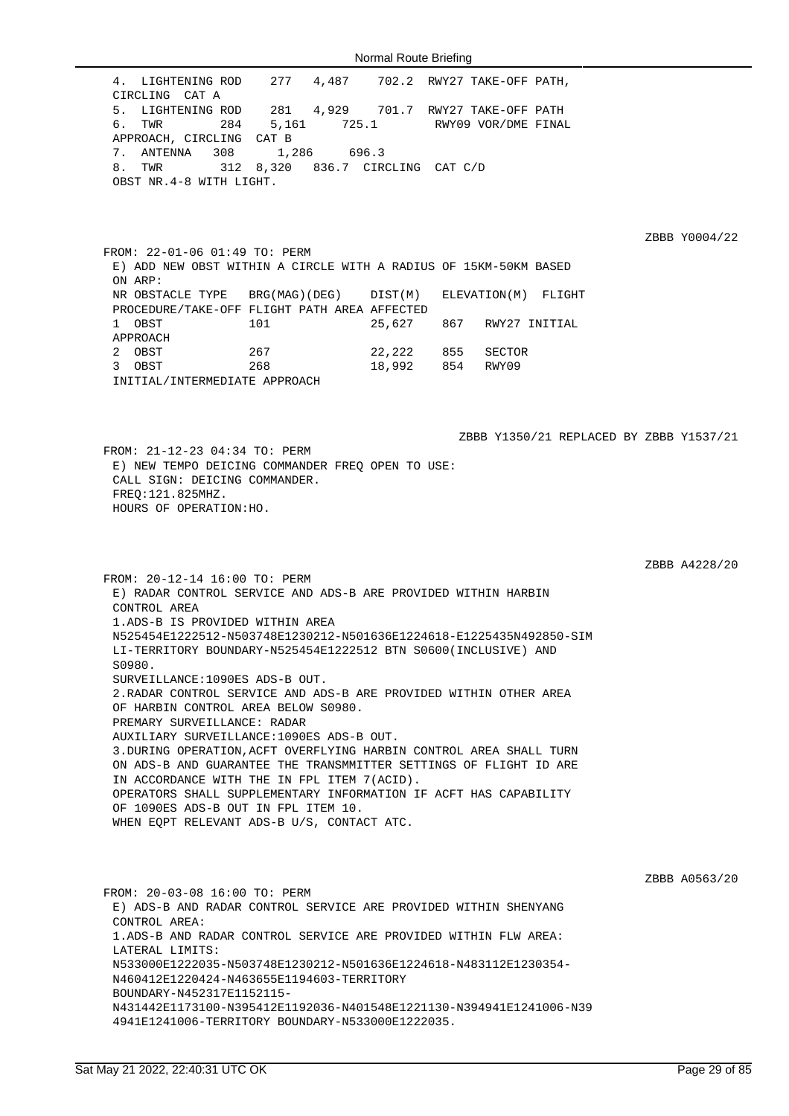4. LIGHTENING ROD 277 4,487 702.2 RWY27 TAKE-OFF PATH, CIRCLING CAT A 5. LIGHTENING ROD 281 4,929 701.7 RWY27 TAKE-OFF PATH 6. TWR 284 5,161 725.1 RWY09 VOR/DME FINAL APPROACH, CIRCLING CAT B 7. ANTENNA 308 1,286 696.3 8. TWR 312 8,320 836.7 CIRCLING CAT C/D OBST NR.4-8 WITH LIGHT.

ZBBB Y0004/22

FROM: 22-01-06 01:49 TO: PERM E) ADD NEW OBST WITHIN A CIRCLE WITH A RADIUS OF 15KM-50KM BASED ON ARP: NR OBSTACLE TYPE BRG(MAG)(DEG) DIST(M) ELEVATION(M) FLIGHT PROCEDURE/TAKE-OFF FLIGHT PATH AREA AFFECTED 1 OBST 101 25,627 867 RWY27 INITIAL APPROACH 2 OBST 267 22,222 855 SECTOR 3 OBST 268 18,992 854 RWY09 INITIAL/INTERMEDIATE APPROACH

ZBBB Y1350/21 REPLACED BY ZBBB Y1537/21 FROM: 21-12-23 04:34 TO: PERM E) NEW TEMPO DEICING COMMANDER FREQ OPEN TO USE: CALL SIGN: DEICING COMMANDER. FREQ:121.825MHZ. HOURS OF OPERATION:HO.

ZBBB A4228/20

FROM: 20-12-14 16:00 TO: PERM E) RADAR CONTROL SERVICE AND ADS-B ARE PROVIDED WITHIN HARBIN CONTROL AREA 1.ADS-B IS PROVIDED WITHIN AREA N525454E1222512-N503748E1230212-N501636E1224618-E1225435N492850-SIM LI-TERRITORY BOUNDARY-N525454E1222512 BTN S0600(INCLUSIVE) AND S0980. SURVEILLANCE:1090ES ADS-B OUT. 2.RADAR CONTROL SERVICE AND ADS-B ARE PROVIDED WITHIN OTHER AREA OF HARBIN CONTROL AREA BELOW S0980. PREMARY SURVEILLANCE: RADAR AUXILIARY SURVEILLANCE:1090ES ADS-B OUT. 3.DURING OPERATION,ACFT OVERFLYING HARBIN CONTROL AREA SHALL TURN ON ADS-B AND GUARANTEE THE TRANSMMITTER SETTINGS OF FLIGHT ID ARE IN ACCORDANCE WITH THE IN FPL ITEM 7(ACID). OPERATORS SHALL SUPPLEMENTARY INFORMATION IF ACFT HAS CAPABILITY OF 1090ES ADS-B OUT IN FPL ITEM 10. WHEN EQPT RELEVANT ADS-B U/S, CONTACT ATC.

ZBBB A0563/20

FROM: 20-03-08 16:00 TO: PERM E) ADS-B AND RADAR CONTROL SERVICE ARE PROVIDED WITHIN SHENYANG CONTROL AREA: 1.ADS-B AND RADAR CONTROL SERVICE ARE PROVIDED WITHIN FLW AREA: LATERAL LIMITS: N533000E1222035-N503748E1230212-N501636E1224618-N483112E1230354- N460412E1220424-N463655E1194603-TERRITORY BOUNDARY-N452317E1152115- N431442E1173100-N395412E1192036-N401548E1221130-N394941E1241006-N39 4941E1241006-TERRITORY BOUNDARY-N533000E1222035.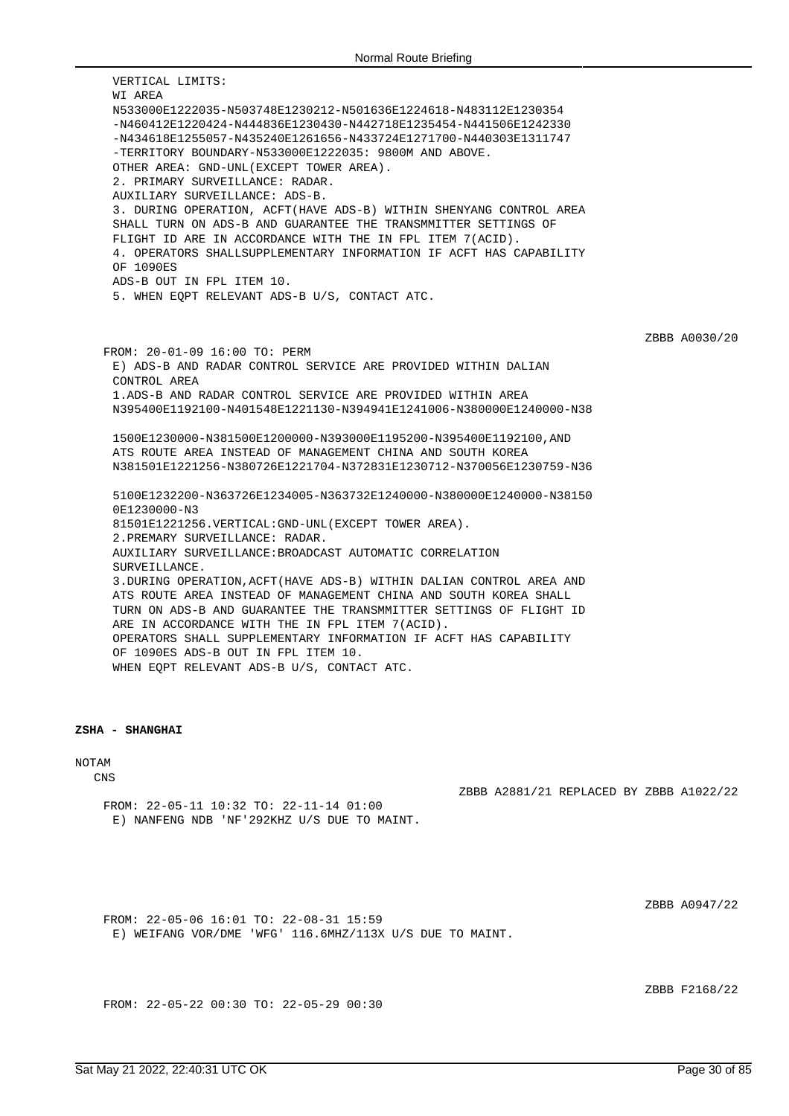VERTICAL LIMITS: WI AREA N533000E1222035-N503748E1230212-N501636E1224618-N483112E1230354 -N460412E1220424-N444836E1230430-N442718E1235454-N441506E1242330 -N434618E1255057-N435240E1261656-N433724E1271700-N440303E1311747 -TERRITORY BOUNDARY-N533000E1222035: 9800M AND ABOVE. OTHER AREA: GND-UNL(EXCEPT TOWER AREA). 2. PRIMARY SURVEILLANCE: RADAR. AUXILIARY SURVEILLANCE: ADS-B. 3. DURING OPERATION, ACFT(HAVE ADS-B) WITHIN SHENYANG CONTROL AREA SHALL TURN ON ADS-B AND GUARANTEE THE TRANSMMITTER SETTINGS OF FLIGHT ID ARE IN ACCORDANCE WITH THE IN FPL ITEM 7(ACID). 4. OPERATORS SHALLSUPPLEMENTARY INFORMATION IF ACFT HAS CAPABILITY OF 1090ES ADS-B OUT IN FPL ITEM 10. 5. WHEN EQPT RELEVANT ADS-B U/S, CONTACT ATC. ZBBB A0030/20 FROM: 20-01-09 16:00 TO: PERM E) ADS-B AND RADAR CONTROL SERVICE ARE PROVIDED WITHIN DALIAN CONTROL AREA 1.ADS-B AND RADAR CONTROL SERVICE ARE PROVIDED WITHIN AREA N395400E1192100-N401548E1221130-N394941E1241006-N380000E1240000-N38 1500E1230000-N381500E1200000-N393000E1195200-N395400E1192100,AND ATS ROUTE AREA INSTEAD OF MANAGEMENT CHINA AND SOUTH KOREA N381501E1221256-N380726E1221704-N372831E1230712-N370056E1230759-N36 5100E1232200-N363726E1234005-N363732E1240000-N380000E1240000-N38150 0E1230000-N3 81501E1221256.VERTICAL:GND-UNL(EXCEPT TOWER AREA). 2.PREMARY SURVEILLANCE: RADAR. AUXILIARY SURVEILLANCE:BROADCAST AUTOMATIC CORRELATION SURVEILLANCE. 3.DURING OPERATION,ACFT(HAVE ADS-B) WITHIN DALIAN CONTROL AREA AND ATS ROUTE AREA INSTEAD OF MANAGEMENT CHINA AND SOUTH KOREA SHALL TURN ON ADS-B AND GUARANTEE THE TRANSMMITTER SETTINGS OF FLIGHT ID ARE IN ACCORDANCE WITH THE IN FPL ITEM 7(ACID). OPERATORS SHALL SUPPLEMENTARY INFORMATION IF ACFT HAS CAPABILITY OF 1090ES ADS-B OUT IN FPL ITEM 10. WHEN EQPT RELEVANT ADS-B U/S, CONTACT ATC.

### **ZSHA - SHANGHAI**

NOTAM

CNS

ZBBB A2881/21 REPLACED BY ZBBB A1022/22

FROM: 22-05-11 10:32 TO: 22-11-14 01:00 E) NANFENG NDB 'NF'292KHZ U/S DUE TO MAINT.

ZBBB A0947/22

FROM: 22-05-06 16:01 TO: 22-08-31 15:59 E) WEIFANG VOR/DME 'WFG' 116.6MHZ/113X U/S DUE TO MAINT.

ZBBB F2168/22

FROM: 22-05-22 00:30 TO: 22-05-29 00:30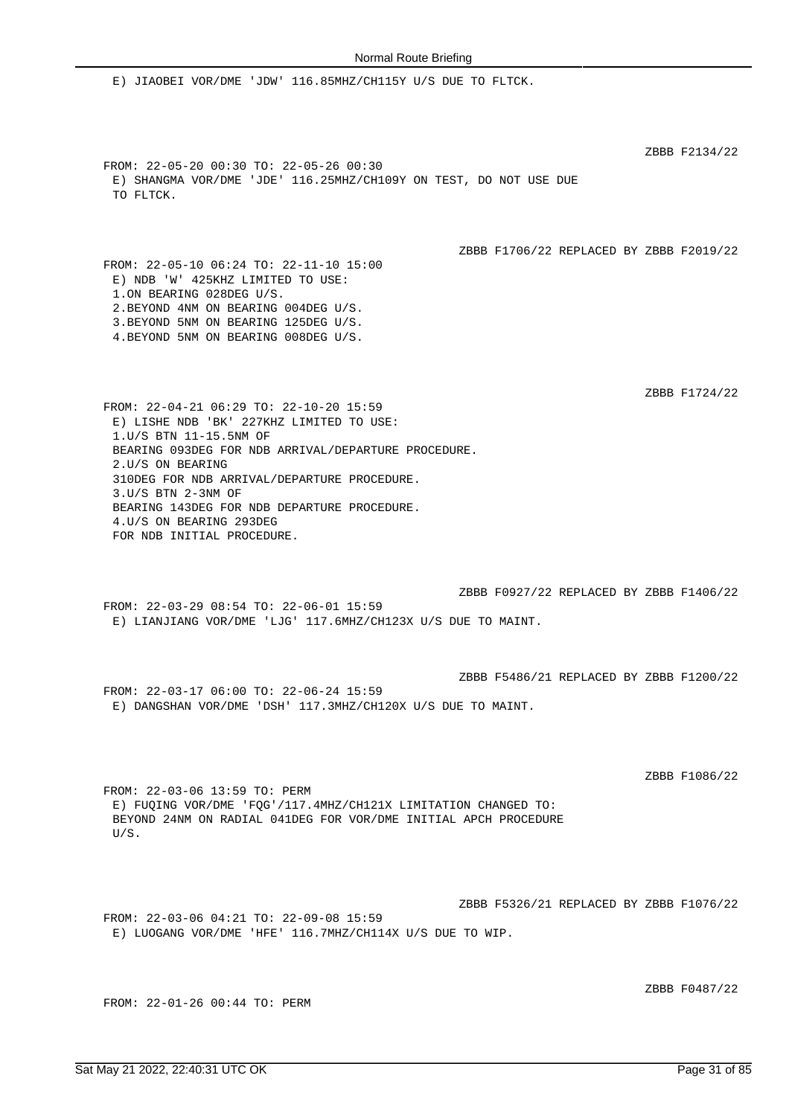E) JIAOBEI VOR/DME 'JDW' 116.85MHZ/CH115Y U/S DUE TO FLTCK. ZBBB F2134/22 FROM: 22-05-20 00:30 TO: 22-05-26 00:30 E) SHANGMA VOR/DME 'JDE' 116.25MHZ/CH109Y ON TEST, DO NOT USE DUE TO FLTCK. ZBBB F1706/22 REPLACED BY ZBBB F2019/22 FROM: 22-05-10 06:24 TO: 22-11-10 15:00 E) NDB 'W' 425KHZ LIMITED TO USE: 1.ON BEARING 028DEG U/S. 2.BEYOND 4NM ON BEARING 004DEG U/S. 3.BEYOND 5NM ON BEARING 125DEG U/S. 4.BEYOND 5NM ON BEARING 008DEG U/S. ZBBB F1724/22 FROM: 22-04-21 06:29 TO: 22-10-20 15:59 E) LISHE NDB 'BK' 227KHZ LIMITED TO USE: 1.U/S BTN 11-15.5NM OF BEARING 093DEG FOR NDB ARRIVAL/DEPARTURE PROCEDURE. 2.U/S ON BEARING 310DEG FOR NDB ARRIVAL/DEPARTURE PROCEDURE. 3.U/S BTN 2-3NM OF BEARING 143DEG FOR NDB DEPARTURE PROCEDURE. 4.U/S ON BEARING 293DEG FOR NDB INITIAL PROCEDURE. ZBBB F0927/22 REPLACED BY ZBBB F1406/22 FROM: 22-03-29 08:54 TO: 22-06-01 15:59 E) LIANJIANG VOR/DME 'LJG' 117.6MHZ/CH123X U/S DUE TO MAINT. ZBBB F5486/21 REPLACED BY ZBBB F1200/22 FROM: 22-03-17 06:00 TO: 22-06-24 15:59 E) DANGSHAN VOR/DME 'DSH' 117.3MHZ/CH120X U/S DUE TO MAINT. ZBBB F1086/22 FROM: 22-03-06 13:59 TO: PERM E) FUQING VOR/DME 'FQG'/117.4MHZ/CH121X LIMITATION CHANGED TO: BEYOND 24NM ON RADIAL 041DEG FOR VOR/DME INITIAL APCH PROCEDURE U/S. ZBBB F5326/21 REPLACED BY ZBBB F1076/22 FROM: 22-03-06 04:21 TO: 22-09-08 15:59 E) LUOGANG VOR/DME 'HFE' 116.7MHZ/CH114X U/S DUE TO WIP.

ZBBB F0487/22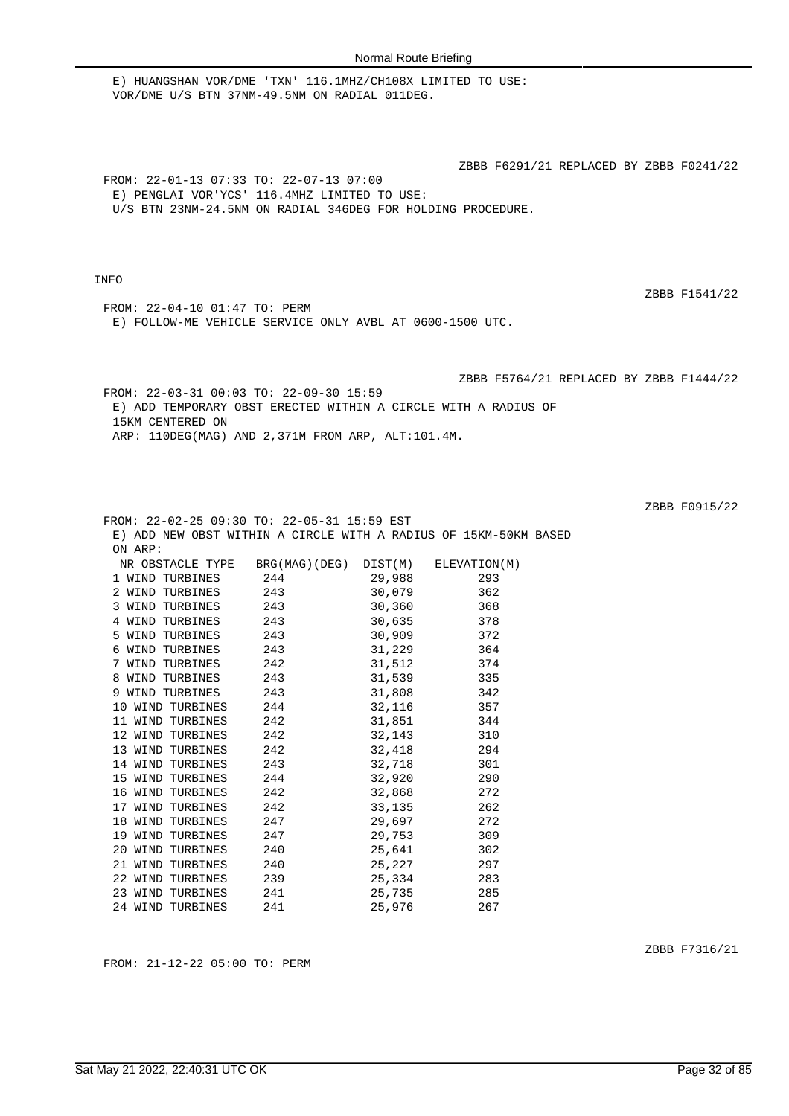E) HUANGSHAN VOR/DME 'TXN' 116.1MHZ/CH108X LIMITED TO USE: VOR/DME U/S BTN 37NM-49.5NM ON RADIAL 011DEG.

ZBBB F6291/21 REPLACED BY ZBBB F0241/22

FROM: 22-01-13 07:33 TO: 22-07-13 07:00 E) PENGLAI VOR'YCS' 116.4MHZ LIMITED TO USE: U/S BTN 23NM-24.5NM ON RADIAL 346DEG FOR HOLDING PROCEDURE.

## INFO

ZBBB F1541/22

FROM: 22-04-10 01:47 TO: PERM E) FOLLOW-ME VEHICLE SERVICE ONLY AVBL AT 0600-1500 UTC.

ZBBB F5764/21 REPLACED BY ZBBB F1444/22

FROM: 22-03-31 00:03 TO: 22-09-30 15:59 E) ADD TEMPORARY OBST ERECTED WITHIN A CIRCLE WITH A RADIUS OF 15KM CENTERED ON ARP: 110DEG(MAG) AND 2,371M FROM ARP, ALT:101.4M.

| FROM: 22-02-25 09:30 TO: 22-05-31 15:59 EST                      |     |            |     |  |
|------------------------------------------------------------------|-----|------------|-----|--|
| E) ADD NEW OBST WITHIN A CIRCLE WITH A RADIUS OF 15KM-50KM BASED |     |            |     |  |
| ON ARP:                                                          |     |            |     |  |
| NR OBSTACLE TYPE BRG(MAG)(DEG) DIST(M) ELEVATION(M)              |     |            |     |  |
| 1 WIND TURBINES 244 29,988 293<br>2 WIND TURBINES 243 30,079 362 |     |            |     |  |
|                                                                  |     |            |     |  |
| 3 WIND TURBINES 243 30,360 368                                   |     |            |     |  |
| 4 WIND TURBINES 243 30,635 378                                   |     |            |     |  |
| 5 WIND TURBINES 243 30,909 372                                   |     |            |     |  |
| 6 WIND TURBINES 243 31,229 364                                   |     |            |     |  |
| 7 WIND TURBINES 242 31,512 374                                   |     |            |     |  |
| 8 WIND TURBINES 243 31,539 335                                   |     |            |     |  |
| 9 WIND TURBINES 243 31,808 342                                   |     |            |     |  |
| 10 WIND TURBINES 244 32,116 357                                  |     |            |     |  |
| 11 WIND TURBINES 242 31,851 344                                  |     |            |     |  |
| 12 WIND TURBINES 242 32,143 310                                  |     |            |     |  |
| 13 WIND TURBINES 242 32,418 294                                  |     |            |     |  |
| 14 WIND TURBINES 243 32,718 301                                  |     |            |     |  |
| 15 WIND TURBINES 244 32,920 290                                  |     |            |     |  |
| 16 WIND TURBINES 242 32,868 272                                  |     |            |     |  |
| 17 WIND TURBINES 242 33,135 262                                  |     |            |     |  |
| 18 WIND TURBINES 247                                             |     | 29,697 272 |     |  |
| 19 WIND TURBINES 247 29,753 309                                  |     |            |     |  |
| 20 WIND TURBINES 240 25,641 302                                  |     |            |     |  |
| 21 WIND TURBINES 240                                             |     | 25,227 297 |     |  |
| 22 WIND TURBINES 239 25,334 283                                  |     |            |     |  |
| 23 WIND TURBINES 241 25,735 285                                  |     |            |     |  |
| 24 WIND TURBINES                                                 | 241 | 25,976     | 267 |  |

FROM: 21-12-22 05:00 TO: PERM

ZBBB F7316/21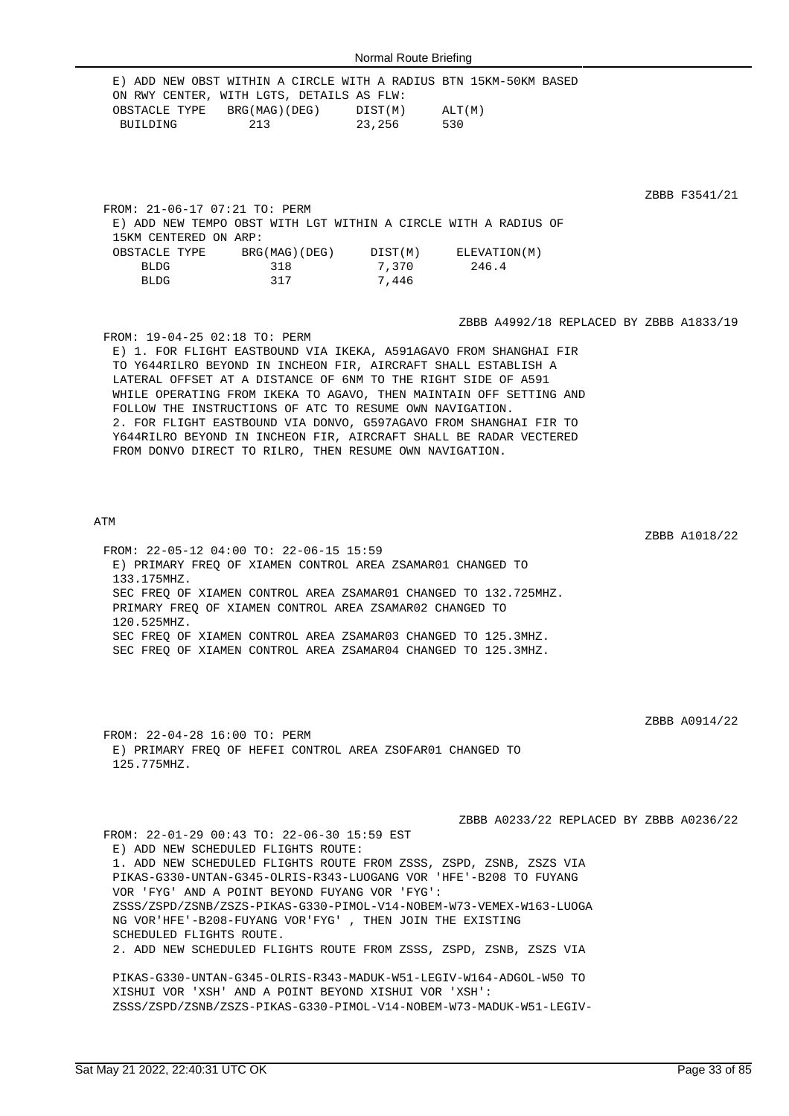|                               | E) ADD NEW OBST WITHIN A CIRCLE WITH A RADIUS BTN 15KM-50KM BASED<br>ON RWY CENTER, WITH LGTS, DETAILS AS FLW:                                      |                 |     |                                         |               |
|-------------------------------|-----------------------------------------------------------------------------------------------------------------------------------------------------|-----------------|-----|-----------------------------------------|---------------|
|                               | OBSTACLE TYPE BRG(MAG)(DEG) DIST(M) ALT(M)                                                                                                          |                 |     |                                         |               |
|                               | BUILDING 213 23,256                                                                                                                                 |                 | 530 |                                         |               |
|                               |                                                                                                                                                     |                 |     |                                         |               |
|                               |                                                                                                                                                     |                 |     |                                         |               |
|                               |                                                                                                                                                     |                 |     |                                         |               |
|                               |                                                                                                                                                     |                 |     |                                         |               |
| FROM: 21-06-17 07:21 TO: PERM |                                                                                                                                                     |                 |     |                                         | ZBBB F3541/21 |
|                               |                                                                                                                                                     |                 |     |                                         |               |
|                               | E) ADD NEW TEMPO OBST WITH LGT WITHIN A CIRCLE WITH A RADIUS OF                                                                                     |                 |     |                                         |               |
| 15KM CENTERED ON ARP:         |                                                                                                                                                     |                 |     |                                         |               |
|                               | $\texttt{OESTACLE}\ \texttt{TYPE}\qquad\texttt{BRG}(\texttt{MAG})(\texttt{DEG})\qquad\texttt{DIST}(\texttt{M})\qquad\texttt{ELEVATION}(\texttt{M})$ |                 |     |                                         |               |
| BLDG                          |                                                                                                                                                     | 318 7.370 246.4 |     |                                         |               |
| <b>BLDG</b>                   | 317 7,446                                                                                                                                           |                 |     |                                         |               |
|                               |                                                                                                                                                     |                 |     |                                         |               |
|                               |                                                                                                                                                     |                 |     |                                         |               |
|                               |                                                                                                                                                     |                 |     | ZBBB A4992/18 REPLACED BY ZBBB A1833/19 |               |
| FROM: 19-04-25 02:18 TO: PERM |                                                                                                                                                     |                 |     |                                         |               |
|                               | E) 1. FOR FLIGHT EASTBOUND VIA IKEKA, A591AGAVO FROM SHANGHAI FIR                                                                                   |                 |     |                                         |               |
|                               | TO Y644RILRO BEYOND IN INCHEON FIR, AIRCRAFT SHALL ESTABLISH A                                                                                      |                 |     |                                         |               |
|                               | LATERAL OFFSET AT A DISTANCE OF 6NM TO THE RIGHT SIDE OF A591                                                                                       |                 |     |                                         |               |
|                               | WHILE OPERATING FROM IKEKA TO AGAVO, THEN MAINTAIN OFF SETTING AND                                                                                  |                 |     |                                         |               |
|                               | FOLLOW THE INSTRUCTIONS OF ATC TO RESUME OWN NAVIGATION.                                                                                            |                 |     |                                         |               |
|                               | 2. FOR FLIGHT EASTBOUND VIA DONVO, G597AGAVO FROM SHANGHAI FIR TO                                                                                   |                 |     |                                         |               |
|                               | Y644RILRO BEYOND IN INCHEON FIR, AIRCRAFT SHALL BE RADAR VECTERED                                                                                   |                 |     |                                         |               |
|                               |                                                                                                                                                     |                 |     |                                         |               |

ATM

ZBBB A1018/22 FROM: 22-05-12 04:00 TO: 22-06-15 15:59 E) PRIMARY FREQ OF XIAMEN CONTROL AREA ZSAMAR01 CHANGED TO 133.175MHZ. SEC FREQ OF XIAMEN CONTROL AREA ZSAMAR01 CHANGED TO 132.725MHZ. PRIMARY FREQ OF XIAMEN CONTROL AREA ZSAMAR02 CHANGED TO 120.525MHZ. SEC FREQ OF XIAMEN CONTROL AREA ZSAMAR03 CHANGED TO 125.3MHZ. SEC FREQ OF XIAMEN CONTROL AREA ZSAMAR04 CHANGED TO 125.3MHZ.

FROM DONVO DIRECT TO RILRO, THEN RESUME OWN NAVIGATION.

FROM: 22-04-28 16:00 TO: PERM E) PRIMARY FREQ OF HEFEI CONTROL AREA ZSOFAR01 CHANGED TO 125.775MHZ.

ZSSS/ZSPD/ZSNB/ZSZS-PIKAS-G330-PIMOL-V14-NOBEM-W73-MADUK-W51-LEGIV-

ZBBB A0233/22 REPLACED BY ZBBB A0236/22 FROM: 22-01-29 00:43 TO: 22-06-30 15:59 EST E) ADD NEW SCHEDULED FLIGHTS ROUTE: 1. ADD NEW SCHEDULED FLIGHTS ROUTE FROM ZSSS, ZSPD, ZSNB, ZSZS VIA PIKAS-G330-UNTAN-G345-OLRIS-R343-LUOGANG VOR 'HFE'-B208 TO FUYANG VOR 'FYG' AND A POINT BEYOND FUYANG VOR 'FYG': ZSSS/ZSPD/ZSNB/ZSZS-PIKAS-G330-PIMOL-V14-NOBEM-W73-VEMEX-W163-LUOGA NG VOR'HFE'-B208-FUYANG VOR'FYG' , THEN JOIN THE EXISTING SCHEDULED FLIGHTS ROUTE. 2. ADD NEW SCHEDULED FLIGHTS ROUTE FROM ZSSS, ZSPD, ZSNB, ZSZS VIA PIKAS-G330-UNTAN-G345-OLRIS-R343-MADUK-W51-LEGIV-W164-ADGOL-W50 TO XISHUI VOR 'XSH' AND A POINT BEYOND XISHUI VOR 'XSH':

ZBBB A0914/22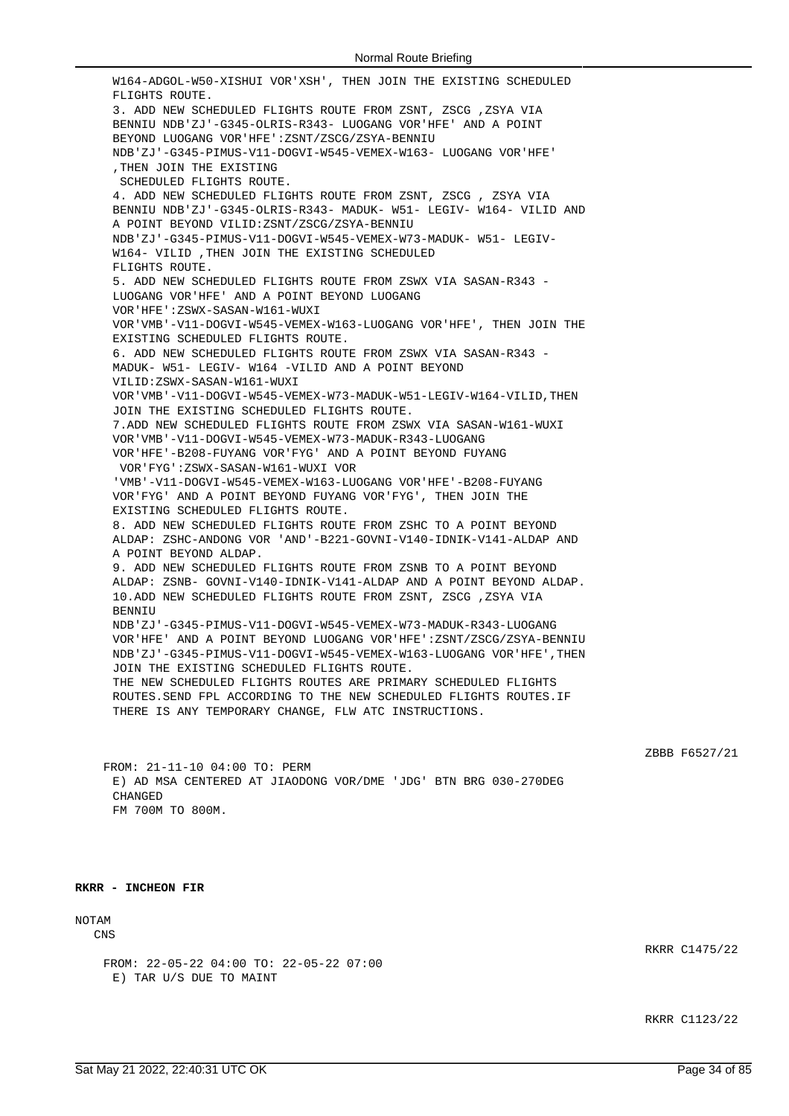W164-ADGOL-W50-XISHUI VOR'XSH', THEN JOIN THE EXISTING SCHEDULED FLIGHTS ROUTE. 3. ADD NEW SCHEDULED FLIGHTS ROUTE FROM ZSNT, ZSCG ,ZSYA VIA BENNIU NDB'ZJ'-G345-OLRIS-R343- LUOGANG VOR'HFE' AND A POINT BEYOND LUOGANG VOR'HFE':ZSNT/ZSCG/ZSYA-BENNIU NDB'ZJ'-G345-PIMUS-V11-DOGVI-W545-VEMEX-W163- LUOGANG VOR'HFE' ,THEN JOIN THE EXISTING SCHEDULED FLIGHTS ROUTE. 4. ADD NEW SCHEDULED FLIGHTS ROUTE FROM ZSNT, ZSCG , ZSYA VIA BENNIU NDB'ZJ'-G345-OLRIS-R343- MADUK- W51- LEGIV- W164- VILID AND A POINT BEYOND VILID:ZSNT/ZSCG/ZSYA-BENNIU NDB'ZJ'-G345-PIMUS-V11-DOGVI-W545-VEMEX-W73-MADUK- W51- LEGIV-W164- VILID ,THEN JOIN THE EXISTING SCHEDULED FLIGHTS ROUTE. 5. ADD NEW SCHEDULED FLIGHTS ROUTE FROM ZSWX VIA SASAN-R343 - LUOGANG VOR'HFE' AND A POINT BEYOND LUOGANG VOR'HFE':ZSWX-SASAN-W161-WUXI VOR'VMB'-V11-DOGVI-W545-VEMEX-W163-LUOGANG VOR'HFE', THEN JOIN THE EXISTING SCHEDULED FLIGHTS ROUTE. 6. ADD NEW SCHEDULED FLIGHTS ROUTE FROM ZSWX VIA SASAN-R343 - MADUK- W51- LEGIV- W164 -VILID AND A POINT BEYOND VILID:ZSWX-SASAN-W161-WUXI VOR'VMB'-V11-DOGVI-W545-VEMEX-W73-MADUK-W51-LEGIV-W164-VILID,THEN JOIN THE EXISTING SCHEDULED FLIGHTS ROUTE. 7.ADD NEW SCHEDULED FLIGHTS ROUTE FROM ZSWX VIA SASAN-W161-WUXI VOR'VMB'-V11-DOGVI-W545-VEMEX-W73-MADUK-R343-LUOGANG VOR'HFE'-B208-FUYANG VOR'FYG' AND A POINT BEYOND FUYANG VOR'FYG':ZSWX-SASAN-W161-WUXI VOR 'VMB'-V11-DOGVI-W545-VEMEX-W163-LUOGANG VOR'HFE'-B208-FUYANG VOR'FYG' AND A POINT BEYOND FUYANG VOR'FYG', THEN JOIN THE EXISTING SCHEDULED FLIGHTS ROUTE. 8. ADD NEW SCHEDULED FLIGHTS ROUTE FROM ZSHC TO A POINT BEYOND ALDAP: ZSHC-ANDONG VOR 'AND'-B221-GOVNI-V140-IDNIK-V141-ALDAP AND A POINT BEYOND ALDAP. 9. ADD NEW SCHEDULED FLIGHTS ROUTE FROM ZSNB TO A POINT BEYOND ALDAP: ZSNB- GOVNI-V140-IDNIK-V141-ALDAP AND A POINT BEYOND ALDAP. 10.ADD NEW SCHEDULED FLIGHTS ROUTE FROM ZSNT, ZSCG ,ZSYA VIA **BENNIU** NDB'ZJ'-G345-PIMUS-V11-DOGVI-W545-VEMEX-W73-MADUK-R343-LUOGANG VOR'HFE' AND A POINT BEYOND LUOGANG VOR'HFE':ZSNT/ZSCG/ZSYA-BENNIU NDB'ZJ'-G345-PIMUS-V11-DOGVI-W545-VEMEX-W163-LUOGANG VOR'HFE',THEN JOIN THE EXISTING SCHEDULED FLIGHTS ROUTE. THE NEW SCHEDULED FLIGHTS ROUTES ARE PRIMARY SCHEDULED FLIGHTS ROUTES.SEND FPL ACCORDING TO THE NEW SCHEDULED FLIGHTS ROUTES.IF THERE IS ANY TEMPORARY CHANGE, FLW ATC INSTRUCTIONS.

ZBBB F6527/21

FROM: 21-11-10 04:00 TO: PERM E) AD MSA CENTERED AT JIAODONG VOR/DME 'JDG' BTN BRG 030-270DEG **CHANGED** FM 700M TO 800M.

**RKRR - INCHEON FIR**

# NOTAM

CNS

FROM: 22-05-22 04:00 TO: 22-05-22 07:00 E) TAR U/S DUE TO MAINT

RKRR C1475/22

RKRR C1123/22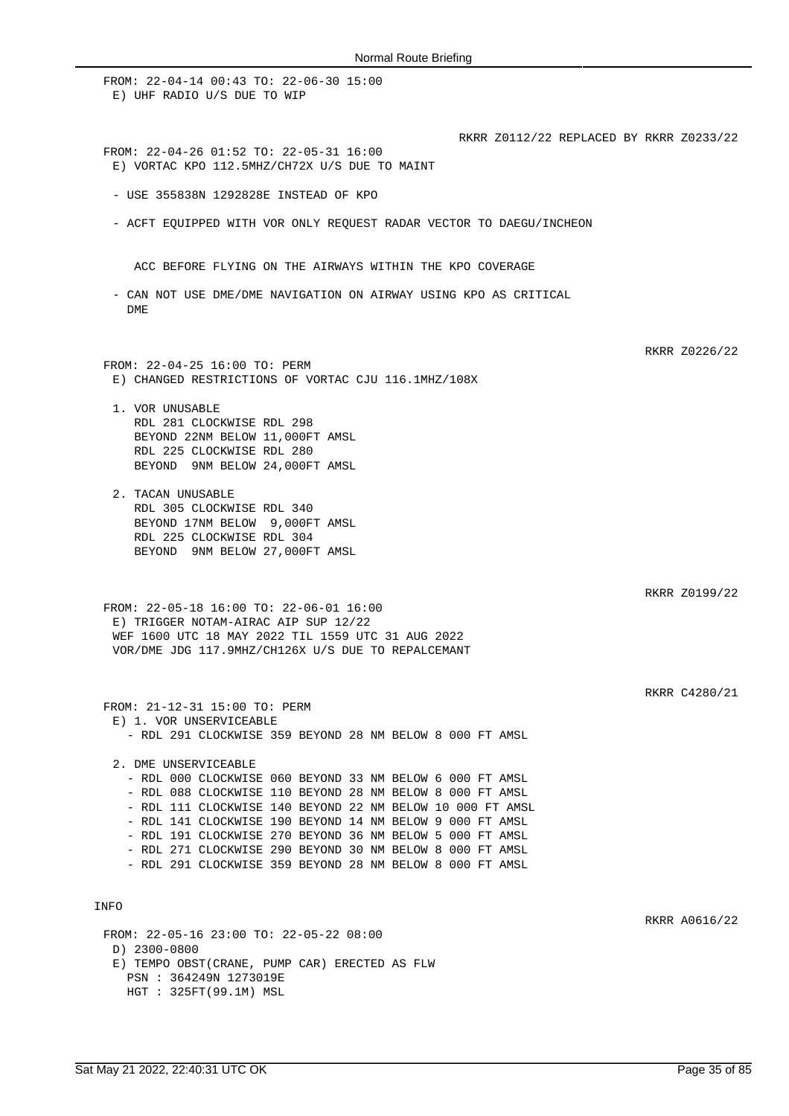FROM: 22-04-14 00:43 TO: 22-06-30 15:00 E) UHF RADIO U/S DUE TO WIP RKRR Z0112/22 REPLACED BY RKRR Z0233/22 FROM: 22-04-26 01:52 TO: 22-05-31 16:00 E) VORTAC KPO 112.5MHZ/CH72X U/S DUE TO MAINT - USE 355838N 1292828E INSTEAD OF KPO - ACFT EQUIPPED WITH VOR ONLY REQUEST RADAR VECTOR TO DAEGU/INCHEON ACC BEFORE FLYING ON THE AIRWAYS WITHIN THE KPO COVERAGE - CAN NOT USE DME/DME NAVIGATION ON AIRWAY USING KPO AS CRITICAL DME RKRR Z0226/22 FROM: 22-04-25 16:00 TO: PERM E) CHANGED RESTRICTIONS OF VORTAC CJU 116.1MHZ/108X 1. VOR UNUSABLE RDL 281 CLOCKWISE RDL 298 BEYOND 22NM BELOW 11,000FT AMSL RDL 225 CLOCKWISE RDL 280 BEYOND 9NM BELOW 24,000FT AMSL 2. TACAN UNUSABLE RDL 305 CLOCKWISE RDL 340 BEYOND 17NM BELOW 9,000FT AMSL RDL 225 CLOCKWISE RDL 304 BEYOND 9NM BELOW 27,000FT AMSL RKRR Z0199/22 FROM: 22-05-18 16:00 TO: 22-06-01 16:00 E) TRIGGER NOTAM-AIRAC AIP SUP 12/22 WEF 1600 UTC 18 MAY 2022 TIL 1559 UTC 31 AUG 2022 VOR/DME JDG 117.9MHZ/CH126X U/S DUE TO REPALCEMANT RKRR C4280/21 FROM: 21-12-31 15:00 TO: PERM E) 1. VOR UNSERVICEABLE - RDL 291 CLOCKWISE 359 BEYOND 28 NM BELOW 8 000 FT AMSL 2. DME UNSERVICEABLE - RDL 000 CLOCKWISE 060 BEYOND 33 NM BELOW 6 000 FT AMSL - RDL 088 CLOCKWISE 110 BEYOND 28 NM BELOW 8 000 FT AMSL - RDL 111 CLOCKWISE 140 BEYOND 22 NM BELOW 10 000 FT AMSL - RDL 141 CLOCKWISE 190 BEYOND 14 NM BELOW 9 000 FT AMSL - RDL 191 CLOCKWISE 270 BEYOND 36 NM BELOW 5 000 FT AMSL - RDL 271 CLOCKWISE 290 BEYOND 30 NM BELOW 8 000 FT AMSL - RDL 291 CLOCKWISE 359 BEYOND 28 NM BELOW 8 000 FT AMSL INFO RKRR A0616/22 FROM: 22-05-16 23:00 TO: 22-05-22 08:00 D) 2300-0800 E) TEMPO OBST(CRANE, PUMP CAR) ERECTED AS FLW PSN : 364249N 1273019E HGT : 325FT(99.1M) MSL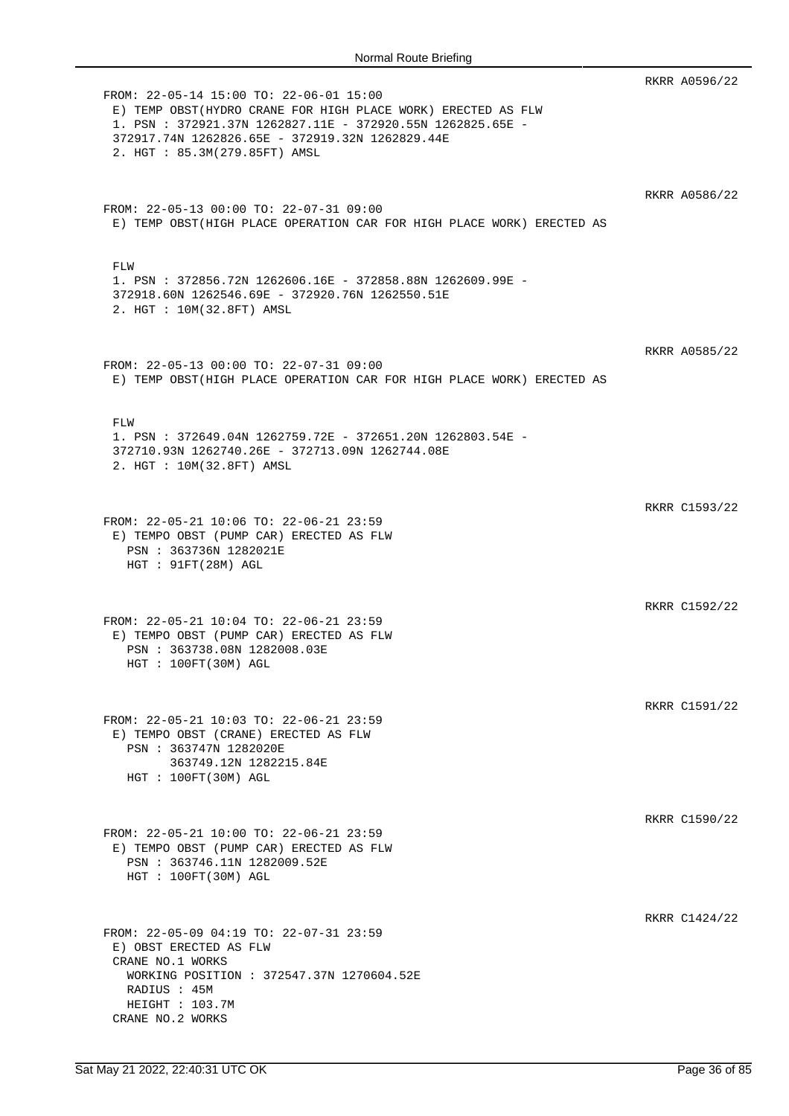|                                                                                                                                                                                                                                                           | RKRR A0596/22 |
|-----------------------------------------------------------------------------------------------------------------------------------------------------------------------------------------------------------------------------------------------------------|---------------|
| FROM: 22-05-14 15:00 TO: 22-06-01 15:00<br>E) TEMP OBST (HYDRO CRANE FOR HIGH PLACE WORK) ERECTED AS FLW<br>1. PSN: 372921.37N 1262827.11E - 372920.55N 1262825.65E -<br>372917.74N 1262826.65E - 372919.32N 1262829.44E<br>2. HGT : 85.3M(279.85FT) AMSL |               |
| FROM: 22-05-13 00:00 TO: 22-07-31 09:00<br>E) TEMP OBST(HIGH PLACE OPERATION CAR FOR HIGH PLACE WORK) ERECTED AS                                                                                                                                          | RKRR A0586/22 |
| FLW<br>1. PSN : 372856.72N 1262606.16E - 372858.88N 1262609.99E -<br>372918.60N 1262546.69E - 372920.76N 1262550.51E<br>2. HGT : 10M(32.8FT) AMSL                                                                                                         |               |
| FROM: 22-05-13 00:00 TO: 22-07-31 09:00<br>E) TEMP OBST(HIGH PLACE OPERATION CAR FOR HIGH PLACE WORK) ERECTED AS                                                                                                                                          | RKRR A0585/22 |
| FLW<br>1. PSN : 372649.04N 1262759.72E - 372651.20N 1262803.54E -<br>372710.93N 1262740.26E - 372713.09N 1262744.08E<br>2. HGT : 10M(32.8FT) AMSL                                                                                                         |               |
| FROM: 22-05-21 10:06 TO: 22-06-21 23:59<br>E) TEMPO OBST (PUMP CAR) ERECTED AS FLW<br>PSN : 363736N 1282021E                                                                                                                                              | RKRR C1593/22 |
| HGT : 91FT(28M) AGL<br>FROM: 22-05-21 10:04 TO: 22-06-21 23:59<br>E) TEMPO OBST (PUMP CAR) ERECTED AS FLW                                                                                                                                                 | RKRR C1592/22 |
| PSN : 363738.08N 1282008.03E<br>HGT : 100FT(30M) AGL                                                                                                                                                                                                      | RKRR C1591/22 |
| FROM: 22-05-21 10:03 TO: 22-06-21 23:59<br>E) TEMPO OBST (CRANE) ERECTED AS FLW<br>PSN : 363747N 1282020E<br>363749.12N 1282215.84E<br>HGT : 100FT(30M) AGL                                                                                               |               |
| FROM: 22-05-21 10:00 TO: 22-06-21 23:59<br>E) TEMPO OBST (PUMP CAR) ERECTED AS FLW<br>PSN : 363746.11N 1282009.52E<br>HGT : 100FT(30M) AGL                                                                                                                | RKRR C1590/22 |
| FROM: 22-05-09 04:19 TO: 22-07-31 23:59<br>E) OBST ERECTED AS FLW                                                                                                                                                                                         | RKRR C1424/22 |
| CRANE NO.1 WORKS<br>WORKING POSITION : 372547.37N 1270604.52E<br>RADIUS : 45M<br>HEIGHT : 103.7M<br>CRANE NO.2 WORKS                                                                                                                                      |               |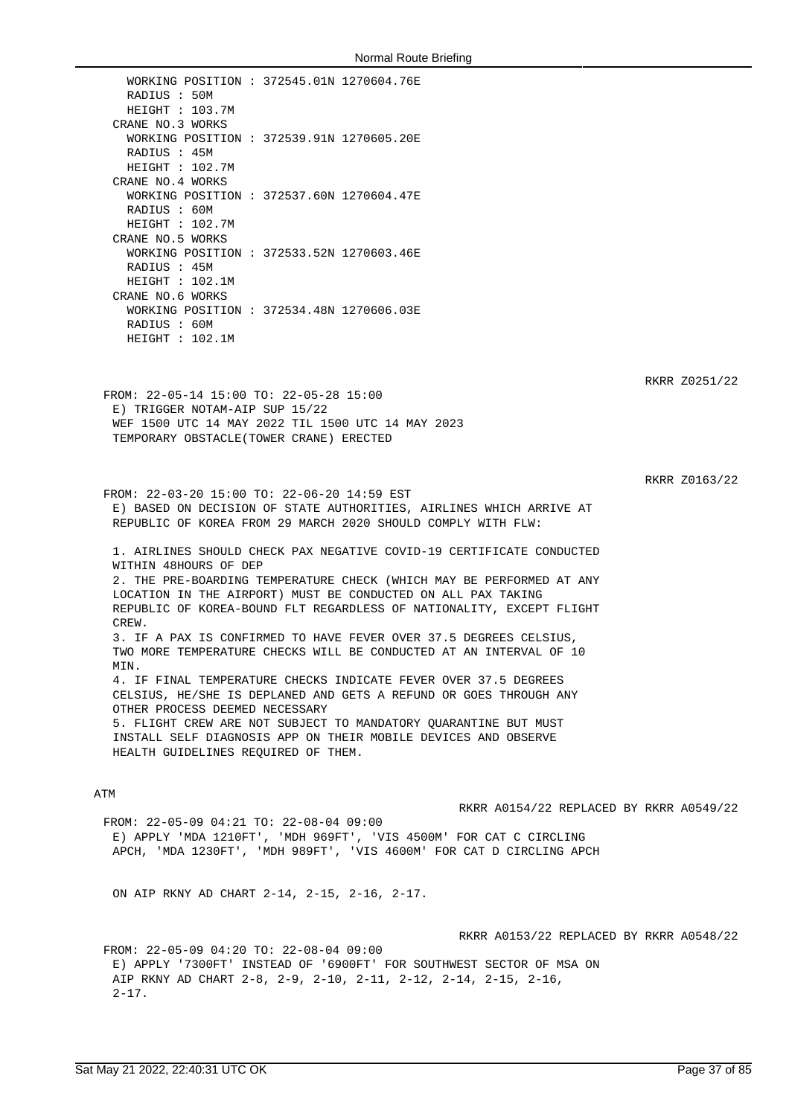WORKING POSITION : 372545.01N 1270604.76E RADIUS : 50M HEIGHT : 103.7M CRANE NO.3 WORKS WORKING POSITION : 372539.91N 1270605.20E RADIUS : 45M HEIGHT : 102.7M CRANE NO.4 WORKS WORKING POSITION : 372537.60N 1270604.47E RADIUS : 60M HEIGHT : 102.7M CRANE NO.5 WORKS WORKING POSITION : 372533.52N 1270603.46E RADIUS : 45M HEIGHT : 102.1M CRANE NO.6 WORKS WORKING POSITION : 372534.48N 1270606.03E RADIUS : 60M HEIGHT : 102.1M

RKRR Z0251/22

FROM: 22-05-14 15:00 TO: 22-05-28 15:00 E) TRIGGER NOTAM-AIP SUP 15/22 WEF 1500 UTC 14 MAY 2022 TIL 1500 UTC 14 MAY 2023 TEMPORARY OBSTACLE(TOWER CRANE) ERECTED

RKRR Z0163/22

FROM: 22-03-20 15:00 TO: 22-06-20 14:59 EST E) BASED ON DECISION OF STATE AUTHORITIES, AIRLINES WHICH ARRIVE AT REPUBLIC OF KOREA FROM 29 MARCH 2020 SHOULD COMPLY WITH FLW:

1. AIRLINES SHOULD CHECK PAX NEGATIVE COVID-19 CERTIFICATE CONDUCTED WITHIN 48HOURS OF DEP 2. THE PRE-BOARDING TEMPERATURE CHECK (WHICH MAY BE PERFORMED AT ANY LOCATION IN THE AIRPORT) MUST BE CONDUCTED ON ALL PAX TAKING REPUBLIC OF KOREA-BOUND FLT REGARDLESS OF NATIONALITY, EXCEPT FLIGHT CREW. 3. IF A PAX IS CONFIRMED TO HAVE FEVER OVER 37.5 DEGREES CELSIUS, TWO MORE TEMPERATURE CHECKS WILL BE CONDUCTED AT AN INTERVAL OF 10 **MTN** 4. IF FINAL TEMPERATURE CHECKS INDICATE FEVER OVER 37.5 DEGREES CELSIUS, HE/SHE IS DEPLANED AND GETS A REFUND OR GOES THROUGH ANY OTHER PROCESS DEEMED NECESSARY 5. FLIGHT CREW ARE NOT SUBJECT TO MANDATORY QUARANTINE BUT MUST INSTALL SELF DIAGNOSIS APP ON THEIR MOBILE DEVICES AND OBSERVE

### ATM

RKRR A0154/22 REPLACED BY RKRR A0549/22

FROM: 22-05-09 04:21 TO: 22-08-04 09:00 E) APPLY 'MDA 1210FT', 'MDH 969FT', 'VIS 4500M' FOR CAT C CIRCLING APCH, 'MDA 1230FT', 'MDH 989FT', 'VIS 4600M' FOR CAT D CIRCLING APCH

ON AIP RKNY AD CHART 2-14, 2-15, 2-16, 2-17.

HEALTH GUIDELINES REQUIRED OF THEM.

RKRR A0153/22 REPLACED BY RKRR A0548/22

FROM: 22-05-09 04:20 TO: 22-08-04 09:00 E) APPLY '7300FT' INSTEAD OF '6900FT' FOR SOUTHWEST SECTOR OF MSA ON AIP RKNY AD CHART 2-8, 2-9, 2-10, 2-11, 2-12, 2-14, 2-15, 2-16,  $2 - 17$ .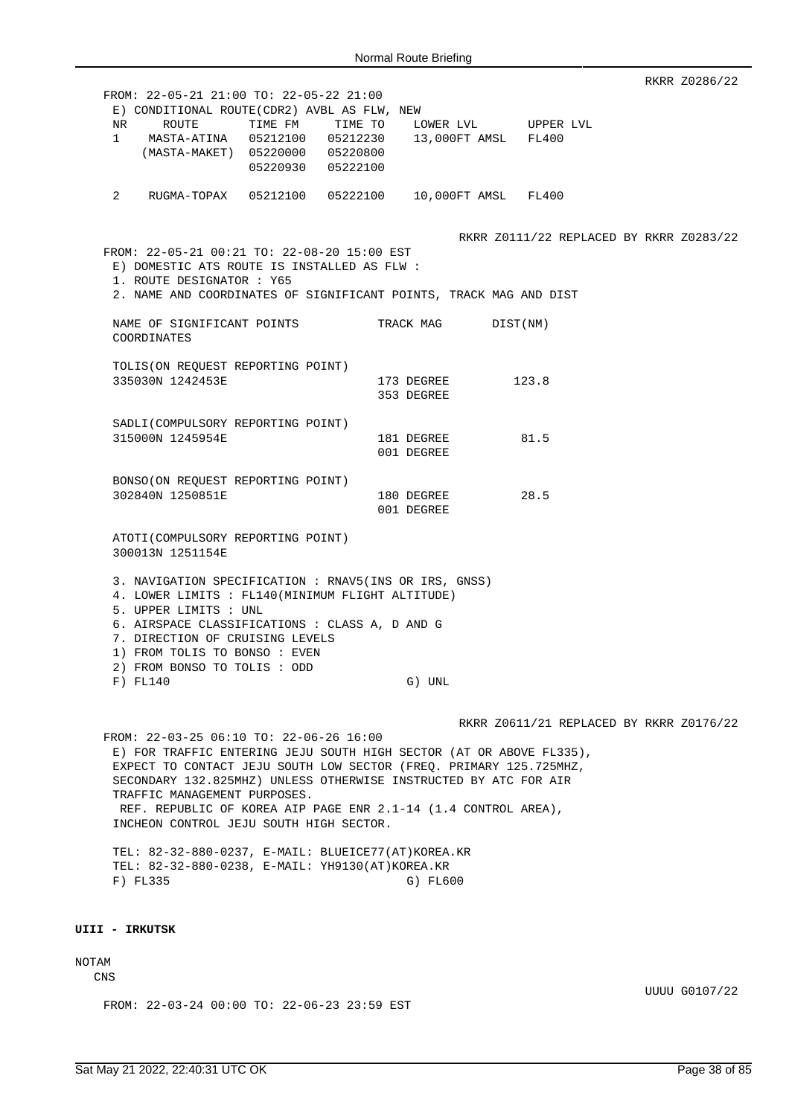RKRR Z0286/22 FROM: 22-05-21 21:00 TO: 22-05-22 21:00 E) CONDITIONAL ROUTE(CDR2) AVBL AS FLW, NEW NR ROUTE TIME FM TIME TO LOWER LVL UPPER LVL 1 MASTA-ATINA 05212100 05212230 13,000FT AMSL FL400 (MASTA-MAKET) 05220000 05220800 05220930 05222100 2 RUGMA-TOPAX 05212100 05222100 10,000FT AMSL FL400 RKRR Z0111/22 REPLACED BY RKRR Z0283/22 FROM: 22-05-21 00:21 TO: 22-08-20 15:00 EST E) DOMESTIC ATS ROUTE IS INSTALLED AS FLW : 1. ROUTE DESIGNATOR : Y65 2. NAME AND COORDINATES OF SIGNIFICANT POINTS, TRACK MAG AND DIST NAME OF SIGNIFICANT POINTS TRACK MAG DIST(NM) COORDINATES TOLIS(ON REQUEST REPORTING POINT) 335030N 1242453E 173 DEGREE 123.8 353 DEGREE SADLI(COMPULSORY REPORTING POINT) 315000N 1245954E 181 181 DEGREE 81.5 001 DEGREE BONSO(ON REQUEST REPORTING POINT) 302840N 1250851E 180 DEGREE 28.5 001 DEGREE ATOTI(COMPULSORY REPORTING POINT) 300013N 1251154E 3. NAVIGATION SPECIFICATION : RNAV5(INS OR IRS, GNSS) 4. LOWER LIMITS : FL140(MINIMUM FLIGHT ALTITUDE) 5. UPPER LIMITS : UNL 6. AIRSPACE CLASSIFICATIONS : CLASS A, D AND G 7. DIRECTION OF CRUISING LEVELS 1) FROM TOLIS TO BONSO : EVEN 2) FROM BONSO TO TOLIS : ODD F) FL140 G) UNL RKRR Z0611/21 REPLACED BY RKRR Z0176/22 FROM: 22-03-25 06:10 TO: 22-06-26 16:00 E) FOR TRAFFIC ENTERING JEJU SOUTH HIGH SECTOR (AT OR ABOVE FL335), EXPECT TO CONTACT JEJU SOUTH LOW SECTOR (FREQ. PRIMARY 125.725MHZ, SECONDARY 132.825MHZ) UNLESS OTHERWISE INSTRUCTED BY ATC FOR AIR TRAFFIC MANAGEMENT PURPOSES. REF. REPUBLIC OF KOREA AIP PAGE ENR 2.1-14 (1.4 CONTROL AREA), INCHEON CONTROL JEJU SOUTH HIGH SECTOR.

TEL: 82-32-880-0237, E-MAIL: BLUEICE77(AT)KOREA.KR TEL: 82-32-880-0238, E-MAIL: YH9130(AT)KOREA.KR F) FL335 G) FL600

#### **UIII - IRKUTSK**

# NOTAM

CNS

FROM: 22-03-24 00:00 TO: 22-06-23 23:59 EST

UUUU G0107/22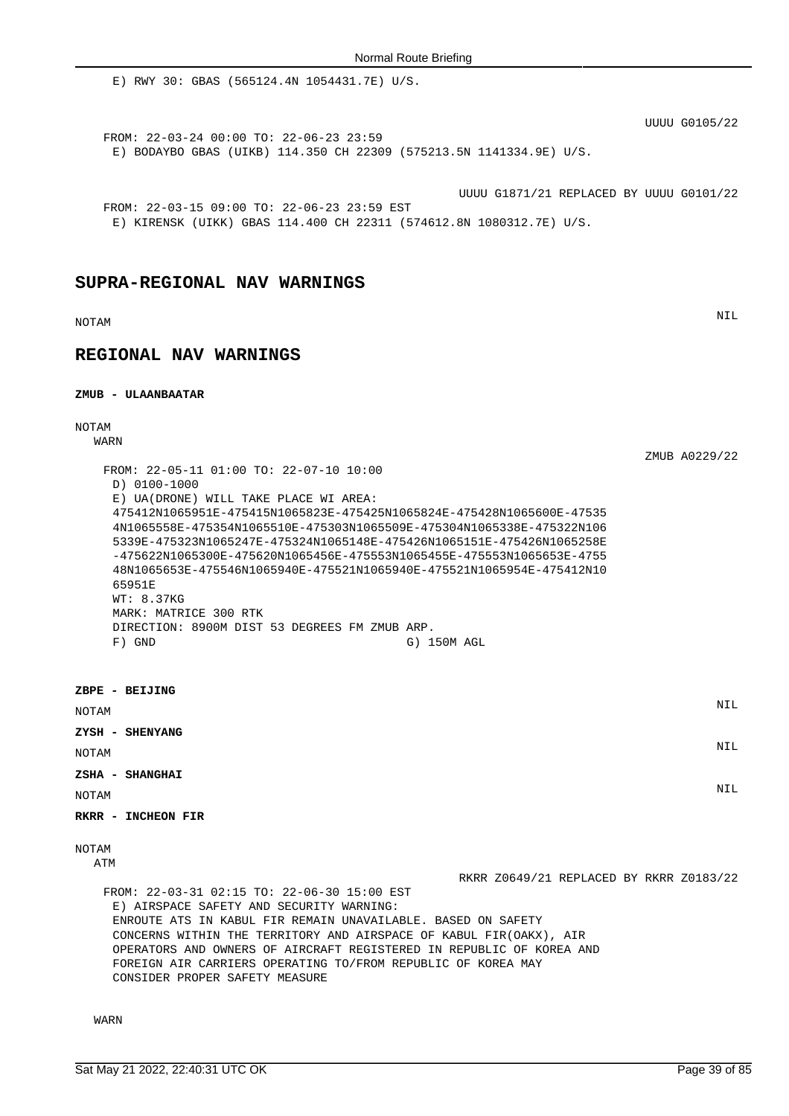E) RWY 30: GBAS (565124.4N 1054431.7E) U/S.

UUUU G0105/22

FROM: 22-03-24 00:00 TO: 22-06-23 23:59 E) BODAYBO GBAS (UIKB) 114.350 CH 22309 (575213.5N 1141334.9E) U/S.

UUUU G1871/21 REPLACED BY UUUU G0101/22

FROM: 22-03-15 09:00 TO: 22-06-23 23:59 EST E) KIRENSK (UIKK) GBAS 114.400 CH 22311 (574612.8N 1080312.7E) U/S.

## **SUPRA-REGIONAL NAV WARNINGS**

NOTAM NIL

# **REGIONAL NAV WARNINGS**

## **ZMUB - ULAANBAATAR**

NOTAM

WARN

| FROM: 22-05-11 01:00 TO: 22-07-10 10:00<br>D) 0100-1000<br>E) UA(DRONE) WILL TAKE PLACE WI AREA:<br>475412N1065951E-475415N1065823E-475425N1065824E-475428N1065600E-47535<br>4N1065558E-475354N1065510E-475303N1065509E-475304N1065338E-475322N106<br>5339E-475323N1065247E-475324N1065148E-475426N1065151E-475426N1065258E<br>$-475622N1065300E-475620N1065456E-475553N1065455E-475553N1065653E-47555$<br>48N1065653E-475546N1065940E-475521N1065940E-475521N1065954E-475412N10<br>65951E<br>WT: 8.37KG<br>MARK: MATRICE 300 RTK<br>DIRECTION: 8900M DIST 53 DEGREES FM ZMUB ARP.<br>$F)$ GND<br>G) 150M AGL | ZMUB A0229/22 |
|---------------------------------------------------------------------------------------------------------------------------------------------------------------------------------------------------------------------------------------------------------------------------------------------------------------------------------------------------------------------------------------------------------------------------------------------------------------------------------------------------------------------------------------------------------------------------------------------------------------|---------------|
| ZBPE - BEIJING<br><b>NOTAM</b>                                                                                                                                                                                                                                                                                                                                                                                                                                                                                                                                                                                | <b>NIL</b>    |
| ZYSH - SHENYANG<br><b>NOTAM</b>                                                                                                                                                                                                                                                                                                                                                                                                                                                                                                                                                                               | <b>NIL</b>    |
| ZSHA - SHANGHAI<br><b>NOTAM</b>                                                                                                                                                                                                                                                                                                                                                                                                                                                                                                                                                                               | <b>NIL</b>    |

**RKRR - INCHEON FIR**

NOTAM

ATM

RKRR Z0649/21 REPLACED BY RKRR Z0183/22

FROM: 22-03-31 02:15 TO: 22-06-30 15:00 EST E) AIRSPACE SAFETY AND SECURITY WARNING: ENROUTE ATS IN KABUL FIR REMAIN UNAVAILABLE. BASED ON SAFETY CONCERNS WITHIN THE TERRITORY AND AIRSPACE OF KABUL FIR(OAKX), AIR OPERATORS AND OWNERS OF AIRCRAFT REGISTERED IN REPUBLIC OF KOREA AND FOREIGN AIR CARRIERS OPERATING TO/FROM REPUBLIC OF KOREA MAY CONSIDER PROPER SAFETY MEASURE

WARN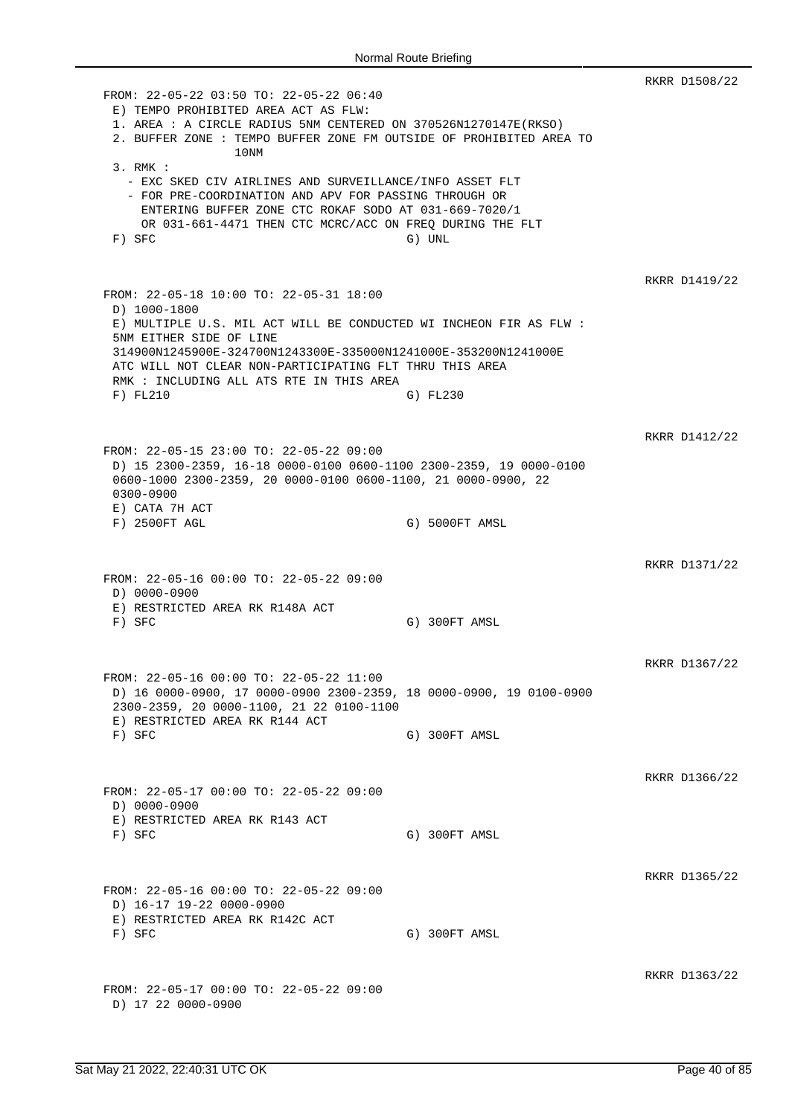RKRR D1508/22 FROM: 22-05-22 03:50 TO: 22-05-22 06:40 E) TEMPO PROHIBITED AREA ACT AS FLW: 1. AREA : A CIRCLE RADIUS 5NM CENTERED ON 370526N1270147E(RKSO) 2. BUFFER ZONE : TEMPO BUFFER ZONE FM OUTSIDE OF PROHIBITED AREA TO 10NM 3. RMK : - EXC SKED CIV AIRLINES AND SURVEILLANCE/INFO ASSET FLT - FOR PRE-COORDINATION AND APV FOR PASSING THROUGH OR ENTERING BUFFER ZONE CTC ROKAF SODO AT 031-669-7020/1 OR 031-661-4471 THEN CTC MCRC/ACC ON FREQ DURING THE FLT F) SFC G) UNL RKRR D1419/22 FROM: 22-05-18 10:00 TO: 22-05-31 18:00 D) 1000-1800 E) MULTIPLE U.S. MIL ACT WILL BE CONDUCTED WI INCHEON FIR AS FLW : 5NM EITHER SIDE OF LINE 314900N1245900E-324700N1243300E-335000N1241000E-353200N1241000E ATC WILL NOT CLEAR NON-PARTICIPATING FLT THRU THIS AREA RMK : INCLUDING ALL ATS RTE IN THIS AREA F) FL210 G) FL230 RKRR D1412/22 FROM: 22-05-15 23:00 TO: 22-05-22 09:00 D) 15 2300-2359, 16-18 0000-0100 0600-1100 2300-2359, 19 0000-0100 0600-1000 2300-2359, 20 0000-0100 0600-1100, 21 0000-0900, 22 0300-0900 E) CATA 7H ACT F) 2500FT AGL G) 5000FT AMSL RKRR D1371/22 FROM: 22-05-16 00:00 TO: 22-05-22 09:00 D) 0000-0900 E) RESTRICTED AREA RK R148A ACT F) SFC G) 300FT AMSL RKRR D1367/22 FROM: 22-05-16 00:00 TO: 22-05-22 11:00 D) 16 0000-0900, 17 0000-0900 2300-2359, 18 0000-0900, 19 0100-0900 2300-2359, 20 0000-1100, 21 22 0100-1100 E) RESTRICTED AREA RK R144 ACT F) SFC G) 300FT AMSL RKRR D1366/22 FROM: 22-05-17 00:00 TO: 22-05-22 09:00 D) 0000-0900 E) RESTRICTED AREA RK R143 ACT F) SFC G) 300FT AMSL RKRR D1365/22 FROM: 22-05-16 00:00 TO: 22-05-22 09:00 D) 16-17 19-22 0000-0900 E) RESTRICTED AREA RK R142C ACT F) SFC G) 300FT AMSL RKRR D1363/22 FROM: 22-05-17 00:00 TO: 22-05-22 09:00 D) 17 22 0000-0900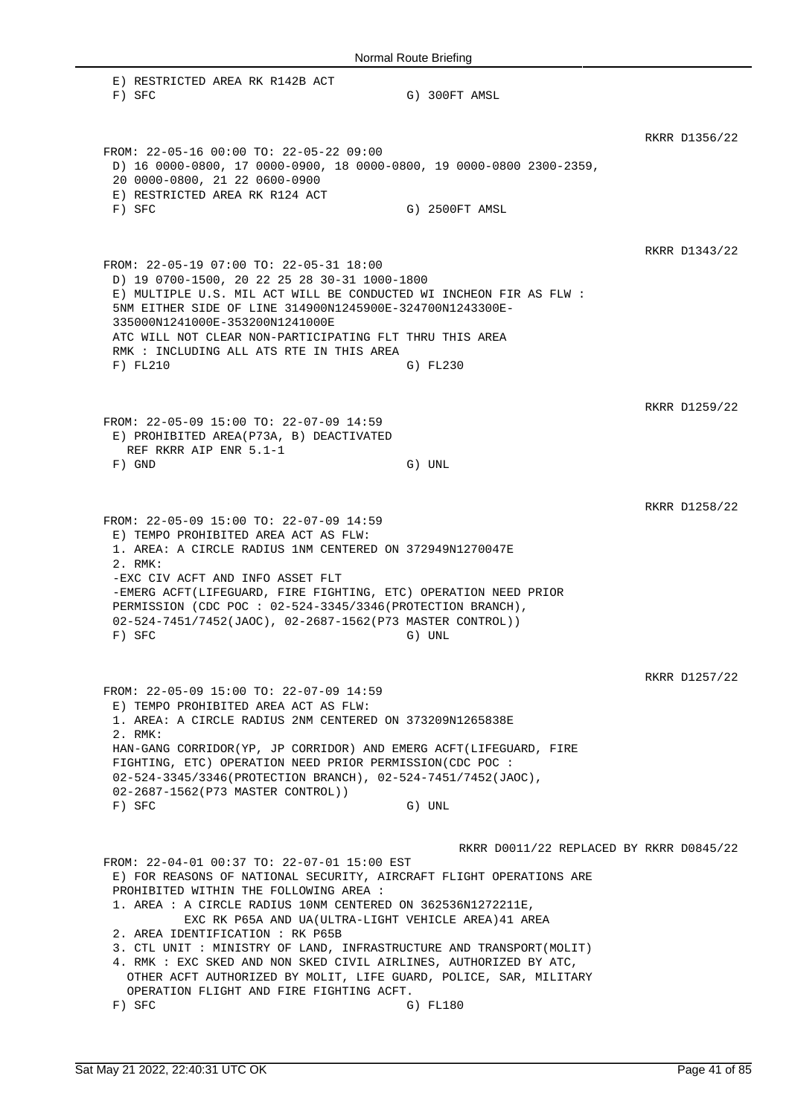| Normal Route Briefing                                                                                                                                                                                                                                                                                                                                                                                                                                                                                                                                                                            |                                                     |               |  |
|--------------------------------------------------------------------------------------------------------------------------------------------------------------------------------------------------------------------------------------------------------------------------------------------------------------------------------------------------------------------------------------------------------------------------------------------------------------------------------------------------------------------------------------------------------------------------------------------------|-----------------------------------------------------|---------------|--|
| E) RESTRICTED AREA RK R142B ACT<br>$F)$ SFC                                                                                                                                                                                                                                                                                                                                                                                                                                                                                                                                                      | G) 300FT AMSL                                       |               |  |
| FROM: 22-05-16 00:00 TO: 22-05-22 09:00<br>D) 16 0000-0800, 17 0000-0900, 18 0000-0800, 19 0000-0800 2300-2359,<br>20 0000-0800, 21 22 0600-0900<br>E) RESTRICTED AREA RK R124 ACT<br>$F)$ SFC                                                                                                                                                                                                                                                                                                                                                                                                   | G) 2500FT AMSL                                      | RKRR D1356/22 |  |
| FROM: 22-05-19 07:00 TO: 22-05-31 18:00<br>D) 19 0700-1500, 20 22 25 28 30-31 1000-1800<br>E) MULTIPLE U.S. MIL ACT WILL BE CONDUCTED WI INCHEON FIR AS FLW :<br>5NM EITHER SIDE OF LINE 314900N1245900E-324700N1243300E-<br>335000N1241000E-353200N1241000E<br>ATC WILL NOT CLEAR NON-PARTICIPATING FLT THRU THIS AREA<br>RMK : INCLUDING ALL ATS RTE IN THIS AREA<br>F) FL210                                                                                                                                                                                                                  | G) FL230                                            | RKRR D1343/22 |  |
| FROM: 22-05-09 15:00 TO: 22-07-09 14:59<br>E) PROHIBITED AREA(P73A, B) DEACTIVATED<br>REF RKRR AIP ENR 5.1-1<br>$F)$ GND                                                                                                                                                                                                                                                                                                                                                                                                                                                                         | G) UNL                                              | RKRR D1259/22 |  |
| FROM: 22-05-09 15:00 TO: 22-07-09 14:59<br>E) TEMPO PROHIBITED AREA ACT AS FLW:<br>1. AREA: A CIRCLE RADIUS 1NM CENTERED ON 372949N1270047E<br>2. RMK:<br>-EXC CIV ACFT AND INFO ASSET FLT<br>-EMERG ACFT(LIFEGUARD, FIRE FIGHTING, ETC) OPERATION NEED PRIOR<br>PERMISSION (CDC POC : 02-524-3345/3346 (PROTECTION BRANCH),<br>02-524-7451/7452(JAOC), 02-2687-1562(P73 MASTER CONTROL))<br>F) SFC                                                                                                                                                                                              | G) UNL                                              | RKRR D1258/22 |  |
| FROM: 22-05-09 15:00 TO: 22-07-09 14:59<br>E) TEMPO PROHIBITED AREA ACT AS FLW:<br>1. AREA: A CIRCLE RADIUS 2NM CENTERED ON 373209N1265838E<br>2. RMK:<br>HAN-GANG CORRIDOR(YP, JP CORRIDOR) AND EMERG ACFT(LIFEGUARD, FIRE<br>FIGHTING, ETC) OPERATION NEED PRIOR PERMISSION(CDC POC :<br>02-524-3345/3346(PROTECTION BRANCH), 02-524-7451/7452(JAOC),<br>02-2687-1562(P73 MASTER CONTROL))<br>$F)$ SFC                                                                                                                                                                                         | G) UNL                                              | RKRR D1257/22 |  |
| FROM: 22-04-01 00:37 TO: 22-07-01 15:00 EST<br>E) FOR REASONS OF NATIONAL SECURITY, AIRCRAFT FLIGHT OPERATIONS ARE<br>PROHIBITED WITHIN THE FOLLOWING AREA :<br>1. AREA : A CIRCLE RADIUS 10NM CENTERED ON 362536N1272211E,<br>EXC RK P65A AND UA(ULTRA-LIGHT VEHICLE AREA) 41 AREA<br>2. AREA IDENTIFICATION : RK P65B<br>3. CTL UNIT: MINISTRY OF LAND, INFRASTRUCTURE AND TRANSPORT (MOLIT)<br>4. RMK : EXC SKED AND NON SKED CIVIL AIRLINES, AUTHORIZED BY ATC,<br>OTHER ACFT AUTHORIZED BY MOLIT, LIFE GUARD, POLICE, SAR, MILITARY<br>OPERATION FLIGHT AND FIRE FIGHTING ACFT.<br>$F)$ SFC | RKRR D0011/22 REPLACED BY RKRR D0845/22<br>G) FL180 |               |  |

 $\mathbb{R}$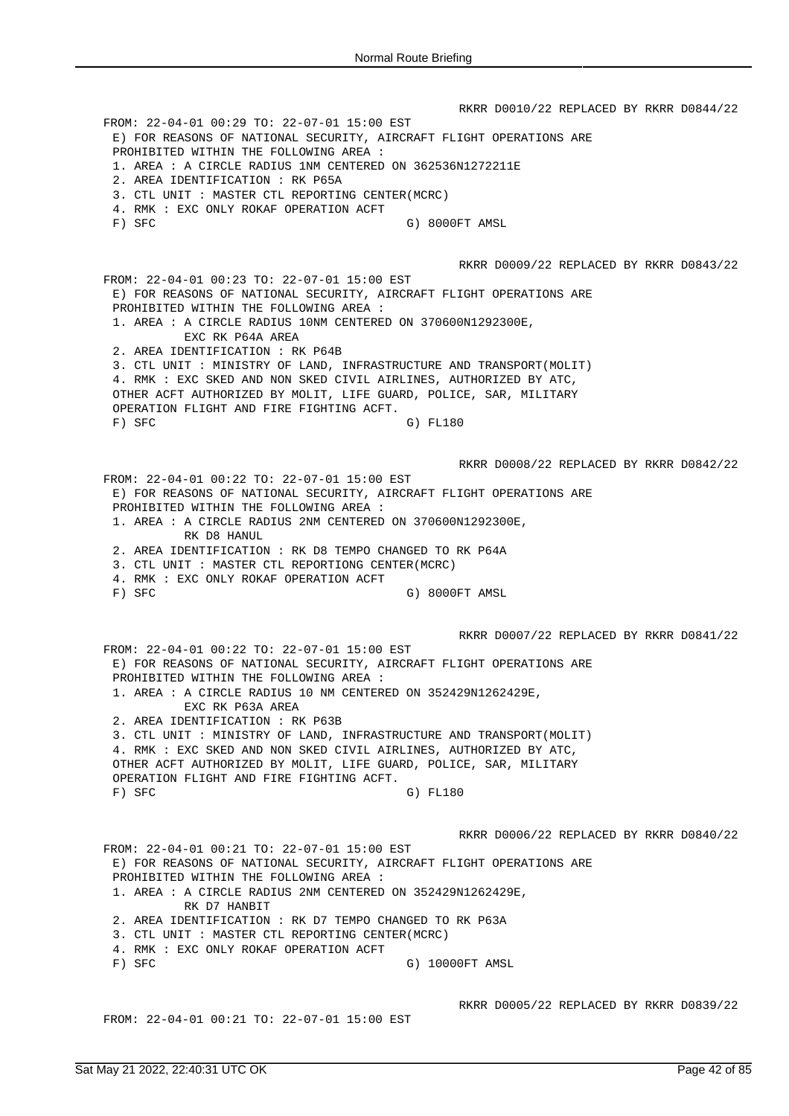RKRR D0010/22 REPLACED BY RKRR D0844/22 FROM: 22-04-01 00:29 TO: 22-07-01 15:00 EST E) FOR REASONS OF NATIONAL SECURITY, AIRCRAFT FLIGHT OPERATIONS ARE PROHIBITED WITHIN THE FOLLOWING AREA : 1. AREA : A CIRCLE RADIUS 1NM CENTERED ON 362536N1272211E 2. AREA IDENTIFICATION : RK P65A 3. CTL UNIT : MASTER CTL REPORTING CENTER(MCRC) 4. RMK : EXC ONLY ROKAF OPERATION ACFT F) SFC G) 8000FT AMSL RKRR D0009/22 REPLACED BY RKRR D0843/22 FROM: 22-04-01 00:23 TO: 22-07-01 15:00 EST E) FOR REASONS OF NATIONAL SECURITY, AIRCRAFT FLIGHT OPERATIONS ARE PROHIBITED WITHIN THE FOLLOWING AREA : 1. AREA : A CIRCLE RADIUS 10NM CENTERED ON 370600N1292300E, EXC RK P64A AREA 2. AREA IDENTIFICATION : RK P64B 3. CTL UNIT : MINISTRY OF LAND, INFRASTRUCTURE AND TRANSPORT(MOLIT) 4. RMK : EXC SKED AND NON SKED CIVIL AIRLINES, AUTHORIZED BY ATC, OTHER ACFT AUTHORIZED BY MOLIT, LIFE GUARD, POLICE, SAR, MILITARY OPERATION FLIGHT AND FIRE FIGHTING ACFT. F) SFC G) FL180 RKRR D0008/22 REPLACED BY RKRR D0842/22 FROM: 22-04-01 00:22 TO: 22-07-01 15:00 EST E) FOR REASONS OF NATIONAL SECURITY, AIRCRAFT FLIGHT OPERATIONS ARE PROHIBITED WITHIN THE FOLLOWING AREA : 1. AREA : A CIRCLE RADIUS 2NM CENTERED ON 370600N1292300E, RK D8 HANUL 2. AREA IDENTIFICATION : RK D8 TEMPO CHANGED TO RK P64A 3. CTL UNIT : MASTER CTL REPORTIONG CENTER(MCRC) 4. RMK : EXC ONLY ROKAF OPERATION ACFT F) SFC G) 8000FT AMSL RKRR D0007/22 REPLACED BY RKRR D0841/22 FROM: 22-04-01 00:22 TO: 22-07-01 15:00 EST E) FOR REASONS OF NATIONAL SECURITY, AIRCRAFT FLIGHT OPERATIONS ARE PROHIBITED WITHIN THE FOLLOWING AREA : 1. AREA : A CIRCLE RADIUS 10 NM CENTERED ON 352429N1262429E, EXC RK P63A AREA 2. AREA IDENTIFICATION : RK P63B 3. CTL UNIT : MINISTRY OF LAND, INFRASTRUCTURE AND TRANSPORT(MOLIT) 4. RMK : EXC SKED AND NON SKED CIVIL AIRLINES, AUTHORIZED BY ATC, OTHER ACFT AUTHORIZED BY MOLIT, LIFE GUARD, POLICE, SAR, MILITARY OPERATION FLIGHT AND FIRE FIGHTING ACFT. F) SFC G) FL180 RKRR D0006/22 REPLACED BY RKRR D0840/22 FROM: 22-04-01 00:21 TO: 22-07-01 15:00 EST E) FOR REASONS OF NATIONAL SECURITY, AIRCRAFT FLIGHT OPERATIONS ARE PROHIBITED WITHIN THE FOLLOWING AREA : 1. AREA : A CIRCLE RADIUS 2NM CENTERED ON 352429N1262429E, RK D7 HANBIT 2. AREA IDENTIFICATION : RK D7 TEMPO CHANGED TO RK P63A 3. CTL UNIT : MASTER CTL REPORTING CENTER(MCRC) 4. RMK : EXC ONLY ROKAF OPERATION ACFT F) SFC G) 10000FT AMSL RKRR D0005/22 REPLACED BY RKRR D0839/22 FROM: 22-04-01 00:21 TO: 22-07-01 15:00 EST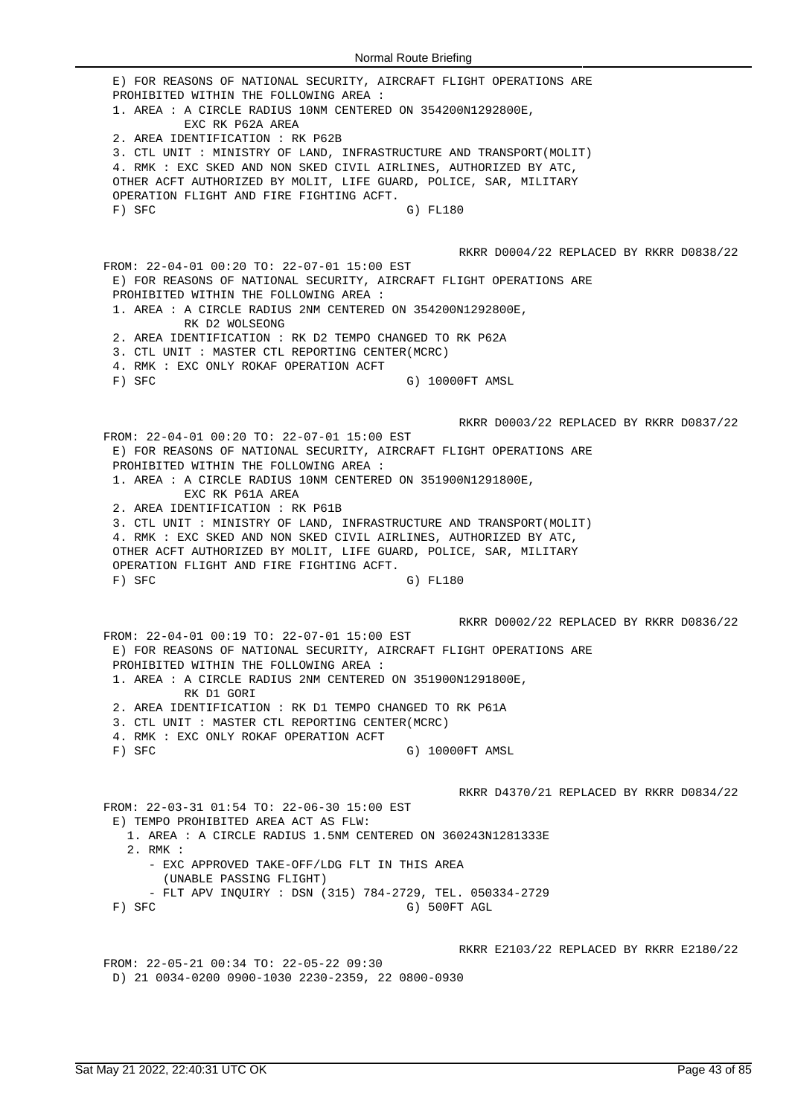E) FOR REASONS OF NATIONAL SECURITY, AIRCRAFT FLIGHT OPERATIONS ARE PROHIBITED WITHIN THE FOLLOWING AREA : 1. AREA : A CIRCLE RADIUS 10NM CENTERED ON 354200N1292800E, EXC RK P62A AREA 2. AREA IDENTIFICATION : RK P62B 3. CTL UNIT : MINISTRY OF LAND, INFRASTRUCTURE AND TRANSPORT(MOLIT) 4. RMK : EXC SKED AND NON SKED CIVIL AIRLINES, AUTHORIZED BY ATC, OTHER ACFT AUTHORIZED BY MOLIT, LIFE GUARD, POLICE, SAR, MILITARY OPERATION FLIGHT AND FIRE FIGHTING ACFT. F) SFC G) FL180 RKRR D0004/22 REPLACED BY RKRR D0838/22 FROM: 22-04-01 00:20 TO: 22-07-01 15:00 EST E) FOR REASONS OF NATIONAL SECURITY, AIRCRAFT FLIGHT OPERATIONS ARE PROHIBITED WITHIN THE FOLLOWING AREA : 1. AREA : A CIRCLE RADIUS 2NM CENTERED ON 354200N1292800E, RK D2 WOLSEONG 2. AREA IDENTIFICATION : RK D2 TEMPO CHANGED TO RK P62A 3. CTL UNIT : MASTER CTL REPORTING CENTER(MCRC) 4. RMK : EXC ONLY ROKAF OPERATION ACFT F) SFC G) 10000FT AMSL RKRR D0003/22 REPLACED BY RKRR D0837/22 FROM: 22-04-01 00:20 TO: 22-07-01 15:00 EST E) FOR REASONS OF NATIONAL SECURITY, AIRCRAFT FLIGHT OPERATIONS ARE PROHIBITED WITHIN THE FOLLOWING AREA : 1. AREA : A CIRCLE RADIUS 10NM CENTERED ON 351900N1291800E, EXC RK P61A AREA 2. AREA IDENTIFICATION : RK P61B 3. CTL UNIT : MINISTRY OF LAND, INFRASTRUCTURE AND TRANSPORT(MOLIT) 4. RMK : EXC SKED AND NON SKED CIVIL AIRLINES, AUTHORIZED BY ATC, OTHER ACFT AUTHORIZED BY MOLIT, LIFE GUARD, POLICE, SAR, MILITARY OPERATION FLIGHT AND FIRE FIGHTING ACFT. F) SFC G) FL180 RKRR D0002/22 REPLACED BY RKRR D0836/22 FROM: 22-04-01 00:19 TO: 22-07-01 15:00 EST E) FOR REASONS OF NATIONAL SECURITY, AIRCRAFT FLIGHT OPERATIONS ARE PROHIBITED WITHIN THE FOLLOWING AREA : 1. AREA : A CIRCLE RADIUS 2NM CENTERED ON 351900N1291800E, RK D1 GORI 2. AREA IDENTIFICATION : RK D1 TEMPO CHANGED TO RK P61A 3. CTL UNIT : MASTER CTL REPORTING CENTER(MCRC) 4. RMK : EXC ONLY ROKAF OPERATION ACFT F) SFC G) 10000FT AMSL RKRR D4370/21 REPLACED BY RKRR D0834/22 FROM: 22-03-31 01:54 TO: 22-06-30 15:00 EST E) TEMPO PROHIBITED AREA ACT AS FLW: 1. AREA : A CIRCLE RADIUS 1.5NM CENTERED ON 360243N1281333E 2. RMK : - EXC APPROVED TAKE-OFF/LDG FLT IN THIS AREA (UNABLE PASSING FLIGHT) - FLT APV INQUIRY : DSN (315) 784-2729, TEL. 050334-2729 F) SFC G) 500FT AGL RKRR E2103/22 REPLACED BY RKRR E2180/22 FROM: 22-05-21 00:34 TO: 22-05-22 09:30 D) 21 0034-0200 0900-1030 2230-2359, 22 0800-0930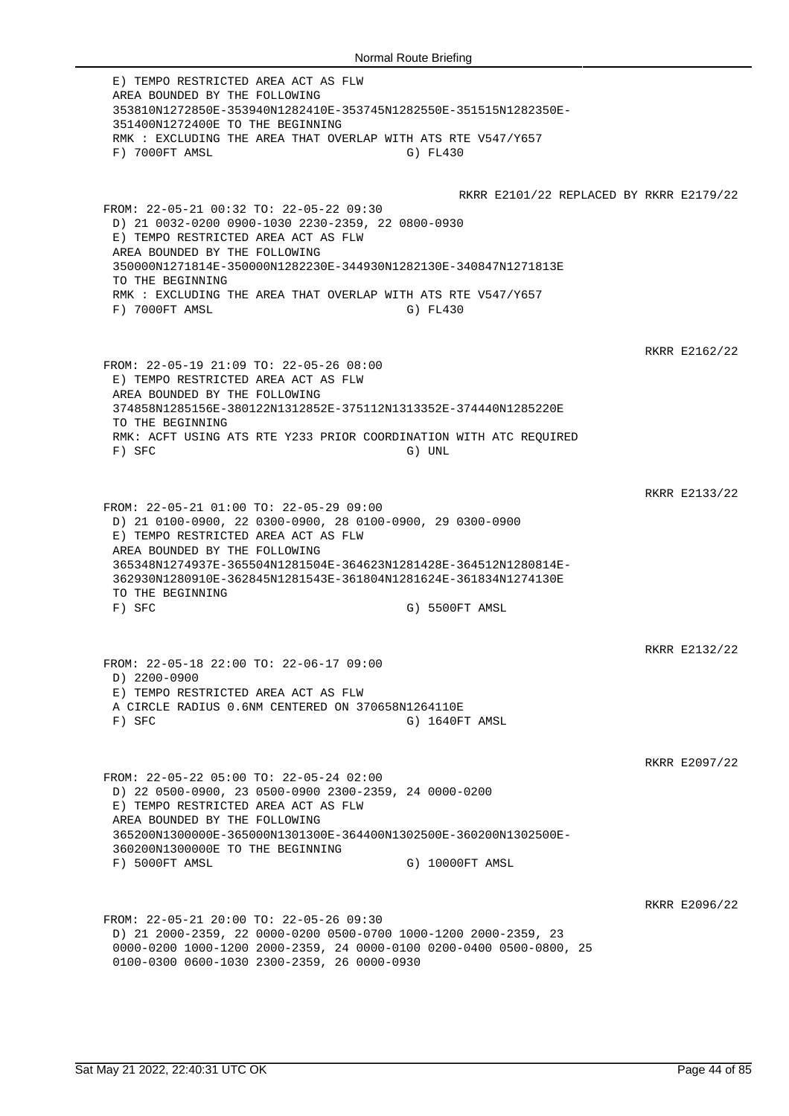E) TEMPO RESTRICTED AREA ACT AS FLW AREA BOUNDED BY THE FOLLOWING 353810N1272850E-353940N1282410E-353745N1282550E-351515N1282350E-351400N1272400E TO THE BEGINNING RMK : EXCLUDING THE AREA THAT OVERLAP WITH ATS RTE V547/Y657 F) 7000FT AMSL G) FL430 RKRR E2101/22 REPLACED BY RKRR E2179/22 FROM: 22-05-21 00:32 TO: 22-05-22 09:30 D) 21 0032-0200 0900-1030 2230-2359, 22 0800-0930 E) TEMPO RESTRICTED AREA ACT AS FLW AREA BOUNDED BY THE FOLLOWING 350000N1271814E-350000N1282230E-344930N1282130E-340847N1271813E TO THE BEGINNING RMK : EXCLUDING THE AREA THAT OVERLAP WITH ATS RTE V547/Y657 F) 7000FT AMSL G) FL430 RKRR E2162/22 FROM: 22-05-19 21:09 TO: 22-05-26 08:00 E) TEMPO RESTRICTED AREA ACT AS FLW AREA BOUNDED BY THE FOLLOWING 374858N1285156E-380122N1312852E-375112N1313352E-374440N1285220E TO THE BEGINNING RMK: ACFT USING ATS RTE Y233 PRIOR COORDINATION WITH ATC REQUIRED F) SFC G) UNL RKRR E2133/22 FROM: 22-05-21 01:00 TO: 22-05-29 09:00 D) 21 0100-0900, 22 0300-0900, 28 0100-0900, 29 0300-0900 E) TEMPO RESTRICTED AREA ACT AS FLW AREA BOUNDED BY THE FOLLOWING 365348N1274937E-365504N1281504E-364623N1281428E-364512N1280814E-362930N1280910E-362845N1281543E-361804N1281624E-361834N1274130E TO THE BEGINNING F) SFC G) 5500FT AMSL RKRR E2132/22 FROM: 22-05-18 22:00 TO: 22-06-17 09:00 D) 2200-0900 E) TEMPO RESTRICTED AREA ACT AS FLW A CIRCLE RADIUS 0.6NM CENTERED ON 370658N1264110E F) SFC G) 1640FT AMSL RKRR E2097/22 FROM: 22-05-22 05:00 TO: 22-05-24 02:00 D) 22 0500-0900, 23 0500-0900 2300-2359, 24 0000-0200 E) TEMPO RESTRICTED AREA ACT AS FLW AREA BOUNDED BY THE FOLLOWING 365200N1300000E-365000N1301300E-364400N1302500E-360200N1302500E-360200N1300000E TO THE BEGINNING F) 5000FT AMSL G) 10000FT AMSL RKRR E2096/22 FROM: 22-05-21 20:00 TO: 22-05-26 09:30 D) 21 2000-2359, 22 0000-0200 0500-0700 1000-1200 2000-2359, 23 0000-0200 1000-1200 2000-2359, 24 0000-0100 0200-0400 0500-0800, 25 0100-0300 0600-1030 2300-2359, 26 0000-0930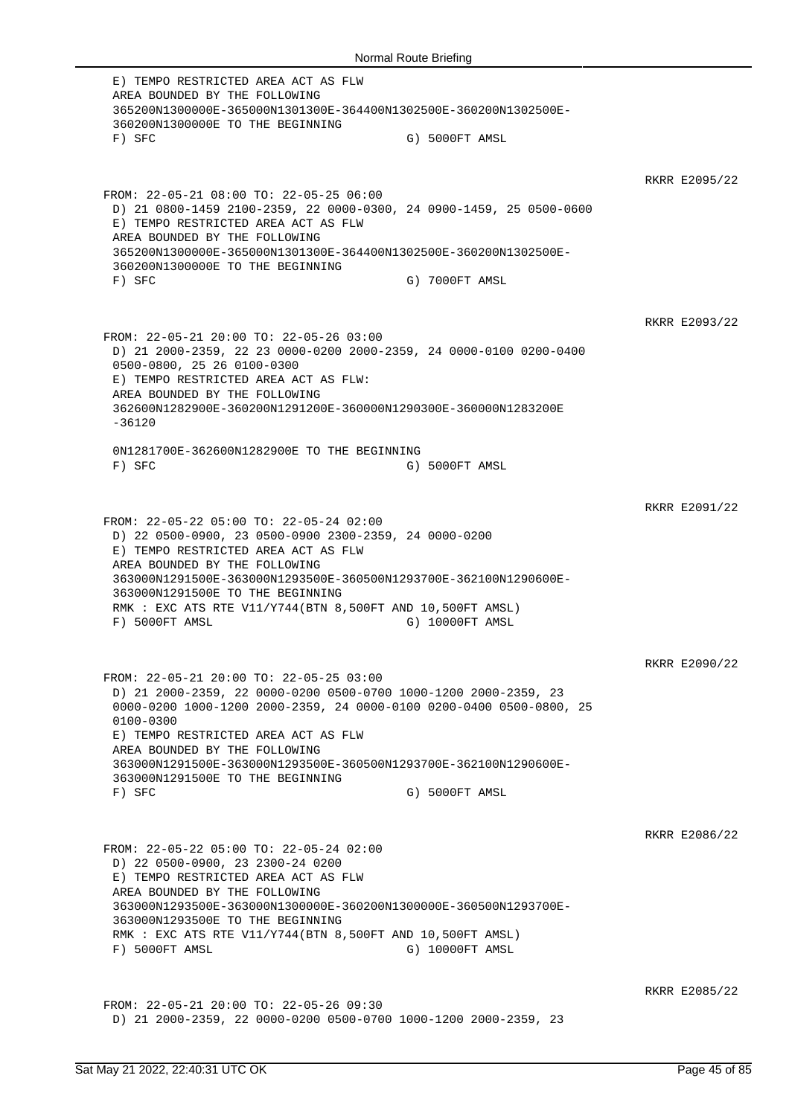E) TEMPO RESTRICTED AREA ACT AS FLW AREA BOUNDED BY THE FOLLOWING 365200N1300000E-365000N1301300E-364400N1302500E-360200N1302500E-360200N1300000E TO THE BEGINNING F) SFC G) 5000FT AMSL RKRR E2095/22 FROM: 22-05-21 08:00 TO: 22-05-25 06:00 D) 21 0800-1459 2100-2359, 22 0000-0300, 24 0900-1459, 25 0500-0600 E) TEMPO RESTRICTED AREA ACT AS FLW AREA BOUNDED BY THE FOLLOWING 365200N1300000E-365000N1301300E-364400N1302500E-360200N1302500E-360200N1300000E TO THE BEGINNING F) SFC G) 7000FT AMSL RKRR E2093/22 FROM: 22-05-21 20:00 TO: 22-05-26 03:00 D) 21 2000-2359, 22 23 0000-0200 2000-2359, 24 0000-0100 0200-0400 0500-0800, 25 26 0100-0300 E) TEMPO RESTRICTED AREA ACT AS FLW: AREA BOUNDED BY THE FOLLOWING 362600N1282900E-360200N1291200E-360000N1290300E-360000N1283200E  $-36120$ 0N1281700E-362600N1282900E TO THE BEGINNING F) SFC G) 5000FT AMSL RKRR E2091/22 FROM: 22-05-22 05:00 TO: 22-05-24 02:00 D) 22 0500-0900, 23 0500-0900 2300-2359, 24 0000-0200 E) TEMPO RESTRICTED AREA ACT AS FLW AREA BOUNDED BY THE FOLLOWING 363000N1291500E-363000N1293500E-360500N1293700E-362100N1290600E-363000N1291500E TO THE BEGINNING RMK : EXC ATS RTE V11/Y744(BTN 8,500FT AND 10,500FT AMSL) F) 5000FT AMSL G) 10000FT AMSL RKRR E2090/22 FROM: 22-05-21 20:00 TO: 22-05-25 03:00 D) 21 2000-2359, 22 0000-0200 0500-0700 1000-1200 2000-2359, 23 0000-0200 1000-1200 2000-2359, 24 0000-0100 0200-0400 0500-0800, 25 0100-0300 E) TEMPO RESTRICTED AREA ACT AS FLW AREA BOUNDED BY THE FOLLOWING 363000N1291500E-363000N1293500E-360500N1293700E-362100N1290600E-363000N1291500E TO THE BEGINNING F) SFC G) 5000FT AMSL RKRR E2086/22 FROM: 22-05-22 05:00 TO: 22-05-24 02:00 D) 22 0500-0900, 23 2300-24 0200 E) TEMPO RESTRICTED AREA ACT AS FLW AREA BOUNDED BY THE FOLLOWING 363000N1293500E-363000N1300000E-360200N1300000E-360500N1293700E-363000N1293500E TO THE BEGINNING RMK : EXC ATS RTE V11/Y744(BTN 8,500FT AND 10,500FT AMSL) F) 5000FT AMSL G) 10000FT AMSL RKRR E2085/22 FROM: 22-05-21 20:00 TO: 22-05-26 09:30 D) 21 2000-2359, 22 0000-0200 0500-0700 1000-1200 2000-2359, 23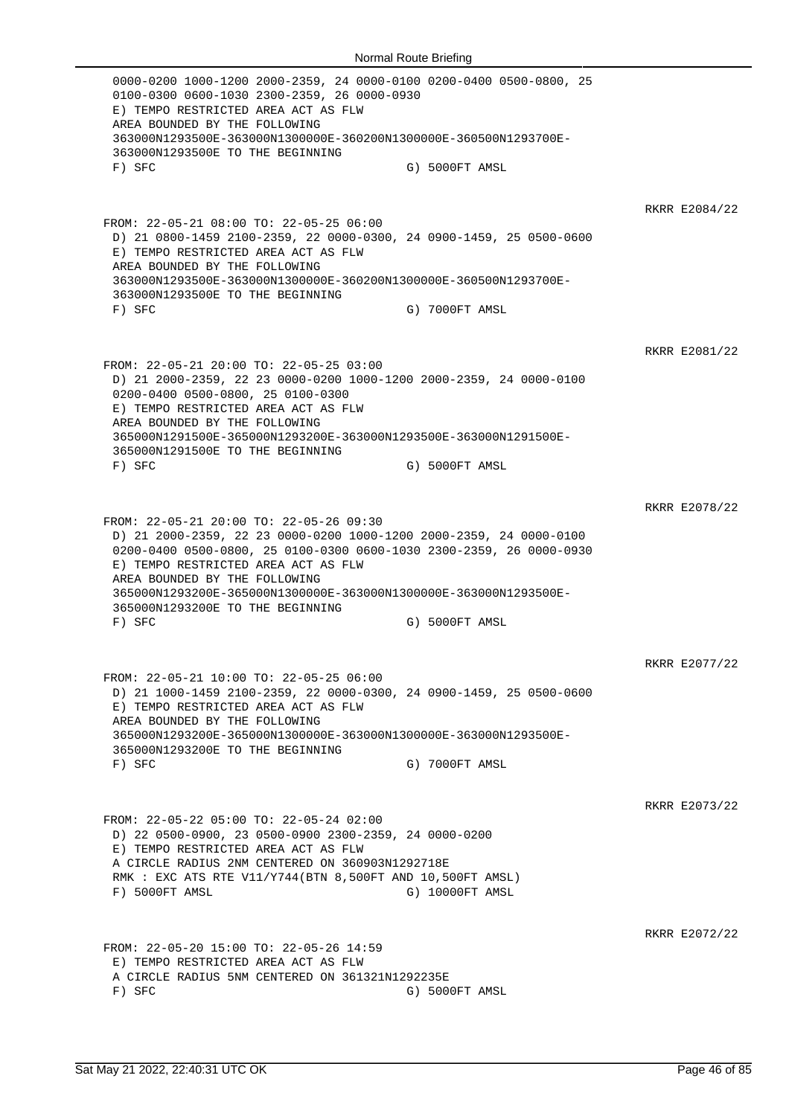0000-0200 1000-1200 2000-2359, 24 0000-0100 0200-0400 0500-0800, 25 0100-0300 0600-1030 2300-2359, 26 0000-0930 E) TEMPO RESTRICTED AREA ACT AS FLW AREA BOUNDED BY THE FOLLOWING 363000N1293500E-363000N1300000E-360200N1300000E-360500N1293700E-363000N1293500E TO THE BEGINNING F) SFC G) 5000FT AMSL RKRR E2084/22 FROM: 22-05-21 08:00 TO: 22-05-25 06:00 D) 21 0800-1459 2100-2359, 22 0000-0300, 24 0900-1459, 25 0500-0600 E) TEMPO RESTRICTED AREA ACT AS FLW AREA BOUNDED BY THE FOLLOWING 363000N1293500E-363000N1300000E-360200N1300000E-360500N1293700E-363000N1293500E TO THE BEGINNING F) SFC G) 7000FT AMSL RKRR E2081/22 FROM: 22-05-21 20:00 TO: 22-05-25 03:00 D) 21 2000-2359, 22 23 0000-0200 1000-1200 2000-2359, 24 0000-0100 0200-0400 0500-0800, 25 0100-0300 E) TEMPO RESTRICTED AREA ACT AS FLW AREA BOUNDED BY THE FOLLOWING 365000N1291500E-365000N1293200E-363000N1293500E-363000N1291500E-365000N1291500E TO THE BEGINNING F) SFC G) 5000FT AMSL RKRR E2078/22 FROM: 22-05-21 20:00 TO: 22-05-26 09:30 D) 21 2000-2359, 22 23 0000-0200 1000-1200 2000-2359, 24 0000-0100 0200-0400 0500-0800, 25 0100-0300 0600-1030 2300-2359, 26 0000-0930 E) TEMPO RESTRICTED AREA ACT AS FLW AREA BOUNDED BY THE FOLLOWING 365000N1293200E-365000N1300000E-363000N1300000E-363000N1293500E-365000N1293200E TO THE BEGINNING F) SFC G) 5000FT AMSL RKRR E2077/22 FROM: 22-05-21 10:00 TO: 22-05-25 06:00 D) 21 1000-1459 2100-2359, 22 0000-0300, 24 0900-1459, 25 0500-0600 E) TEMPO RESTRICTED AREA ACT AS FLW AREA BOUNDED BY THE FOLLOWING 365000N1293200E-365000N1300000E-363000N1300000E-363000N1293500E-365000N1293200E TO THE BEGINNING F) SFC G) 7000FT AMSL RKRR E2073/22 FROM: 22-05-22 05:00 TO: 22-05-24 02:00 D) 22 0500-0900, 23 0500-0900 2300-2359, 24 0000-0200 E) TEMPO RESTRICTED AREA ACT AS FLW A CIRCLE RADIUS 2NM CENTERED ON 360903N1292718E RMK : EXC ATS RTE V11/Y744(BTN 8,500FT AND 10,500FT AMSL) F) 5000FT AMSL G) 10000FT AMSL RKRR E2072/22 FROM: 22-05-20 15:00 TO: 22-05-26 14:59 E) TEMPO RESTRICTED AREA ACT AS FLW A CIRCLE RADIUS 5NM CENTERED ON 361321N1292235E F) SFC G) 5000FT AMSL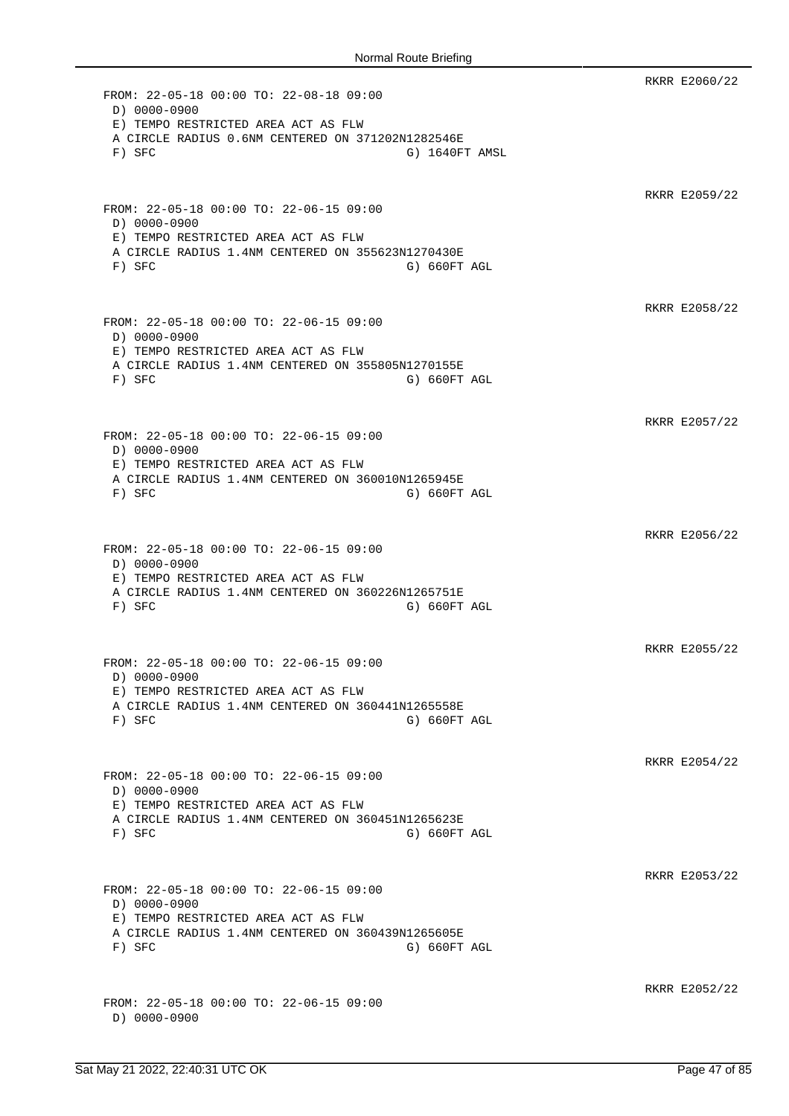RKRR E2060/22 FROM: 22-05-18 00:00 TO: 22-08-18 09:00 D) 0000-0900 E) TEMPO RESTRICTED AREA ACT AS FLW A CIRCLE RADIUS 0.6NM CENTERED ON 371202N1282546E F) SFC G) 1640FT AMSL RKRR E2059/22 FROM: 22-05-18 00:00 TO: 22-06-15 09:00 D) 0000-0900 E) TEMPO RESTRICTED AREA ACT AS FLW A CIRCLE RADIUS 1.4NM CENTERED ON 355623N1270430E F) SFC G) SFC RKRR E2058/22 FROM: 22-05-18 00:00 TO: 22-06-15 09:00 D) 0000-0900 E) TEMPO RESTRICTED AREA ACT AS FLW A CIRCLE RADIUS 1.4NM CENTERED ON 355805N1270155E F) SFC G) G60FT AGL RKRR E2057/22 FROM: 22-05-18 00:00 TO: 22-06-15 09:00 D) 0000-0900 E) TEMPO RESTRICTED AREA ACT AS FLW A CIRCLE RADIUS 1.4NM CENTERED ON 360010N1265945E F) SFC G) 660FT AGL RKRR E2056/22 FROM: 22-05-18 00:00 TO: 22-06-15 09:00 D) 0000-0900 E) TEMPO RESTRICTED AREA ACT AS FLW A CIRCLE RADIUS 1.4NM CENTERED ON 360226N1265751E F) SFC G) SFC RKRR E2055/22 FROM: 22-05-18 00:00 TO: 22-06-15 09:00 D) 0000-0900 E) TEMPO RESTRICTED AREA ACT AS FLW A CIRCLE RADIUS 1.4NM CENTERED ON 360441N1265558E F) SFC G) SFC RKRR E2054/22 FROM: 22-05-18 00:00 TO: 22-06-15 09:00 D) 0000-0900 E) TEMPO RESTRICTED AREA ACT AS FLW A CIRCLE RADIUS 1.4NM CENTERED ON 360451N1265623E F) SFC G) 660FT AGL RKRR E2053/22 FROM: 22-05-18 00:00 TO: 22-06-15 09:00 D) 0000-0900 E) TEMPO RESTRICTED AREA ACT AS FLW A CIRCLE RADIUS 1.4NM CENTERED ON 360439N1265605E F) SFC G) SFC RKRR E2052/22 FROM: 22-05-18 00:00 TO: 22-06-15 09:00 D) 0000-0900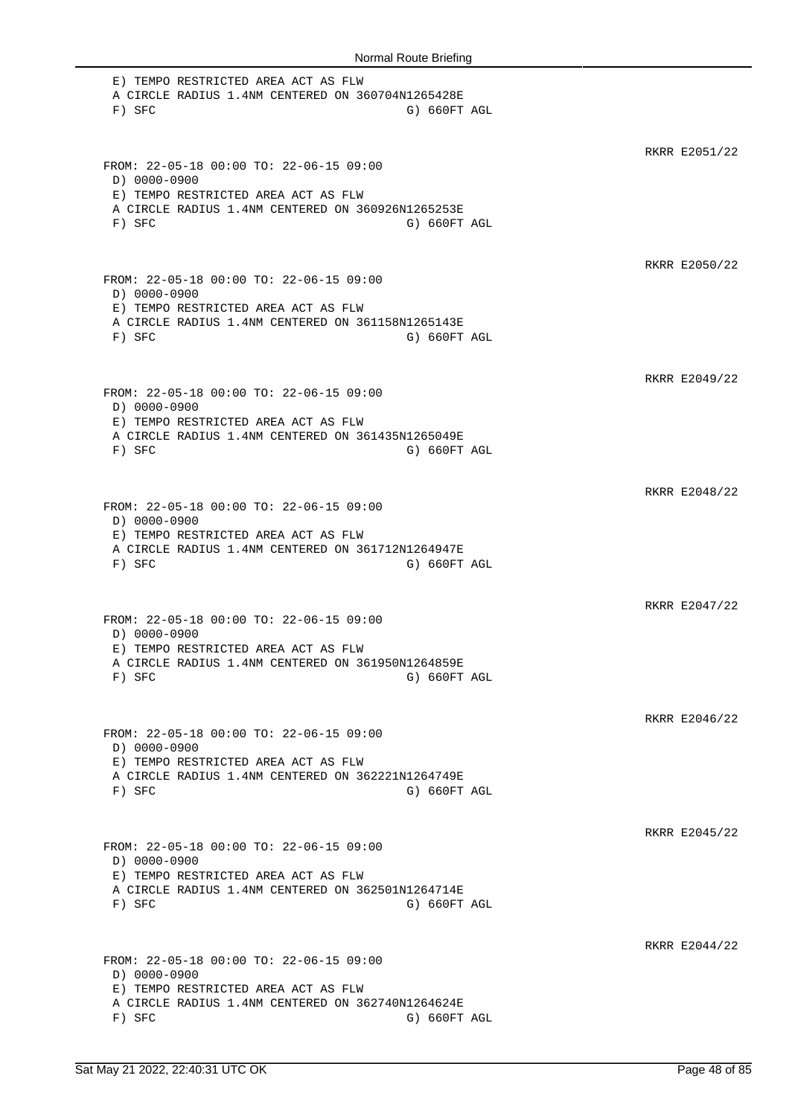E) TEMPO RESTRICTED AREA ACT AS FLW A CIRCLE RADIUS 1.4NM CENTERED ON 360704N1265428E F) SFC G) SFC RKRR E2051/22 FROM: 22-05-18 00:00 TO: 22-06-15 09:00 D) 0000-0900 E) TEMPO RESTRICTED AREA ACT AS FLW A CIRCLE RADIUS 1.4NM CENTERED ON 360926N1265253E F) SFC G) SFC G) SFC RKRR E2050/22 FROM: 22-05-18 00:00 TO: 22-06-15 09:00 D) 0000-0900 E) TEMPO RESTRICTED AREA ACT AS FLW A CIRCLE RADIUS 1.4NM CENTERED ON 361158N1265143E F) SFC G) 660FT AGL RKRR E2049/22 FROM: 22-05-18 00:00 TO: 22-06-15 09:00 D) 0000-0900 E) TEMPO RESTRICTED AREA ACT AS FLW A CIRCLE RADIUS 1.4NM CENTERED ON 361435N1265049E F) SFC G) SFC RKRR E2048/22 FROM: 22-05-18 00:00 TO: 22-06-15 09:00 D) 0000-0900 E) TEMPO RESTRICTED AREA ACT AS FLW A CIRCLE RADIUS 1.4NM CENTERED ON 361712N1264947E F) SFC G) SFC G) SFC RKRR E2047/22 FROM: 22-05-18 00:00 TO: 22-06-15 09:00 D) 0000-0900 E) TEMPO RESTRICTED AREA ACT AS FLW A CIRCLE RADIUS 1.4NM CENTERED ON 361950N1264859E F) SFC G) SFC RKRR E2046/22 FROM: 22-05-18 00:00 TO: 22-06-15 09:00 D) 0000-0900 E) TEMPO RESTRICTED AREA ACT AS FLW A CIRCLE RADIUS 1.4NM CENTERED ON 362221N1264749E F) SFC G) SFC G) SFC RKRR E2045/22 FROM: 22-05-18 00:00 TO: 22-06-15 09:00 D) 0000-0900 E) TEMPO RESTRICTED AREA ACT AS FLW A CIRCLE RADIUS 1.4NM CENTERED ON 362501N1264714E F) SFC G) SFC RKRR E2044/22 FROM: 22-05-18 00:00 TO: 22-06-15 09:00 D) 0000-0900 E) TEMPO RESTRICTED AREA ACT AS FLW A CIRCLE RADIUS 1.4NM CENTERED ON 362740N1264624E F) SFC G) G60FT AGL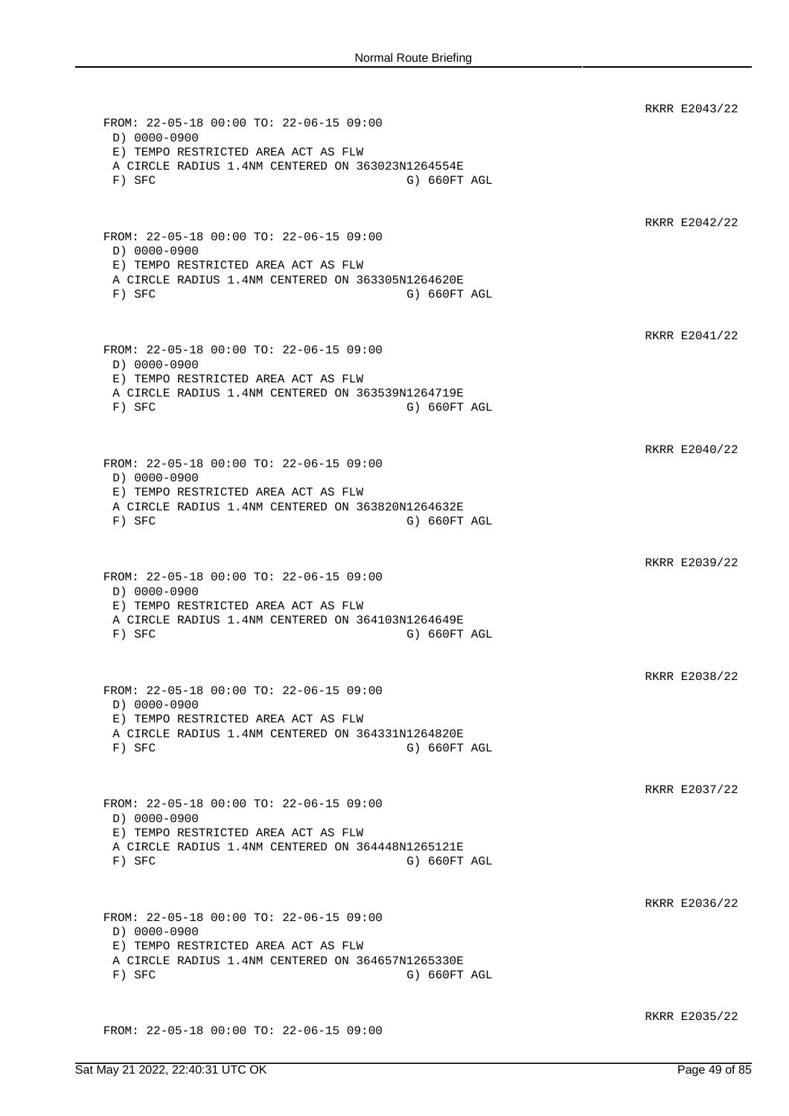RKRR E2043/22 FROM: 22-05-18 00:00 TO: 22-06-15 09:00 D) 0000-0900 E) TEMPO RESTRICTED AREA ACT AS FLW A CIRCLE RADIUS 1.4NM CENTERED ON 363023N1264554E F) SFC G) SFC G) SFC RKRR E2042/22 FROM: 22-05-18 00:00 TO: 22-06-15 09:00 D) 0000-0900 E) TEMPO RESTRICTED AREA ACT AS FLW A CIRCLE RADIUS 1.4NM CENTERED ON 363305N1264620E F) SFC G) 660FT AGL RKRR E2041/22 FROM: 22-05-18 00:00 TO: 22-06-15 09:00 D) 0000-0900 E) TEMPO RESTRICTED AREA ACT AS FLW A CIRCLE RADIUS 1.4NM CENTERED ON 363539N1264719E F) SFC G) SFC G) SFC RKRR E2040/22 FROM: 22-05-18 00:00 TO: 22-06-15 09:00 D) 0000-0900 E) TEMPO RESTRICTED AREA ACT AS FLW A CIRCLE RADIUS 1.4NM CENTERED ON 363820N1264632E F) SFC G) 660FT AGL RKRR E2039/22 FROM: 22-05-18 00:00 TO: 22-06-15 09:00 D) 0000-0900 E) TEMPO RESTRICTED AREA ACT AS FLW A CIRCLE RADIUS 1.4NM CENTERED ON 364103N1264649E F) SFC G) 660FT AGL RKRR E2038/22 FROM: 22-05-18 00:00 TO: 22-06-15 09:00 D) 0000-0900 E) TEMPO RESTRICTED AREA ACT AS FLW A CIRCLE RADIUS 1.4NM CENTERED ON 364331N1264820E F) SFC G) 660FT AGL RKRR E2037/22 FROM: 22-05-18 00:00 TO: 22-06-15 09:00 D) 0000-0900 E) TEMPO RESTRICTED AREA ACT AS FLW A CIRCLE RADIUS 1.4NM CENTERED ON 364448N1265121E F) SFC G) G60FT AGL RKRR E2036/22 FROM: 22-05-18 00:00 TO: 22-06-15 09:00 D) 0000-0900 E) TEMPO RESTRICTED AREA ACT AS FLW A CIRCLE RADIUS 1.4NM CENTERED ON 364657N1265330E F) SFC G) 660FT AGL RKRR E2035/22 FROM: 22-05-18 00:00 TO: 22-06-15 09:00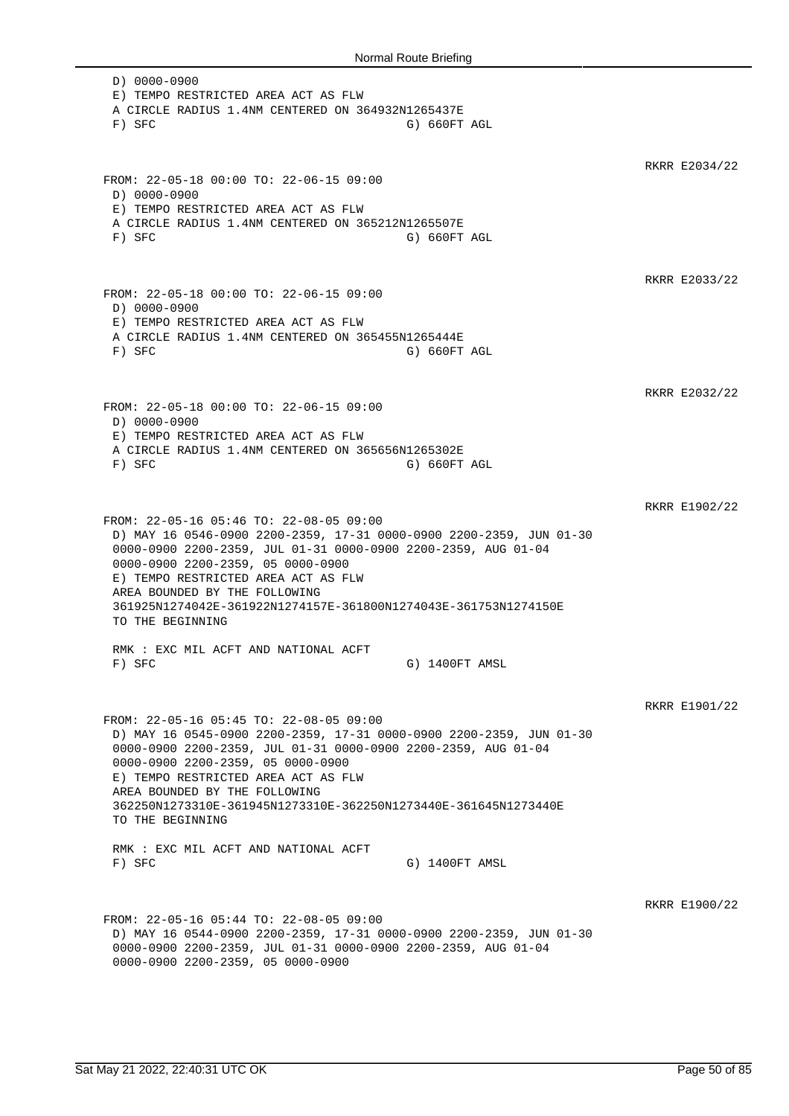D) 0000-0900 E) TEMPO RESTRICTED AREA ACT AS FLW A CIRCLE RADIUS 1.4NM CENTERED ON 364932N1265437E F) SFC G) 660FT AGL RKRR E2034/22 FROM: 22-05-18 00:00 TO: 22-06-15 09:00 D) 0000-0900 E) TEMPO RESTRICTED AREA ACT AS FLW A CIRCLE RADIUS 1.4NM CENTERED ON 365212N1265507E F) SFC G) 660FT AGL RKRR E2033/22 FROM: 22-05-18 00:00 TO: 22-06-15 09:00 D) 0000-0900 E) TEMPO RESTRICTED AREA ACT AS FLW A CIRCLE RADIUS 1.4NM CENTERED ON 365455N1265444E F) SFC G) 660FT AGL RKRR E2032/22 FROM: 22-05-18 00:00 TO: 22-06-15 09:00 D) 0000-0900 E) TEMPO RESTRICTED AREA ACT AS FLW A CIRCLE RADIUS 1.4NM CENTERED ON 365656N1265302E F) SFC G) 660FT AGL RKRR E1902/22 FROM: 22-05-16 05:46 TO: 22-08-05 09:00 D) MAY 16 0546-0900 2200-2359, 17-31 0000-0900 2200-2359, JUN 01-30 0000-0900 2200-2359, JUL 01-31 0000-0900 2200-2359, AUG 01-04 0000-0900 2200-2359, 05 0000-0900 E) TEMPO RESTRICTED AREA ACT AS FLW AREA BOUNDED BY THE FOLLOWING 361925N1274042E-361922N1274157E-361800N1274043E-361753N1274150E TO THE BEGINNING RMK : EXC MIL ACFT AND NATIONAL ACFT F) SFC G) 1400FT AMSL RKRR E1901/22 FROM: 22-05-16 05:45 TO: 22-08-05 09:00 D) MAY 16 0545-0900 2200-2359, 17-31 0000-0900 2200-2359, JUN 01-30 0000-0900 2200-2359, JUL 01-31 0000-0900 2200-2359, AUG 01-04 0000-0900 2200-2359, 05 0000-0900 E) TEMPO RESTRICTED AREA ACT AS FLW AREA BOUNDED BY THE FOLLOWING 362250N1273310E-361945N1273310E-362250N1273440E-361645N1273440E TO THE BEGINNING RMK : EXC MIL ACFT AND NATIONAL ACFT F) SFC G) 1400FT AMSL RKRR E1900/22 FROM: 22-05-16 05:44 TO: 22-08-05 09:00 D) MAY 16 0544-0900 2200-2359, 17-31 0000-0900 2200-2359, JUN 01-30 0000-0900 2200-2359, JUL 01-31 0000-0900 2200-2359, AUG 01-04 0000-0900 2200-2359, 05 0000-0900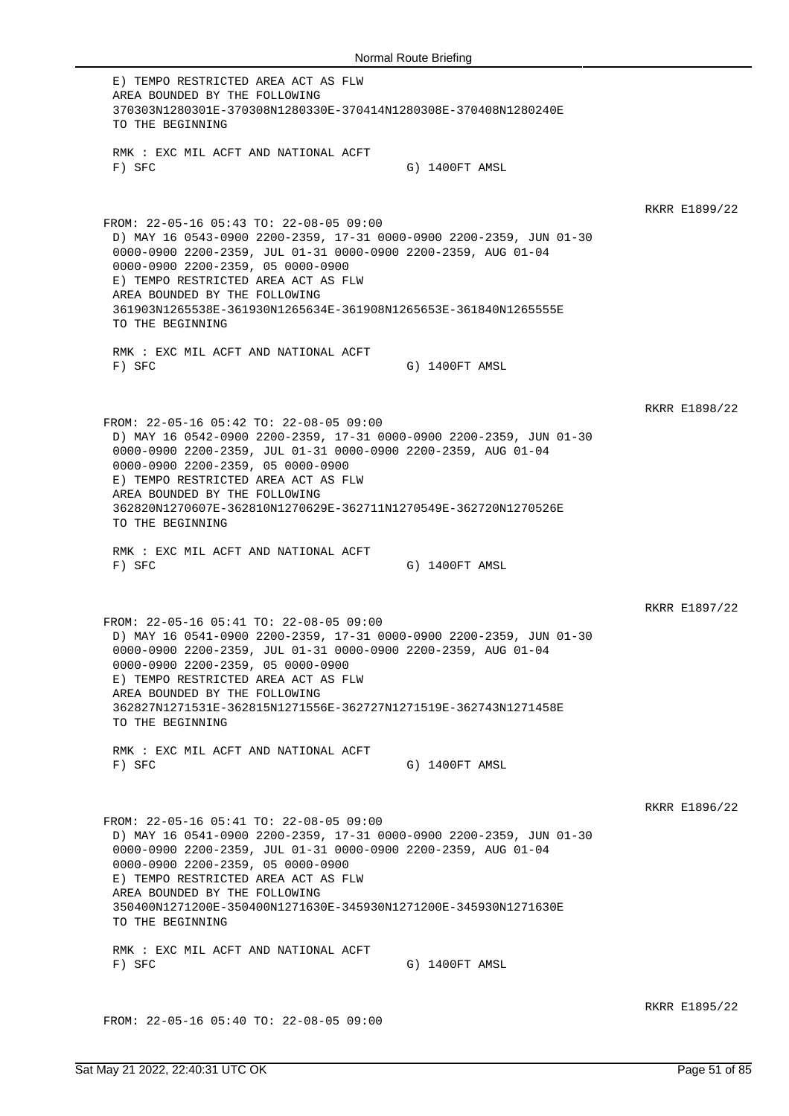E) TEMPO RESTRICTED AREA ACT AS FLW AREA BOUNDED BY THE FOLLOWING 370303N1280301E-370308N1280330E-370414N1280308E-370408N1280240E TO THE BEGINNING RMK : EXC MIL ACFT AND NATIONAL ACFT F) SFC G) 1400FT AMSL RKRR E1899/22 FROM: 22-05-16 05:43 TO: 22-08-05 09:00 D) MAY 16 0543-0900 2200-2359, 17-31 0000-0900 2200-2359, JUN 01-30 0000-0900 2200-2359, JUL 01-31 0000-0900 2200-2359, AUG 01-04 0000-0900 2200-2359, 05 0000-0900 E) TEMPO RESTRICTED AREA ACT AS FLW AREA BOUNDED BY THE FOLLOWING 361903N1265538E-361930N1265634E-361908N1265653E-361840N1265555E TO THE BEGINNING RMK : EXC MIL ACFT AND NATIONAL ACFT F) SFC G) 1400FT AMSL RKRR E1898/22 FROM: 22-05-16 05:42 TO: 22-08-05 09:00 D) MAY 16 0542-0900 2200-2359, 17-31 0000-0900 2200-2359, JUN 01-30 0000-0900 2200-2359, JUL 01-31 0000-0900 2200-2359, AUG 01-04 0000-0900 2200-2359, 05 0000-0900 E) TEMPO RESTRICTED AREA ACT AS FLW AREA BOUNDED BY THE FOLLOWING 362820N1270607E-362810N1270629E-362711N1270549E-362720N1270526E TO THE BEGINNING RMK : EXC MIL ACFT AND NATIONAL ACFT F) SFC G) 1400FT AMSL RKRR E1897/22 FROM: 22-05-16 05:41 TO: 22-08-05 09:00 D) MAY 16 0541-0900 2200-2359, 17-31 0000-0900 2200-2359, JUN 01-30 0000-0900 2200-2359, JUL 01-31 0000-0900 2200-2359, AUG 01-04 0000-0900 2200-2359, 05 0000-0900 E) TEMPO RESTRICTED AREA ACT AS FLW AREA BOUNDED BY THE FOLLOWING 362827N1271531E-362815N1271556E-362727N1271519E-362743N1271458E TO THE BEGINNING RMK : EXC MIL ACFT AND NATIONAL ACFT F) SFC G) 1400FT AMSL RKRR E1896/22 FROM: 22-05-16 05:41 TO: 22-08-05 09:00 D) MAY 16 0541-0900 2200-2359, 17-31 0000-0900 2200-2359, JUN 01-30 0000-0900 2200-2359, JUL 01-31 0000-0900 2200-2359, AUG 01-04 0000-0900 2200-2359, 05 0000-0900 E) TEMPO RESTRICTED AREA ACT AS FLW AREA BOUNDED BY THE FOLLOWING 350400N1271200E-350400N1271630E-345930N1271200E-345930N1271630E TO THE BEGINNING RMK : EXC MIL ACFT AND NATIONAL ACFT F) SFC G) 1400FT AMSL RKRR E1895/22

FROM: 22-05-16 05:40 TO: 22-08-05 09:00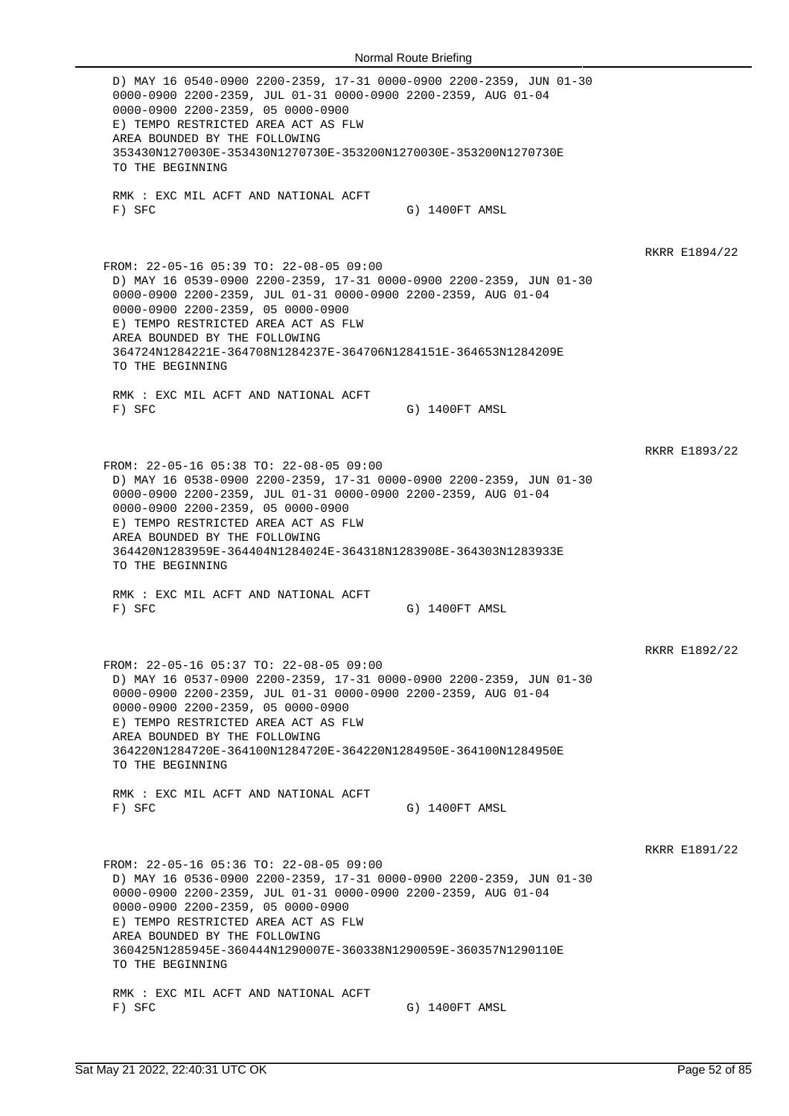D) MAY 16 0540-0900 2200-2359, 17-31 0000-0900 2200-2359, JUN 01-30 0000-0900 2200-2359, JUL 01-31 0000-0900 2200-2359, AUG 01-04 0000-0900 2200-2359, 05 0000-0900 E) TEMPO RESTRICTED AREA ACT AS FLW AREA BOUNDED BY THE FOLLOWING 353430N1270030E-353430N1270730E-353200N1270030E-353200N1270730E TO THE BEGINNING RMK : EXC MIL ACFT AND NATIONAL ACFT F) SFC G) 1400FT AMSL RKRR E1894/22 FROM: 22-05-16 05:39 TO: 22-08-05 09:00 D) MAY 16 0539-0900 2200-2359, 17-31 0000-0900 2200-2359, JUN 01-30 0000-0900 2200-2359, JUL 01-31 0000-0900 2200-2359, AUG 01-04 0000-0900 2200-2359, 05 0000-0900 E) TEMPO RESTRICTED AREA ACT AS FLW AREA BOUNDED BY THE FOLLOWING 364724N1284221E-364708N1284237E-364706N1284151E-364653N1284209E TO THE BEGINNING RMK : EXC MIL ACFT AND NATIONAL ACFT F) SFC G) 1400FT AMSL RKRR E1893/22 FROM: 22-05-16 05:38 TO: 22-08-05 09:00 D) MAY 16 0538-0900 2200-2359, 17-31 0000-0900 2200-2359, JUN 01-30 0000-0900 2200-2359, JUL 01-31 0000-0900 2200-2359, AUG 01-04 0000-0900 2200-2359, 05 0000-0900 E) TEMPO RESTRICTED AREA ACT AS FLW AREA BOUNDED BY THE FOLLOWING 364420N1283959E-364404N1284024E-364318N1283908E-364303N1283933E TO THE BEGINNING RMK : EXC MIL ACFT AND NATIONAL ACFT F) SFC G) 1400FT AMSL RKRR E1892/22 FROM: 22-05-16 05:37 TO: 22-08-05 09:00 D) MAY 16 0537-0900 2200-2359, 17-31 0000-0900 2200-2359, JUN 01-30 0000-0900 2200-2359, JUL 01-31 0000-0900 2200-2359, AUG 01-04 0000-0900 2200-2359, 05 0000-0900 E) TEMPO RESTRICTED AREA ACT AS FLW AREA BOUNDED BY THE FOLLOWING 364220N1284720E-364100N1284720E-364220N1284950E-364100N1284950E TO THE BEGINNING RMK : EXC MIL ACFT AND NATIONAL ACFT F) SFC G) 1400FT AMSL RKRR E1891/22 FROM: 22-05-16 05:36 TO: 22-08-05 09:00 D) MAY 16 0536-0900 2200-2359, 17-31 0000-0900 2200-2359, JUN 01-30 0000-0900 2200-2359, JUL 01-31 0000-0900 2200-2359, AUG 01-04 0000-0900 2200-2359, 05 0000-0900 E) TEMPO RESTRICTED AREA ACT AS FLW AREA BOUNDED BY THE FOLLOWING 360425N1285945E-360444N1290007E-360338N1290059E-360357N1290110E TO THE BEGINNING RMK : EXC MIL ACFT AND NATIONAL ACFT F) SFC G) 1400FT AMSL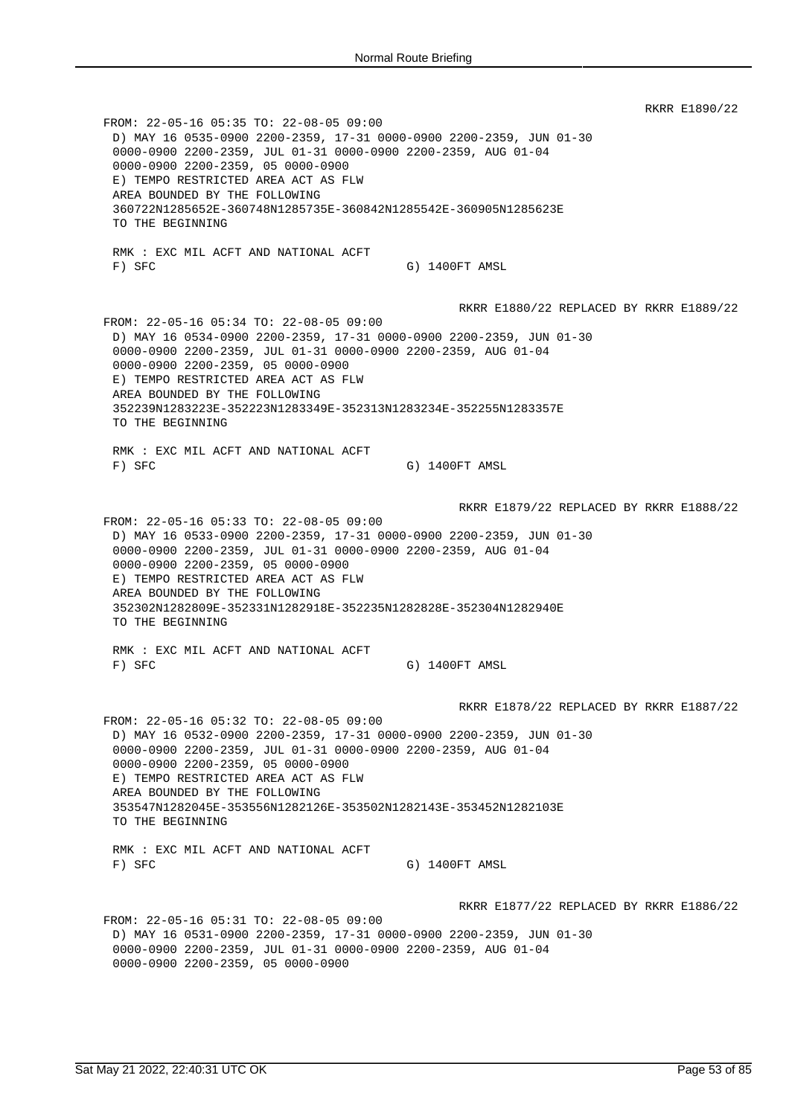RKRR E1890/22 FROM: 22-05-16 05:35 TO: 22-08-05 09:00 D) MAY 16 0535-0900 2200-2359, 17-31 0000-0900 2200-2359, JUN 01-30 0000-0900 2200-2359, JUL 01-31 0000-0900 2200-2359, AUG 01-04 0000-0900 2200-2359, 05 0000-0900 E) TEMPO RESTRICTED AREA ACT AS FLW AREA BOUNDED BY THE FOLLOWING 360722N1285652E-360748N1285735E-360842N1285542E-360905N1285623E TO THE BEGINNING RMK : EXC MIL ACFT AND NATIONAL ACFT F) SFC G) 1400FT AMSL RKRR E1880/22 REPLACED BY RKRR E1889/22 FROM: 22-05-16 05:34 TO: 22-08-05 09:00 D) MAY 16 0534-0900 2200-2359, 17-31 0000-0900 2200-2359, JUN 01-30 0000-0900 2200-2359, JUL 01-31 0000-0900 2200-2359, AUG 01-04 0000-0900 2200-2359, 05 0000-0900 E) TEMPO RESTRICTED AREA ACT AS FLW AREA BOUNDED BY THE FOLLOWING 352239N1283223E-352223N1283349E-352313N1283234E-352255N1283357E TO THE BEGINNING RMK : EXC MIL ACFT AND NATIONAL ACFT F) SFC G) 1400FT AMSL RKRR E1879/22 REPLACED BY RKRR E1888/22 FROM: 22-05-16 05:33 TO: 22-08-05 09:00 D) MAY 16 0533-0900 2200-2359, 17-31 0000-0900 2200-2359, JUN 01-30 0000-0900 2200-2359, JUL 01-31 0000-0900 2200-2359, AUG 01-04 0000-0900 2200-2359, 05 0000-0900 E) TEMPO RESTRICTED AREA ACT AS FLW AREA BOUNDED BY THE FOLLOWING 352302N1282809E-352331N1282918E-352235N1282828E-352304N1282940E TO THE BEGINNING RMK : EXC MIL ACFT AND NATIONAL ACFT F) SFC G) 1400FT AMSL RKRR E1878/22 REPLACED BY RKRR E1887/22 FROM: 22-05-16 05:32 TO: 22-08-05 09:00 D) MAY 16 0532-0900 2200-2359, 17-31 0000-0900 2200-2359, JUN 01-30 0000-0900 2200-2359, JUL 01-31 0000-0900 2200-2359, AUG 01-04 0000-0900 2200-2359, 05 0000-0900 E) TEMPO RESTRICTED AREA ACT AS FLW AREA BOUNDED BY THE FOLLOWING 353547N1282045E-353556N1282126E-353502N1282143E-353452N1282103E TO THE BEGINNING RMK : EXC MIL ACFT AND NATIONAL ACFT F) SFC G) 1400FT AMSL RKRR E1877/22 REPLACED BY RKRR E1886/22 FROM: 22-05-16 05:31 TO: 22-08-05 09:00 D) MAY 16 0531-0900 2200-2359, 17-31 0000-0900 2200-2359, JUN 01-30 0000-0900 2200-2359, JUL 01-31 0000-0900 2200-2359, AUG 01-04 0000-0900 2200-2359, 05 0000-0900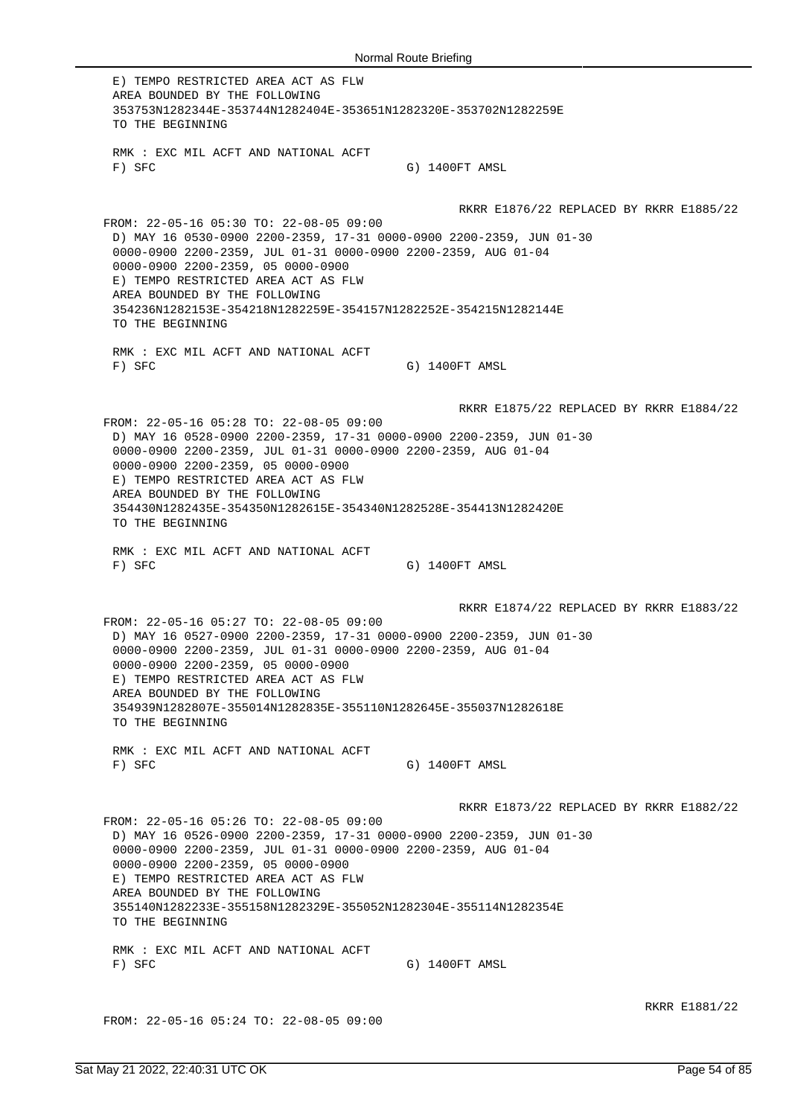E) TEMPO RESTRICTED AREA ACT AS FLW AREA BOUNDED BY THE FOLLOWING 353753N1282344E-353744N1282404E-353651N1282320E-353702N1282259E TO THE BEGINNING RMK : EXC MIL ACFT AND NATIONAL ACFT F) SFC G) 1400FT AMSL RKRR E1876/22 REPLACED BY RKRR E1885/22 FROM: 22-05-16 05:30 TO: 22-08-05 09:00 D) MAY 16 0530-0900 2200-2359, 17-31 0000-0900 2200-2359, JUN 01-30 0000-0900 2200-2359, JUL 01-31 0000-0900 2200-2359, AUG 01-04 0000-0900 2200-2359, 05 0000-0900 E) TEMPO RESTRICTED AREA ACT AS FLW AREA BOUNDED BY THE FOLLOWING 354236N1282153E-354218N1282259E-354157N1282252E-354215N1282144E TO THE BEGINNING RMK : EXC MIL ACFT AND NATIONAL ACFT F) SFC G) 1400FT AMSL RKRR E1875/22 REPLACED BY RKRR E1884/22 FROM: 22-05-16 05:28 TO: 22-08-05 09:00 D) MAY 16 0528-0900 2200-2359, 17-31 0000-0900 2200-2359, JUN 01-30 0000-0900 2200-2359, JUL 01-31 0000-0900 2200-2359, AUG 01-04 0000-0900 2200-2359, 05 0000-0900 E) TEMPO RESTRICTED AREA ACT AS FLW AREA BOUNDED BY THE FOLLOWING 354430N1282435E-354350N1282615E-354340N1282528E-354413N1282420E TO THE BEGINNING RMK : EXC MIL ACFT AND NATIONAL ACFT F) SFC G) 1400FT AMSL RKRR E1874/22 REPLACED BY RKRR E1883/22 FROM: 22-05-16 05:27 TO: 22-08-05 09:00 D) MAY 16 0527-0900 2200-2359, 17-31 0000-0900 2200-2359, JUN 01-30 0000-0900 2200-2359, JUL 01-31 0000-0900 2200-2359, AUG 01-04 0000-0900 2200-2359, 05 0000-0900 E) TEMPO RESTRICTED AREA ACT AS FLW AREA BOUNDED BY THE FOLLOWING 354939N1282807E-355014N1282835E-355110N1282645E-355037N1282618E TO THE BEGINNING RMK : EXC MIL ACFT AND NATIONAL ACFT F) SFC G) 1400FT AMSL RKRR E1873/22 REPLACED BY RKRR E1882/22 FROM: 22-05-16 05:26 TO: 22-08-05 09:00 D) MAY 16 0526-0900 2200-2359, 17-31 0000-0900 2200-2359, JUN 01-30 0000-0900 2200-2359, JUL 01-31 0000-0900 2200-2359, AUG 01-04 0000-0900 2200-2359, 05 0000-0900 E) TEMPO RESTRICTED AREA ACT AS FLW AREA BOUNDED BY THE FOLLOWING 355140N1282233E-355158N1282329E-355052N1282304E-355114N1282354E TO THE BEGINNING RMK : EXC MIL ACFT AND NATIONAL ACFT F) SFC G) 1400FT AMSL

FROM: 22-05-16 05:24 TO: 22-08-05 09:00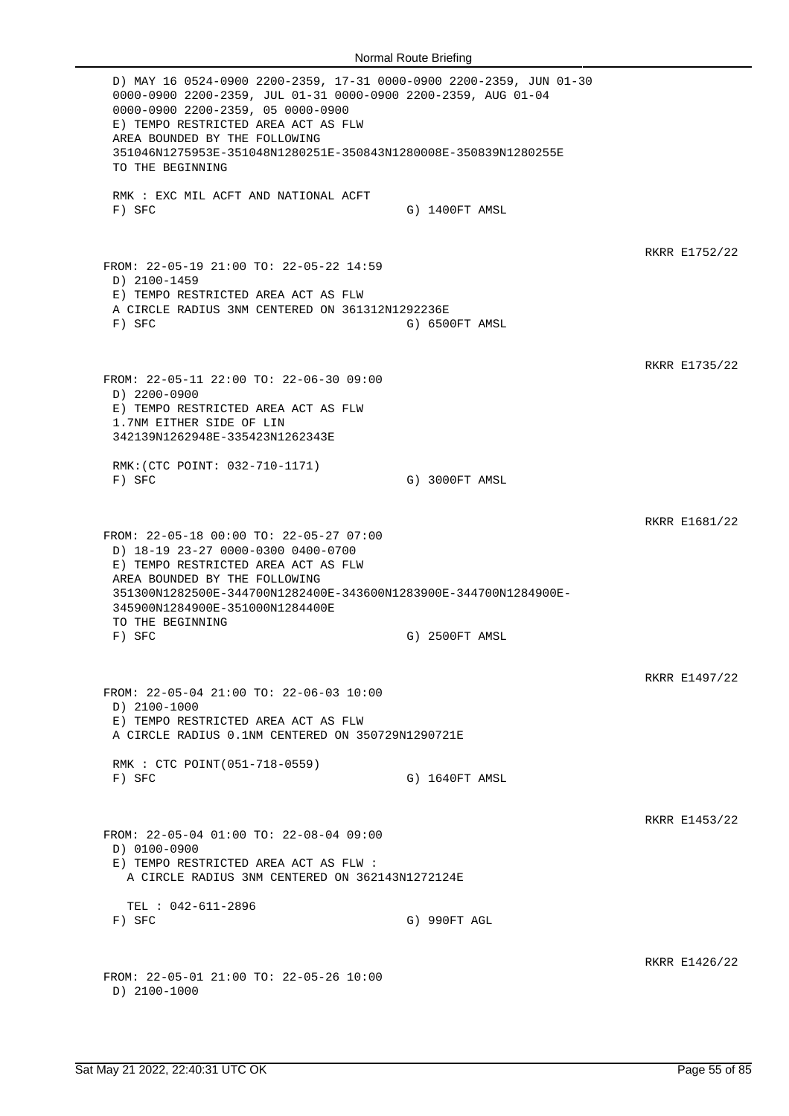D) MAY 16 0524-0900 2200-2359, 17-31 0000-0900 2200-2359, JUN 01-30 0000-0900 2200-2359, JUL 01-31 0000-0900 2200-2359, AUG 01-04 0000-0900 2200-2359, 05 0000-0900 E) TEMPO RESTRICTED AREA ACT AS FLW AREA BOUNDED BY THE FOLLOWING 351046N1275953E-351048N1280251E-350843N1280008E-350839N1280255E TO THE BEGINNING RMK : EXC MIL ACFT AND NATIONAL ACFT F) SFC G) 1400FT AMSL RKRR E1752/22 FROM: 22-05-19 21:00 TO: 22-05-22 14:59 D) 2100-1459 E) TEMPO RESTRICTED AREA ACT AS FLW A CIRCLE RADIUS 3NM CENTERED ON 361312N1292236E F) SFC G) 6500FT AMSL RKRR E1735/22 FROM: 22-05-11 22:00 TO: 22-06-30 09:00 D) 2200-0900 E) TEMPO RESTRICTED AREA ACT AS FLW 1.7NM EITHER SIDE OF LIN 342139N1262948E-335423N1262343E RMK:(CTC POINT: 032-710-1171) F) SFC G) 3000FT AMSL RKRR E1681/22 FROM: 22-05-18 00:00 TO: 22-05-27 07:00 D) 18-19 23-27 0000-0300 0400-0700 E) TEMPO RESTRICTED AREA ACT AS FLW AREA BOUNDED BY THE FOLLOWING 351300N1282500E-344700N1282400E-343600N1283900E-344700N1284900E-345900N1284900E-351000N1284400E TO THE BEGINNING F) SFC G) 2500FT AMSL RKRR E1497/22 FROM: 22-05-04 21:00 TO: 22-06-03 10:00 D) 2100-1000 E) TEMPO RESTRICTED AREA ACT AS FLW A CIRCLE RADIUS 0.1NM CENTERED ON 350729N1290721E RMK : CTC POINT(051-718-0559) F) SFC G) 1640FT AMSL RKRR E1453/22 FROM: 22-05-04 01:00 TO: 22-08-04 09:00 D) 0100-0900 E) TEMPO RESTRICTED AREA ACT AS FLW : A CIRCLE RADIUS 3NM CENTERED ON 362143N1272124E TEL : 042-611-2896<br>F) SFC G) 990FT AGL RKRR E1426/22 FROM: 22-05-01 21:00 TO: 22-05-26 10:00 D) 2100-1000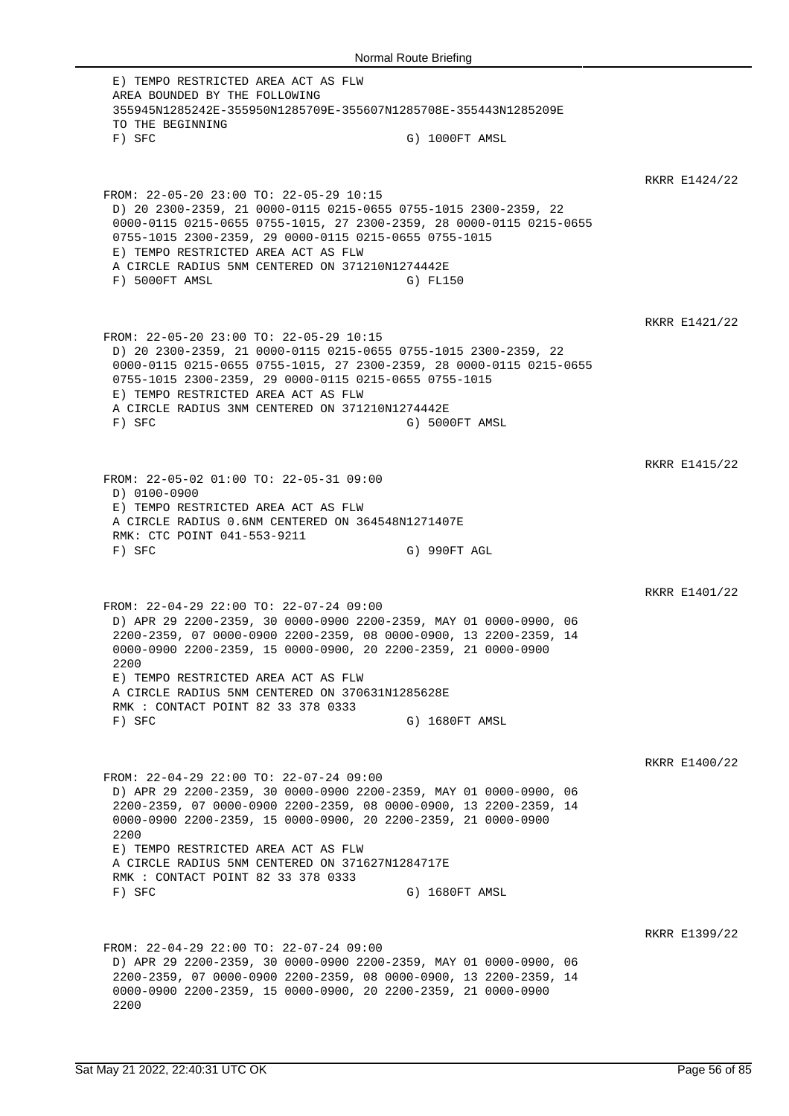E) TEMPO RESTRICTED AREA ACT AS FLW AREA BOUNDED BY THE FOLLOWING 355945N1285242E-355950N1285709E-355607N1285708E-355443N1285209E TO THE BEGINNING F) SFC G) 1000FT AMSL RKRR E1424/22 FROM: 22-05-20 23:00 TO: 22-05-29 10:15 D) 20 2300-2359, 21 0000-0115 0215-0655 0755-1015 2300-2359, 22 0000-0115 0215-0655 0755-1015, 27 2300-2359, 28 0000-0115 0215-0655 0755-1015 2300-2359, 29 0000-0115 0215-0655 0755-1015 E) TEMPO RESTRICTED AREA ACT AS FLW A CIRCLE RADIUS 5NM CENTERED ON 371210N1274442E F) 5000FT AMSL G) FL150 RKRR E1421/22 FROM: 22-05-20 23:00 TO: 22-05-29 10:15 D) 20 2300-2359, 21 0000-0115 0215-0655 0755-1015 2300-2359, 22 0000-0115 0215-0655 0755-1015, 27 2300-2359, 28 0000-0115 0215-0655 0755-1015 2300-2359, 29 0000-0115 0215-0655 0755-1015 E) TEMPO RESTRICTED AREA ACT AS FLW A CIRCLE RADIUS 3NM CENTERED ON 371210N1274442E F) SFC G) 5000FT AMSL RKRR E1415/22 FROM: 22-05-02 01:00 TO: 22-05-31 09:00 D) 0100-0900 E) TEMPO RESTRICTED AREA ACT AS FLW A CIRCLE RADIUS 0.6NM CENTERED ON 364548N1271407E RMK: CTC POINT 041-553-9211 F) SFC G) 990FT AGL RKRR E1401/22 FROM: 22-04-29 22:00 TO: 22-07-24 09:00 D) APR 29 2200-2359, 30 0000-0900 2200-2359, MAY 01 0000-0900, 06 2200-2359, 07 0000-0900 2200-2359, 08 0000-0900, 13 2200-2359, 14 0000-0900 2200-2359, 15 0000-0900, 20 2200-2359, 21 0000-0900 2200 E) TEMPO RESTRICTED AREA ACT AS FLW A CIRCLE RADIUS 5NM CENTERED ON 370631N1285628E RMK : CONTACT POINT 82 33 378 0333 F) SFC G) 1680FT AMSL RKRR E1400/22 FROM: 22-04-29 22:00 TO: 22-07-24 09:00 D) APR 29 2200-2359, 30 0000-0900 2200-2359, MAY 01 0000-0900, 06 2200-2359, 07 0000-0900 2200-2359, 08 0000-0900, 13 2200-2359, 14 0000-0900 2200-2359, 15 0000-0900, 20 2200-2359, 21 0000-0900 2200 E) TEMPO RESTRICTED AREA ACT AS FLW A CIRCLE RADIUS 5NM CENTERED ON 371627N1284717E RMK : CONTACT POINT 82 33 378 0333 F) SFC G) 1680FT AMSL RKRR E1399/22 FROM: 22-04-29 22:00 TO: 22-07-24 09:00 D) APR 29 2200-2359, 30 0000-0900 2200-2359, MAY 01 0000-0900, 06 2200-2359, 07 0000-0900 2200-2359, 08 0000-0900, 13 2200-2359, 14 0000-0900 2200-2359, 15 0000-0900, 20 2200-2359, 21 0000-0900 2200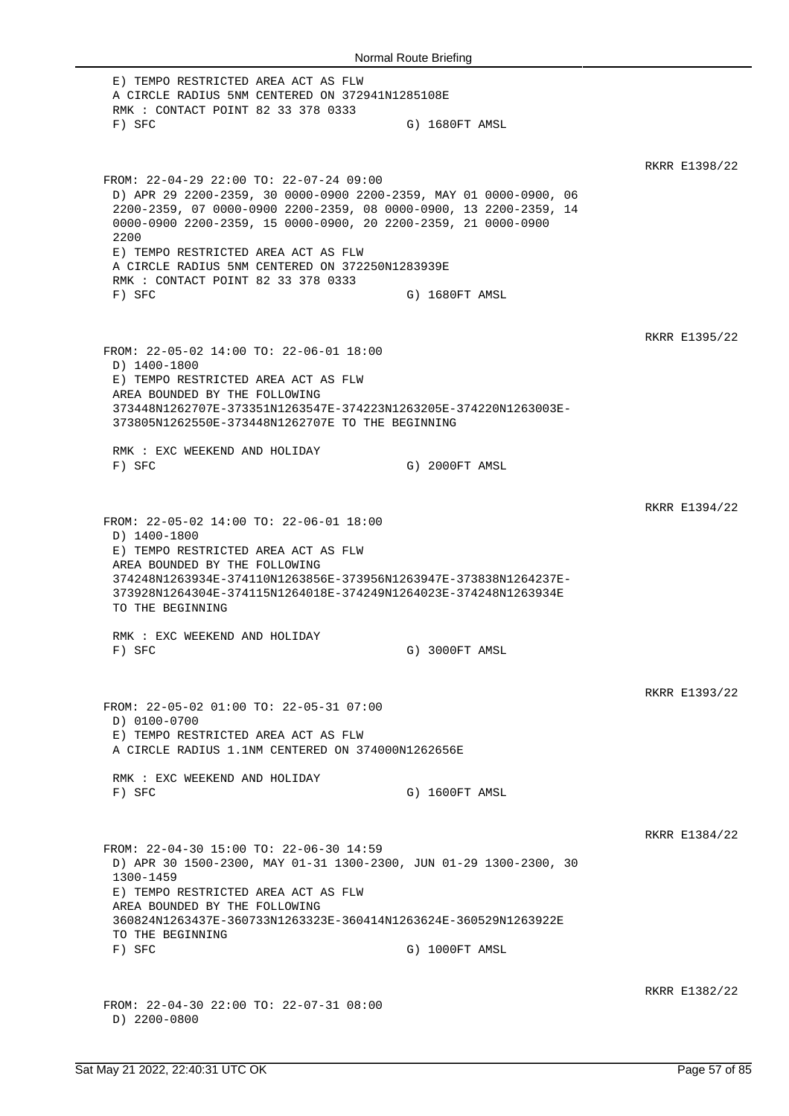E) TEMPO RESTRICTED AREA ACT AS FLW A CIRCLE RADIUS 5NM CENTERED ON 372941N1285108E RMK : CONTACT POINT 82 33 378 0333 F) SFC G) 1680FT AMSL RKRR E1398/22 FROM: 22-04-29 22:00 TO: 22-07-24 09:00 D) APR 29 2200-2359, 30 0000-0900 2200-2359, MAY 01 0000-0900, 06 2200-2359, 07 0000-0900 2200-2359, 08 0000-0900, 13 2200-2359, 14 0000-0900 2200-2359, 15 0000-0900, 20 2200-2359, 21 0000-0900 2200 E) TEMPO RESTRICTED AREA ACT AS FLW A CIRCLE RADIUS 5NM CENTERED ON 372250N1283939E RMK : CONTACT POINT 82 33 378 0333 F) SFC G) 1680FT AMSL RKRR E1395/22 FROM: 22-05-02 14:00 TO: 22-06-01 18:00 D) 1400-1800 E) TEMPO RESTRICTED AREA ACT AS FLW AREA BOUNDED BY THE FOLLOWING 373448N1262707E-373351N1263547E-374223N1263205E-374220N1263003E-373805N1262550E-373448N1262707E TO THE BEGINNING RMK : EXC WEEKEND AND HOLIDAY F) SFC G) 2000FT AMSL RKRR E1394/22 FROM: 22-05-02 14:00 TO: 22-06-01 18:00 D) 1400-1800 E) TEMPO RESTRICTED AREA ACT AS FLW AREA BOUNDED BY THE FOLLOWING 374248N1263934E-374110N1263856E-373956N1263947E-373838N1264237E-373928N1264304E-374115N1264018E-374249N1264023E-374248N1263934E TO THE BEGINNING RMK : EXC WEEKEND AND HOLIDAY F) SFC G) 3000FT AMSL RKRR E1393/22 FROM: 22-05-02 01:00 TO: 22-05-31 07:00 D) 0100-0700 E) TEMPO RESTRICTED AREA ACT AS FLW A CIRCLE RADIUS 1.1NM CENTERED ON 374000N1262656E RMK : EXC WEEKEND AND HOLIDAY F) SFC G) 1600FT AMSL RKRR E1384/22 FROM: 22-04-30 15:00 TO: 22-06-30 14:59 D) APR 30 1500-2300, MAY 01-31 1300-2300, JUN 01-29 1300-2300, 30 1300-1459 E) TEMPO RESTRICTED AREA ACT AS FLW AREA BOUNDED BY THE FOLLOWING 360824N1263437E-360733N1263323E-360414N1263624E-360529N1263922E TO THE BEGINNING F) SFC G) 1000FT AMSL RKRR E1382/22 FROM: 22-04-30 22:00 TO: 22-07-31 08:00 D) 2200-0800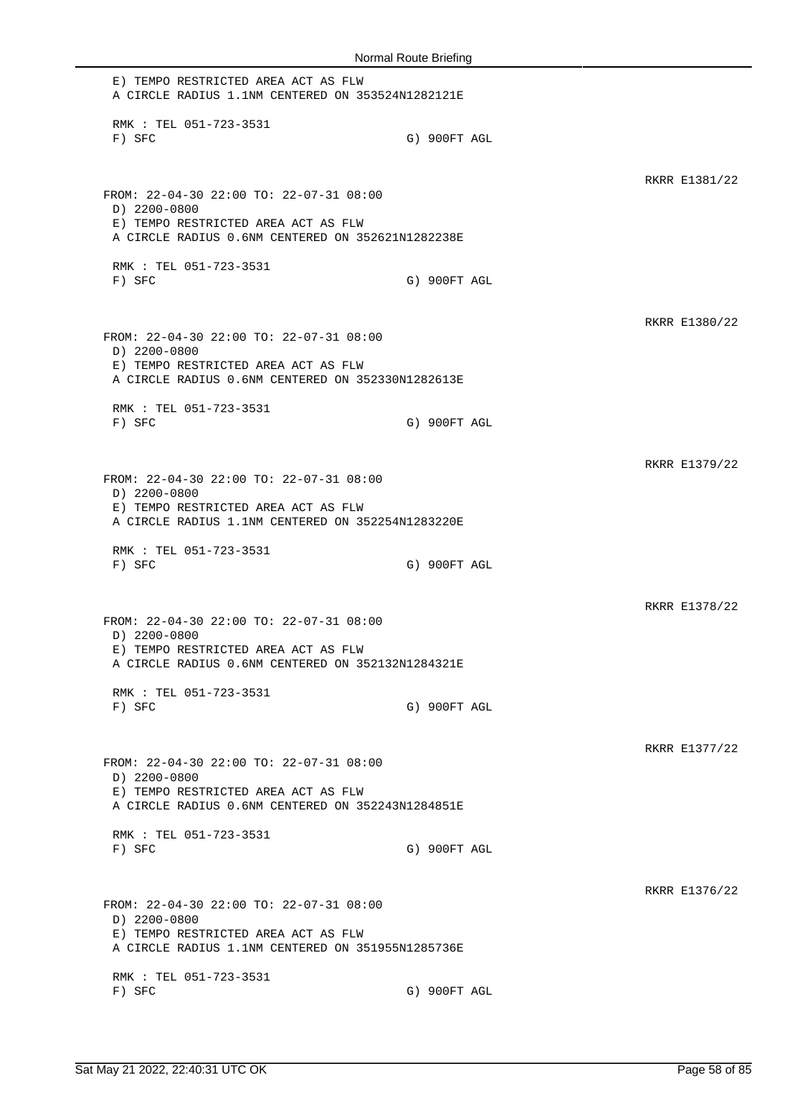E) TEMPO RESTRICTED AREA ACT AS FLW A CIRCLE RADIUS 1.1NM CENTERED ON 353524N1282121E RMK : TEL 051-723-3531 F) SFC G) 900FT AGL RKRR E1381/22 FROM: 22-04-30 22:00 TO: 22-07-31 08:00 D) 2200-0800 E) TEMPO RESTRICTED AREA ACT AS FLW A CIRCLE RADIUS 0.6NM CENTERED ON 352621N1282238E RMK : TEL 051-723-3531 F) SFC G) 900FT AGL RKRR E1380/22 FROM: 22-04-30 22:00 TO: 22-07-31 08:00 D) 2200-0800 E) TEMPO RESTRICTED AREA ACT AS FLW A CIRCLE RADIUS 0.6NM CENTERED ON 352330N1282613E RMK : TEL 051-723-3531 F) SFC G) 900FT AGL RKRR E1379/22 FROM: 22-04-30 22:00 TO: 22-07-31 08:00 D) 2200-0800 E) TEMPO RESTRICTED AREA ACT AS FLW A CIRCLE RADIUS 1.1NM CENTERED ON 352254N1283220E RMK : TEL 051-723-3531 F) SFC G) 900FT AGL RKRR E1378/22 FROM: 22-04-30 22:00 TO: 22-07-31 08:00 D) 2200-0800 E) TEMPO RESTRICTED AREA ACT AS FLW A CIRCLE RADIUS 0.6NM CENTERED ON 352132N1284321E RMK : TEL 051-723-3531 F) SFC G) 900FT AGL RKRR E1377/22 FROM: 22-04-30 22:00 TO: 22-07-31 08:00 D) 2200-0800 E) TEMPO RESTRICTED AREA ACT AS FLW A CIRCLE RADIUS 0.6NM CENTERED ON 352243N1284851E RMK : TEL 051-723-3531 F) SFC G) 900FT AGL RKRR E1376/22 FROM: 22-04-30 22:00 TO: 22-07-31 08:00 D) 2200-0800 E) TEMPO RESTRICTED AREA ACT AS FLW A CIRCLE RADIUS 1.1NM CENTERED ON 351955N1285736E RMK : TEL 051-723-3531 F) SFC G) 900FT AGL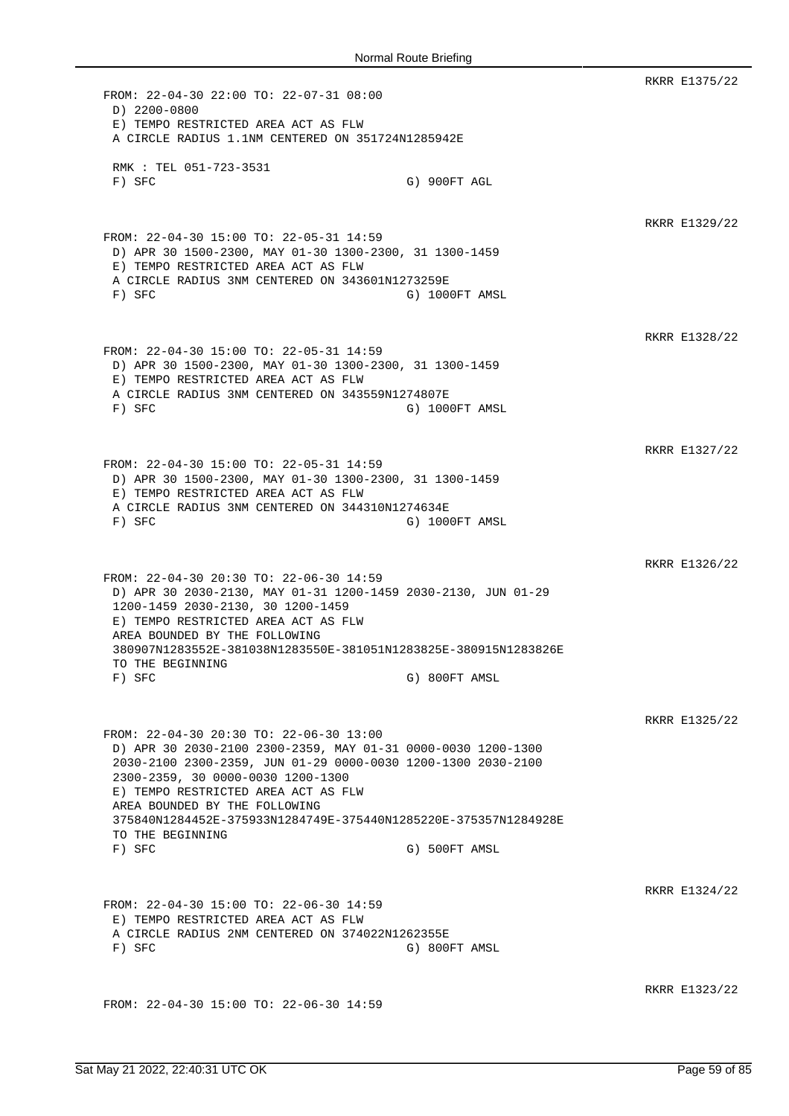RKRR E1375/22 FROM: 22-04-30 22:00 TO: 22-07-31 08:00 D) 2200-0800 E) TEMPO RESTRICTED AREA ACT AS FLW A CIRCLE RADIUS 1.1NM CENTERED ON 351724N1285942E RMK : TEL 051-723-3531 F) SFC G) 900FT AGL RKRR E1329/22 FROM: 22-04-30 15:00 TO: 22-05-31 14:59 D) APR 30 1500-2300, MAY 01-30 1300-2300, 31 1300-1459 E) TEMPO RESTRICTED AREA ACT AS FLW A CIRCLE RADIUS 3NM CENTERED ON 343601N1273259E F) SFC G) 1000FT AMSL RKRR E1328/22 FROM: 22-04-30 15:00 TO: 22-05-31 14:59 D) APR 30 1500-2300, MAY 01-30 1300-2300, 31 1300-1459 E) TEMPO RESTRICTED AREA ACT AS FLW A CIRCLE RADIUS 3NM CENTERED ON 343559N1274807E F) SFC G) 1000FT AMSL RKRR E1327/22 FROM: 22-04-30 15:00 TO: 22-05-31 14:59 D) APR 30 1500-2300, MAY 01-30 1300-2300, 31 1300-1459 E) TEMPO RESTRICTED AREA ACT AS FLW A CIRCLE RADIUS 3NM CENTERED ON 344310N1274634E F) SFC G) 1000FT AMSL RKRR E1326/22 FROM: 22-04-30 20:30 TO: 22-06-30 14:59 D) APR 30 2030-2130, MAY 01-31 1200-1459 2030-2130, JUN 01-29 1200-1459 2030-2130, 30 1200-1459 E) TEMPO RESTRICTED AREA ACT AS FLW AREA BOUNDED BY THE FOLLOWING 380907N1283552E-381038N1283550E-381051N1283825E-380915N1283826E TO THE BEGINNING F) SFC G) 800FT AMSL RKRR E1325/22 FROM: 22-04-30 20:30 TO: 22-06-30 13:00 D) APR 30 2030-2100 2300-2359, MAY 01-31 0000-0030 1200-1300 2030-2100 2300-2359, JUN 01-29 0000-0030 1200-1300 2030-2100 2300-2359, 30 0000-0030 1200-1300 E) TEMPO RESTRICTED AREA ACT AS FLW AREA BOUNDED BY THE FOLLOWING 375840N1284452E-375933N1284749E-375440N1285220E-375357N1284928E TO THE BEGINNING F) SFC G) 500FT AMSL RKRR E1324/22 FROM: 22-04-30 15:00 TO: 22-06-30 14:59 E) TEMPO RESTRICTED AREA ACT AS FLW A CIRCLE RADIUS 2NM CENTERED ON 374022N1262355E F) SFC G) 800FT AMSL RKRR E1323/22 FROM: 22-04-30 15:00 TO: 22-06-30 14:59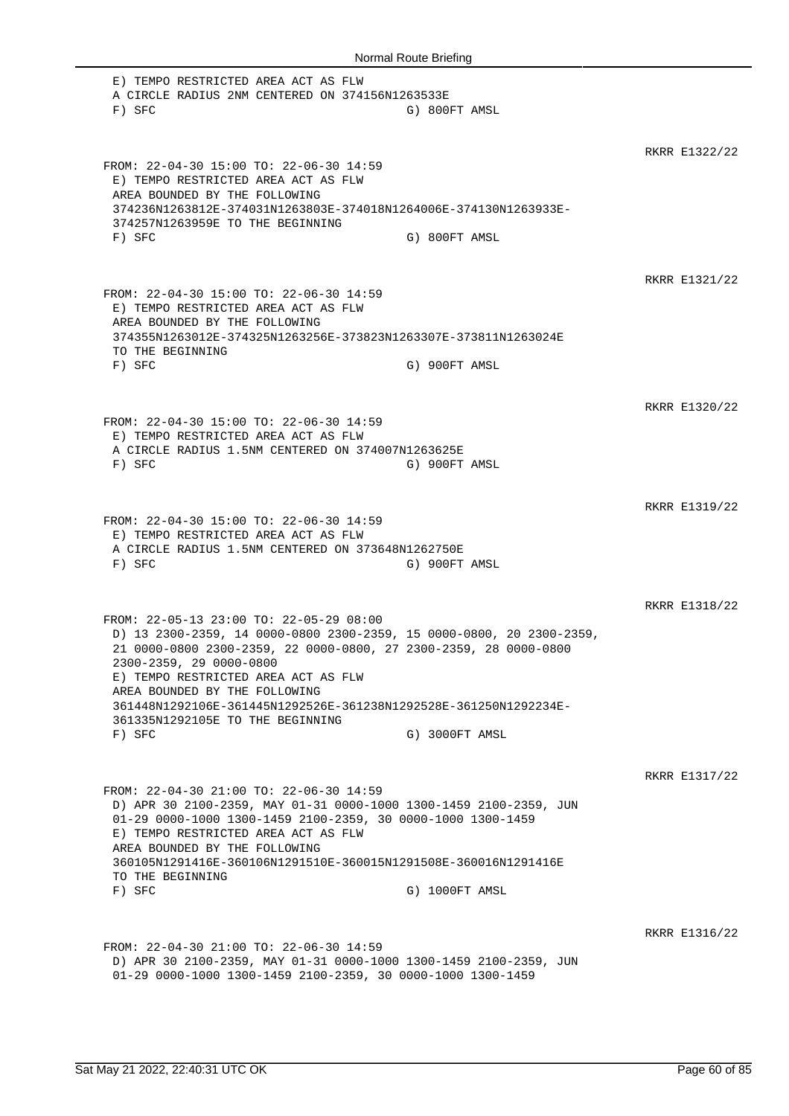| Normal Route Briefing                                                                                                                                                                                                                                                                                                                      |                |               |  |
|--------------------------------------------------------------------------------------------------------------------------------------------------------------------------------------------------------------------------------------------------------------------------------------------------------------------------------------------|----------------|---------------|--|
| E) TEMPO RESTRICTED AREA ACT AS FLW<br>A CIRCLE RADIUS 2NM CENTERED ON 374156N1263533E<br>$F)$ SFC                                                                                                                                                                                                                                         | G) 800FT AMSL  |               |  |
| FROM: 22-04-30 15:00 TO: 22-06-30 14:59<br>E) TEMPO RESTRICTED AREA ACT AS FLW<br>AREA BOUNDED BY THE FOLLOWING<br>374236N1263812E-374031N1263803E-374018N1264006E-374130N1263933E-<br>374257N1263959E TO THE BEGINNING<br>$F)$ SFC                                                                                                        | G) 800FT AMSL  | RKRR E1322/22 |  |
| FROM: 22-04-30 15:00 TO: 22-06-30 14:59                                                                                                                                                                                                                                                                                                    |                | RKRR E1321/22 |  |
| E) TEMPO RESTRICTED AREA ACT AS FLW<br>AREA BOUNDED BY THE FOLLOWING<br>374355N1263012E-374325N1263256E-373823N1263307E-373811N1263024E<br>TO THE BEGINNING<br>$F)$ SFC                                                                                                                                                                    | G) 900FT AMSL  |               |  |
| FROM: 22-04-30 15:00 TO: 22-06-30 14:59<br>E) TEMPO RESTRICTED AREA ACT AS FLW<br>A CIRCLE RADIUS 1.5NM CENTERED ON 374007N1263625E                                                                                                                                                                                                        |                | RKRR E1320/22 |  |
| $F)$ SFC<br>FROM: 22-04-30 15:00 TO: 22-06-30 14:59                                                                                                                                                                                                                                                                                        | G) 900FT AMSL  | RKRR E1319/22 |  |
| E) TEMPO RESTRICTED AREA ACT AS FLW<br>A CIRCLE RADIUS 1.5NM CENTERED ON 373648N1262750E<br>F) SFC                                                                                                                                                                                                                                         | G) 900FT AMSL  |               |  |
| FROM: 22-05-13 23:00 TO: 22-05-29 08:00<br>D) 13 2300-2359, 14 0000-0800 2300-2359, 15 0000-0800, 20 2300-2359,<br>21 0000-0800 2300-2359, 22 0000-0800, 27 2300-2359, 28 0000-0800<br>2300-2359, 29 0000-0800<br>E) TEMPO RESTRICTED AREA ACT AS FLW<br>AREA BOUNDED BY THE FOLLOWING                                                     |                | RKRR E1318/22 |  |
| 361448N1292106E-361445N1292526E-361238N1292528E-361250N1292234E-<br>361335N1292105E TO THE BEGINNING<br>$F)$ SFC                                                                                                                                                                                                                           | G) 3000FT AMSL |               |  |
| FROM: 22-04-30 21:00 TO: 22-06-30 14:59<br>D) APR 30 2100-2359, MAY 01-31 0000-1000 1300-1459 2100-2359, JUN<br>01-29 0000-1000 1300-1459 2100-2359, 30 0000-1000 1300-1459<br>E) TEMPO RESTRICTED AREA ACT AS FLW<br>AREA BOUNDED BY THE FOLLOWING<br>360105N1291416E-360106N1291510E-360015N1291508E-360016N1291416E<br>TO THE BEGINNING |                | RKRR E1317/22 |  |
| $F)$ SFC                                                                                                                                                                                                                                                                                                                                   | G) 1000FT AMSL | RKRR E1316/22 |  |
| FROM: 22-04-30 21:00 TO: 22-06-30 14:59<br>D) APR 30 2100-2359, MAY 01-31 0000-1000 1300-1459 2100-2359, JUN<br>01-29 0000-1000 1300-1459 2100-2359, 30 0000-1000 1300-1459                                                                                                                                                                |                |               |  |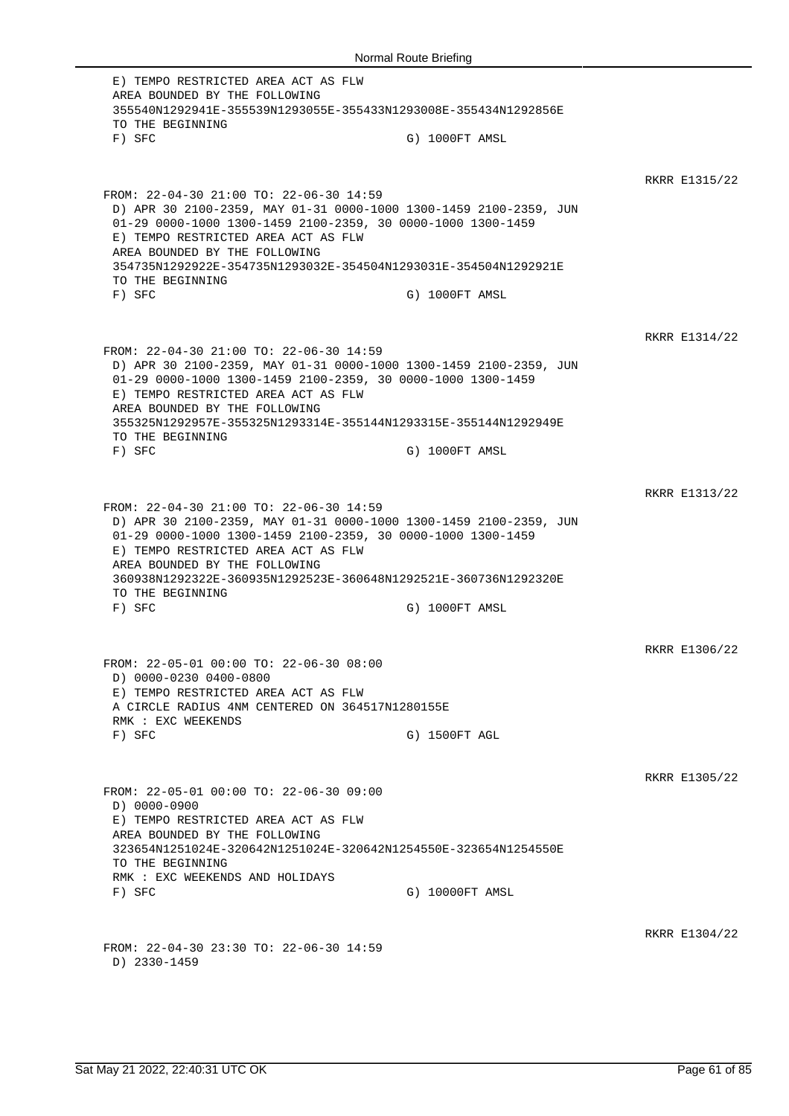E) TEMPO RESTRICTED AREA ACT AS FLW AREA BOUNDED BY THE FOLLOWING 355540N1292941E-355539N1293055E-355433N1293008E-355434N1292856E TO THE BEGINNING F) SFC G) 1000FT AMSL RKRR E1315/22 FROM: 22-04-30 21:00 TO: 22-06-30 14:59 D) APR 30 2100-2359, MAY 01-31 0000-1000 1300-1459 2100-2359, JUN 01-29 0000-1000 1300-1459 2100-2359, 30 0000-1000 1300-1459 E) TEMPO RESTRICTED AREA ACT AS FLW AREA BOUNDED BY THE FOLLOWING 354735N1292922E-354735N1293032E-354504N1293031E-354504N1292921E TO THE BEGINNING F) SFC G) 1000FT AMSL RKRR E1314/22 FROM: 22-04-30 21:00 TO: 22-06-30 14:59 D) APR 30 2100-2359, MAY 01-31 0000-1000 1300-1459 2100-2359, JUN 01-29 0000-1000 1300-1459 2100-2359, 30 0000-1000 1300-1459 E) TEMPO RESTRICTED AREA ACT AS FLW AREA BOUNDED BY THE FOLLOWING 355325N1292957E-355325N1293314E-355144N1293315E-355144N1292949E TO THE BEGINNING F) SFC G) 1000FT AMSL RKRR E1313/22 FROM: 22-04-30 21:00 TO: 22-06-30 14:59 D) APR 30 2100-2359, MAY 01-31 0000-1000 1300-1459 2100-2359, JUN 01-29 0000-1000 1300-1459 2100-2359, 30 0000-1000 1300-1459 E) TEMPO RESTRICTED AREA ACT AS FLW AREA BOUNDED BY THE FOLLOWING 360938N1292322E-360935N1292523E-360648N1292521E-360736N1292320E TO THE BEGINNING F) SFC G) 1000FT AMSL RKRR E1306/22 FROM: 22-05-01 00:00 TO: 22-06-30 08:00 D) 0000-0230 0400-0800 E) TEMPO RESTRICTED AREA ACT AS FLW A CIRCLE RADIUS 4NM CENTERED ON 364517N1280155E RMK : EXC WEEKENDS F) SFC G) 1500FT AGL RKRR E1305/22 FROM: 22-05-01 00:00 TO: 22-06-30 09:00 D) 0000-0900 E) TEMPO RESTRICTED AREA ACT AS FLW AREA BOUNDED BY THE FOLLOWING 323654N1251024E-320642N1251024E-320642N1254550E-323654N1254550E TO THE BEGINNING RMK : EXC WEEKENDS AND HOLIDAYS F) SFC G) 10000FT AMSL RKRR E1304/22 FROM: 22-04-30 23:30 TO: 22-06-30 14:59 D) 2330-1459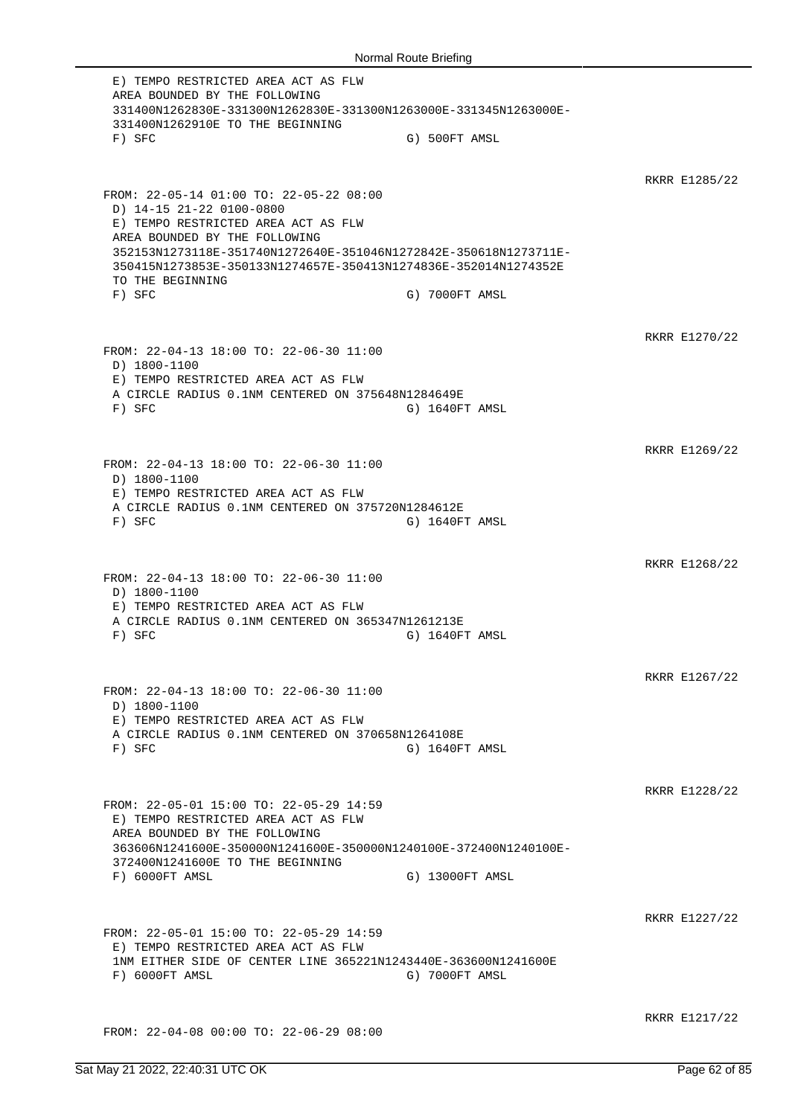E) TEMPO RESTRICTED AREA ACT AS FLW AREA BOUNDED BY THE FOLLOWING 331400N1262830E-331300N1262830E-331300N1263000E-331345N1263000E-331400N1262910E TO THE BEGINNING F) SFC G) 500FT AMSL RKRR E1285/22 FROM: 22-05-14 01:00 TO: 22-05-22 08:00 D) 14-15 21-22 0100-0800 E) TEMPO RESTRICTED AREA ACT AS FLW AREA BOUNDED BY THE FOLLOWING 352153N1273118E-351740N1272640E-351046N1272842E-350618N1273711E-350415N1273853E-350133N1274657E-350413N1274836E-352014N1274352E TO THE BEGINNING F) SFC G) 7000FT AMSL RKRR E1270/22 FROM: 22-04-13 18:00 TO: 22-06-30 11:00 D) 1800-1100 E) TEMPO RESTRICTED AREA ACT AS FLW A CIRCLE RADIUS 0.1NM CENTERED ON 375648N1284649E F) SFC G) 1640FT AMSL RKRR E1269/22 FROM: 22-04-13 18:00 TO: 22-06-30 11:00 D) 1800-1100 E) TEMPO RESTRICTED AREA ACT AS FLW A CIRCLE RADIUS 0.1NM CENTERED ON 375720N1284612E F) SFC G) 1640FT AMSL RKRR E1268/22 FROM: 22-04-13 18:00 TO: 22-06-30 11:00 D) 1800-1100 E) TEMPO RESTRICTED AREA ACT AS FLW A CIRCLE RADIUS 0.1NM CENTERED ON 365347N1261213E F) SFC G) 1640FT AMSL RKRR E1267/22 FROM: 22-04-13 18:00 TO: 22-06-30 11:00 D) 1800-1100 E) TEMPO RESTRICTED AREA ACT AS FLW A CIRCLE RADIUS 0.1NM CENTERED ON 370658N1264108E F) SFC G) 1640FT AMSL RKRR E1228/22 FROM: 22-05-01 15:00 TO: 22-05-29 14:59 E) TEMPO RESTRICTED AREA ACT AS FLW AREA BOUNDED BY THE FOLLOWING 363606N1241600E-350000N1241600E-350000N1240100E-372400N1240100E-372400N1241600E TO THE BEGINNING F) 6000FT AMSL G) 13000FT AMSL RKRR E1227/22 FROM: 22-05-01 15:00 TO: 22-05-29 14:59 E) TEMPO RESTRICTED AREA ACT AS FLW 1NM EITHER SIDE OF CENTER LINE 365221N1243440E-363600N1241600E F) 6000FT AMSL G) 7000FT AMSL RKRR E1217/22 FROM: 22-04-08 00:00 TO: 22-06-29 08:00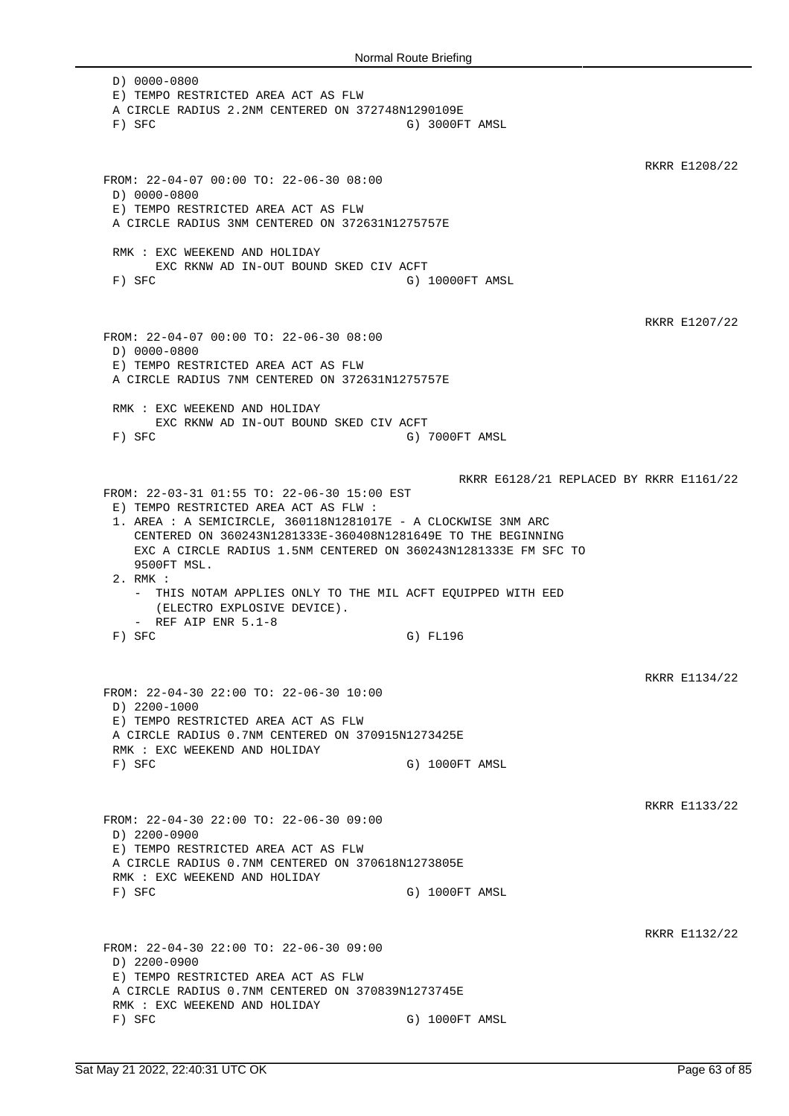D) 0000-0800 E) TEMPO RESTRICTED AREA ACT AS FLW A CIRCLE RADIUS 2.2NM CENTERED ON 372748N1290109E F) SFC G) 3000FT AMSL RKRR E1208/22 FROM: 22-04-07 00:00 TO: 22-06-30 08:00 D) 0000-0800 E) TEMPO RESTRICTED AREA ACT AS FLW A CIRCLE RADIUS 3NM CENTERED ON 372631N1275757E RMK : EXC WEEKEND AND HOLIDAY EXC RKNW AD IN-OUT BOUND SKED CIV ACFT F) SFC G) 10000FT AMSL RKRR E1207/22 FROM: 22-04-07 00:00 TO: 22-06-30 08:00 D) 0000-0800 E) TEMPO RESTRICTED AREA ACT AS FLW A CIRCLE RADIUS 7NM CENTERED ON 372631N1275757E RMK : EXC WEEKEND AND HOLIDAY EXC RKNW AD IN-OUT BOUND SKED CIV ACFT F) SFC G) 7000FT AMSL RKRR E6128/21 REPLACED BY RKRR E1161/22 FROM: 22-03-31 01:55 TO: 22-06-30 15:00 EST E) TEMPO RESTRICTED AREA ACT AS FLW : 1. AREA : A SEMICIRCLE, 360118N1281017E - A CLOCKWISE 3NM ARC CENTERED ON 360243N1281333E-360408N1281649E TO THE BEGINNING EXC A CIRCLE RADIUS 1.5NM CENTERED ON 360243N1281333E FM SFC TO 9500FT MSL. 2. RMK : - THIS NOTAM APPLIES ONLY TO THE MIL ACFT EQUIPPED WITH EED (ELECTRO EXPLOSIVE DEVICE). - REF AIP ENR 5.1-8 F) SFC G) FL196 RKRR E1134/22 FROM: 22-04-30 22:00 TO: 22-06-30 10:00 D) 2200-1000 E) TEMPO RESTRICTED AREA ACT AS FLW A CIRCLE RADIUS 0.7NM CENTERED ON 370915N1273425E RMK : EXC WEEKEND AND HOLIDAY F) SFC G) 1000FT AMSL RKRR E1133/22 FROM: 22-04-30 22:00 TO: 22-06-30 09:00 D) 2200-0900 E) TEMPO RESTRICTED AREA ACT AS FLW A CIRCLE RADIUS 0.7NM CENTERED ON 370618N1273805E RMK : EXC WEEKEND AND HOLIDAY F) SFC G) 1000FT AMSL RKRR E1132/22 FROM: 22-04-30 22:00 TO: 22-06-30 09:00 D) 2200-0900 E) TEMPO RESTRICTED AREA ACT AS FLW A CIRCLE RADIUS 0.7NM CENTERED ON 370839N1273745E RMK : EXC WEEKEND AND HOLIDAY F) SFC G) 1000FT AMSL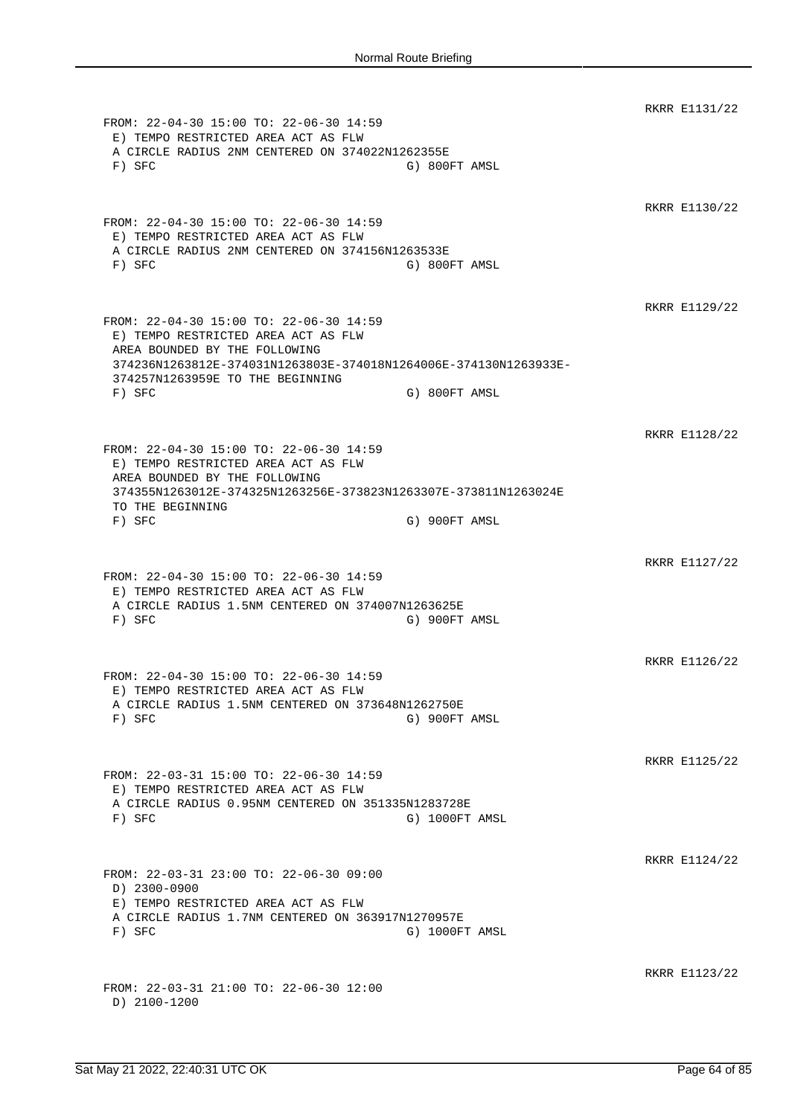RKRR E1131/22 FROM: 22-04-30 15:00 TO: 22-06-30 14:59 E) TEMPO RESTRICTED AREA ACT AS FLW A CIRCLE RADIUS 2NM CENTERED ON 374022N1262355E F) SFC G) 800FT AMSL RKRR E1130/22 FROM: 22-04-30 15:00 TO: 22-06-30 14:59 E) TEMPO RESTRICTED AREA ACT AS FLW A CIRCLE RADIUS 2NM CENTERED ON 374156N1263533E F) SFC G) 800FT AMSL RKRR E1129/22 FROM: 22-04-30 15:00 TO: 22-06-30 14:59 E) TEMPO RESTRICTED AREA ACT AS FLW AREA BOUNDED BY THE FOLLOWING 374236N1263812E-374031N1263803E-374018N1264006E-374130N1263933E-374257N1263959E TO THE BEGINNING F) SFC G) 800FT AMSL RKRR E1128/22 FROM: 22-04-30 15:00 TO: 22-06-30 14:59 E) TEMPO RESTRICTED AREA ACT AS FLW AREA BOUNDED BY THE FOLLOWING 374355N1263012E-374325N1263256E-373823N1263307E-373811N1263024E TO THE BEGINNING F) SFC G) 900FT AMSL RKRR E1127/22 FROM: 22-04-30 15:00 TO: 22-06-30 14:59 E) TEMPO RESTRICTED AREA ACT AS FLW A CIRCLE RADIUS 1.5NM CENTERED ON 374007N1263625E F) SFC G) 900FT AMSL RKRR E1126/22 FROM: 22-04-30 15:00 TO: 22-06-30 14:59 E) TEMPO RESTRICTED AREA ACT AS FLW A CIRCLE RADIUS 1.5NM CENTERED ON 373648N1262750E F) SFC G) 900FT AMSL RKRR E1125/22 FROM: 22-03-31 15:00 TO: 22-06-30 14:59 E) TEMPO RESTRICTED AREA ACT AS FLW A CIRCLE RADIUS 0.95NM CENTERED ON 351335N1283728E F) SFC G) 1000FT AMSL RKRR E1124/22 FROM: 22-03-31 23:00 TO: 22-06-30 09:00 D) 2300-0900 E) TEMPO RESTRICTED AREA ACT AS FLW A CIRCLE RADIUS 1.7NM CENTERED ON 363917N1270957E F) SFC G) 1000FT AMSL RKRR E1123/22 FROM: 22-03-31 21:00 TO: 22-06-30 12:00 D) 2100-1200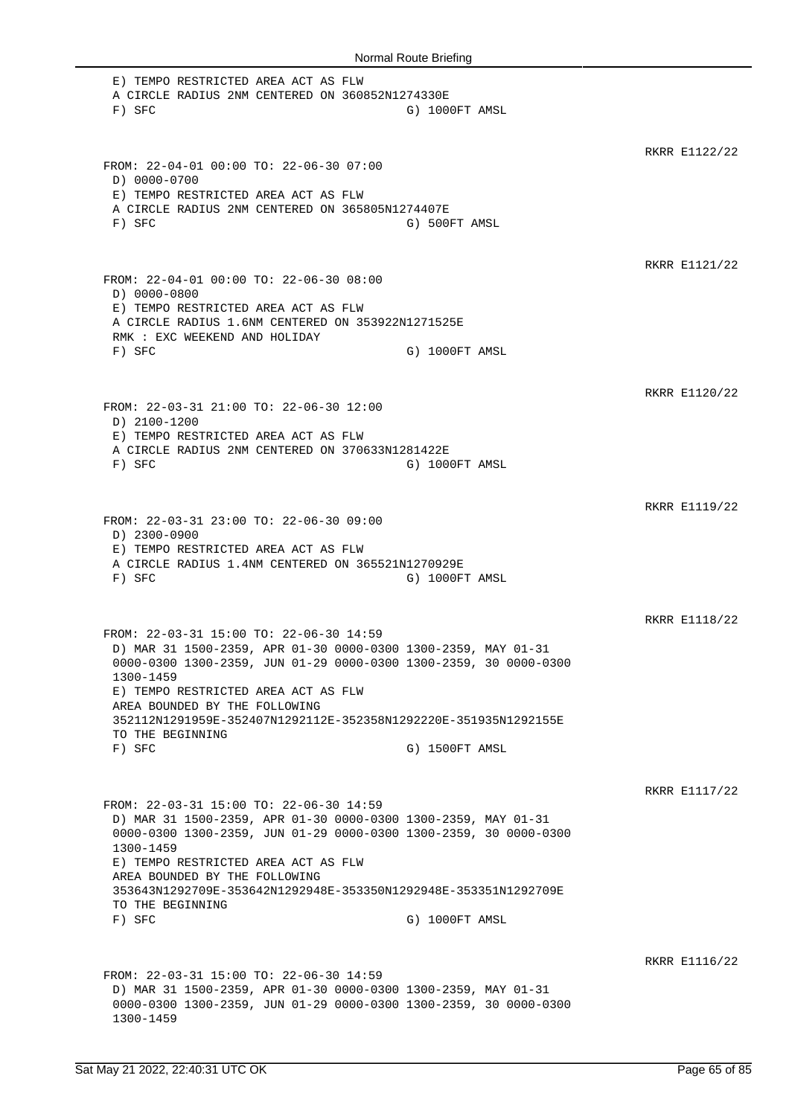E) TEMPO RESTRICTED AREA ACT AS FLW A CIRCLE RADIUS 2NM CENTERED ON 360852N1274330E F) SFC G) 1000FT AMSL RKRR E1122/22 FROM: 22-04-01 00:00 TO: 22-06-30 07:00 D) 0000-0700 E) TEMPO RESTRICTED AREA ACT AS FLW A CIRCLE RADIUS 2NM CENTERED ON 365805N1274407E F) SFC G) 500FT AMSL RKRR E1121/22 FROM: 22-04-01 00:00 TO: 22-06-30 08:00 D) 0000-0800 E) TEMPO RESTRICTED AREA ACT AS FLW A CIRCLE RADIUS 1.6NM CENTERED ON 353922N1271525E RMK : EXC WEEKEND AND HOLIDAY F) SFC G) 1000FT AMSL RKRR E1120/22 FROM: 22-03-31 21:00 TO: 22-06-30 12:00 D) 2100-1200 E) TEMPO RESTRICTED AREA ACT AS FLW A CIRCLE RADIUS 2NM CENTERED ON 370633N1281422E F) SFC G) 1000FT AMSL RKRR E1119/22 FROM: 22-03-31 23:00 TO: 22-06-30 09:00 D) 2300-0900 E) TEMPO RESTRICTED AREA ACT AS FLW A CIRCLE RADIUS 1.4NM CENTERED ON 365521N1270929E F) SFC G) 1000FT AMSL RKRR E1118/22 FROM: 22-03-31 15:00 TO: 22-06-30 14:59 D) MAR 31 1500-2359, APR 01-30 0000-0300 1300-2359, MAY 01-31 0000-0300 1300-2359, JUN 01-29 0000-0300 1300-2359, 30 0000-0300 1300-1459 E) TEMPO RESTRICTED AREA ACT AS FLW AREA BOUNDED BY THE FOLLOWING 352112N1291959E-352407N1292112E-352358N1292220E-351935N1292155E TO THE BEGINNING F) SFC G) 1500FT AMSL RKRR E1117/22 FROM: 22-03-31 15:00 TO: 22-06-30 14:59 D) MAR 31 1500-2359, APR 01-30 0000-0300 1300-2359, MAY 01-31 0000-0300 1300-2359, JUN 01-29 0000-0300 1300-2359, 30 0000-0300 1300-1459 E) TEMPO RESTRICTED AREA ACT AS FLW AREA BOUNDED BY THE FOLLOWING 353643N1292709E-353642N1292948E-353350N1292948E-353351N1292709E TO THE BEGINNING F) SFC G) 1000FT AMSL RKRR E1116/22 FROM: 22-03-31 15:00 TO: 22-06-30 14:59 D) MAR 31 1500-2359, APR 01-30 0000-0300 1300-2359, MAY 01-31 0000-0300 1300-2359, JUN 01-29 0000-0300 1300-2359, 30 0000-0300 1300-1459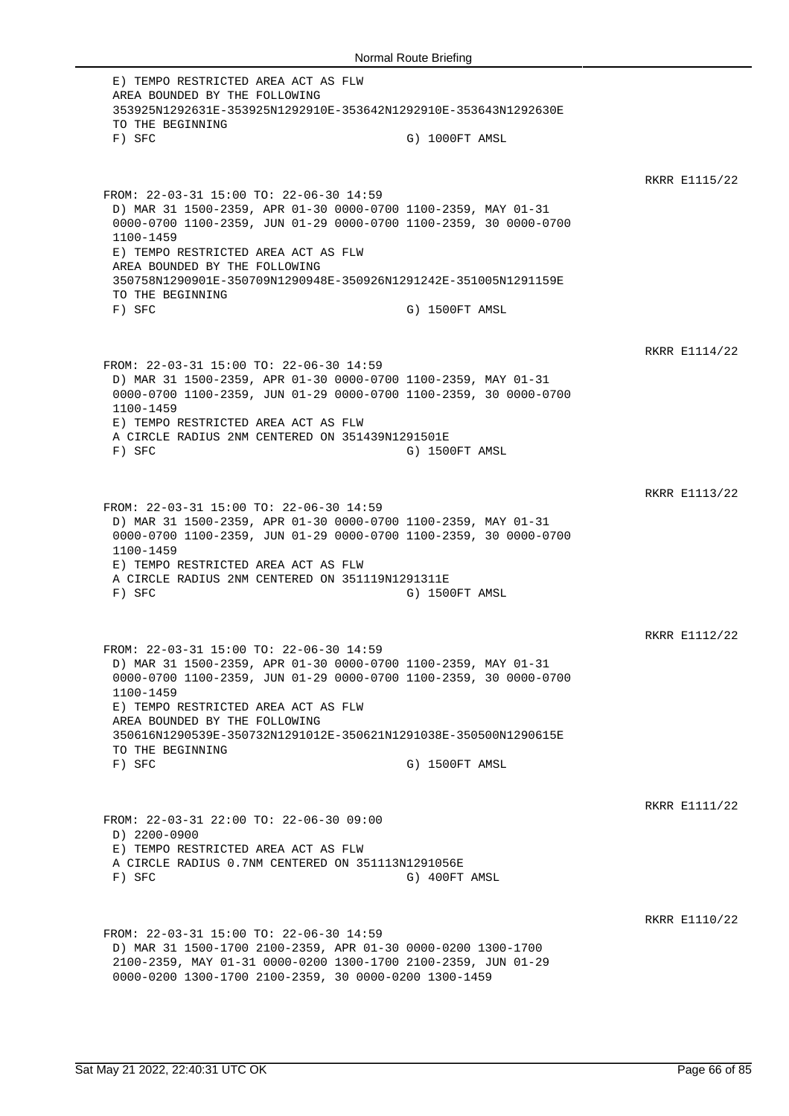E) TEMPO RESTRICTED AREA ACT AS FLW AREA BOUNDED BY THE FOLLOWING 353925N1292631E-353925N1292910E-353642N1292910E-353643N1292630E TO THE BEGINNING F) SFC G) 1000FT AMSL RKRR E1115/22 FROM: 22-03-31 15:00 TO: 22-06-30 14:59 D) MAR 31 1500-2359, APR 01-30 0000-0700 1100-2359, MAY 01-31 0000-0700 1100-2359, JUN 01-29 0000-0700 1100-2359, 30 0000-0700 1100-1459 E) TEMPO RESTRICTED AREA ACT AS FLW AREA BOUNDED BY THE FOLLOWING 350758N1290901E-350709N1290948E-350926N1291242E-351005N1291159E TO THE BEGINNING F) SFC G) 1500FT AMSL RKRR E1114/22 FROM: 22-03-31 15:00 TO: 22-06-30 14:59 D) MAR 31 1500-2359, APR 01-30 0000-0700 1100-2359, MAY 01-31 0000-0700 1100-2359, JUN 01-29 0000-0700 1100-2359, 30 0000-0700 1100-1459 E) TEMPO RESTRICTED AREA ACT AS FLW A CIRCLE RADIUS 2NM CENTERED ON 351439N1291501E F) SFC G) 1500FT AMSL RKRR E1113/22 FROM: 22-03-31 15:00 TO: 22-06-30 14:59 D) MAR 31 1500-2359, APR 01-30 0000-0700 1100-2359, MAY 01-31 0000-0700 1100-2359, JUN 01-29 0000-0700 1100-2359, 30 0000-0700 1100-1459 E) TEMPO RESTRICTED AREA ACT AS FLW A CIRCLE RADIUS 2NM CENTERED ON 351119N1291311E F) SFC G) 1500FT AMSL RKRR E1112/22 FROM: 22-03-31 15:00 TO: 22-06-30 14:59 D) MAR 31 1500-2359, APR 01-30 0000-0700 1100-2359, MAY 01-31 0000-0700 1100-2359, JUN 01-29 0000-0700 1100-2359, 30 0000-0700 1100-1459 E) TEMPO RESTRICTED AREA ACT AS FLW AREA BOUNDED BY THE FOLLOWING 350616N1290539E-350732N1291012E-350621N1291038E-350500N1290615E TO THE BEGINNING F) SFC G) 1500FT AMSL RKRR E1111/22 FROM: 22-03-31 22:00 TO: 22-06-30 09:00 D) 2200-0900 E) TEMPO RESTRICTED AREA ACT AS FLW A CIRCLE RADIUS 0.7NM CENTERED ON 351113N1291056E F) SFC G) 400FT AMSL RKRR E1110/22 FROM: 22-03-31 15:00 TO: 22-06-30 14:59 D) MAR 31 1500-1700 2100-2359, APR 01-30 0000-0200 1300-1700 2100-2359, MAY 01-31 0000-0200 1300-1700 2100-2359, JUN 01-29 0000-0200 1300-1700 2100-2359, 30 0000-0200 1300-1459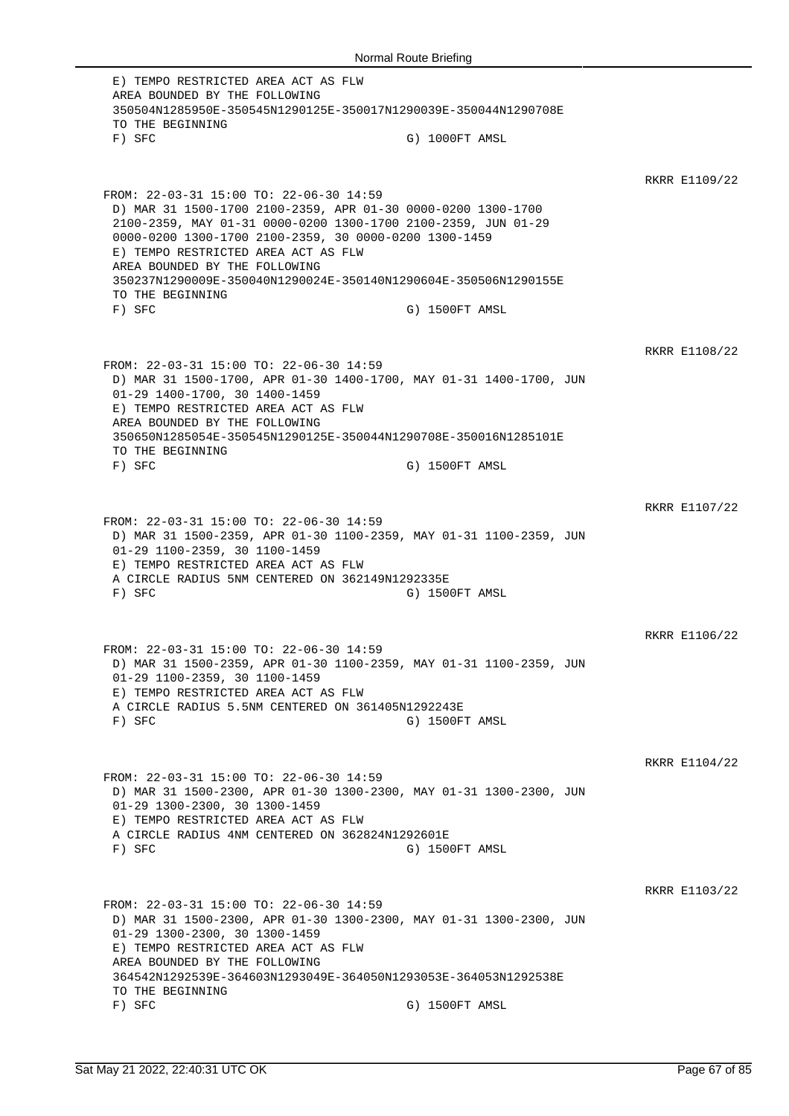E) TEMPO RESTRICTED AREA ACT AS FLW AREA BOUNDED BY THE FOLLOWING 350504N1285950E-350545N1290125E-350017N1290039E-350044N1290708E TO THE BEGINNING F) SFC G) 1000FT AMSL RKRR E1109/22 FROM: 22-03-31 15:00 TO: 22-06-30 14:59 D) MAR 31 1500-1700 2100-2359, APR 01-30 0000-0200 1300-1700 2100-2359, MAY 01-31 0000-0200 1300-1700 2100-2359, JUN 01-29 0000-0200 1300-1700 2100-2359, 30 0000-0200 1300-1459 E) TEMPO RESTRICTED AREA ACT AS FLW AREA BOUNDED BY THE FOLLOWING 350237N1290009E-350040N1290024E-350140N1290604E-350506N1290155E TO THE BEGINNING F) SFC G) 1500FT AMSL RKRR E1108/22 FROM: 22-03-31 15:00 TO: 22-06-30 14:59 D) MAR 31 1500-1700, APR 01-30 1400-1700, MAY 01-31 1400-1700, JUN 01-29 1400-1700, 30 1400-1459 E) TEMPO RESTRICTED AREA ACT AS FLW AREA BOUNDED BY THE FOLLOWING 350650N1285054E-350545N1290125E-350044N1290708E-350016N1285101E TO THE BEGINNING F) SFC G) 1500FT AMSL RKRR E1107/22 FROM: 22-03-31 15:00 TO: 22-06-30 14:59 D) MAR 31 1500-2359, APR 01-30 1100-2359, MAY 01-31 1100-2359, JUN 01-29 1100-2359, 30 1100-1459 E) TEMPO RESTRICTED AREA ACT AS FLW A CIRCLE RADIUS 5NM CENTERED ON 362149N1292335E F) SFC G) 1500FT AMSL RKRR E1106/22 FROM: 22-03-31 15:00 TO: 22-06-30 14:59 D) MAR 31 1500-2359, APR 01-30 1100-2359, MAY 01-31 1100-2359, JUN 01-29 1100-2359, 30 1100-1459 E) TEMPO RESTRICTED AREA ACT AS FLW A CIRCLE RADIUS 5.5NM CENTERED ON 361405N1292243E F) SFC G) 1500FT AMSL RKRR E1104/22 FROM: 22-03-31 15:00 TO: 22-06-30 14:59 D) MAR 31 1500-2300, APR 01-30 1300-2300, MAY 01-31 1300-2300, JUN 01-29 1300-2300, 30 1300-1459 E) TEMPO RESTRICTED AREA ACT AS FLW A CIRCLE RADIUS 4NM CENTERED ON 362824N1292601E F) SFC G) 1500FT AMSL RKRR E1103/22 FROM: 22-03-31 15:00 TO: 22-06-30 14:59 D) MAR 31 1500-2300, APR 01-30 1300-2300, MAY 01-31 1300-2300, JUN 01-29 1300-2300, 30 1300-1459 E) TEMPO RESTRICTED AREA ACT AS FLW AREA BOUNDED BY THE FOLLOWING 364542N1292539E-364603N1293049E-364050N1293053E-364053N1292538E TO THE BEGINNING F) SFC G) 1500FT AMSL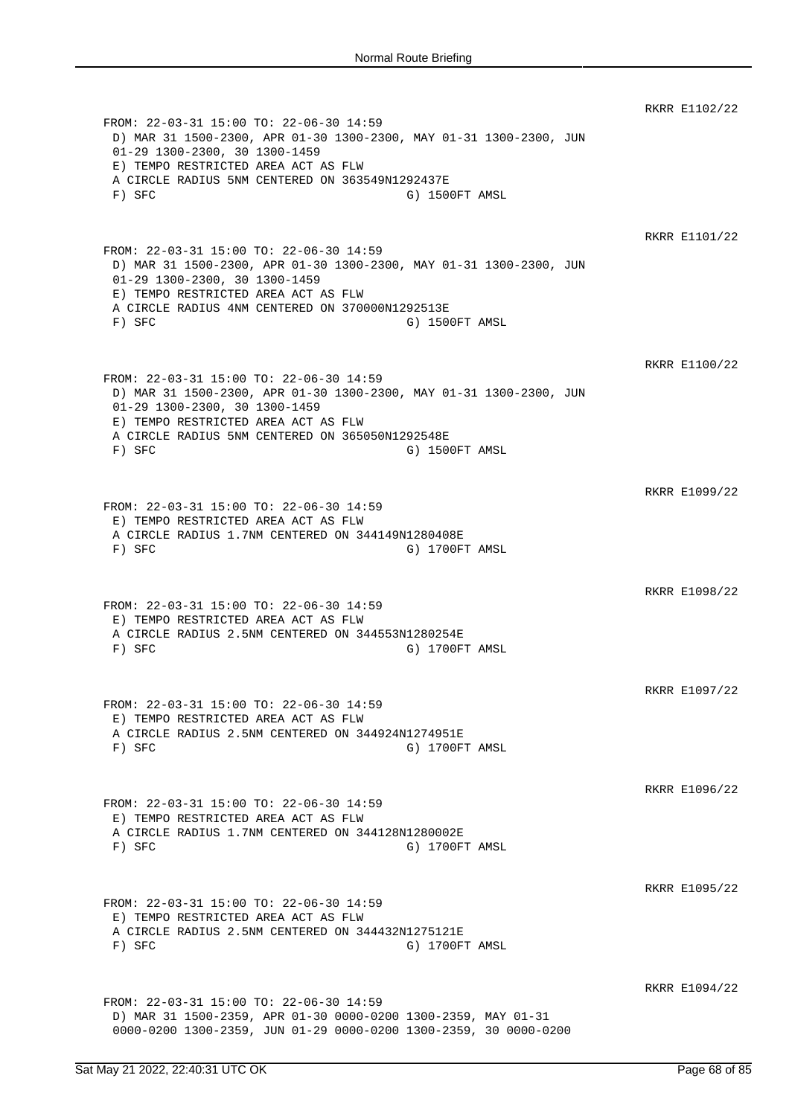RKRR E1102/22 FROM: 22-03-31 15:00 TO: 22-06-30 14:59 D) MAR 31 1500-2300, APR 01-30 1300-2300, MAY 01-31 1300-2300, JUN 01-29 1300-2300, 30 1300-1459 E) TEMPO RESTRICTED AREA ACT AS FLW A CIRCLE RADIUS 5NM CENTERED ON 363549N1292437E F) SFC G) 1500FT AMSL RKRR E1101/22 FROM: 22-03-31 15:00 TO: 22-06-30 14:59 D) MAR 31 1500-2300, APR 01-30 1300-2300, MAY 01-31 1300-2300, JUN 01-29 1300-2300, 30 1300-1459 E) TEMPO RESTRICTED AREA ACT AS FLW A CIRCLE RADIUS 4NM CENTERED ON 370000N1292513E F) SFC G) 1500FT AMSL RKRR E1100/22 FROM: 22-03-31 15:00 TO: 22-06-30 14:59 D) MAR 31 1500-2300, APR 01-30 1300-2300, MAY 01-31 1300-2300, JUN 01-29 1300-2300, 30 1300-1459 E) TEMPO RESTRICTED AREA ACT AS FLW A CIRCLE RADIUS 5NM CENTERED ON 365050N1292548E F) SFC G) 1500FT AMSL RKRR E1099/22 FROM: 22-03-31 15:00 TO: 22-06-30 14:59 E) TEMPO RESTRICTED AREA ACT AS FLW A CIRCLE RADIUS 1.7NM CENTERED ON 344149N1280408E F) SFC G) 1700FT AMSL RKRR E1098/22 FROM: 22-03-31 15:00 TO: 22-06-30 14:59 E) TEMPO RESTRICTED AREA ACT AS FLW A CIRCLE RADIUS 2.5NM CENTERED ON 344553N1280254E F) SFC G) 1700FT AMSL RKRR E1097/22 FROM: 22-03-31 15:00 TO: 22-06-30 14:59 E) TEMPO RESTRICTED AREA ACT AS FLW A CIRCLE RADIUS 2.5NM CENTERED ON 344924N1274951E F) SFC G) 1700FT AMSL RKRR E1096/22 FROM: 22-03-31 15:00 TO: 22-06-30 14:59 E) TEMPO RESTRICTED AREA ACT AS FLW A CIRCLE RADIUS 1.7NM CENTERED ON 344128N1280002E F) SFC G) 1700FT AMSL RKRR E1095/22 FROM: 22-03-31 15:00 TO: 22-06-30 14:59 E) TEMPO RESTRICTED AREA ACT AS FLW A CIRCLE RADIUS 2.5NM CENTERED ON 344432N1275121E F) SFC G) 1700FT AMSL RKRR E1094/22 FROM: 22-03-31 15:00 TO: 22-06-30 14:59 D) MAR 31 1500-2359, APR 01-30 0000-0200 1300-2359, MAY 01-31 0000-0200 1300-2359, JUN 01-29 0000-0200 1300-2359, 30 0000-0200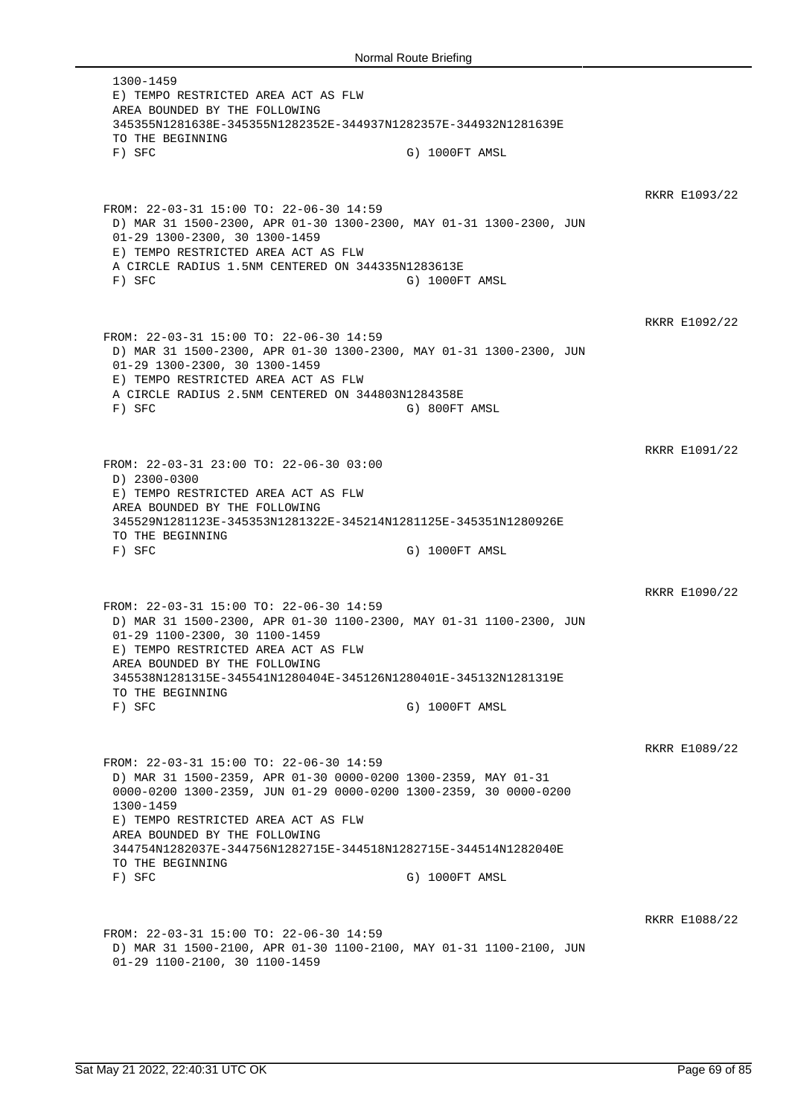1300-1459 E) TEMPO RESTRICTED AREA ACT AS FLW AREA BOUNDED BY THE FOLLOWING 345355N1281638E-345355N1282352E-344937N1282357E-344932N1281639E TO THE BEGINNING F) SFC G) 1000FT AMSL RKRR E1093/22 FROM: 22-03-31 15:00 TO: 22-06-30 14:59 D) MAR 31 1500-2300, APR 01-30 1300-2300, MAY 01-31 1300-2300, JUN 01-29 1300-2300, 30 1300-1459 E) TEMPO RESTRICTED AREA ACT AS FLW A CIRCLE RADIUS 1.5NM CENTERED ON 344335N1283613E F) SFC G) 1000FT AMSL RKRR E1092/22 FROM: 22-03-31 15:00 TO: 22-06-30 14:59 D) MAR 31 1500-2300, APR 01-30 1300-2300, MAY 01-31 1300-2300, JUN 01-29 1300-2300, 30 1300-1459 E) TEMPO RESTRICTED AREA ACT AS FLW A CIRCLE RADIUS 2.5NM CENTERED ON 344803N1284358E F) SFC G) 800FT AMSL RKRR E1091/22 FROM: 22-03-31 23:00 TO: 22-06-30 03:00 D) 2300-0300 E) TEMPO RESTRICTED AREA ACT AS FLW AREA BOUNDED BY THE FOLLOWING 345529N1281123E-345353N1281322E-345214N1281125E-345351N1280926E TO THE BEGINNING F) SFC G) 1000FT AMSL RKRR E1090/22 FROM: 22-03-31 15:00 TO: 22-06-30 14:59 D) MAR 31 1500-2300, APR 01-30 1100-2300, MAY 01-31 1100-2300, JUN 01-29 1100-2300, 30 1100-1459 E) TEMPO RESTRICTED AREA ACT AS FLW AREA BOUNDED BY THE FOLLOWING 345538N1281315E-345541N1280404E-345126N1280401E-345132N1281319E TO THE BEGINNING F) SFC G) 1000FT AMSL RKRR E1089/22 FROM: 22-03-31 15:00 TO: 22-06-30 14:59 D) MAR 31 1500-2359, APR 01-30 0000-0200 1300-2359, MAY 01-31 0000-0200 1300-2359, JUN 01-29 0000-0200 1300-2359, 30 0000-0200 1300-1459 E) TEMPO RESTRICTED AREA ACT AS FLW AREA BOUNDED BY THE FOLLOWING 344754N1282037E-344756N1282715E-344518N1282715E-344514N1282040E TO THE BEGINNING F) SFC G) 1000FT AMSL RKRR E1088/22 FROM: 22-03-31 15:00 TO: 22-06-30 14:59 D) MAR 31 1500-2100, APR 01-30 1100-2100, MAY 01-31 1100-2100, JUN 01-29 1100-2100, 30 1100-1459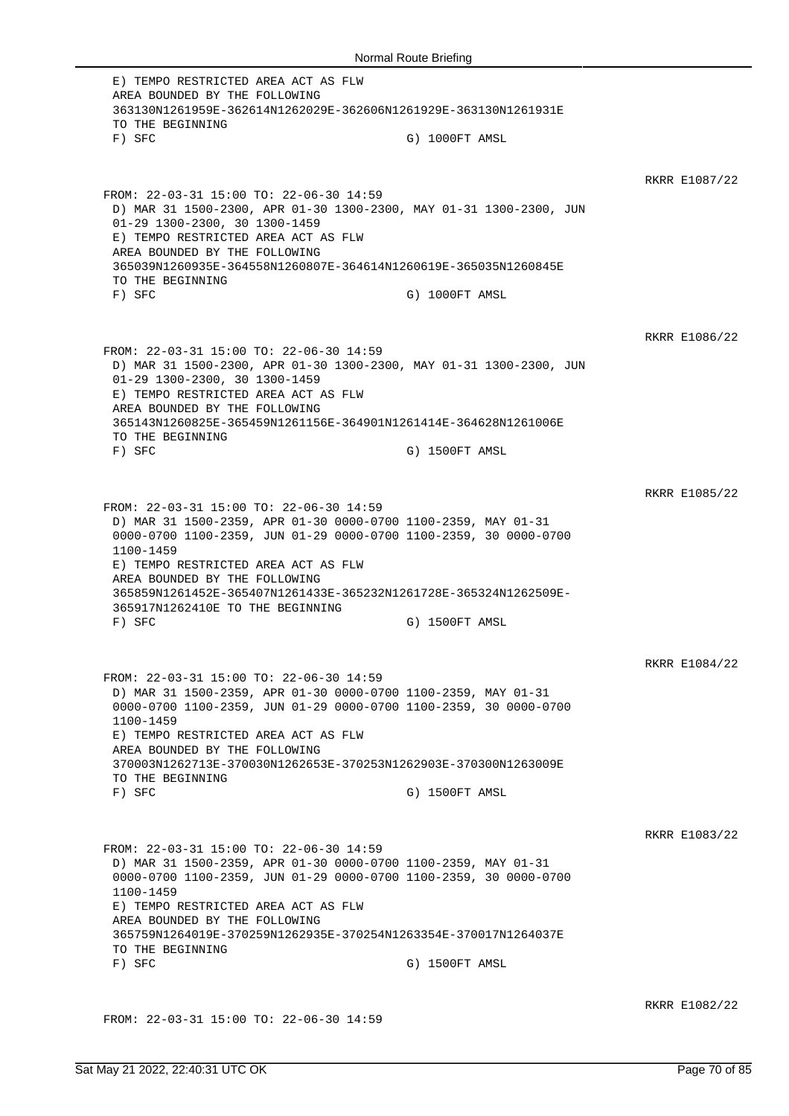E) TEMPO RESTRICTED AREA ACT AS FLW AREA BOUNDED BY THE FOLLOWING 363130N1261959E-362614N1262029E-362606N1261929E-363130N1261931E TO THE BEGINNING F) SFC G) 1000FT AMSL RKRR E1087/22 FROM: 22-03-31 15:00 TO: 22-06-30 14:59 D) MAR 31 1500-2300, APR 01-30 1300-2300, MAY 01-31 1300-2300, JUN 01-29 1300-2300, 30 1300-1459 E) TEMPO RESTRICTED AREA ACT AS FLW AREA BOUNDED BY THE FOLLOWING 365039N1260935E-364558N1260807E-364614N1260619E-365035N1260845E TO THE BEGINNING F) SFC G) 1000FT AMSL RKRR E1086/22 FROM: 22-03-31 15:00 TO: 22-06-30 14:59 D) MAR 31 1500-2300, APR 01-30 1300-2300, MAY 01-31 1300-2300, JUN 01-29 1300-2300, 30 1300-1459 E) TEMPO RESTRICTED AREA ACT AS FLW AREA BOUNDED BY THE FOLLOWING 365143N1260825E-365459N1261156E-364901N1261414E-364628N1261006E TO THE BEGINNING F) SFC G) 1500FT AMSL RKRR E1085/22 FROM: 22-03-31 15:00 TO: 22-06-30 14:59 D) MAR 31 1500-2359, APR 01-30 0000-0700 1100-2359, MAY 01-31 0000-0700 1100-2359, JUN 01-29 0000-0700 1100-2359, 30 0000-0700 1100-1459 E) TEMPO RESTRICTED AREA ACT AS FLW AREA BOUNDED BY THE FOLLOWING 365859N1261452E-365407N1261433E-365232N1261728E-365324N1262509E-365917N1262410E TO THE BEGINNING F) SFC G) 1500FT AMSL RKRR E1084/22 FROM: 22-03-31 15:00 TO: 22-06-30 14:59 D) MAR 31 1500-2359, APR 01-30 0000-0700 1100-2359, MAY 01-31 0000-0700 1100-2359, JUN 01-29 0000-0700 1100-2359, 30 0000-0700 1100-1459 E) TEMPO RESTRICTED AREA ACT AS FLW AREA BOUNDED BY THE FOLLOWING 370003N1262713E-370030N1262653E-370253N1262903E-370300N1263009E TO THE BEGINNING F) SFC G) 1500FT AMSL RKRR E1083/22 FROM: 22-03-31 15:00 TO: 22-06-30 14:59 D) MAR 31 1500-2359, APR 01-30 0000-0700 1100-2359, MAY 01-31 0000-0700 1100-2359, JUN 01-29 0000-0700 1100-2359, 30 0000-0700 1100-1459 E) TEMPO RESTRICTED AREA ACT AS FLW AREA BOUNDED BY THE FOLLOWING 365759N1264019E-370259N1262935E-370254N1263354E-370017N1264037E TO THE BEGINNING F) SFC G) 1500FT AMSL RKRR E1082/22

FROM: 22-03-31 15:00 TO: 22-06-30 14:59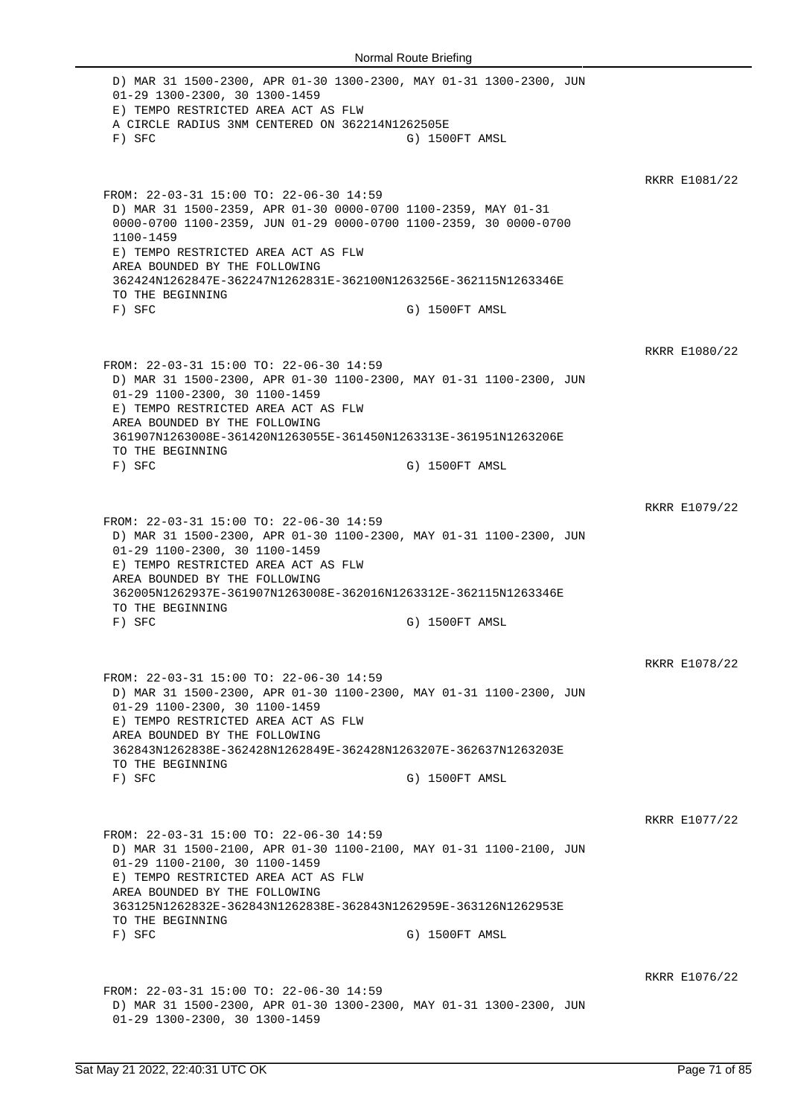D) MAR 31 1500-2300, APR 01-30 1300-2300, MAY 01-31 1300-2300, JUN 01-29 1300-2300, 30 1300-1459 E) TEMPO RESTRICTED AREA ACT AS FLW A CIRCLE RADIUS 3NM CENTERED ON 362214N1262505E F) SFC G) 1500FT AMSL RKRR E1081/22 FROM: 22-03-31 15:00 TO: 22-06-30 14:59 D) MAR 31 1500-2359, APR 01-30 0000-0700 1100-2359, MAY 01-31 0000-0700 1100-2359, JUN 01-29 0000-0700 1100-2359, 30 0000-0700 1100-1459 E) TEMPO RESTRICTED AREA ACT AS FLW AREA BOUNDED BY THE FOLLOWING 362424N1262847E-362247N1262831E-362100N1263256E-362115N1263346E TO THE BEGINNING F) SFC G) 1500FT AMSL RKRR E1080/22 FROM: 22-03-31 15:00 TO: 22-06-30 14:59 D) MAR 31 1500-2300, APR 01-30 1100-2300, MAY 01-31 1100-2300, JUN 01-29 1100-2300, 30 1100-1459 E) TEMPO RESTRICTED AREA ACT AS FLW AREA BOUNDED BY THE FOLLOWING 361907N1263008E-361420N1263055E-361450N1263313E-361951N1263206E TO THE BEGINNING F) SFC G) 1500FT AMSL RKRR E1079/22 FROM: 22-03-31 15:00 TO: 22-06-30 14:59 D) MAR 31 1500-2300, APR 01-30 1100-2300, MAY 01-31 1100-2300, JUN 01-29 1100-2300, 30 1100-1459 E) TEMPO RESTRICTED AREA ACT AS FLW AREA BOUNDED BY THE FOLLOWING 362005N1262937E-361907N1263008E-362016N1263312E-362115N1263346E TO THE BEGINNING F) SFC G) 1500FT AMSL RKRR E1078/22 FROM: 22-03-31 15:00 TO: 22-06-30 14:59 D) MAR 31 1500-2300, APR 01-30 1100-2300, MAY 01-31 1100-2300, JUN 01-29 1100-2300, 30 1100-1459 E) TEMPO RESTRICTED AREA ACT AS FLW AREA BOUNDED BY THE FOLLOWING 362843N1262838E-362428N1262849E-362428N1263207E-362637N1263203E TO THE BEGINNING F) SFC G) 1500FT AMSL RKRR E1077/22 FROM: 22-03-31 15:00 TO: 22-06-30 14:59 D) MAR 31 1500-2100, APR 01-30 1100-2100, MAY 01-31 1100-2100, JUN 01-29 1100-2100, 30 1100-1459 E) TEMPO RESTRICTED AREA ACT AS FLW AREA BOUNDED BY THE FOLLOWING 363125N1262832E-362843N1262838E-362843N1262959E-363126N1262953E TO THE BEGINNING<br>F) SFC G) 1500FT AMSL RKRR E1076/22 FROM: 22-03-31 15:00 TO: 22-06-30 14:59 D) MAR 31 1500-2300, APR 01-30 1300-2300, MAY 01-31 1300-2300, JUN 01-29 1300-2300, 30 1300-1459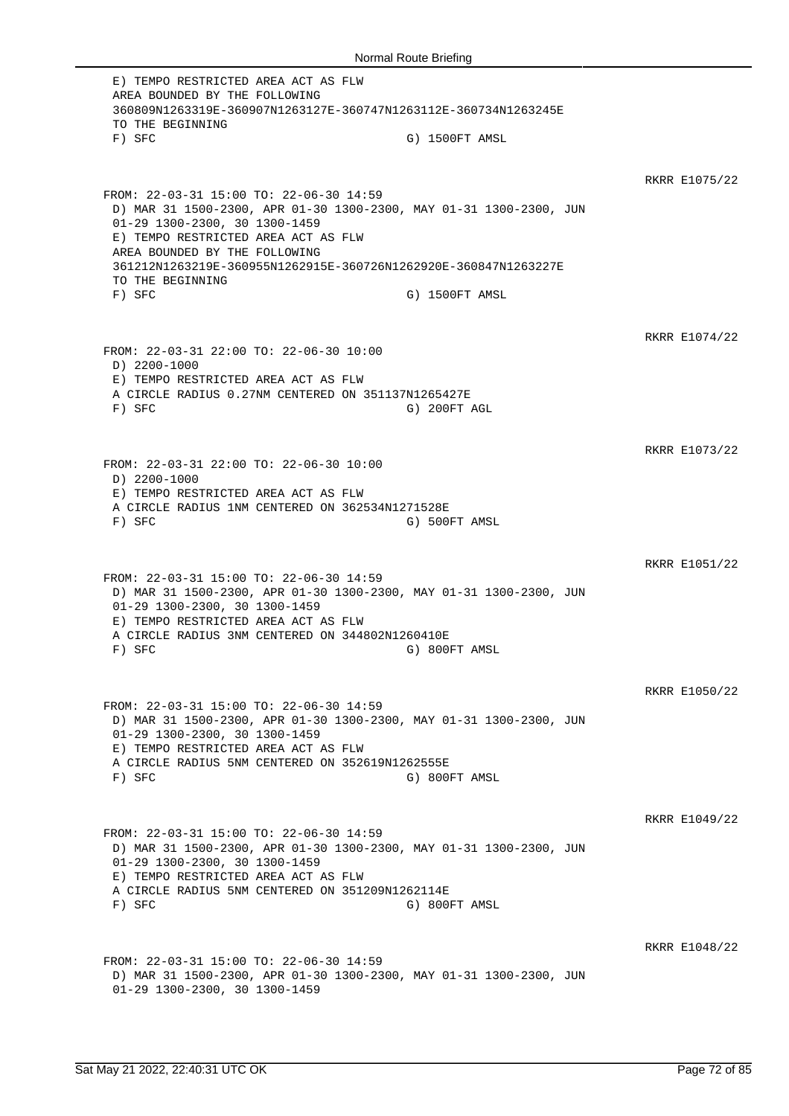E) TEMPO RESTRICTED AREA ACT AS FLW AREA BOUNDED BY THE FOLLOWING 360809N1263319E-360907N1263127E-360747N1263112E-360734N1263245E TO THE BEGINNING F) SFC G) 1500FT AMSL RKRR E1075/22 FROM: 22-03-31 15:00 TO: 22-06-30 14:59 D) MAR 31 1500-2300, APR 01-30 1300-2300, MAY 01-31 1300-2300, JUN 01-29 1300-2300, 30 1300-1459 E) TEMPO RESTRICTED AREA ACT AS FLW AREA BOUNDED BY THE FOLLOWING 361212N1263219E-360955N1262915E-360726N1262920E-360847N1263227E TO THE BEGINNING F) SFC G) 1500FT AMSL RKRR E1074/22 FROM: 22-03-31 22:00 TO: 22-06-30 10:00 D) 2200-1000 E) TEMPO RESTRICTED AREA ACT AS FLW A CIRCLE RADIUS 0.27NM CENTERED ON 351137N1265427E F) SFC G) 200FT AGL RKRR E1073/22 FROM: 22-03-31 22:00 TO: 22-06-30 10:00 D) 2200-1000 E) TEMPO RESTRICTED AREA ACT AS FLW A CIRCLE RADIUS 1NM CENTERED ON 362534N1271528E F) SFC G) 500FT AMSL RKRR E1051/22 FROM: 22-03-31 15:00 TO: 22-06-30 14:59 D) MAR 31 1500-2300, APR 01-30 1300-2300, MAY 01-31 1300-2300, JUN 01-29 1300-2300, 30 1300-1459 E) TEMPO RESTRICTED AREA ACT AS FLW A CIRCLE RADIUS 3NM CENTERED ON 344802N1260410E F) SFC G) 800FT AMSL RKRR E1050/22 FROM: 22-03-31 15:00 TO: 22-06-30 14:59 D) MAR 31 1500-2300, APR 01-30 1300-2300, MAY 01-31 1300-2300, JUN 01-29 1300-2300, 30 1300-1459 E) TEMPO RESTRICTED AREA ACT AS FLW A CIRCLE RADIUS 5NM CENTERED ON 352619N1262555E F) SFC G) 800FT AMSL RKRR E1049/22 FROM: 22-03-31 15:00 TO: 22-06-30 14:59 D) MAR 31 1500-2300, APR 01-30 1300-2300, MAY 01-31 1300-2300, JUN 01-29 1300-2300, 30 1300-1459 E) TEMPO RESTRICTED AREA ACT AS FLW A CIRCLE RADIUS 5NM CENTERED ON 351209N1262114E F) SFC G) 800FT AMSL RKRR E1048/22 FROM: 22-03-31 15:00 TO: 22-06-30 14:59 D) MAR 31 1500-2300, APR 01-30 1300-2300, MAY 01-31 1300-2300, JUN 01-29 1300-2300, 30 1300-1459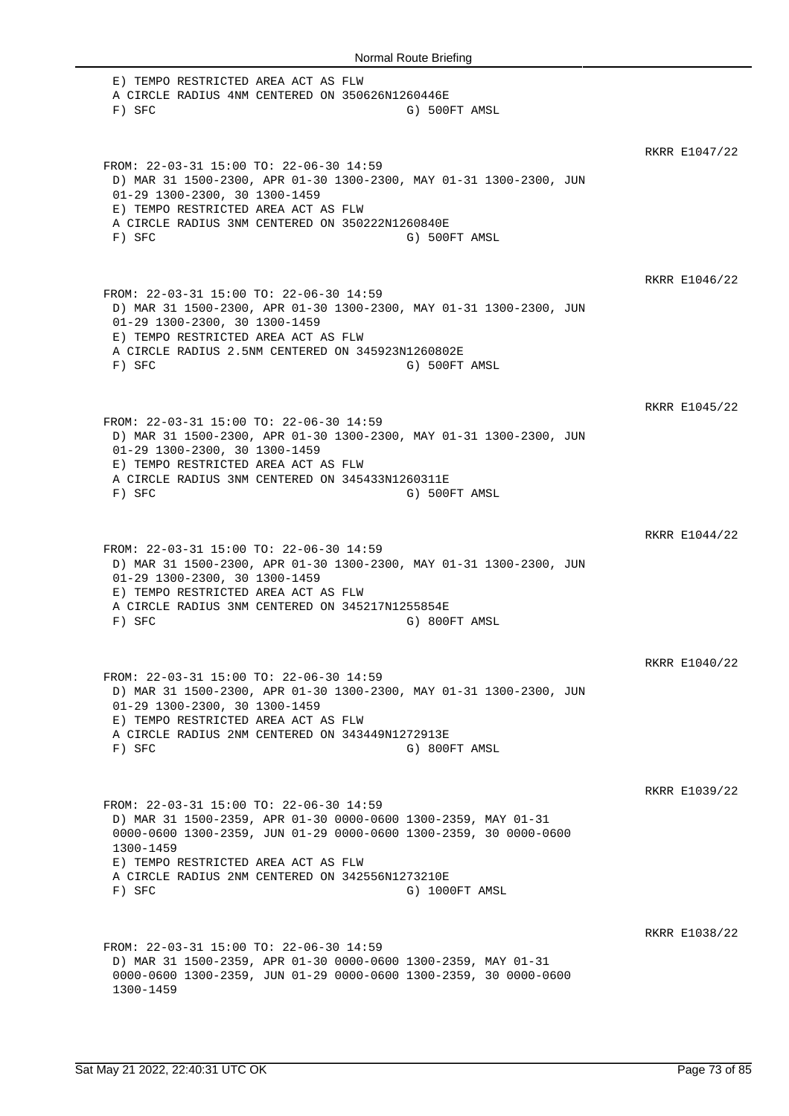E) TEMPO RESTRICTED AREA ACT AS FLW A CIRCLE RADIUS 4NM CENTERED ON 350626N1260446E F) SFC G) 500FT AMSL RKRR E1047/22 FROM: 22-03-31 15:00 TO: 22-06-30 14:59 D) MAR 31 1500-2300, APR 01-30 1300-2300, MAY 01-31 1300-2300, JUN 01-29 1300-2300, 30 1300-1459 E) TEMPO RESTRICTED AREA ACT AS FLW A CIRCLE RADIUS 3NM CENTERED ON 350222N1260840E F) SFC G) 500FT AMSL RKRR E1046/22 FROM: 22-03-31 15:00 TO: 22-06-30 14:59 D) MAR 31 1500-2300, APR 01-30 1300-2300, MAY 01-31 1300-2300, JUN 01-29 1300-2300, 30 1300-1459 E) TEMPO RESTRICTED AREA ACT AS FLW A CIRCLE RADIUS 2.5NM CENTERED ON 345923N1260802E F) SFC G) 500FT AMSL RKRR E1045/22 FROM: 22-03-31 15:00 TO: 22-06-30 14:59 D) MAR 31 1500-2300, APR 01-30 1300-2300, MAY 01-31 1300-2300, JUN 01-29 1300-2300, 30 1300-1459 E) TEMPO RESTRICTED AREA ACT AS FLW A CIRCLE RADIUS 3NM CENTERED ON 345433N1260311E F) SFC G) 500FT AMSL RKRR E1044/22 FROM: 22-03-31 15:00 TO: 22-06-30 14:59 D) MAR 31 1500-2300, APR 01-30 1300-2300, MAY 01-31 1300-2300, JUN 01-29 1300-2300, 30 1300-1459 E) TEMPO RESTRICTED AREA ACT AS FLW A CIRCLE RADIUS 3NM CENTERED ON 345217N1255854E F) SFC G) 800FT AMSL RKRR E1040/22 FROM: 22-03-31 15:00 TO: 22-06-30 14:59 D) MAR 31 1500-2300, APR 01-30 1300-2300, MAY 01-31 1300-2300, JUN 01-29 1300-2300, 30 1300-1459 E) TEMPO RESTRICTED AREA ACT AS FLW A CIRCLE RADIUS 2NM CENTERED ON 343449N1272913E F) SFC G) 800FT AMSL RKRR E1039/22 FROM: 22-03-31 15:00 TO: 22-06-30 14:59 D) MAR 31 1500-2359, APR 01-30 0000-0600 1300-2359, MAY 01-31 0000-0600 1300-2359, JUN 01-29 0000-0600 1300-2359, 30 0000-0600 1300-1459 E) TEMPO RESTRICTED AREA ACT AS FLW A CIRCLE RADIUS 2NM CENTERED ON 342556N1273210E F) SFC G) 1000FT AMSL RKRR E1038/22 FROM: 22-03-31 15:00 TO: 22-06-30 14:59 D) MAR 31 1500-2359, APR 01-30 0000-0600 1300-2359, MAY 01-31 0000-0600 1300-2359, JUN 01-29 0000-0600 1300-2359, 30 0000-0600 1300-1459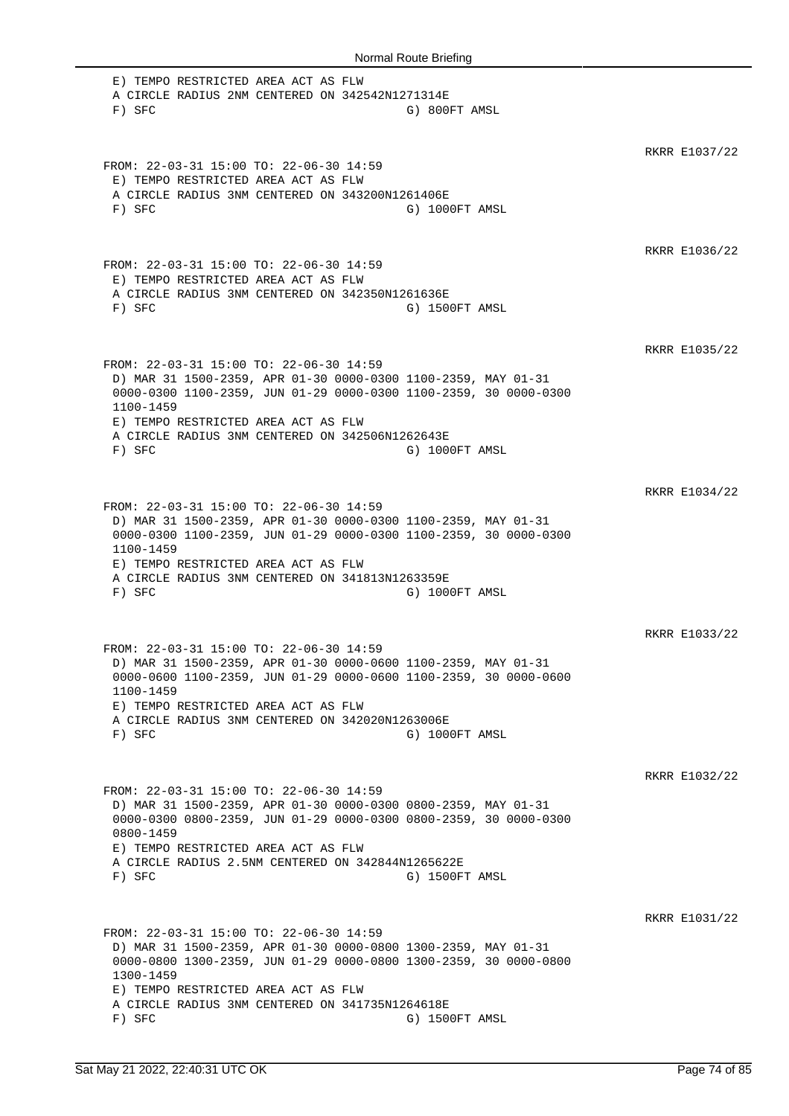E) TEMPO RESTRICTED AREA ACT AS FLW A CIRCLE RADIUS 2NM CENTERED ON 342542N1271314E F) SFC G) 800FT AMSL RKRR E1037/22 FROM: 22-03-31 15:00 TO: 22-06-30 14:59 E) TEMPO RESTRICTED AREA ACT AS FLW A CIRCLE RADIUS 3NM CENTERED ON 343200N1261406E F) SFC G) 1000FT AMSL RKRR E1036/22 FROM: 22-03-31 15:00 TO: 22-06-30 14:59 E) TEMPO RESTRICTED AREA ACT AS FLW A CIRCLE RADIUS 3NM CENTERED ON 342350N1261636E F) SFC G) 1500FT AMSL RKRR E1035/22 FROM: 22-03-31 15:00 TO: 22-06-30 14:59 D) MAR 31 1500-2359, APR 01-30 0000-0300 1100-2359, MAY 01-31 0000-0300 1100-2359, JUN 01-29 0000-0300 1100-2359, 30 0000-0300 1100-1459 E) TEMPO RESTRICTED AREA ACT AS FLW A CIRCLE RADIUS 3NM CENTERED ON 342506N1262643E F) SFC G) 1000FT AMSL RKRR E1034/22 FROM: 22-03-31 15:00 TO: 22-06-30 14:59 D) MAR 31 1500-2359, APR 01-30 0000-0300 1100-2359, MAY 01-31 0000-0300 1100-2359, JUN 01-29 0000-0300 1100-2359, 30 0000-0300 1100-1459 E) TEMPO RESTRICTED AREA ACT AS FLW A CIRCLE RADIUS 3NM CENTERED ON 341813N1263359E F) SFC G) 1000FT AMSL RKRR E1033/22 FROM: 22-03-31 15:00 TO: 22-06-30 14:59 D) MAR 31 1500-2359, APR 01-30 0000-0600 1100-2359, MAY 01-31 0000-0600 1100-2359, JUN 01-29 0000-0600 1100-2359, 30 0000-0600 1100-1459 E) TEMPO RESTRICTED AREA ACT AS FLW A CIRCLE RADIUS 3NM CENTERED ON 342020N1263006E F) SFC G) 1000FT AMSL RKRR E1032/22 FROM: 22-03-31 15:00 TO: 22-06-30 14:59 D) MAR 31 1500-2359, APR 01-30 0000-0300 0800-2359, MAY 01-31 0000-0300 0800-2359, JUN 01-29 0000-0300 0800-2359, 30 0000-0300 0800-1459 E) TEMPO RESTRICTED AREA ACT AS FLW A CIRCLE RADIUS 2.5NM CENTERED ON 342844N1265622E F) SFC G) 1500FT AMSL RKRR E1031/22 FROM: 22-03-31 15:00 TO: 22-06-30 14:59 D) MAR 31 1500-2359, APR 01-30 0000-0800 1300-2359, MAY 01-31 0000-0800 1300-2359, JUN 01-29 0000-0800 1300-2359, 30 0000-0800 1300-1459 E) TEMPO RESTRICTED AREA ACT AS FLW A CIRCLE RADIUS 3NM CENTERED ON 341735N1264618E F) SFC G) 1500FT AMSL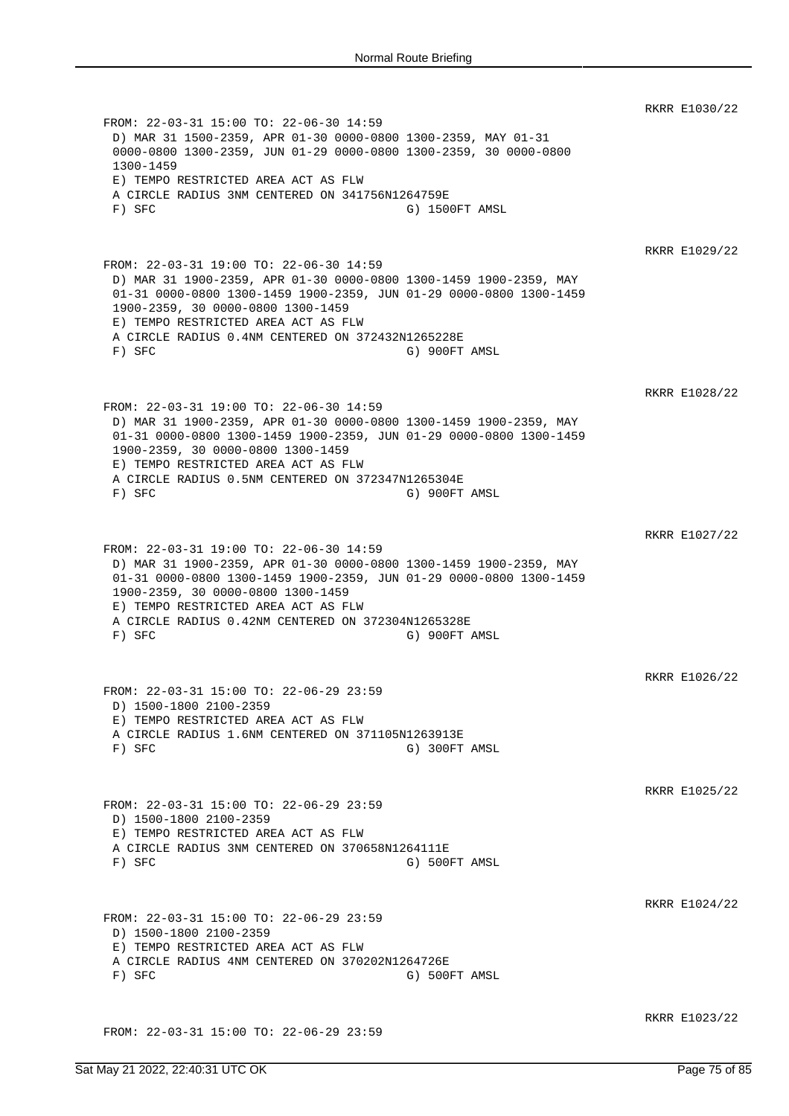RKRR E1030/22 FROM: 22-03-31 15:00 TO: 22-06-30 14:59 D) MAR 31 1500-2359, APR 01-30 0000-0800 1300-2359, MAY 01-31 0000-0800 1300-2359, JUN 01-29 0000-0800 1300-2359, 30 0000-0800 1300-1459 E) TEMPO RESTRICTED AREA ACT AS FLW A CIRCLE RADIUS 3NM CENTERED ON 341756N1264759E F) SFC G) 1500FT AMSL RKRR E1029/22 FROM: 22-03-31 19:00 TO: 22-06-30 14:59 D) MAR 31 1900-2359, APR 01-30 0000-0800 1300-1459 1900-2359, MAY 01-31 0000-0800 1300-1459 1900-2359, JUN 01-29 0000-0800 1300-1459 1900-2359, 30 0000-0800 1300-1459 E) TEMPO RESTRICTED AREA ACT AS FLW A CIRCLE RADIUS 0.4NM CENTERED ON 372432N1265228E F) SFC G) 900FT AMSL RKRR E1028/22 FROM: 22-03-31 19:00 TO: 22-06-30 14:59 D) MAR 31 1900-2359, APR 01-30 0000-0800 1300-1459 1900-2359, MAY 01-31 0000-0800 1300-1459 1900-2359, JUN 01-29 0000-0800 1300-1459 1900-2359, 30 0000-0800 1300-1459 E) TEMPO RESTRICTED AREA ACT AS FLW A CIRCLE RADIUS 0.5NM CENTERED ON 372347N1265304E F) SFC G) 900FT AMSL RKRR E1027/22 FROM: 22-03-31 19:00 TO: 22-06-30 14:59 D) MAR 31 1900-2359, APR 01-30 0000-0800 1300-1459 1900-2359, MAY 01-31 0000-0800 1300-1459 1900-2359, JUN 01-29 0000-0800 1300-1459 1900-2359, 30 0000-0800 1300-1459 E) TEMPO RESTRICTED AREA ACT AS FLW A CIRCLE RADIUS 0.42NM CENTERED ON 372304N1265328E F) SFC G) 900FT AMSL RKRR E1026/22 FROM: 22-03-31 15:00 TO: 22-06-29 23:59 D) 1500-1800 2100-2359 E) TEMPO RESTRICTED AREA ACT AS FLW A CIRCLE RADIUS 1.6NM CENTERED ON 371105N1263913E F) SFC G) 300FT AMSL RKRR E1025/22 FROM: 22-03-31 15:00 TO: 22-06-29 23:59 D) 1500-1800 2100-2359 E) TEMPO RESTRICTED AREA ACT AS FLW A CIRCLE RADIUS 3NM CENTERED ON 370658N1264111E F) SFC G) 500FT AMSL RKRR E1024/22 FROM: 22-03-31 15:00 TO: 22-06-29 23:59 D) 1500-1800 2100-2359 E) TEMPO RESTRICTED AREA ACT AS FLW A CIRCLE RADIUS 4NM CENTERED ON 370202N1264726E F) SFC G) 500FT AMSL RKRR E1023/22 FROM: 22-03-31 15:00 TO: 22-06-29 23:59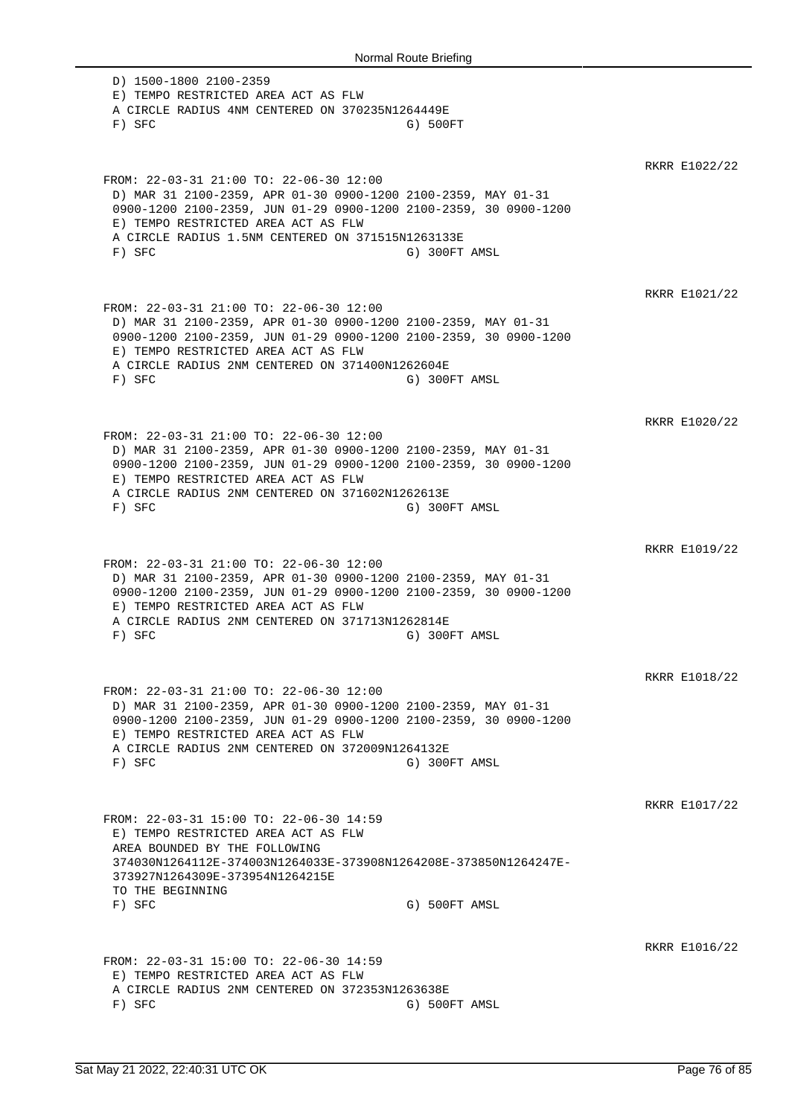D) 1500-1800 2100-2359 E) TEMPO RESTRICTED AREA ACT AS FLW A CIRCLE RADIUS 4NM CENTERED ON 370235N1264449E F) SFC G) 500FT RKRR E1022/22 FROM: 22-03-31 21:00 TO: 22-06-30 12:00 D) MAR 31 2100-2359, APR 01-30 0900-1200 2100-2359, MAY 01-31 0900-1200 2100-2359, JUN 01-29 0900-1200 2100-2359, 30 0900-1200 E) TEMPO RESTRICTED AREA ACT AS FLW A CIRCLE RADIUS 1.5NM CENTERED ON 371515N1263133E F) SFC G) 300FT AMSL RKRR E1021/22 FROM: 22-03-31 21:00 TO: 22-06-30 12:00 D) MAR 31 2100-2359, APR 01-30 0900-1200 2100-2359, MAY 01-31 0900-1200 2100-2359, JUN 01-29 0900-1200 2100-2359, 30 0900-1200 E) TEMPO RESTRICTED AREA ACT AS FLW A CIRCLE RADIUS 2NM CENTERED ON 371400N1262604E F) SFC G) 300FT AMSL RKRR E1020/22 FROM: 22-03-31 21:00 TO: 22-06-30 12:00 D) MAR 31 2100-2359, APR 01-30 0900-1200 2100-2359, MAY 01-31 0900-1200 2100-2359, JUN 01-29 0900-1200 2100-2359, 30 0900-1200 E) TEMPO RESTRICTED AREA ACT AS FLW A CIRCLE RADIUS 2NM CENTERED ON 371602N1262613E F) SFC G) 300FT AMSL RKRR E1019/22 FROM: 22-03-31 21:00 TO: 22-06-30 12:00 D) MAR 31 2100-2359, APR 01-30 0900-1200 2100-2359, MAY 01-31 0900-1200 2100-2359, JUN 01-29 0900-1200 2100-2359, 30 0900-1200 E) TEMPO RESTRICTED AREA ACT AS FLW A CIRCLE RADIUS 2NM CENTERED ON 371713N1262814E F) SFC G) 300FT AMSL RKRR E1018/22 FROM: 22-03-31 21:00 TO: 22-06-30 12:00 D) MAR 31 2100-2359, APR 01-30 0900-1200 2100-2359, MAY 01-31 0900-1200 2100-2359, JUN 01-29 0900-1200 2100-2359, 30 0900-1200 E) TEMPO RESTRICTED AREA ACT AS FLW A CIRCLE RADIUS 2NM CENTERED ON 372009N1264132E F) SFC G) 300FT AMSL RKRR E1017/22 FROM: 22-03-31 15:00 TO: 22-06-30 14:59 E) TEMPO RESTRICTED AREA ACT AS FLW AREA BOUNDED BY THE FOLLOWING 374030N1264112E-374003N1264033E-373908N1264208E-373850N1264247E-373927N1264309E-373954N1264215E TO THE BEGINNING<br>F) SFC G) 500FT AMSL RKRR E1016/22 FROM: 22-03-31 15:00 TO: 22-06-30 14:59 E) TEMPO RESTRICTED AREA ACT AS FLW A CIRCLE RADIUS 2NM CENTERED ON 372353N1263638E F) SFC G) 500FT AMSL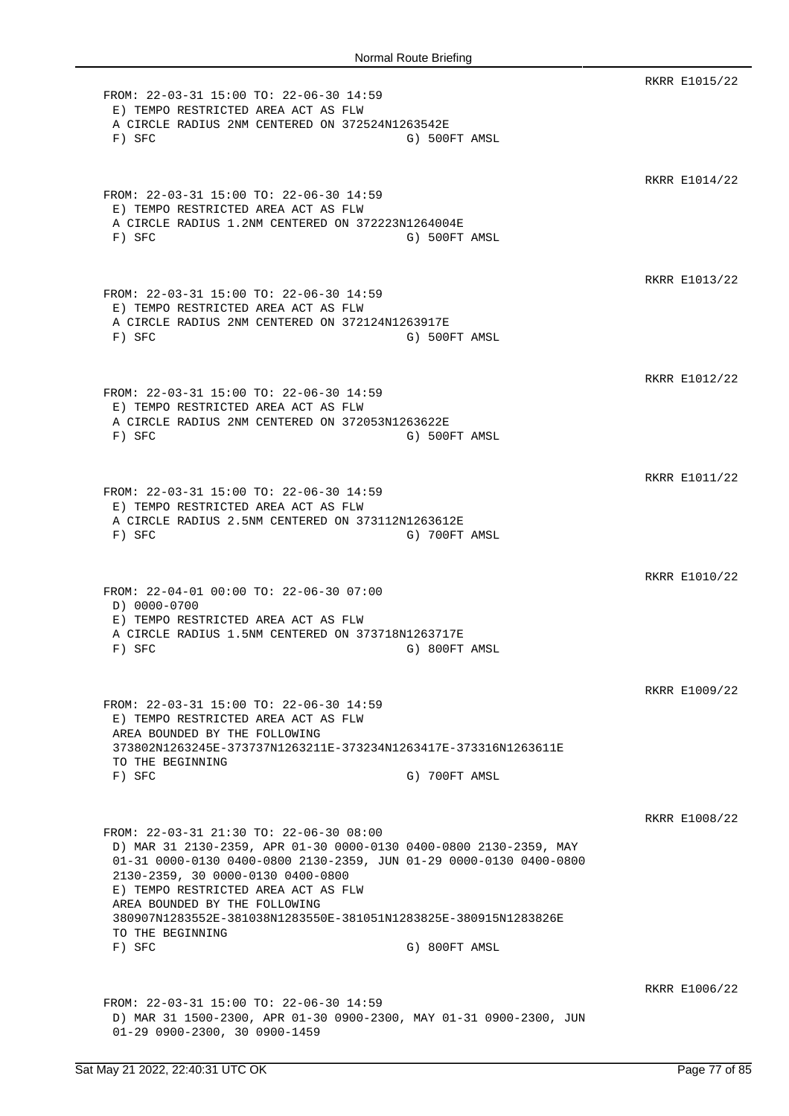RKRR E1015/22 FROM: 22-03-31 15:00 TO: 22-06-30 14:59 E) TEMPO RESTRICTED AREA ACT AS FLW A CIRCLE RADIUS 2NM CENTERED ON 372524N1263542E F) SFC G) 500FT AMSL RKRR E1014/22 FROM: 22-03-31 15:00 TO: 22-06-30 14:59 E) TEMPO RESTRICTED AREA ACT AS FLW A CIRCLE RADIUS 1.2NM CENTERED ON 372223N1264004E F) SFC G) 500FT AMSL RKRR E1013/22 FROM: 22-03-31 15:00 TO: 22-06-30 14:59 E) TEMPO RESTRICTED AREA ACT AS FLW A CIRCLE RADIUS 2NM CENTERED ON 372124N1263917E F) SFC G) 500FT AMSL RKRR E1012/22 FROM: 22-03-31 15:00 TO: 22-06-30 14:59 E) TEMPO RESTRICTED AREA ACT AS FLW A CIRCLE RADIUS 2NM CENTERED ON 372053N1263622E F) SFC G) 500FT AMSL RKRR E1011/22 FROM: 22-03-31 15:00 TO: 22-06-30 14:59 E) TEMPO RESTRICTED AREA ACT AS FLW A CIRCLE RADIUS 2.5NM CENTERED ON 373112N1263612E F) SFC G) 700FT AMSL RKRR E1010/22 FROM: 22-04-01 00:00 TO: 22-06-30 07:00 D) 0000-0700 E) TEMPO RESTRICTED AREA ACT AS FLW A CIRCLE RADIUS 1.5NM CENTERED ON 373718N1263717E F) SFC G) 800FT AMSL RKRR E1009/22 FROM: 22-03-31 15:00 TO: 22-06-30 14:59 E) TEMPO RESTRICTED AREA ACT AS FLW AREA BOUNDED BY THE FOLLOWING 373802N1263245E-373737N1263211E-373234N1263417E-373316N1263611E TO THE BEGINNING F) SFC G) 700FT AMSL RKRR E1008/22 FROM: 22-03-31 21:30 TO: 22-06-30 08:00 D) MAR 31 2130-2359, APR 01-30 0000-0130 0400-0800 2130-2359, MAY 01-31 0000-0130 0400-0800 2130-2359, JUN 01-29 0000-0130 0400-0800 2130-2359, 30 0000-0130 0400-0800 E) TEMPO RESTRICTED AREA ACT AS FLW AREA BOUNDED BY THE FOLLOWING 380907N1283552E-381038N1283550E-381051N1283825E-380915N1283826E TO THE BEGINNING F) SFC G) 800FT AMSL RKRR E1006/22 FROM: 22-03-31 15:00 TO: 22-06-30 14:59 D) MAR 31 1500-2300, APR 01-30 0900-2300, MAY 01-31 0900-2300, JUN 01-29 0900-2300, 30 0900-1459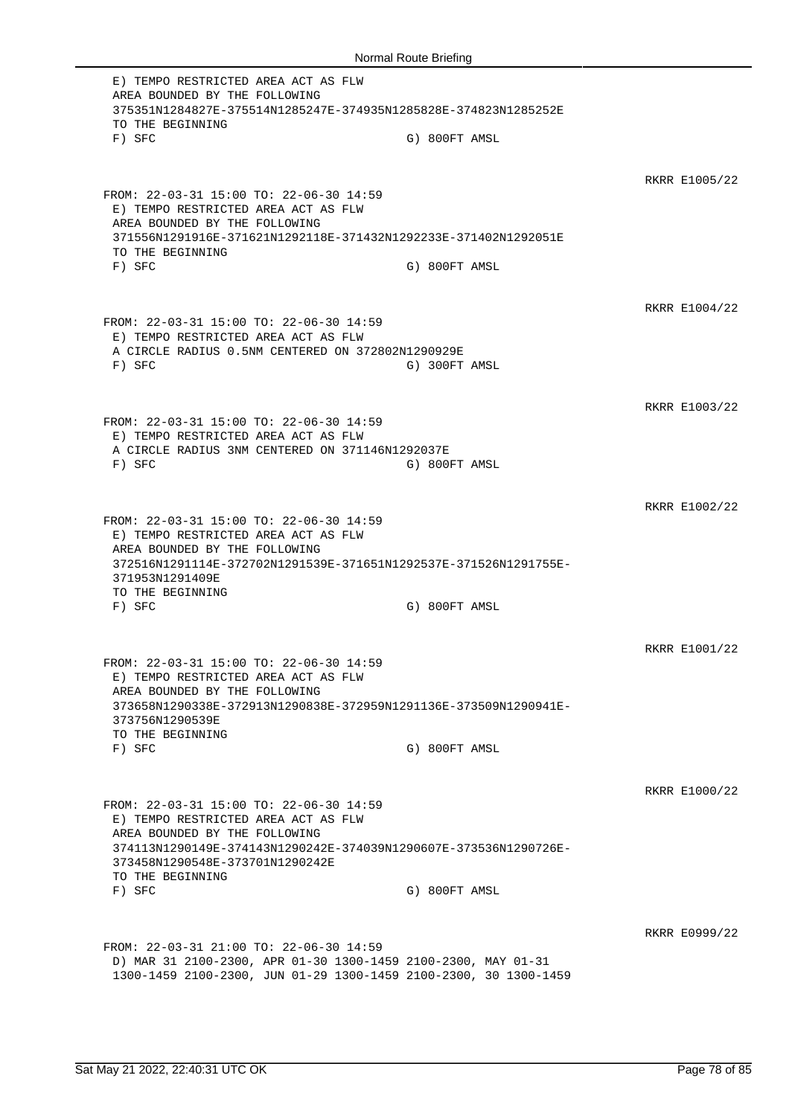E) TEMPO RESTRICTED AREA ACT AS FLW AREA BOUNDED BY THE FOLLOWING 375351N1284827E-375514N1285247E-374935N1285828E-374823N1285252E TO THE BEGINNING F) SFC G) 800FT AMSL RKRR E1005/22 FROM: 22-03-31 15:00 TO: 22-06-30 14:59 E) TEMPO RESTRICTED AREA ACT AS FLW AREA BOUNDED BY THE FOLLOWING 371556N1291916E-371621N1292118E-371432N1292233E-371402N1292051E TO THE BEGINNING F) SFC G) 800FT AMSL RKRR E1004/22 FROM: 22-03-31 15:00 TO: 22-06-30 14:59 E) TEMPO RESTRICTED AREA ACT AS FLW A CIRCLE RADIUS 0.5NM CENTERED ON 372802N1290929E F) SFC G) 300FT AMSL RKRR E1003/22 FROM: 22-03-31 15:00 TO: 22-06-30 14:59 E) TEMPO RESTRICTED AREA ACT AS FLW A CIRCLE RADIUS 3NM CENTERED ON 371146N1292037E F) SFC G) 800FT AMSL RKRR E1002/22 FROM: 22-03-31 15:00 TO: 22-06-30 14:59 E) TEMPO RESTRICTED AREA ACT AS FLW AREA BOUNDED BY THE FOLLOWING 372516N1291114E-372702N1291539E-371651N1292537E-371526N1291755E-371953N1291409E TO THE BEGINNING F) SFC G) 800FT AMSL RKRR E1001/22 FROM: 22-03-31 15:00 TO: 22-06-30 14:59 E) TEMPO RESTRICTED AREA ACT AS FLW AREA BOUNDED BY THE FOLLOWING 373658N1290338E-372913N1290838E-372959N1291136E-373509N1290941E-373756N1290539E TO THE BEGINNING F) SFC G) 800FT AMSL RKRR E1000/22 FROM: 22-03-31 15:00 TO: 22-06-30 14:59 E) TEMPO RESTRICTED AREA ACT AS FLW AREA BOUNDED BY THE FOLLOWING 374113N1290149E-374143N1290242E-374039N1290607E-373536N1290726E-373458N1290548E-373701N1290242E TO THE BEGINNING<br>F) SFC G) 800FT AMSL RKRR E0999/22 FROM: 22-03-31 21:00 TO: 22-06-30 14:59 D) MAR 31 2100-2300, APR 01-30 1300-1459 2100-2300, MAY 01-31 1300-1459 2100-2300, JUN 01-29 1300-1459 2100-2300, 30 1300-1459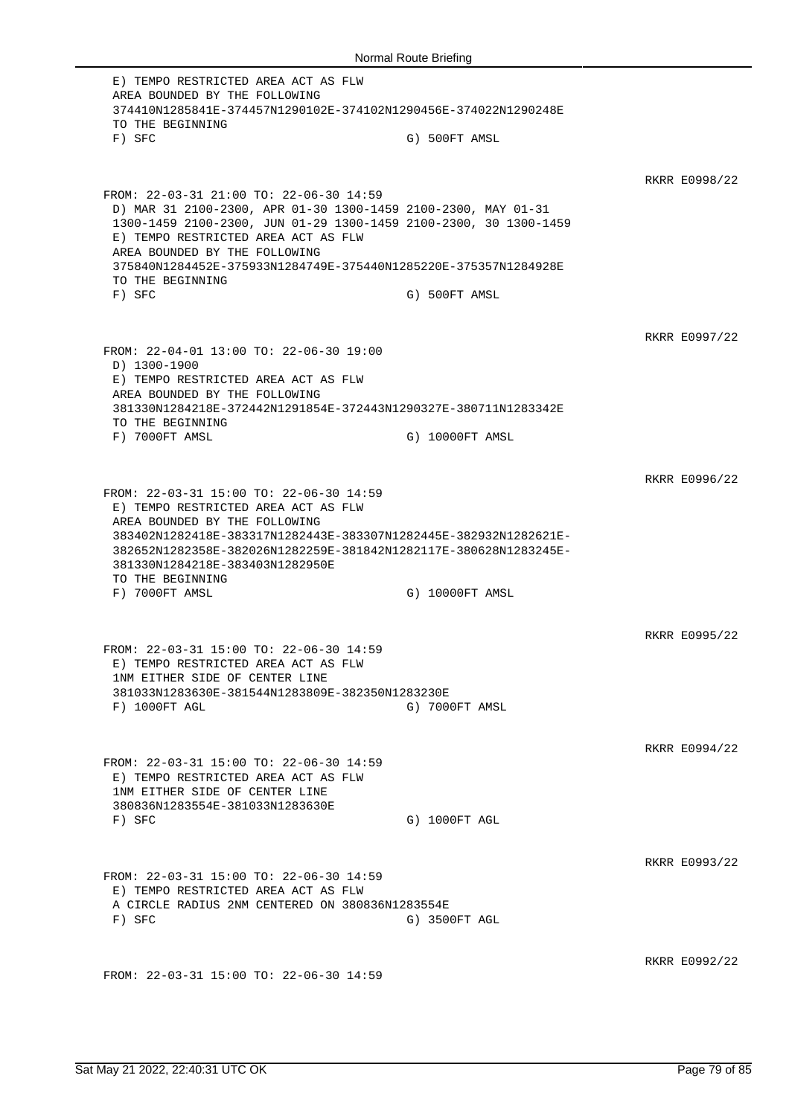E) TEMPO RESTRICTED AREA ACT AS FLW AREA BOUNDED BY THE FOLLOWING 374410N1285841E-374457N1290102E-374102N1290456E-374022N1290248E TO THE BEGINNING F) SFC G) 500FT AMSL RKRR E0998/22 FROM: 22-03-31 21:00 TO: 22-06-30 14:59 D) MAR 31 2100-2300, APR 01-30 1300-1459 2100-2300, MAY 01-31 1300-1459 2100-2300, JUN 01-29 1300-1459 2100-2300, 30 1300-1459 E) TEMPO RESTRICTED AREA ACT AS FLW AREA BOUNDED BY THE FOLLOWING 375840N1284452E-375933N1284749E-375440N1285220E-375357N1284928E TO THE BEGINNING F) SFC G) 500FT AMSL RKRR E0997/22 FROM: 22-04-01 13:00 TO: 22-06-30 19:00 D) 1300-1900 E) TEMPO RESTRICTED AREA ACT AS FLW AREA BOUNDED BY THE FOLLOWING 381330N1284218E-372442N1291854E-372443N1290327E-380711N1283342E TO THE BEGINNING F) 7000FT AMSL G) 10000FT AMSL RKRR E0996/22 FROM: 22-03-31 15:00 TO: 22-06-30 14:59 E) TEMPO RESTRICTED AREA ACT AS FLW AREA BOUNDED BY THE FOLLOWING 383402N1282418E-383317N1282443E-383307N1282445E-382932N1282621E-382652N1282358E-382026N1282259E-381842N1282117E-380628N1283245E-381330N1284218E-383403N1282950E TO THE BEGINNING F) 7000FT AMSL G) 10000FT AMSL RKRR E0995/22 FROM: 22-03-31 15:00 TO: 22-06-30 14:59 E) TEMPO RESTRICTED AREA ACT AS FLW 1NM EITHER SIDE OF CENTER LINE 381033N1283630E-381544N1283809E-382350N1283230E F) 1000FT AGL G) 7000FT AMSL RKRR E0994/22 FROM: 22-03-31 15:00 TO: 22-06-30 14:59 E) TEMPO RESTRICTED AREA ACT AS FLW 1NM EITHER SIDE OF CENTER LINE 380836N1283554E-381033N1283630E F) SFC G) 1000FT AGL RKRR E0993/22 FROM: 22-03-31 15:00 TO: 22-06-30 14:59 E) TEMPO RESTRICTED AREA ACT AS FLW A CIRCLE RADIUS 2NM CENTERED ON 380836N1283554E F) SFC G) 3500FT AGL RKRR E0992/22 FROM: 22-03-31 15:00 TO: 22-06-30 14:59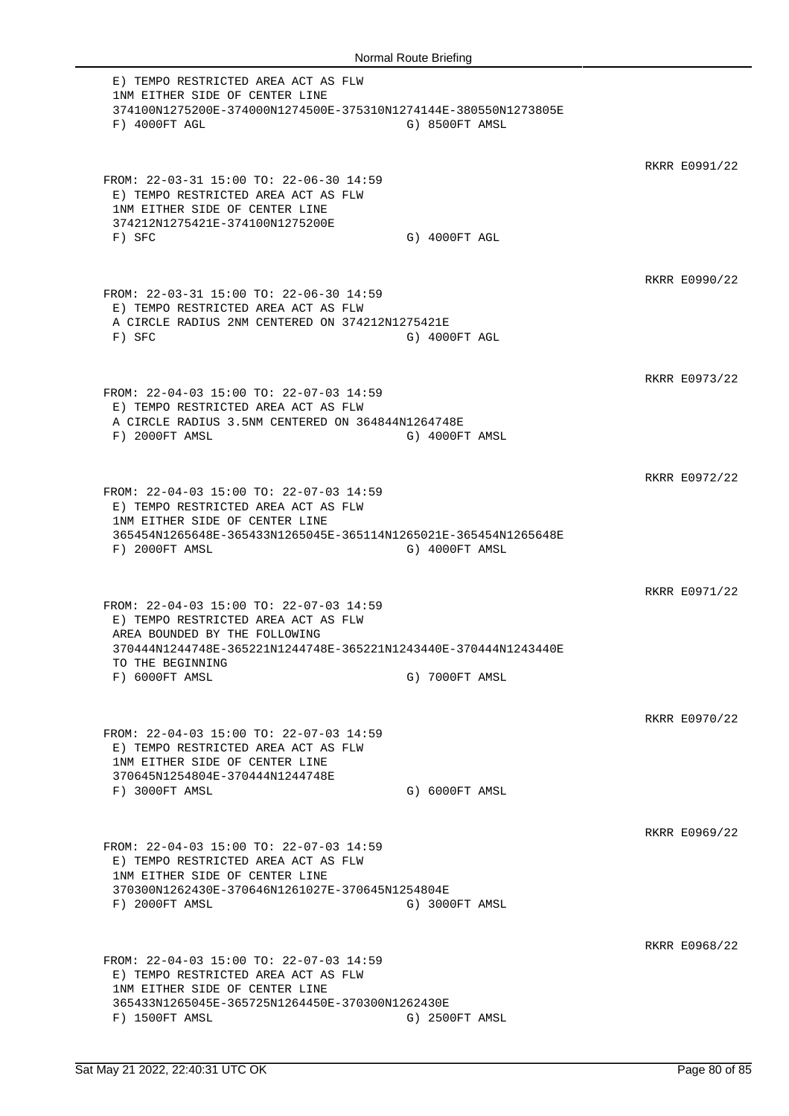E) TEMPO RESTRICTED AREA ACT AS FLW 1NM EITHER SIDE OF CENTER LINE 374100N1275200E-374000N1274500E-375310N1274144E-380550N1273805E F) 4000FT AGL G) 8500FT AMSL RKRR E0991/22 FROM: 22-03-31 15:00 TO: 22-06-30 14:59 E) TEMPO RESTRICTED AREA ACT AS FLW 1NM EITHER SIDE OF CENTER LINE 374212N1275421E-374100N1275200E F) SFC G) 4000FT AGL RKRR E0990/22 FROM: 22-03-31 15:00 TO: 22-06-30 14:59 E) TEMPO RESTRICTED AREA ACT AS FLW A CIRCLE RADIUS 2NM CENTERED ON 374212N1275421E F) SFC G) 4000FT AGL RKRR E0973/22 FROM: 22-04-03 15:00 TO: 22-07-03 14:59 E) TEMPO RESTRICTED AREA ACT AS FLW A CIRCLE RADIUS 3.5NM CENTERED ON 364844N1264748E F) 2000FT AMSL G) 4000FT AMSL RKRR E0972/22 FROM: 22-04-03 15:00 TO: 22-07-03 14:59 E) TEMPO RESTRICTED AREA ACT AS FLW 1NM EITHER SIDE OF CENTER LINE 365454N1265648E-365433N1265045E-365114N1265021E-365454N1265648E F) 2000FT AMSL G) 4000FT AMSL RKRR E0971/22 FROM: 22-04-03 15:00 TO: 22-07-03 14:59 E) TEMPO RESTRICTED AREA ACT AS FLW AREA BOUNDED BY THE FOLLOWING 370444N1244748E-365221N1244748E-365221N1243440E-370444N1243440E TO THE BEGINNING F) 6000FT AMSL G) 7000FT AMSL RKRR E0970/22 FROM: 22-04-03 15:00 TO: 22-07-03 14:59 E) TEMPO RESTRICTED AREA ACT AS FLW 1NM EITHER SIDE OF CENTER LINE 370645N1254804E-370444N1244748E F) 3000FT AMSL G) 6000FT AMSL RKRR E0969/22 FROM: 22-04-03 15:00 TO: 22-07-03 14:59 E) TEMPO RESTRICTED AREA ACT AS FLW 1NM EITHER SIDE OF CENTER LINE 370300N1262430E-370646N1261027E-370645N1254804E F) 2000FT AMSL G) 3000FT AMSL RKRR E0968/22 FROM: 22-04-03 15:00 TO: 22-07-03 14:59 E) TEMPO RESTRICTED AREA ACT AS FLW 1NM EITHER SIDE OF CENTER LINE 365433N1265045E-365725N1264450E-370300N1262430E F) 1500FT AMSL G) 2500FT AMSL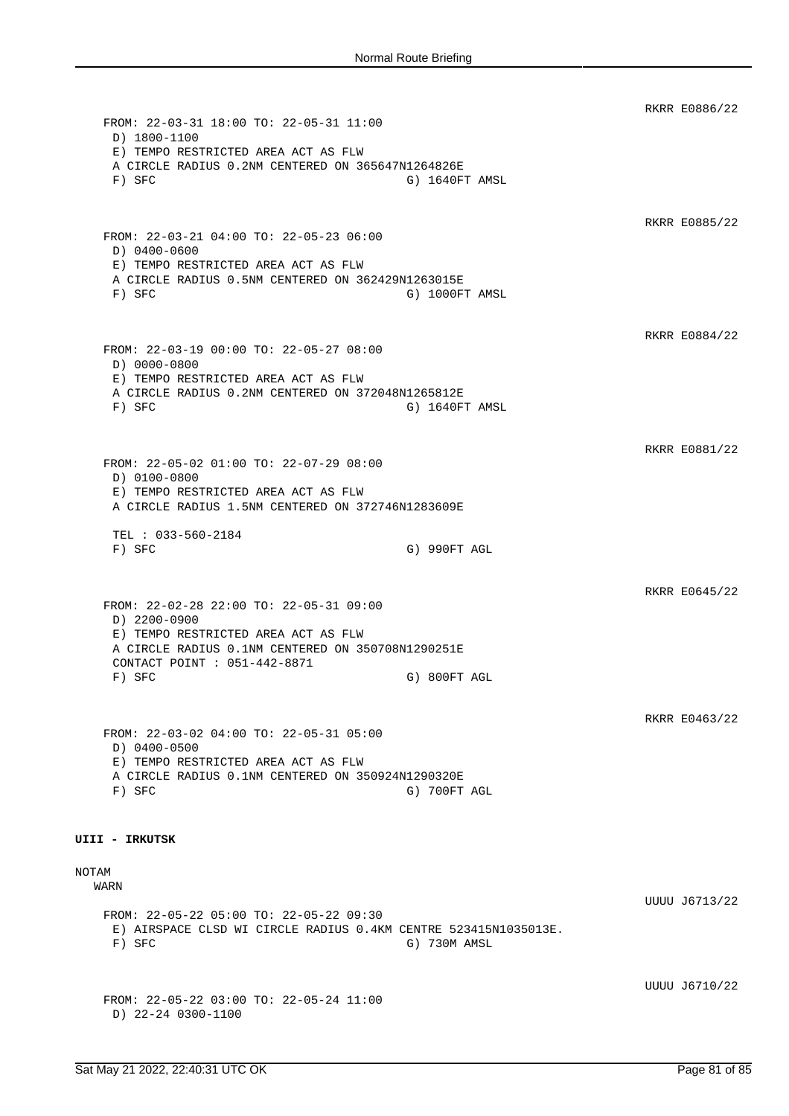RKRR E0886/22 FROM: 22-03-31 18:00 TO: 22-05-31 11:00 D) 1800-1100 E) TEMPO RESTRICTED AREA ACT AS FLW A CIRCLE RADIUS 0.2NM CENTERED ON 365647N1264826E F) SFC G) 1640FT AMSL RKRR E0885/22 FROM: 22-03-21 04:00 TO: 22-05-23 06:00 D) 0400-0600 E) TEMPO RESTRICTED AREA ACT AS FLW A CIRCLE RADIUS 0.5NM CENTERED ON 362429N1263015E F) SFC G) 1000FT AMSL RKRR E0884/22 FROM: 22-03-19 00:00 TO: 22-05-27 08:00 D) 0000-0800 E) TEMPO RESTRICTED AREA ACT AS FLW A CIRCLE RADIUS 0.2NM CENTERED ON 372048N1265812E F) SFC G) 1640FT AMSL RKRR E0881/22 FROM: 22-05-02 01:00 TO: 22-07-29 08:00 D) 0100-0800 E) TEMPO RESTRICTED AREA ACT AS FLW A CIRCLE RADIUS 1.5NM CENTERED ON 372746N1283609E TEL : 033-560-2184 F) SFC G) 990FT AGL RKRR E0645/22 FROM: 22-02-28 22:00 TO: 22-05-31 09:00 D) 2200-0900 E) TEMPO RESTRICTED AREA ACT AS FLW A CIRCLE RADIUS 0.1NM CENTERED ON 350708N1290251E CONTACT POINT : 051-442-8871 F) SFC G) 800FT AGL RKRR E0463/22 FROM: 22-03-02 04:00 TO: 22-05-31 05:00 D) 0400-0500 E) TEMPO RESTRICTED AREA ACT AS FLW A CIRCLE RADIUS 0.1NM CENTERED ON 350924N1290320E F) SFC G) 700FT AGL **UIII - IRKUTSK** NOTAM WARN UUUU J6713/22 FROM: 22-05-22 05:00 TO: 22-05-22 09:30 E) AIRSPACE CLSD WI CIRCLE RADIUS 0.4KM CENTRE 523415N1035013E. F) SFC G) 730M AMSL UUUU J6710/22 FROM: 22-05-22 03:00 TO: 22-05-24 11:00 D) 22-24 0300-1100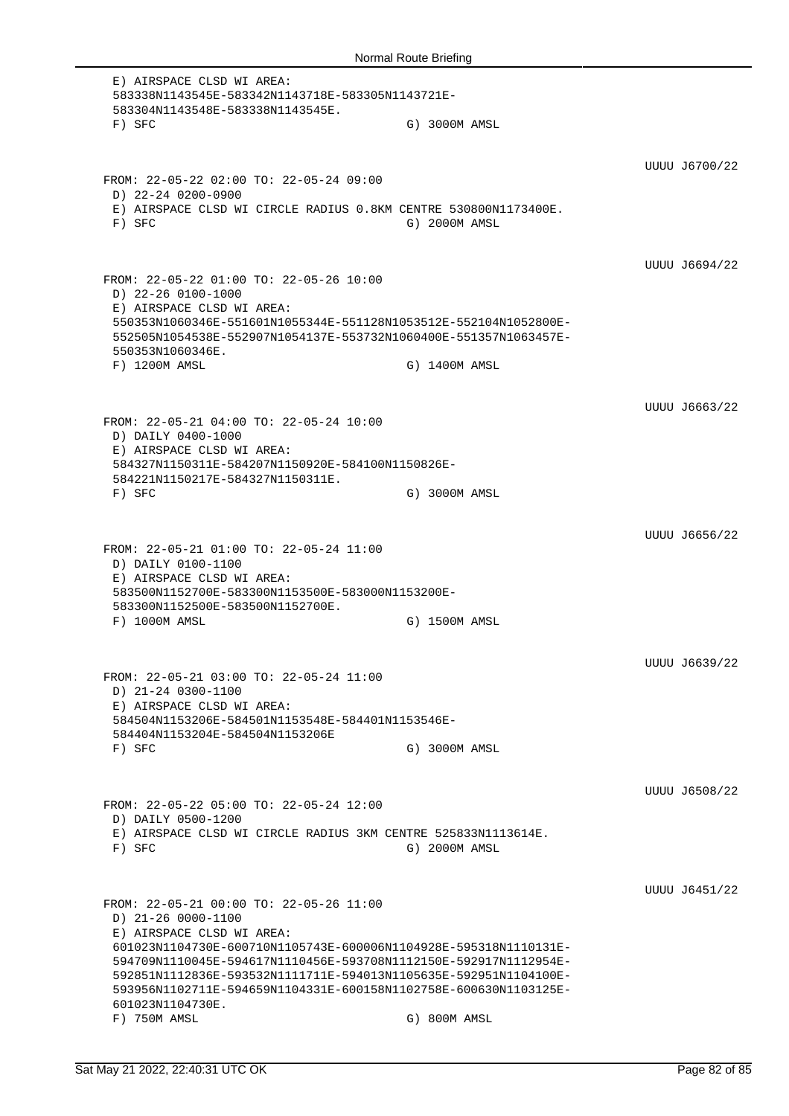E) AIRSPACE CLSD WI AREA: 583338N1143545E-583342N1143718E-583305N1143721E-583304N1143548E-583338N1143545E. F) SFC G) 3000M AMSL UUUU J6700/22 FROM: 22-05-22 02:00 TO: 22-05-24 09:00 D) 22-24 0200-0900 E) AIRSPACE CLSD WI CIRCLE RADIUS 0.8KM CENTRE 530800N1173400E. F) SFC G) 2000M AMSL UUUU J6694/22 FROM: 22-05-22 01:00 TO: 22-05-26 10:00 D) 22-26 0100-1000 E) AIRSPACE CLSD WI AREA: 550353N1060346E-551601N1055344E-551128N1053512E-552104N1052800E-552505N1054538E-552907N1054137E-553732N1060400E-551357N1063457E-550353N1060346E. F) 1200M AMSL G) 1400M AMSL UUUU J6663/22 FROM: 22-05-21 04:00 TO: 22-05-24 10:00 D) DAILY 0400-1000 E) AIRSPACE CLSD WI AREA: 584327N1150311E-584207N1150920E-584100N1150826E-584221N1150217E-584327N1150311E. F) SFC G) 3000M AMSL UUUU J6656/22 FROM: 22-05-21 01:00 TO: 22-05-24 11:00 D) DAILY 0100-1100 E) AIRSPACE CLSD WI AREA: 583500N1152700E-583300N1153500E-583000N1153200E-583300N1152500E-583500N1152700E. F) 1000M AMSL G) 1500M AMSL UUUU J6639/22 FROM: 22-05-21 03:00 TO: 22-05-24 11:00 D) 21-24 0300-1100 E) AIRSPACE CLSD WI AREA: 584504N1153206E-584501N1153548E-584401N1153546E-584404N1153204E-584504N1153206E F) SFC G) 3000M AMSL UUUU J6508/22 FROM: 22-05-22 05:00 TO: 22-05-24 12:00 D) DAILY 0500-1200 E) AIRSPACE CLSD WI CIRCLE RADIUS 3KM CENTRE 525833N1113614E. F) SFC G) 2000M AMSL UUUU J6451/22 FROM: 22-05-21 00:00 TO: 22-05-26 11:00 D) 21-26 0000-1100 E) AIRSPACE CLSD WI AREA: 601023N1104730E-600710N1105743E-600006N1104928E-595318N1110131E-594709N1110045E-594617N1110456E-593708N1112150E-592917N1112954E-592851N1112836E-593532N1111711E-594013N1105635E-592951N1104100E-593956N1102711E-594659N1104331E-600158N1102758E-600630N1103125E-601023N1104730E. F) 750M AMSL G) 800M AMSL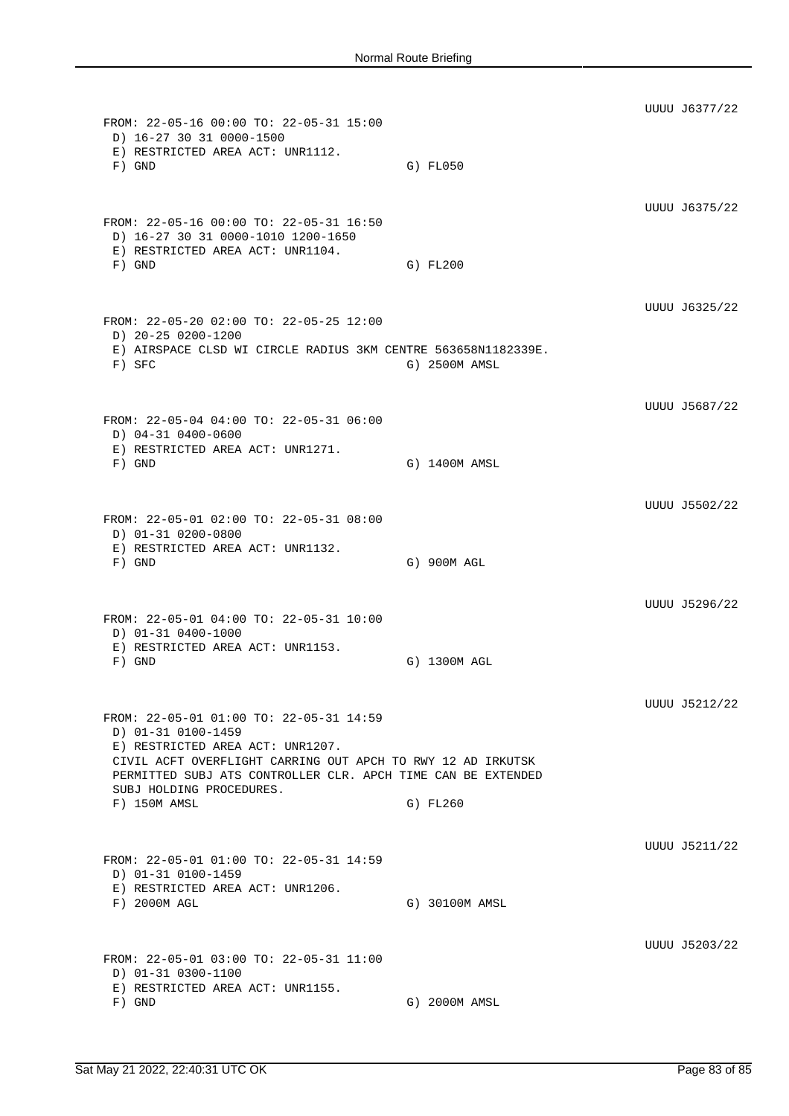UUUU J6377/22 FROM: 22-05-16 00:00 TO: 22-05-31 15:00 D) 16-27 30 31 0000-1500 E) RESTRICTED AREA ACT: UNR1112. F) GND G) FL050 UUUU J6375/22 FROM: 22-05-16 00:00 TO: 22-05-31 16:50 D) 16-27 30 31 0000-1010 1200-1650 E) RESTRICTED AREA ACT: UNR1104. F) GND G) FL200 UUUU J6325/22 FROM: 22-05-20 02:00 TO: 22-05-25 12:00 D) 20-25 0200-1200 E) AIRSPACE CLSD WI CIRCLE RADIUS 3KM CENTRE 563658N1182339E. F) SFC G) 2500M AMSL UUUU J5687/22 FROM: 22-05-04 04:00 TO: 22-05-31 06:00 D) 04-31 0400-0600 E) RESTRICTED AREA ACT: UNR1271. F) GND G) 1400M AMSL UUUU J5502/22 FROM: 22-05-01 02:00 TO: 22-05-31 08:00 D) 01-31 0200-0800 E) RESTRICTED AREA ACT: UNR1132. F) GND G) 900M AGL UUUU J5296/22 FROM: 22-05-01 04:00 TO: 22-05-31 10:00 D) 01-31 0400-1000 E) RESTRICTED AREA ACT: UNR1153. F) GND G) 1300M AGL UUUU J5212/22 FROM: 22-05-01 01:00 TO: 22-05-31 14:59 D) 01-31 0100-1459 E) RESTRICTED AREA ACT: UNR1207. CIVIL ACFT OVERFLIGHT CARRING OUT APCH TO RWY 12 AD IRKUTSK PERMITTED SUBJ ATS CONTROLLER CLR. APCH TIME CAN BE EXTENDED SUBJ HOLDING PROCEDURES. F) 150M AMSL G) FL260 UUUU J5211/22 FROM: 22-05-01 01:00 TO: 22-05-31 14:59 D) 01-31 0100-1459 E) RESTRICTED AREA ACT: UNR1206. F) 2000M AGL G) 30100M AMSL UUUU J5203/22 FROM: 22-05-01 03:00 TO: 22-05-31 11:00 D) 01-31 0300-1100 E) RESTRICTED AREA ACT: UNR1155. F) GND G) 2000M AMSL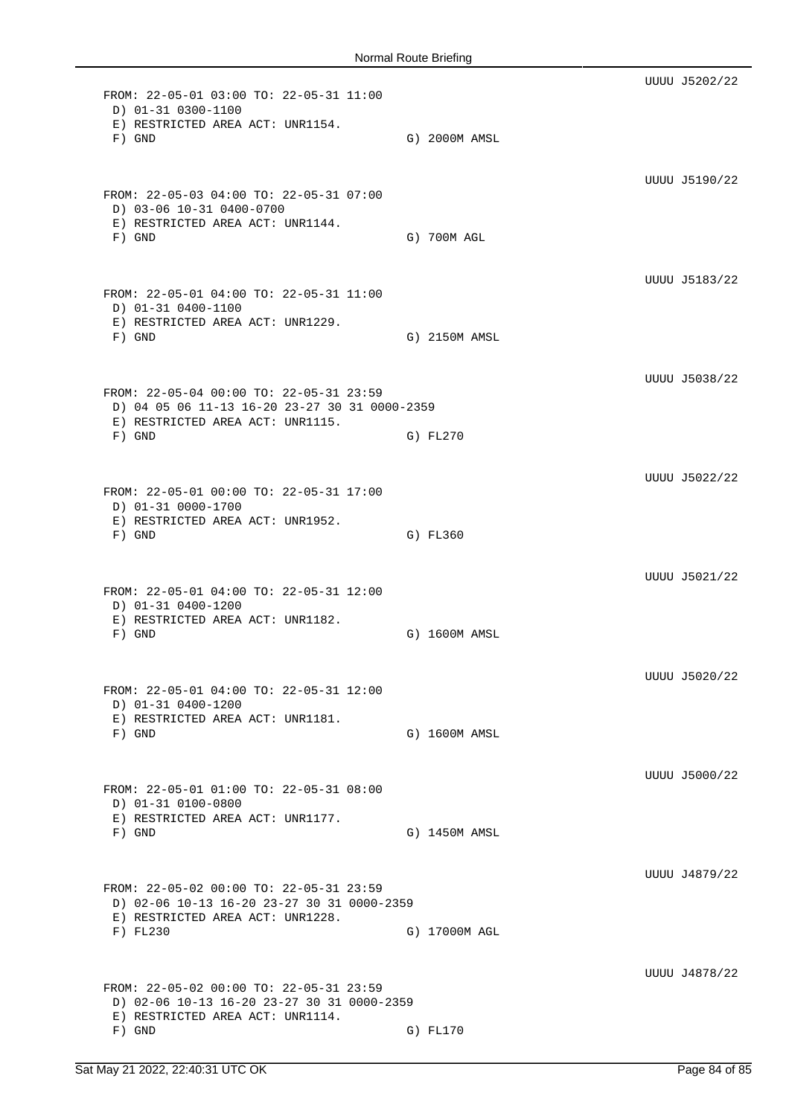UUUU J5202/22 FROM: 22-05-01 03:00 TO: 22-05-31 11:00 D) 01-31 0300-1100 E) RESTRICTED AREA ACT: UNR1154. F) GND G) 2000M AMSL UUUU J5190/22 FROM: 22-05-03 04:00 TO: 22-05-31 07:00 D) 03-06 10-31 0400-0700 E) RESTRICTED AREA ACT: UNR1144. F) GND G) 700M AGL UUUU J5183/22 FROM: 22-05-01 04:00 TO: 22-05-31 11:00 D) 01-31 0400-1100 E) RESTRICTED AREA ACT: UNR1229. F) GND G) 2150M AMSL UUUU J5038/22 FROM: 22-05-04 00:00 TO: 22-05-31 23:59 D) 04 05 06 11-13 16-20 23-27 30 31 0000-2359 E) RESTRICTED AREA ACT: UNR1115. F) GND G) FL270 UUUU J5022/22 FROM: 22-05-01 00:00 TO: 22-05-31 17:00 D) 01-31 0000-1700 E) RESTRICTED AREA ACT: UNR1952. F) GND G) FL360 UUUU J5021/22 FROM: 22-05-01 04:00 TO: 22-05-31 12:00 D) 01-31 0400-1200 E) RESTRICTED AREA ACT: UNR1182. F) GND G) 1600M AMSL UUUU J5020/22 FROM: 22-05-01 04:00 TO: 22-05-31 12:00 D) 01-31 0400-1200 E) RESTRICTED AREA ACT: UNR1181. F) GND G) 1600M AMSL UUUU J5000/22 FROM: 22-05-01 01:00 TO: 22-05-31 08:00 D) 01-31 0100-0800 E) RESTRICTED AREA ACT: UNR1177. F) GND G) 1450M AMSL UUUU J4879/22 FROM: 22-05-02 00:00 TO: 22-05-31 23:59 D) 02-06 10-13 16-20 23-27 30 31 0000-2359 E) RESTRICTED AREA ACT: UNR1228. F) FL230 G) 17000M AGL UUUU J4878/22 FROM: 22-05-02 00:00 TO: 22-05-31 23:59 D) 02-06 10-13 16-20 23-27 30 31 0000-2359 E) RESTRICTED AREA ACT: UNR1114. F) GND G) FL170